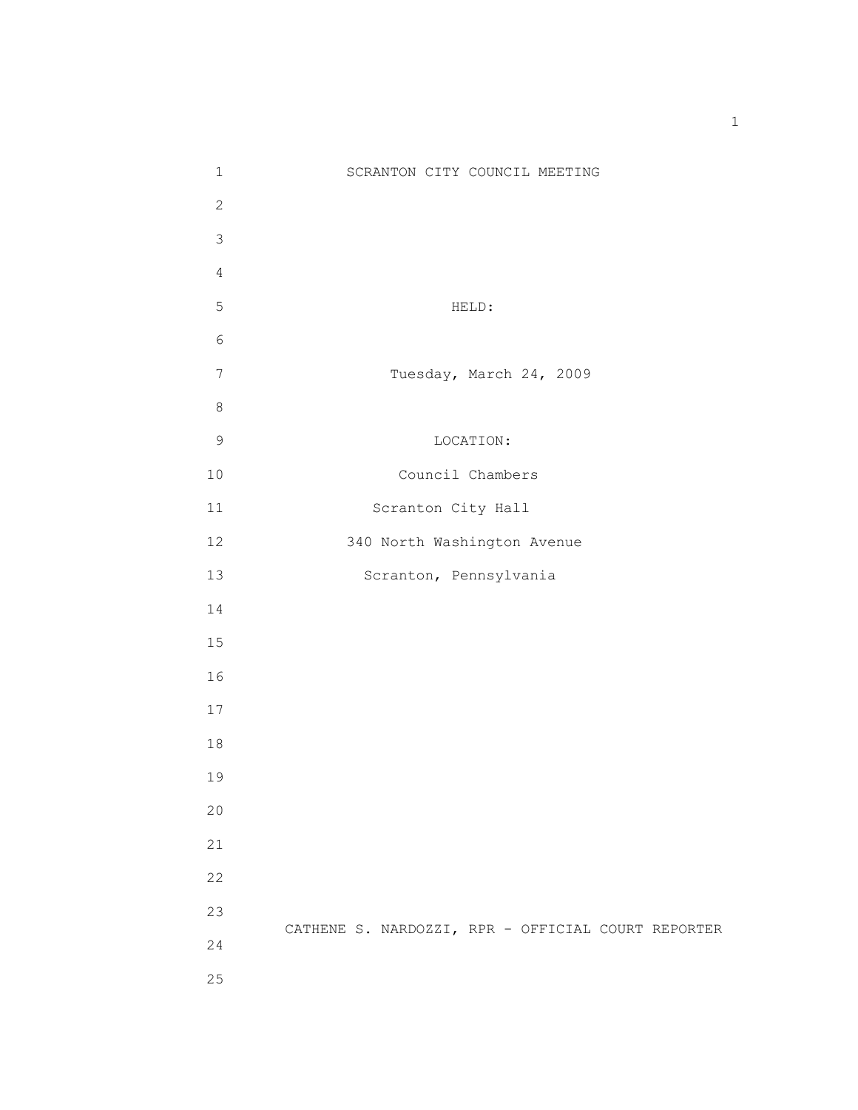| $\mathbf 1$    | SCRANTON CITY COUNCIL MEETING                      |
|----------------|----------------------------------------------------|
| $\overline{c}$ |                                                    |
| 3              |                                                    |
| $\overline{4}$ |                                                    |
| 5              | HELD:                                              |
| $\sqrt{6}$     |                                                    |
| $7\phantom{.}$ | Tuesday, March 24, 2009                            |
| $\,8\,$        |                                                    |
| $\mathsf 9$    | LOCATION:                                          |
| 10             | Council Chambers                                   |
| $11\,$         | Scranton City Hall                                 |
| 12             | 340 North Washington Avenue                        |
| 13             | Scranton, Pennsylvania                             |
| 14             |                                                    |
| 15             |                                                    |
| 16             |                                                    |
| 17             |                                                    |
| $1\,8$         |                                                    |
| 19             |                                                    |
| 20             |                                                    |
| 21             |                                                    |
| 22             |                                                    |
| 23             |                                                    |
| 24             | CATHENE S. NARDOZZI, RPR - OFFICIAL COURT REPORTER |
| 25             |                                                    |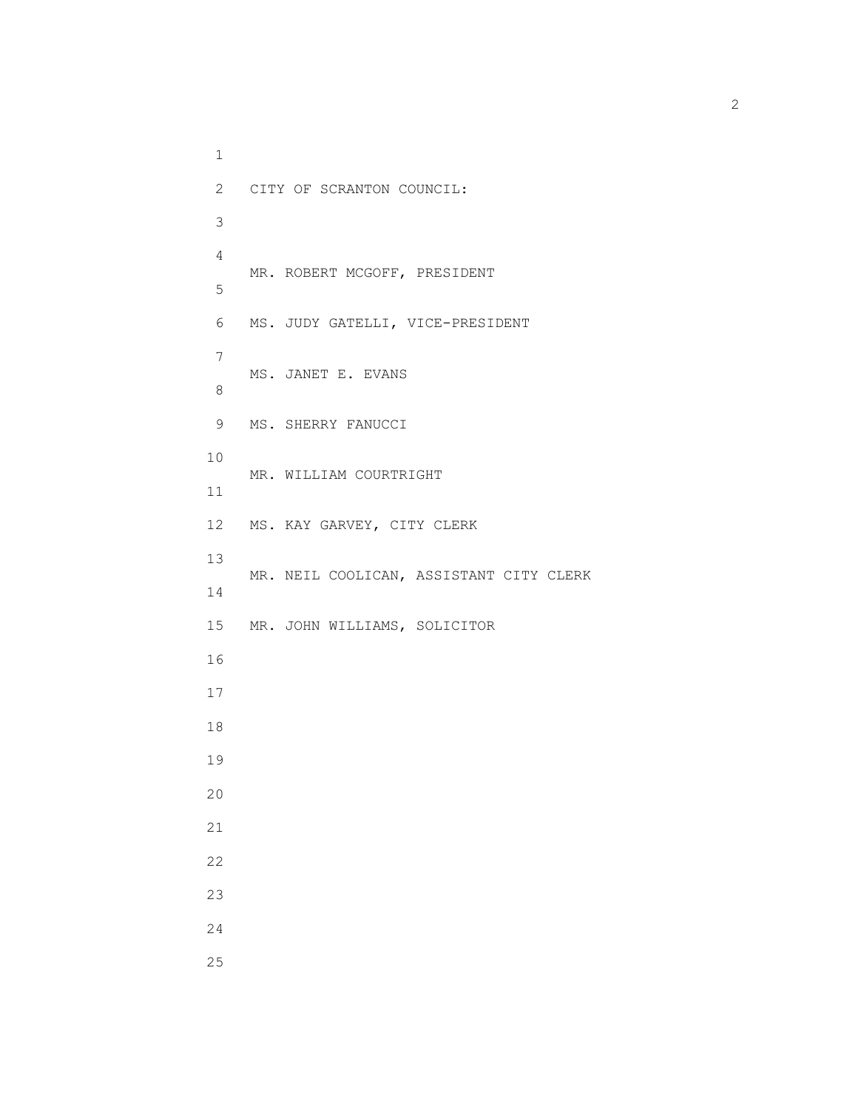1 2 CITY OF SCRANTON COUNCIL: 3 4 MR. ROBERT MCGOFF, PRESIDENT 5 6 MS. JUDY GATELLI, VICE-PRESIDENT 7 MS. JANET E. EVANS 8 9 MS. SHERRY FANUCCI 10 MR. WILLIAM COURTRIGHT 11 12 MS. KAY GARVEY, CITY CLERK 13 MR. NEIL COOLICAN, ASSISTANT CITY CLERK 14 15 MR. JOHN WILLIAMS, SOLICITOR 16 17 18 19 20 21 22 23 24 25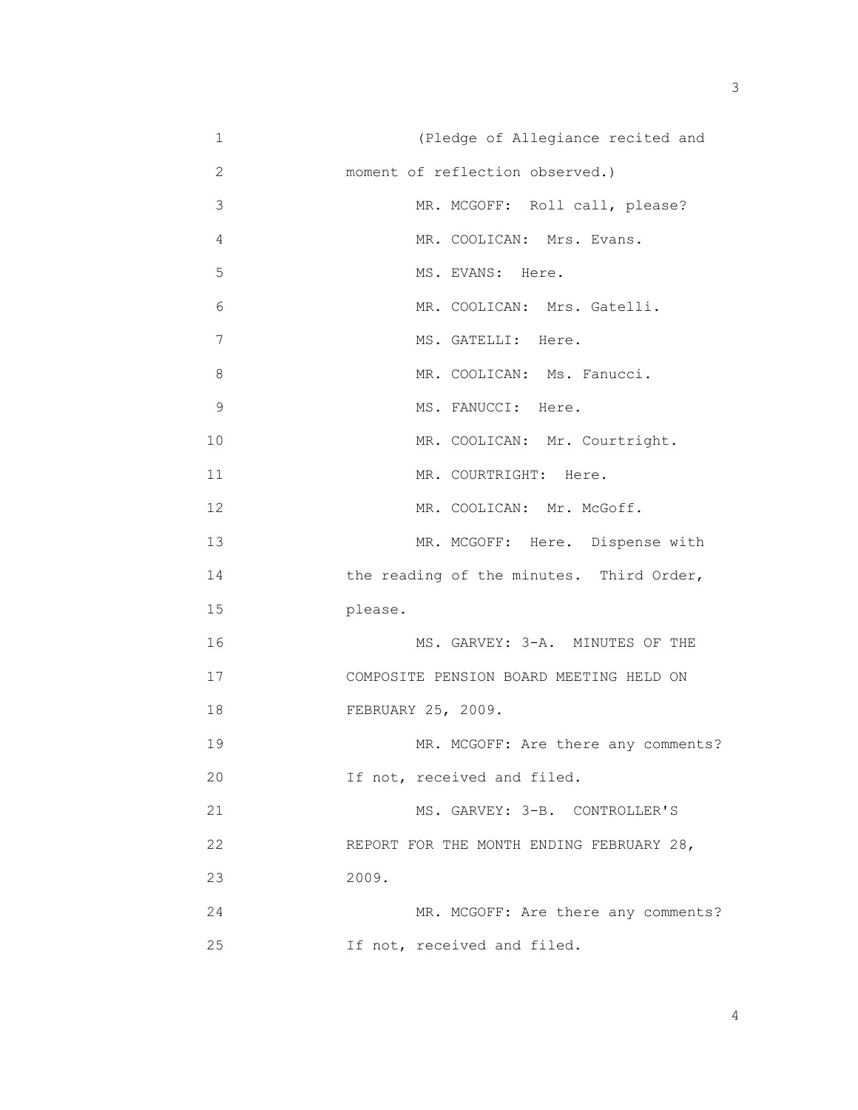| $\mathbf 1$ | (Pledge of Allegiance recited and        |
|-------------|------------------------------------------|
| 2           | moment of reflection observed.)          |
| 3           | MR. MCGOFF: Roll call, please?           |
| 4           | MR. COOLICAN: Mrs. Evans.                |
| 5           | MS. EVANS: Here.                         |
| 6           | MR. COOLICAN: Mrs. Gatelli.              |
| 7           | MS. GATELLI: Here.                       |
| 8           | MR. COOLICAN: Ms. Fanucci.               |
| $\mathsf 9$ | MS. FANUCCI: Here.                       |
| 10          | MR. COOLICAN: Mr. Courtright.            |
| 11          | MR. COURTRIGHT: Here.                    |
| 12          | MR. COOLICAN: Mr. McGoff.                |
| 13          | MR. MCGOFF: Here. Dispense with          |
| 14          | the reading of the minutes. Third Order, |
| 15          | please.                                  |
| 16          | MS. GARVEY: 3-A. MINUTES OF THE          |
| 17          | COMPOSITE PENSION BOARD MEETING HELD ON  |
| 18          | FEBRUARY 25, 2009.                       |
| 19          | MR. MCGOFF: Are there any comments?      |
| 20          | If not, received and filed.              |
| 21          | MS. GARVEY: 3-B. CONTROLLER'S            |
| 22          | REPORT FOR THE MONTH ENDING FEBRUARY 28, |
| 23          | 2009.                                    |
| 24          | MR. MCGOFF: Are there any comments?      |
| 25          | If not, received and filed.              |

 $\sim$  3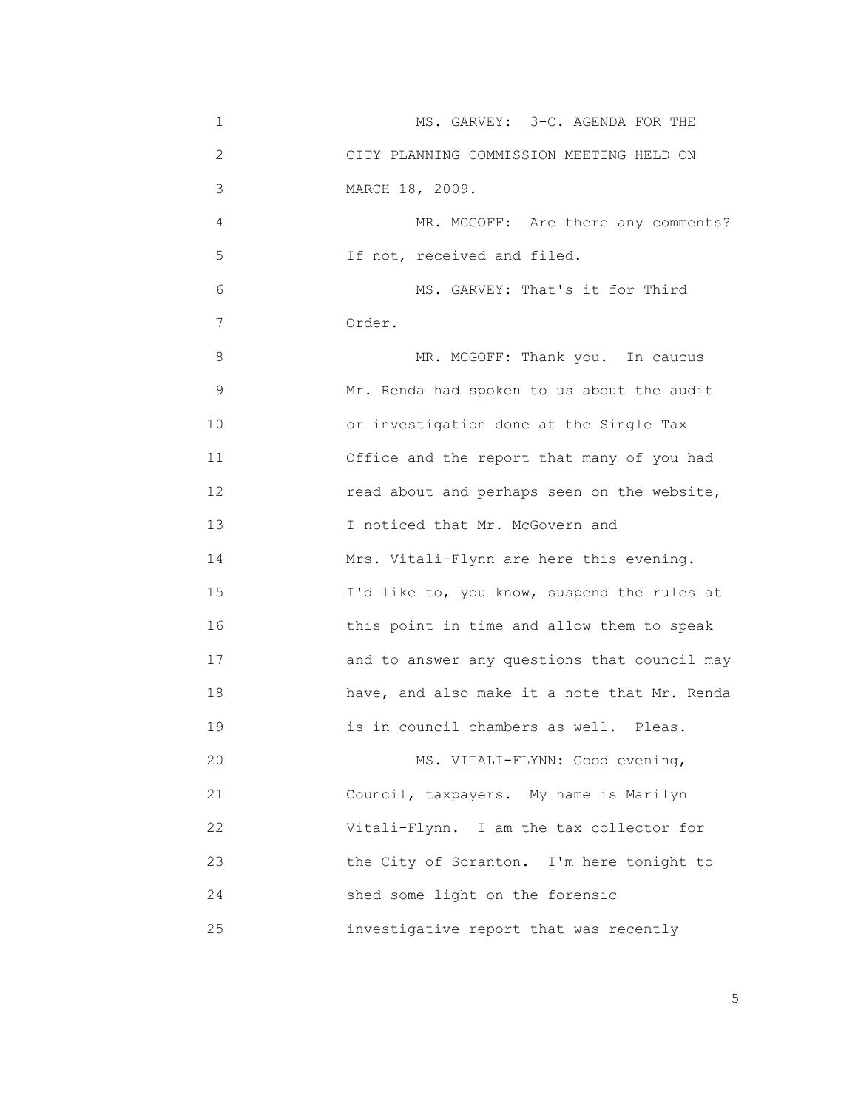| $\mathbf 1$       | MS. GARVEY: 3-C. AGENDA FOR THE              |
|-------------------|----------------------------------------------|
| 2                 | CITY PLANNING COMMISSION MEETING HELD ON     |
| 3                 | MARCH 18, 2009.                              |
| 4                 | MR. MCGOFF: Are there any comments?          |
| 5                 | If not, received and filed.                  |
| 6                 | MS. GARVEY: That's it for Third              |
| 7                 | Order.                                       |
| 8                 | MR. MCGOFF: Thank you. In caucus             |
| 9                 | Mr. Renda had spoken to us about the audit   |
| 10                | or investigation done at the Single Tax      |
| 11                | Office and the report that many of you had   |
| $12 \overline{ }$ | read about and perhaps seen on the website,  |
| 13                | I noticed that Mr. McGovern and              |
| 14                | Mrs. Vitali-Flynn are here this evening.     |
| 15                | I'd like to, you know, suspend the rules at  |
| 16                | this point in time and allow them to speak   |
| 17                | and to answer any questions that council may |
| 18                | have, and also make it a note that Mr. Renda |
| 19                | is in council chambers as well. Pleas.       |
| 20                | MS. VITALI-FLYNN: Good evening,              |
| 21                | Council, taxpayers. My name is Marilyn       |
| 22                | Vitali-Flynn. I am the tax collector for     |
| 23                | the City of Scranton. I'm here tonight to    |
| 24                | shed some light on the forensic              |
| 25                | investigative report that was recently       |

the contract of the contract of the contract of the contract of the contract of the contract of the contract of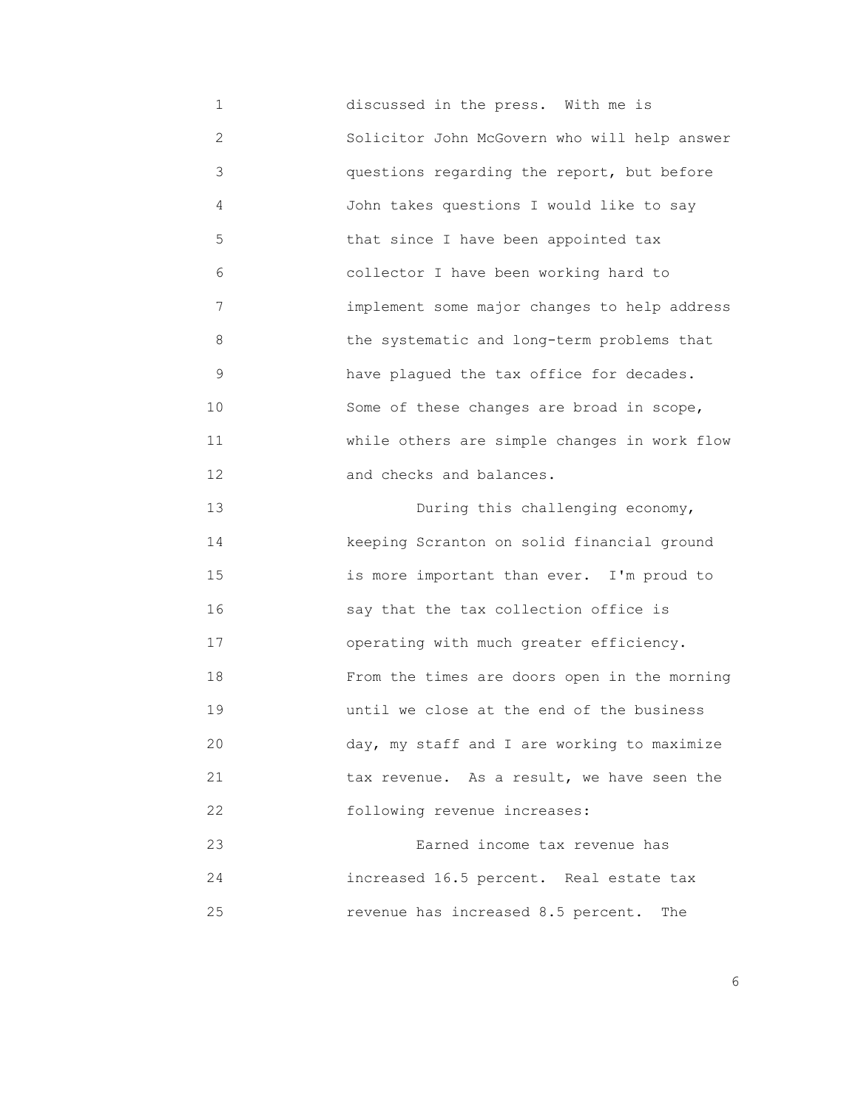1 discussed in the press. With me is 2 Solicitor John McGovern who will help answer 3 questions regarding the report, but before 4 John takes questions I would like to say 5 that since I have been appointed tax 6 collector I have been working hard to 7 implement some major changes to help address 8 the systematic and long-term problems that 9 have plagued the tax office for decades. 10 Some of these changes are broad in scope, 11 while others are simple changes in work flow 12 and checks and balances. 13 During this challenging economy, 14 keeping Scranton on solid financial ground 15 is more important than ever. I'm proud to 16 say that the tax collection office is 17 operating with much greater efficiency. 18 From the times are doors open in the morning 19 until we close at the end of the business 20 day, my staff and I are working to maximize 21 **1 1** tax revenue. As a result, we have seen the

 23 Earned income tax revenue has 24 increased 16.5 percent. Real estate tax 25 revenue has increased 8.5 percent. The

22 following revenue increases:

<u>6. In the set of the set of the set of the set of the set of the set of the set of the set of the set of the set of the set of the set of the set of the set of the set of the set of the set of the set of the set of the se</u>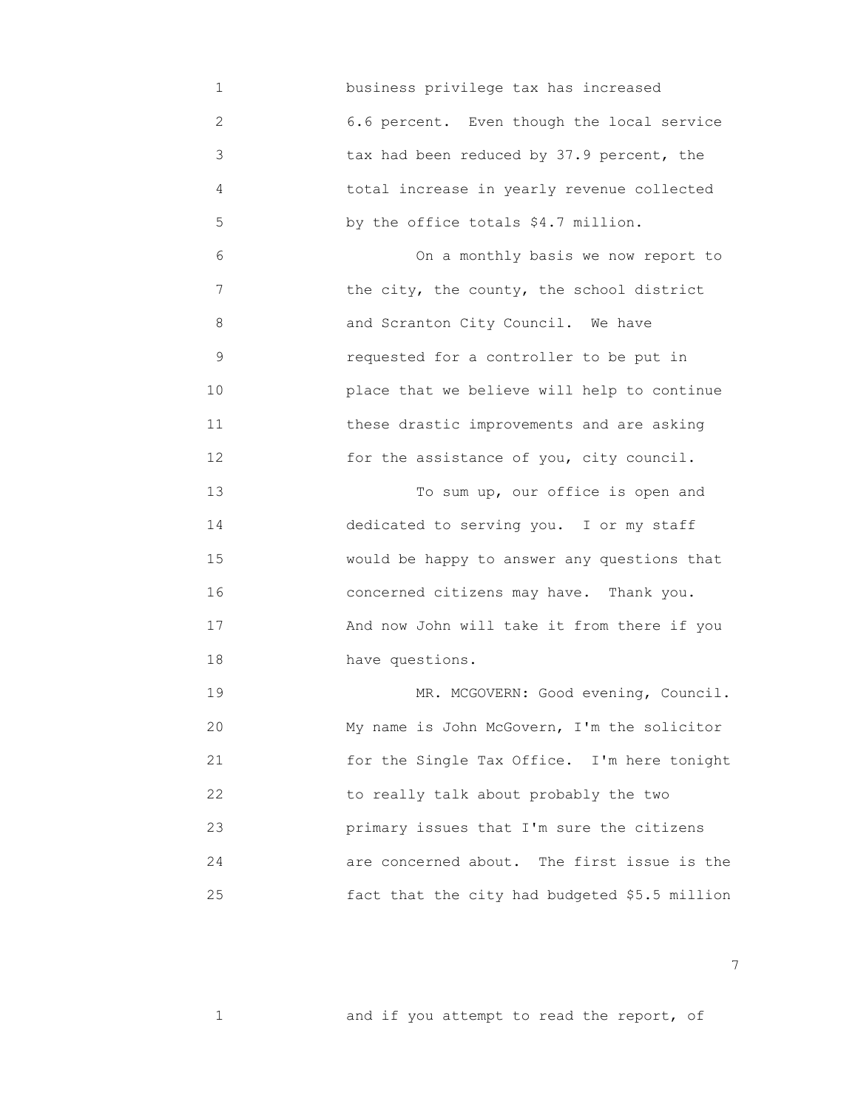1 business privilege tax has increased 2 6.6 percent. Even though the local service 3 tax had been reduced by 37.9 percent, the 4 total increase in yearly revenue collected 5 by the office totals \$4.7 million.

 6 On a monthly basis we now report to 7 the city, the county, the school district 8 and Scranton City Council. We have 9 requested for a controller to be put in 10 place that we believe will help to continue 11 these drastic improvements and are asking 12 for the assistance of you, city council.

 13 To sum up, our office is open and 14 dedicated to serving you. I or my staff 15 would be happy to answer any questions that 16 concerned citizens may have. Thank you. 17 And now John will take it from there if you 18 have questions.

19 MR. MCGOVERN: Good evening, Council. 20 My name is John McGovern, I'm the solicitor 21 for the Single Tax Office. I'm here tonight 22 to really talk about probably the two 23 primary issues that I'm sure the citizens 24 are concerned about. The first issue is the 25 fact that the city had budgeted \$5.5 million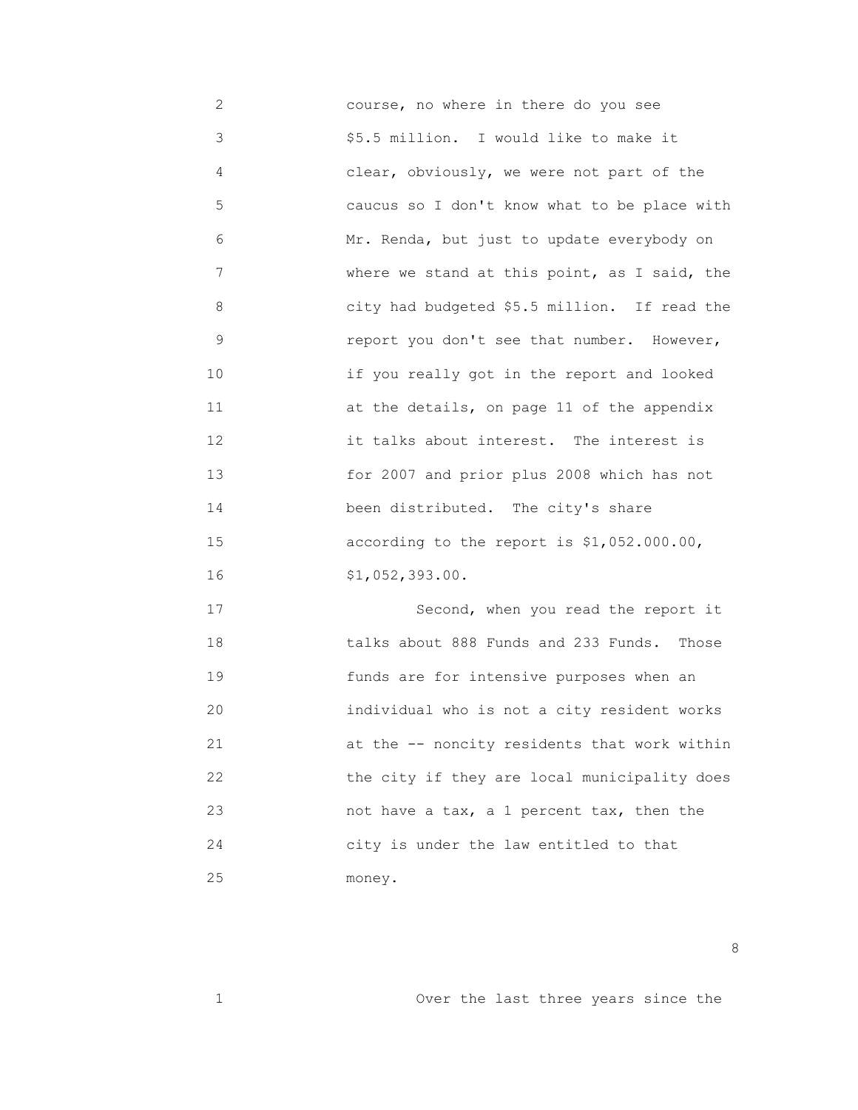2 course, no where in there do you see 3 \$5.5 million. I would like to make it 4 clear, obviously, we were not part of the 5 caucus so I don't know what to be place with 6 Mr. Renda, but just to update everybody on 7 where we stand at this point, as I said, the 8 city had budgeted \$5.5 million. If read the 9 report you don't see that number. However, 10 if you really got in the report and looked 11 at the details, on page 11 of the appendix 12 it talks about interest. The interest is 13 for 2007 and prior plus 2008 which has not 14 **been distributed.** The city's share 15 according to the report is \$1,052.000.00, 16 \$1,052,393.00.

17 Second, when you read the report it 18 talks about 888 Funds and 233 Funds. Those 19 funds are for intensive purposes when an 20 individual who is not a city resident works 21 at the -- noncity residents that work within 22 the city if they are local municipality does 23 not have a tax, a 1 percent tax, then the 24 city is under the law entitled to that 25 money.

<u>and the state of the state of the state of the state of the state of the state of the state of the state of the state of the state of the state of the state of the state of the state of the state of the state of the state</u>

1 Over the last three years since the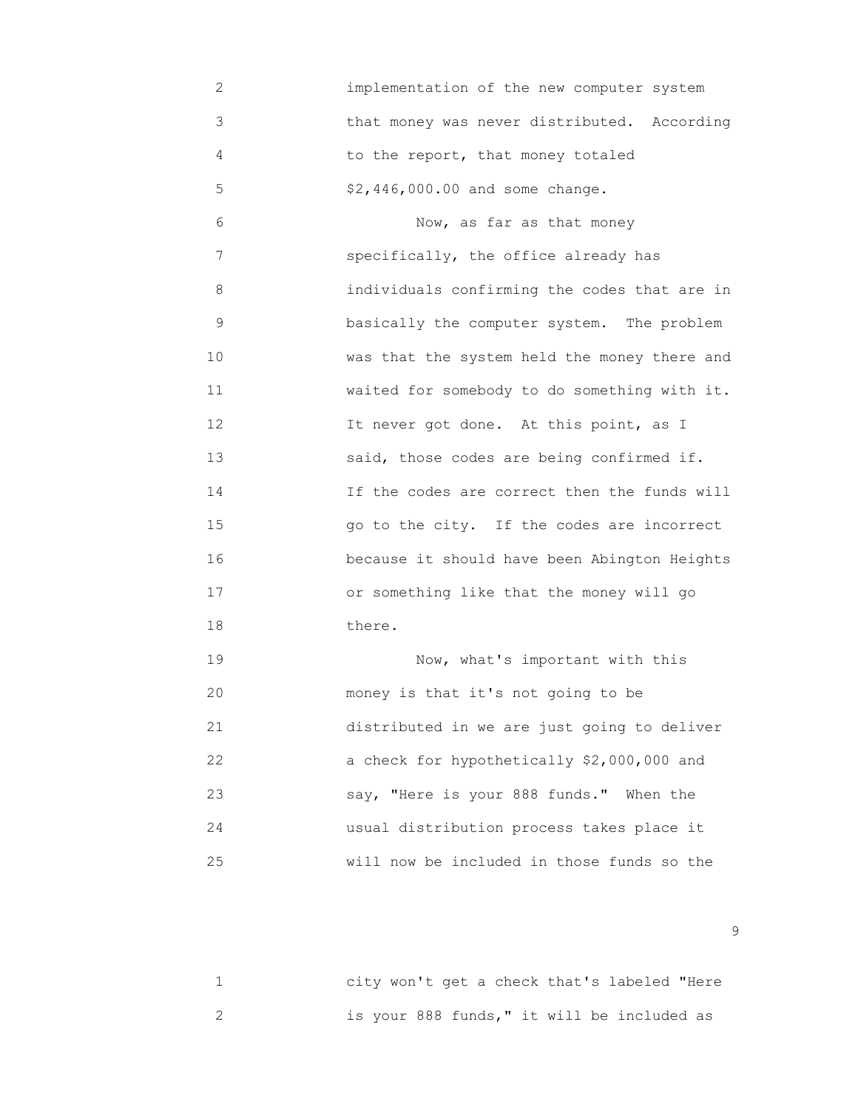2 implementation of the new computer system 3 that money was never distributed. According 4 to the report, that money totaled 5 \$2,446,000.00 and some change.

 6 Now, as far as that money 7 specifically, the office already has 8 individuals confirming the codes that are in 9 **basically the computer system.** The problem 10 was that the system held the money there and 11 waited for somebody to do something with it. 12 It never got done. At this point, as I 13 said, those codes are being confirmed if. 14 **If the codes are correct then the funds will**  15 go to the city. If the codes are incorrect 16 because it should have been Abington Heights 17 or something like that the money will go 18 there.

 19 Now, what's important with this 20 money is that it's not going to be 21 distributed in we are just going to deliver 22 a check for hypothetically \$2,000,000 and 23 say, "Here is your 888 funds." When the 24 usual distribution process takes place it 25 will now be included in those funds so the

 1 city won't get a check that's labeled "Here 2 is your 888 funds," it will be included as

en de la construction de la construction de la construction de la construction de la construction de la constr<br>1990 : la construction de la construction de la construction de la construction de la construction de la const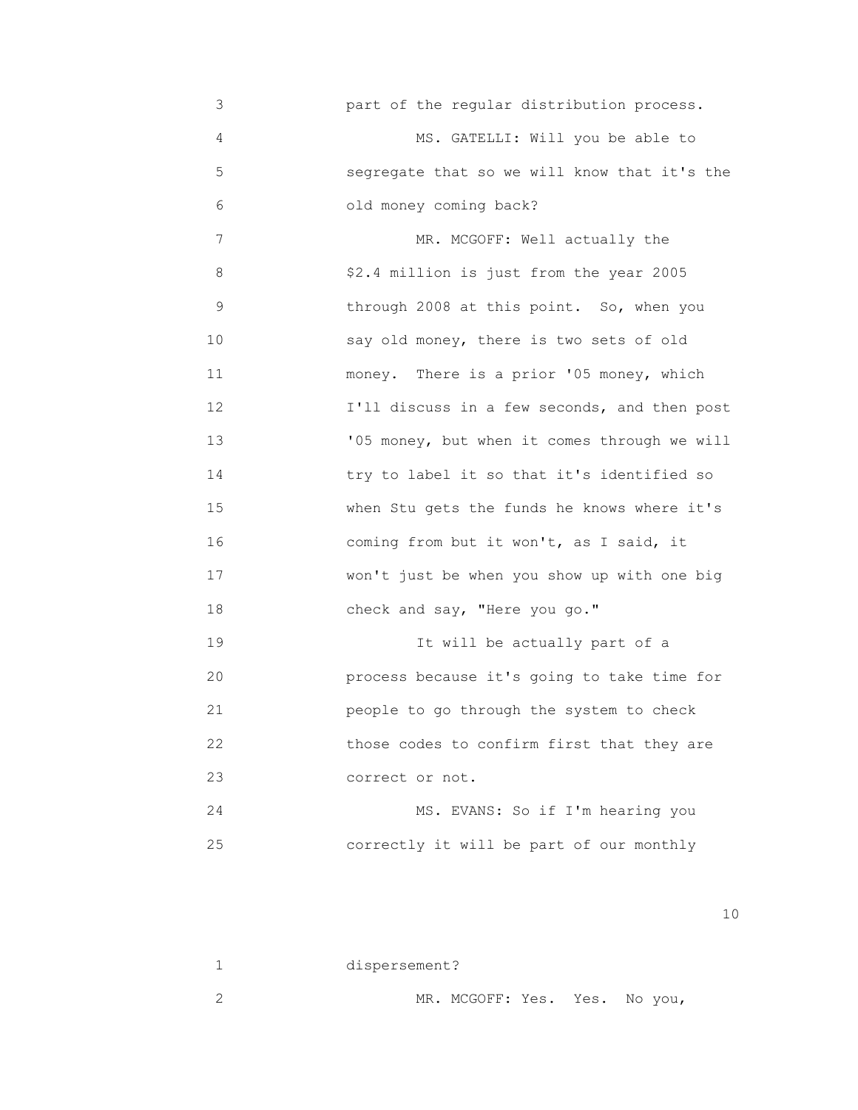3 part of the regular distribution process. 4 MS. GATELLI: Will you be able to 5 segregate that so we will know that it's the 6 old money coming back? 7 MR. MCGOFF: Well actually the 8 \$2.4 million is just from the year 2005 9 through 2008 at this point. So, when you 10 say old money, there is two sets of old 11 money. There is a prior '05 money, which 12 **I'll discuss in a few seconds, and then post**  13 '05 money, but when it comes through we will 14 try to label it so that it's identified so 15 when Stu gets the funds he knows where it's 16 coming from but it won't, as I said, it 17 won't just be when you show up with one big 18 check and say, "Here you go." 19 **19** It will be actually part of a 20 process because it's going to take time for 21 people to go through the system to check 22 those codes to confirm first that they are 23 correct or not. 24 MS. EVANS: So if I'm hearing you 25 correctly it will be part of our monthly

| dispersement?                 |  |
|-------------------------------|--|
| MR. MCGOFF: Yes. Yes. No you, |  |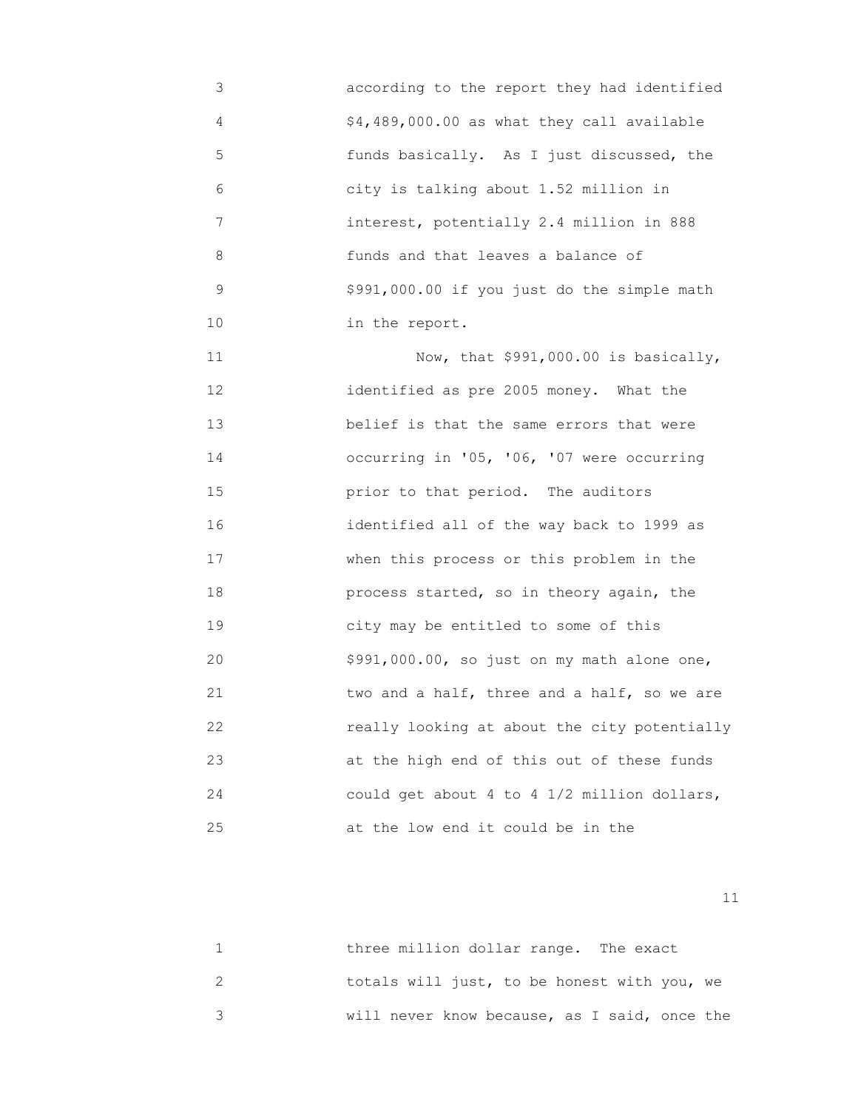3 according to the report they had identified 4 \$4,489,000.00 as what they call available 5 funds basically. As I just discussed, the 6 city is talking about 1.52 million in 7 interest, potentially 2.4 million in 888 8 funds and that leaves a balance of 9 \$991,000.00 if you just do the simple math 10 in the report.

 11 Now, that \$991,000.00 is basically, 12 identified as pre 2005 money. What the 13 belief is that the same errors that were 14 occurring in '05, '06, '07 were occurring 15 prior to that period. The auditors 16 identified all of the way back to 1999 as 17 **When this process or this problem in the**  18 process started, so in theory again, the 19 city may be entitled to some of this 20 \$991,000.00, so just on my math alone one, 21 two and a half, three and a half, so we are 22 really looking at about the city potentially 23 at the high end of this out of these funds 24 could get about 4 to 4 1/2 million dollars, 25 at the low end it could be in the

| three million dollar range. The exact        |
|----------------------------------------------|
| totals will just, to be honest with you, we  |
| will never know because, as I said, once the |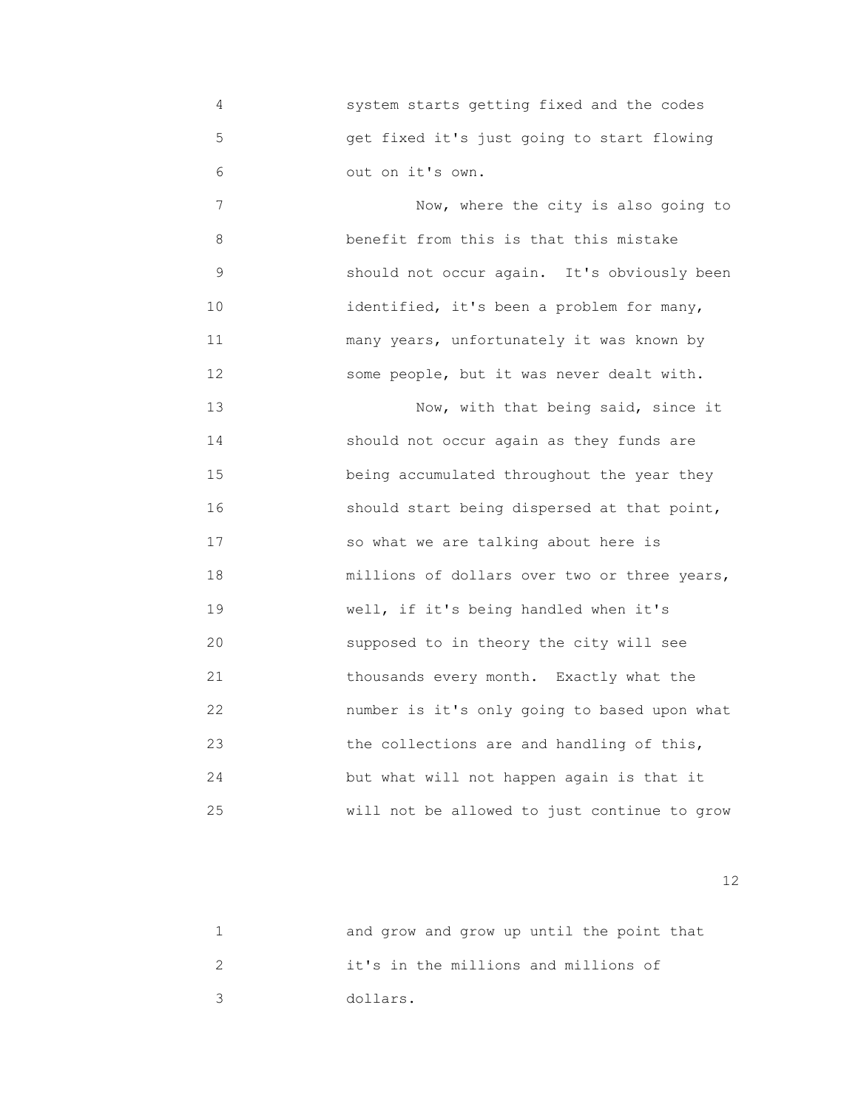4 system starts getting fixed and the codes 5 get fixed it's just going to start flowing 6 out on it's own.

7 Now, where the city is also going to 8 benefit from this is that this mistake 9 should not occur again. It's obviously been 10 identified, it's been a problem for many, 11 many years, unfortunately it was known by 12 some people, but it was never dealt with.

 13 Now, with that being said, since it 14 should not occur again as they funds are 15 being accumulated throughout the year they 16 should start being dispersed at that point, 17 so what we are talking about here is 18 millions of dollars over two or three years, 19 well, if it's being handled when it's 20 supposed to in theory the city will see 21 thousands every month. Exactly what the 22 number is it's only going to based upon what 23 the collections are and handling of this, 24 but what will not happen again is that it 25 will not be allowed to just continue to grow

| and grow and grow up until the point that |
|-------------------------------------------|
| it's in the millions and millions of      |
| dollars.                                  |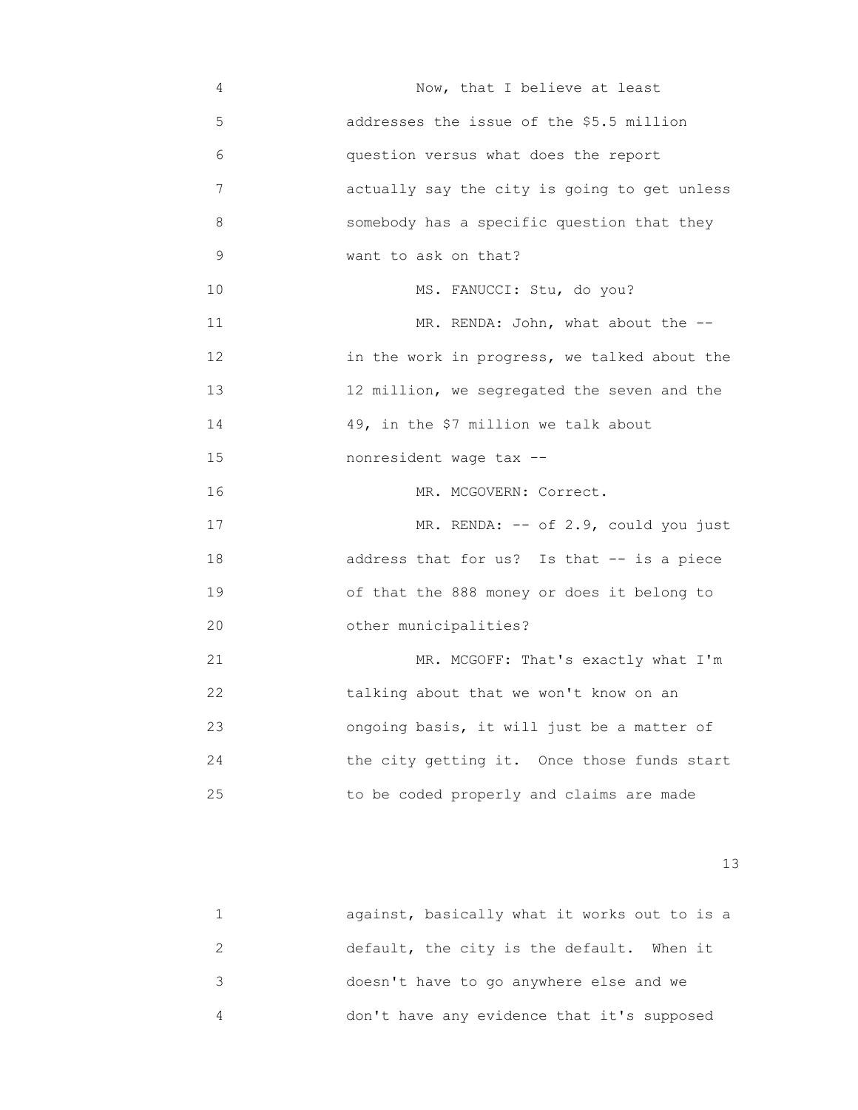4 Now, that I believe at least 5 addresses the issue of the \$5.5 million 6 question versus what does the report 7 actually say the city is going to get unless 8 somebody has a specific question that they 9 want to ask on that? 10 MS. FANUCCI: Stu, do you? 11 MR. RENDA: John, what about the -- 12 in the work in progress, we talked about the 13 12 million, we segregated the seven and the 14 49, in the \$7 million we talk about 15 nonresident wage tax -- 16 MR. MCGOVERN: Correct. 17 MR. RENDA: -- of 2.9, could you just 18 address that for us? Is that -- is a piece 19 of that the 888 money or does it belong to 20 other municipalities? 21 MR. MCGOFF: That's exactly what I'm 22 talking about that we won't know on an 23 ongoing basis, it will just be a matter of 24 the city getting it. Once those funds start 25 to be coded properly and claims are made

13<sup>3</sup>

| against, basically what it works out to is a |
|----------------------------------------------|
| default, the city is the default. When it    |
| doesn't have to go anywhere else and we      |
| don't have any evidence that it's supposed   |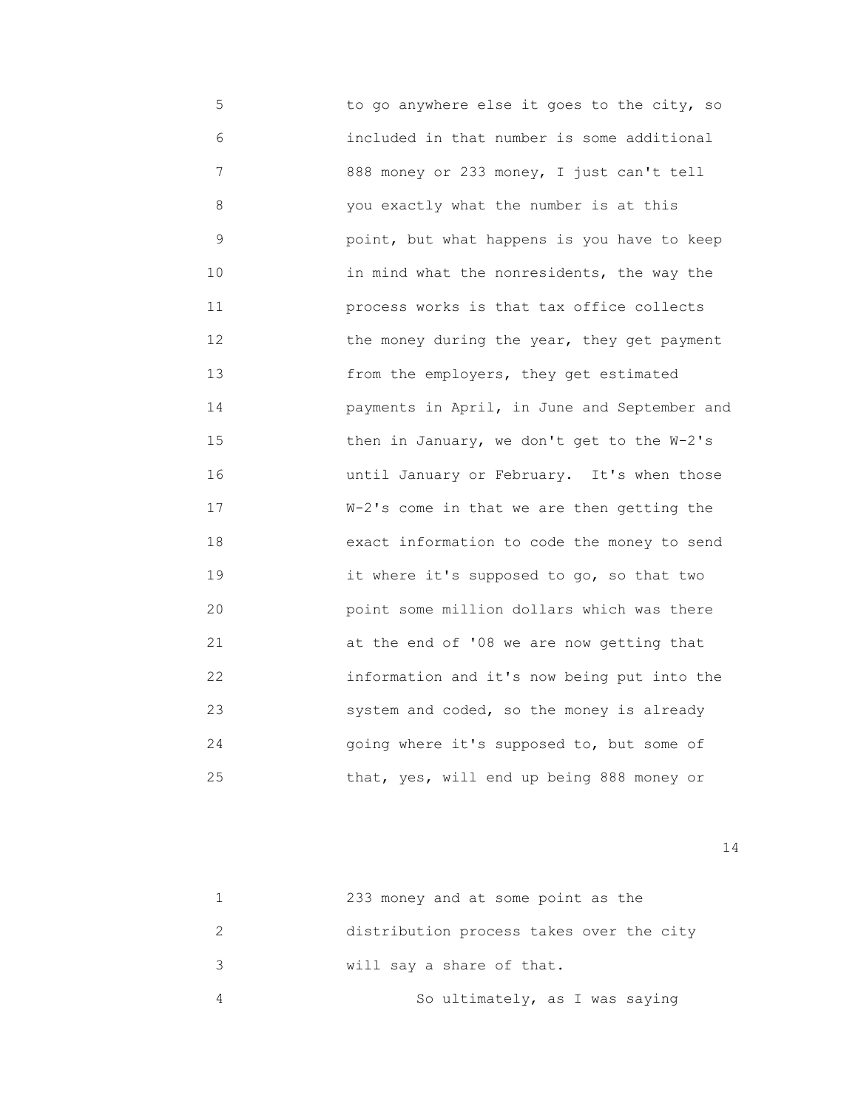5 to go anywhere else it goes to the city, so 6 included in that number is some additional 7 888 money or 233 money, I just can't tell 8 you exactly what the number is at this 9 point, but what happens is you have to keep 10 in mind what the nonresidents, the way the 11 process works is that tax office collects 12 **the money during the year, they get payment**  13 from the employers, they get estimated 14 payments in April, in June and September and 15 then in January, we don't get to the W-2's 16 until January or February. It's when those 17 W-2's come in that we are then getting the 18 exact information to code the money to send 19 **19 12** it where it's supposed to go, so that two 20 point some million dollars which was there 21 at the end of '08 we are now getting that 22 information and it's now being put into the 23 system and coded, so the money is already 24 going where it's supposed to, but some of 25 that, yes, will end up being 888 money or

| 233 money and at some point as the       |
|------------------------------------------|
| distribution process takes over the city |
| will say a share of that.                |
| So ultimately, as I was saying           |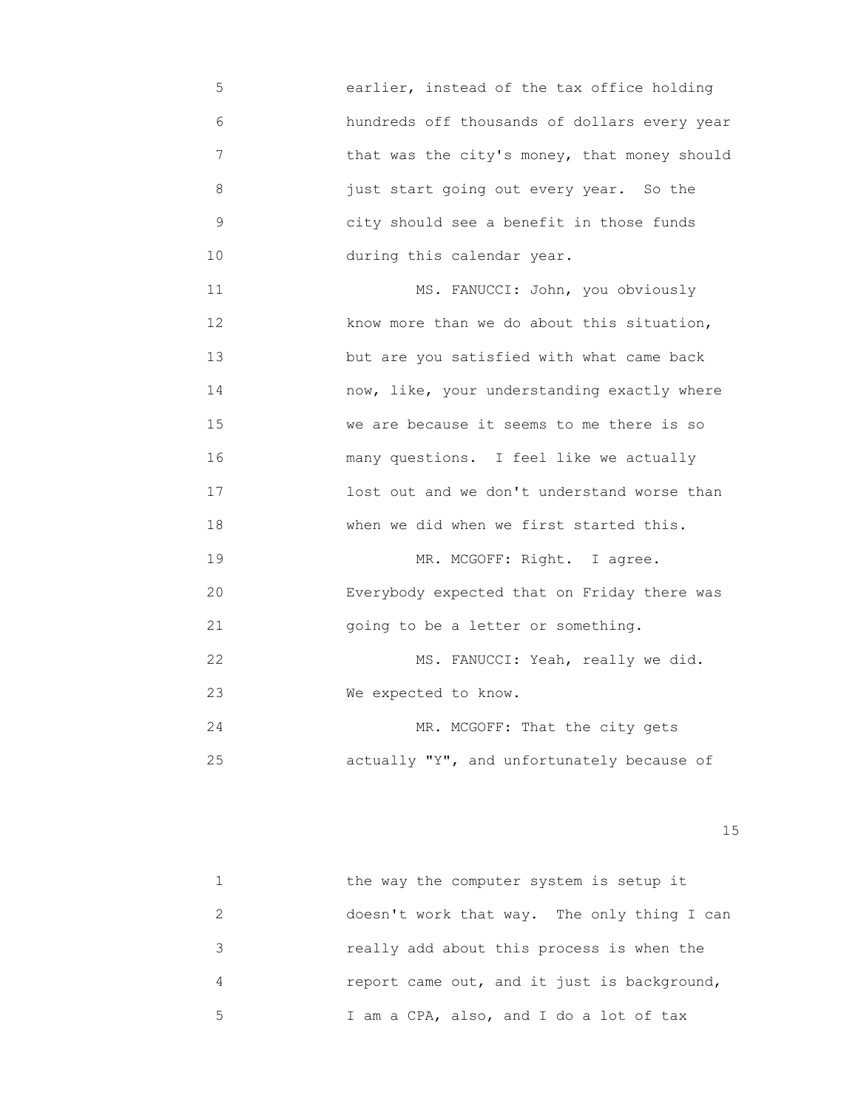- 5 earlier, instead of the tax office holding 6 hundreds off thousands of dollars every year 7 that was the city's money, that money should 8 just start going out every year. So the 9 city should see a benefit in those funds 10 during this calendar year.
- 11 MS. FANUCCI: John, you obviously 12 know more than we do about this situation, 13 but are you satisfied with what came back 14 now, like, your understanding exactly where 15 we are because it seems to me there is so 16 many questions. I feel like we actually 17 **17 100 lost out and we don't understand worse than**  18 when we did when we first started this. 19 MR. MCGOFF: Right. I agree. 20 Everybody expected that on Friday there was

21 going to be a letter or something.

22 MS. FANUCCI: Yeah, really we did. 23 We expected to know.

24 MR. MCGOFF: That the city gets 25 actually "Y", and unfortunately because of

15 and 15 and 15 and 15 and 15 and 15 and 15 and 15 and 15 and 15 and 15 and 15 and 15 and 15 and 15

|   | the way the computer system is setup it     |
|---|---------------------------------------------|
|   | doesn't work that way. The only thing I can |
|   | really add about this process is when the   |
| 4 | report came out, and it just is background, |
| 5 | I am a CPA, also, and I do a lot of tax     |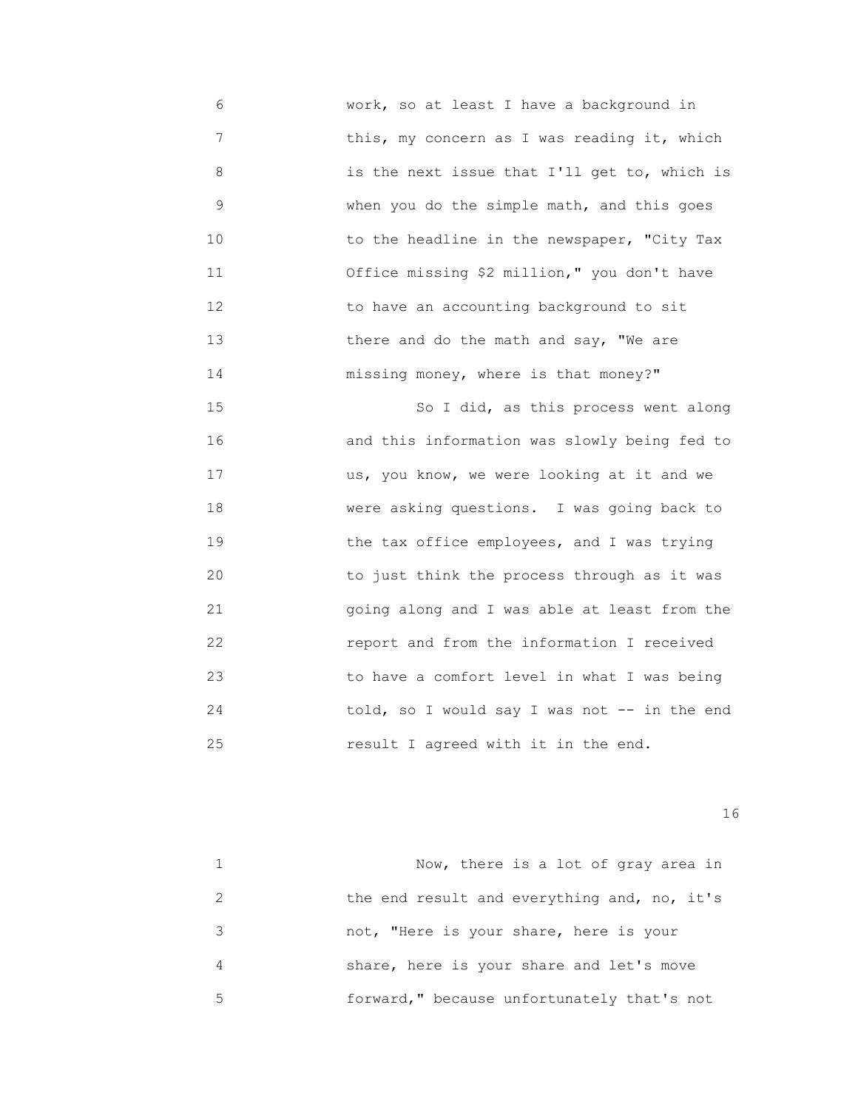6 work, so at least I have a background in 7 this, my concern as I was reading it, which 8 is the next issue that I'll get to, which is 9 when you do the simple math, and this goes 10 **10** to the headline in the newspaper, "City Tax 11 Office missing \$2 million," you don't have 12 to have an accounting background to sit 13 there and do the math and say, "We are 14 missing money, where is that money?"

 15 So I did, as this process went along 16 and this information was slowly being fed to 17 us, you know, we were looking at it and we 18 were asking questions. I was going back to 19 the tax office employees, and I was trying 20 to just think the process through as it was 21 going along and I was able at least from the 22 report and from the information I received 23 to have a comfort level in what I was being 24 told, so I would say I was not -- in the end 25 result I agreed with it in the end.

|   | Now, there is a lot of gray area in         |
|---|---------------------------------------------|
|   | the end result and everything and, no, it's |
| 3 | not, "Here is your share, here is your      |
| 4 | share, here is your share and let's move    |
| 5 | forward," because unfortunately that's not  |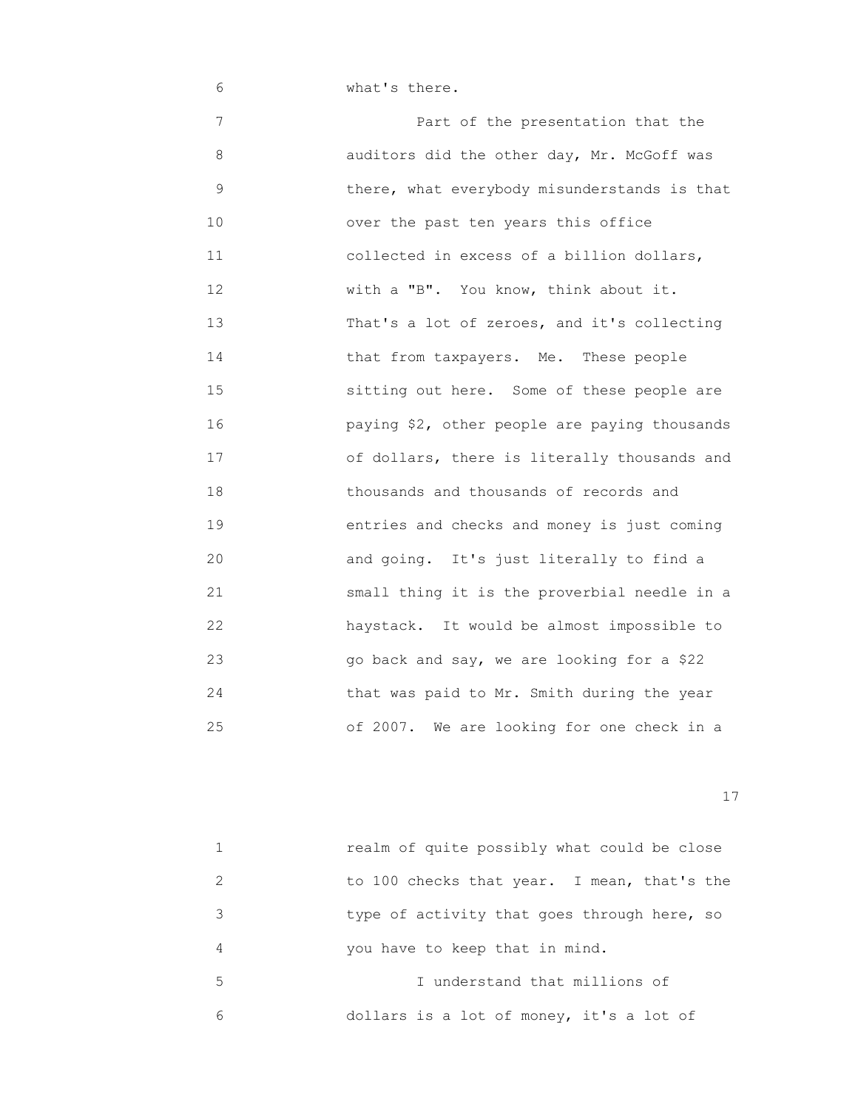6 What's there.

 7 Part of the presentation that the 8 auditors did the other day, Mr. McGoff was 9 there, what everybody misunderstands is that 10 over the past ten years this office 11 collected in excess of a billion dollars, 12 With a "B". You know, think about it. 13 That's a lot of zeroes, and it's collecting 14 that from taxpayers. Me. These people 15 **Subset State Some of these people are** sitting out here. Some of these people are 16 paying \$2, other people are paying thousands 17 of dollars, there is literally thousands and 18 thousands and thousands of records and 19 entries and checks and money is just coming 20 and going. It's just literally to find a 21 small thing it is the proverbial needle in a 22 haystack. It would be almost impossible to 23 go back and say, we are looking for a \$22 24 that was paid to Mr. Smith during the year 25 of 2007. We are looking for one check in a

|   | realm of quite possibly what could be close |
|---|---------------------------------------------|
|   | to 100 checks that year. I mean, that's the |
| 3 | type of activity that goes through here, so |
| 4 | you have to keep that in mind.              |
| 5 | I understand that millions of               |
| 6 | dollars is a lot of money, it's a lot of    |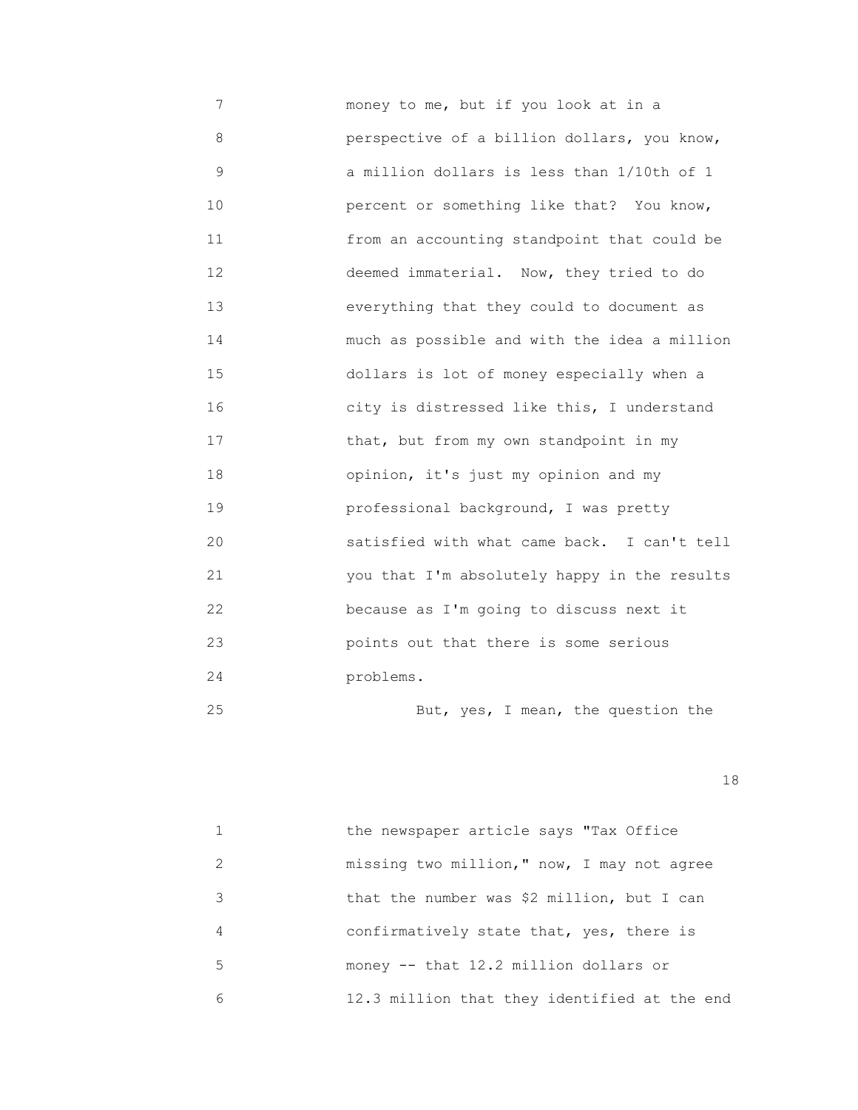7 money to me, but if you look at in a 8 perspective of a billion dollars, you know, 9 a million dollars is less than 1/10th of 1 10 percent or something like that? You know, 11 from an accounting standpoint that could be 12 deemed immaterial. Now, they tried to do 13 everything that they could to document as 14 much as possible and with the idea a million 15 dollars is lot of money especially when a 16 city is distressed like this, I understand 17 that, but from my own standpoint in my 18 opinion, it's just my opinion and my 19 professional background, I was pretty 20 satisfied with what came back. I can't tell 21 you that I'm absolutely happy in the results 22 because as I'm going to discuss next it 23 points out that there is some serious 24 problems. 25 But, yes, I mean, the question the

|               | the newspaper article says "Tax Office       |
|---------------|----------------------------------------------|
| $\mathcal{L}$ | missing two million," now, I may not agree   |
| 3             | that the number was \$2 million, but I can   |
| 4             | confirmatively state that, yes, there is     |
| 5             | money -- that 12.2 million dollars or        |
| 6             | 12.3 million that they identified at the end |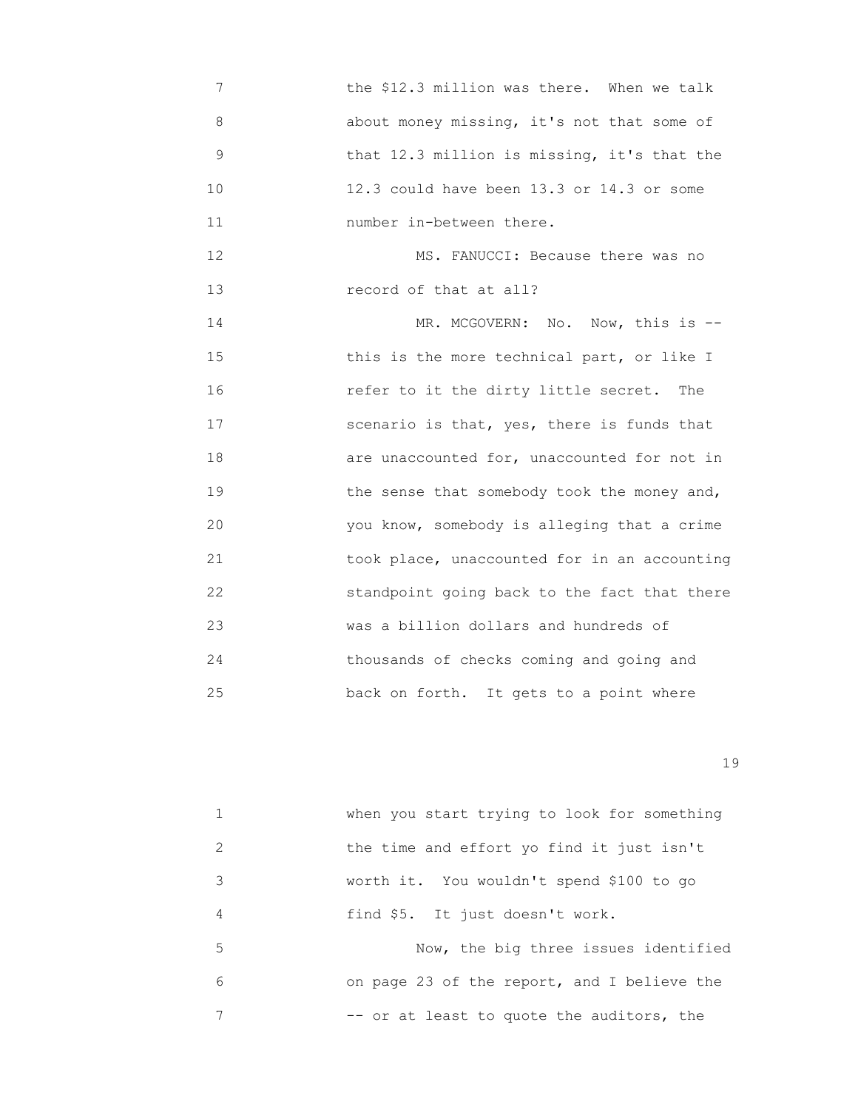7 the \$12.3 million was there. When we talk 8 about money missing, it's not that some of 9 that 12.3 million is missing, it's that the 10 12.3 could have been 13.3 or 14.3 or some 11 number in-between there. 12 MS. FANUCCI: Because there was no 13 record of that at all? 14 MR. MCGOVERN: No. Now, this is --15 **this is the more technical part, or like I**  16 refer to it the dirty little secret. The 17 scenario is that, yes, there is funds that 18 are unaccounted for, unaccounted for not in 19 the sense that somebody took the money and, 20 you know, somebody is alleging that a crime 21 took place, unaccounted for in an accounting 22 standpoint going back to the fact that there 23 was a billion dollars and hundreds of 24 thousands of checks coming and going and 25 back on forth. It gets to a point where

|               | when you start trying to look for something |
|---------------|---------------------------------------------|
| $\mathcal{L}$ | the time and effort yo find it just isn't   |
| 3             | worth it. You wouldn't spend \$100 to go    |
| 4             | find \$5. It just doesn't work.             |
| 5             | Now, the big three issues identified        |
| 6             | on page 23 of the report, and I believe the |
|               | -- or at least to quote the auditors, the   |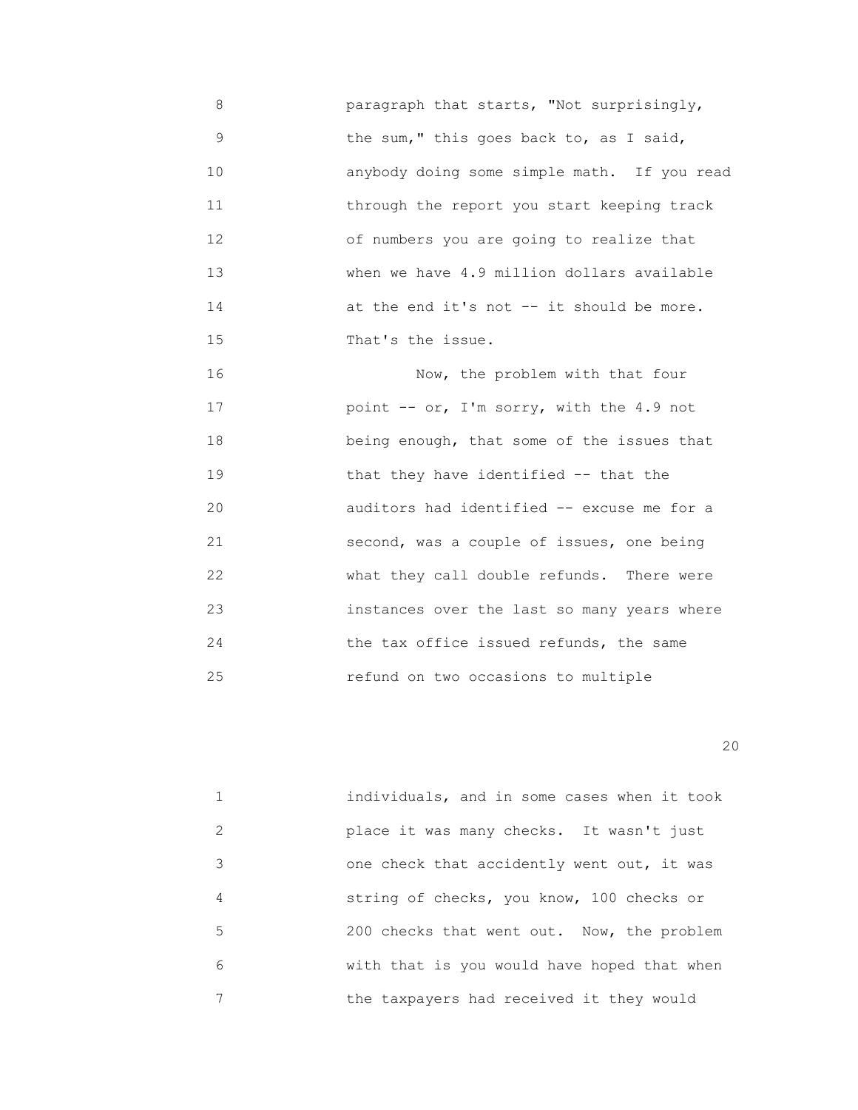8 paragraph that starts, "Not surprisingly, 9 the sum," this goes back to, as I said, 10 anybody doing some simple math. If you read 11 through the report you start keeping track 12 of numbers you are going to realize that 13 when we have 4.9 million dollars available 14 at the end it's not -- it should be more. 15 That's the issue.

 16 Now, the problem with that four 17 point -- or, I'm sorry, with the 4.9 not 18 being enough, that some of the issues that 19 that they have identified -- that the 20 auditors had identified -- excuse me for a 21 second, was a couple of issues, one being 22 what they call double refunds. There were 23 instances over the last so many years where 24 the tax office issued refunds, the same 25 refund on two occasions to multiple

|    | individuals, and in some cases when it took |
|----|---------------------------------------------|
| 2  | place it was many checks. It wasn't just    |
| 3  | one check that accidently went out, it was  |
| 4  | string of checks, you know, 100 checks or   |
| 5. | 200 checks that went out. Now, the problem  |
| 6  | with that is you would have hoped that when |
| 7  | the taxpayers had received it they would    |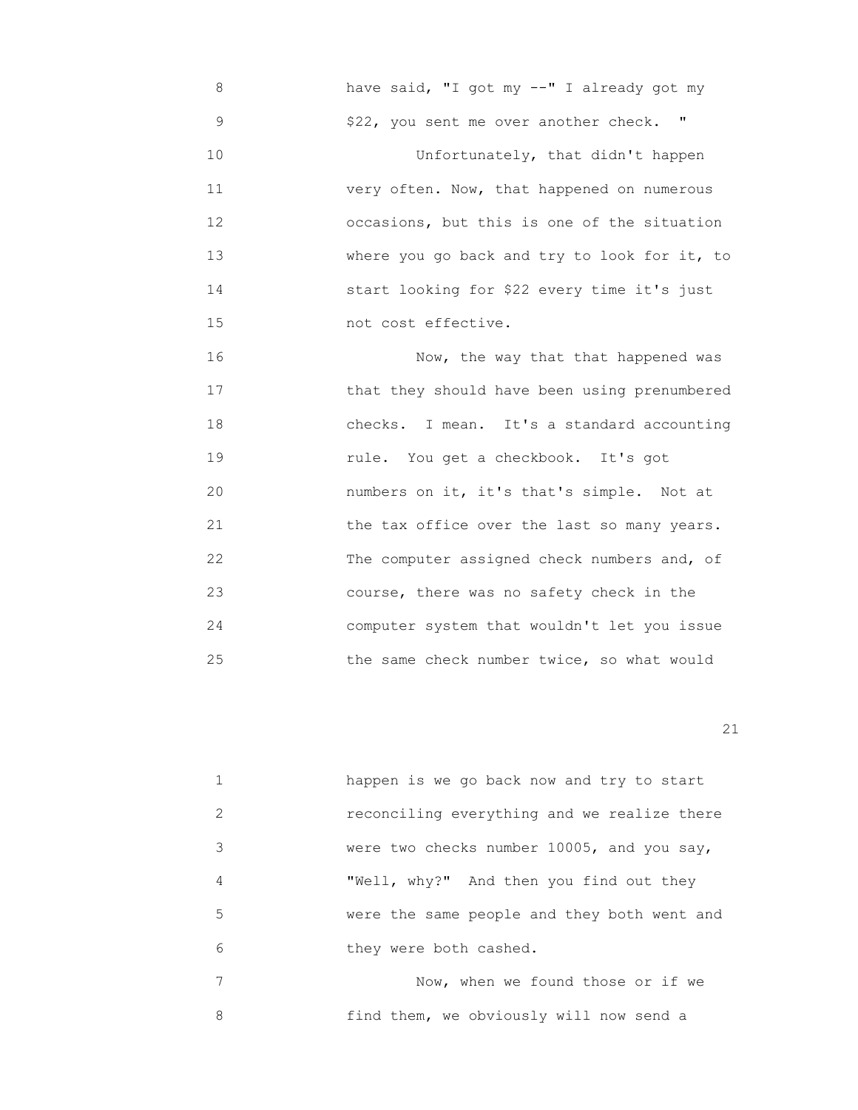8 have said, "I got my --" I already got my 9 \$22, you sent me over another check. " 10 Unfortunately, that didn't happen 11 very often. Now, that happened on numerous 12 occasions, but this is one of the situation 13 where you go back and try to look for it, to 14 start looking for \$22 every time it's just 15 not cost effective.

 16 Now, the way that that happened was 17 that they should have been using prenumbered 18 checks. I mean. It's a standard accounting 19 rule. You get a checkbook. It's got 20 numbers on it, it's that's simple. Not at 21 the tax office over the last so many years. 22 The computer assigned check numbers and, of 23 course, there was no safety check in the 24 computer system that wouldn't let you issue 25 the same check number twice, so what would

21

|   | happen is we go back now and try to start   |
|---|---------------------------------------------|
| 2 | reconciling everything and we realize there |
| 3 | were two checks number 10005, and you say,  |
| 4 | "Well, why?" And then you find out they     |
| 5 | were the same people and they both went and |
| 6 | they were both cashed.                      |
|   | Now, when we found those or if we           |

8 find them, we obviously will now send a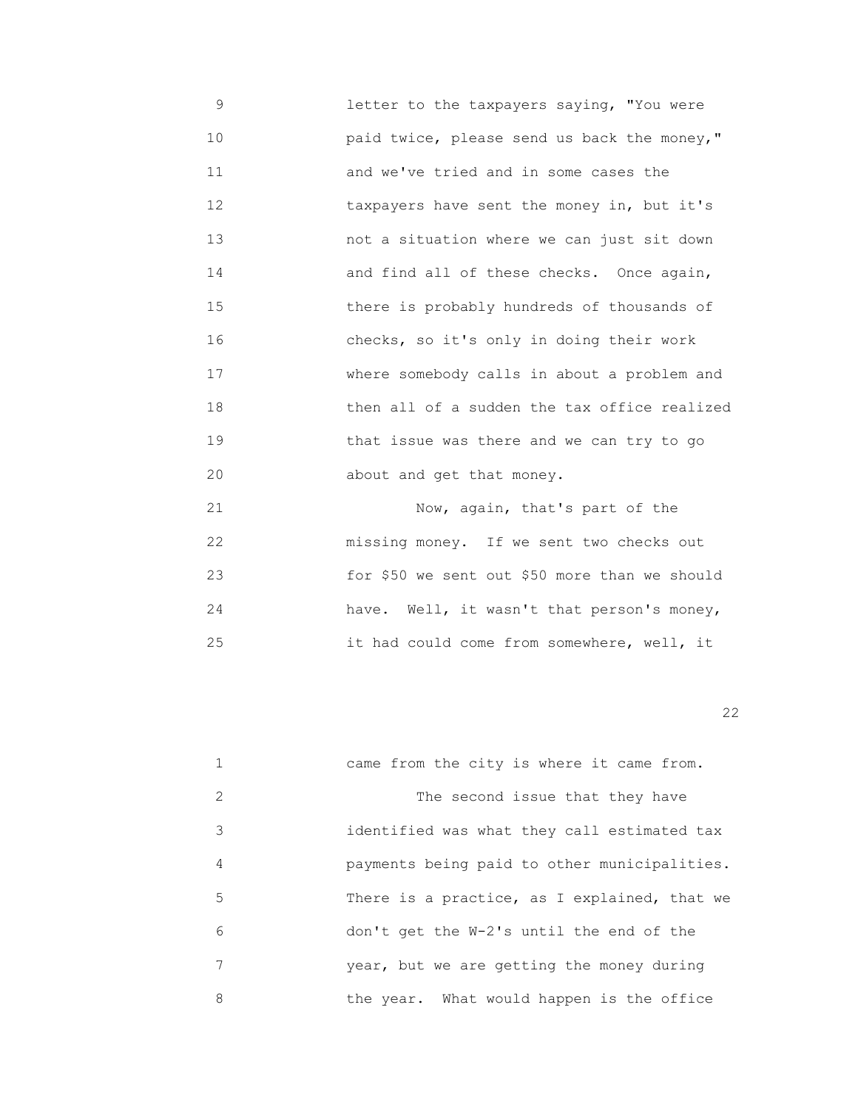9 letter to the taxpayers saying, "You were 10 paid twice, please send us back the money," 11 and we've tried and in some cases the 12 **taxpayers have sent the money in, but it's**  13 not a situation where we can just sit down 14 and find all of these checks. Once again, 15 there is probably hundreds of thousands of 16 checks, so it's only in doing their work 17 where somebody calls in about a problem and 18 then all of a sudden the tax office realized 19 **19** that issue was there and we can try to go 20 about and get that money.

 21 Now, again, that's part of the 22 **missing money.** If we sent two checks out 23 for \$50 we sent out \$50 more than we should 24 have. Well, it wasn't that person's money, 25 it had could come from somewhere, well, it

22 and 22 and 23 and 23 and 23 and 23 and 23 and 23 and 23 and 23 and 23 and 23 and 23 and 23 and 23 and 23 an

|   | came from the city is where it came from.    |
|---|----------------------------------------------|
| 2 | The second issue that they have              |
| 3 | identified was what they call estimated tax  |
| 4 | payments being paid to other municipalities. |
| 5 | There is a practice, as I explained, that we |
| 6 | don't get the W-2's until the end of the     |
| 7 | year, but we are getting the money during    |
| 8 | the year. What would happen is the office    |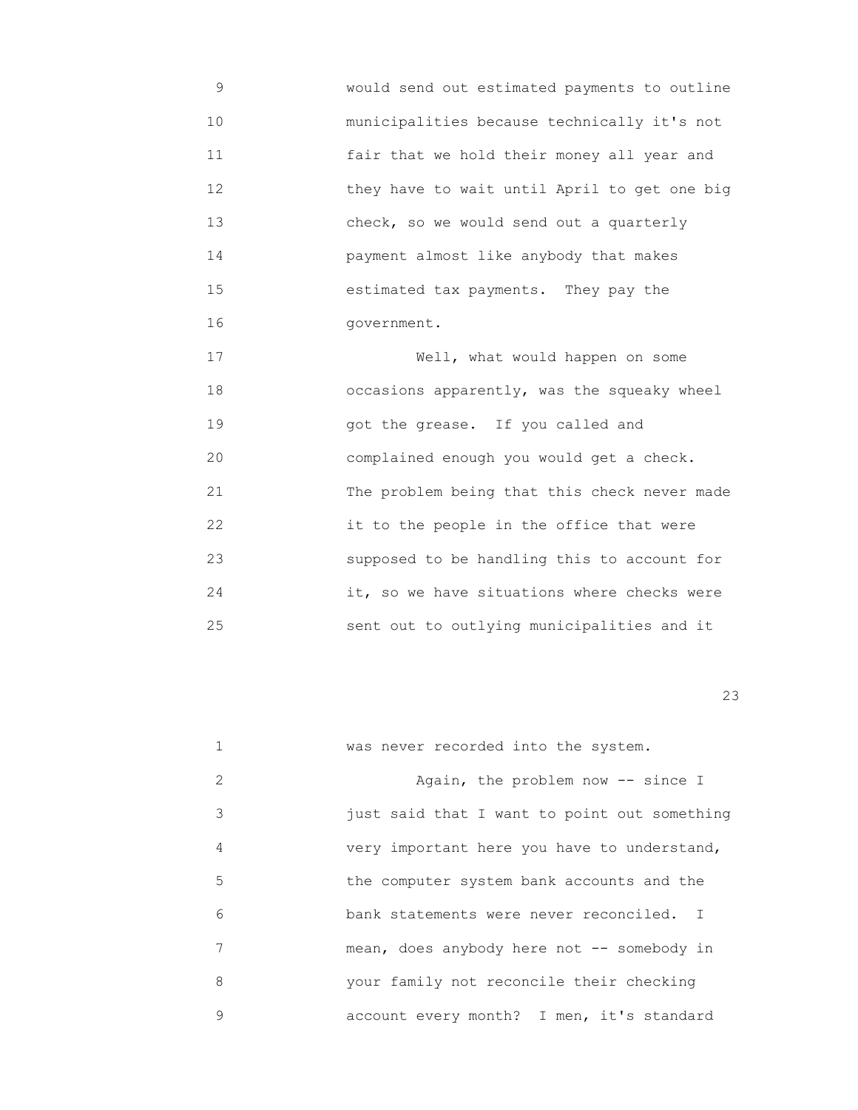9 would send out estimated payments to outline 10 municipalities because technically it's not 11 fair that we hold their money all year and 12 they have to wait until April to get one big 13 check, so we would send out a quarterly 14 payment almost like anybody that makes 15 estimated tax payments. They pay the 16 government.

17 Well, what would happen on some 18 occasions apparently, was the squeaky wheel 19 got the grease. If you called and 20 complained enough you would get a check. 21 The problem being that this check never made 22 it to the people in the office that were 23 supposed to be handling this to account for 24 it, so we have situations where checks were 25 sent out to outlying municipalities and it

|   | was never recorded into the system.          |
|---|----------------------------------------------|
| 2 | Again, the problem now -- since I            |
| 3 | just said that I want to point out something |
| 4 | very important here you have to understand,  |
| 5 | the computer system bank accounts and the    |
| 6 | bank statements were never reconciled. I     |
| 7 | mean, does anybody here not -- somebody in   |
| 8 | your family not reconcile their checking     |
| 9 | account every month? I men, it's standard    |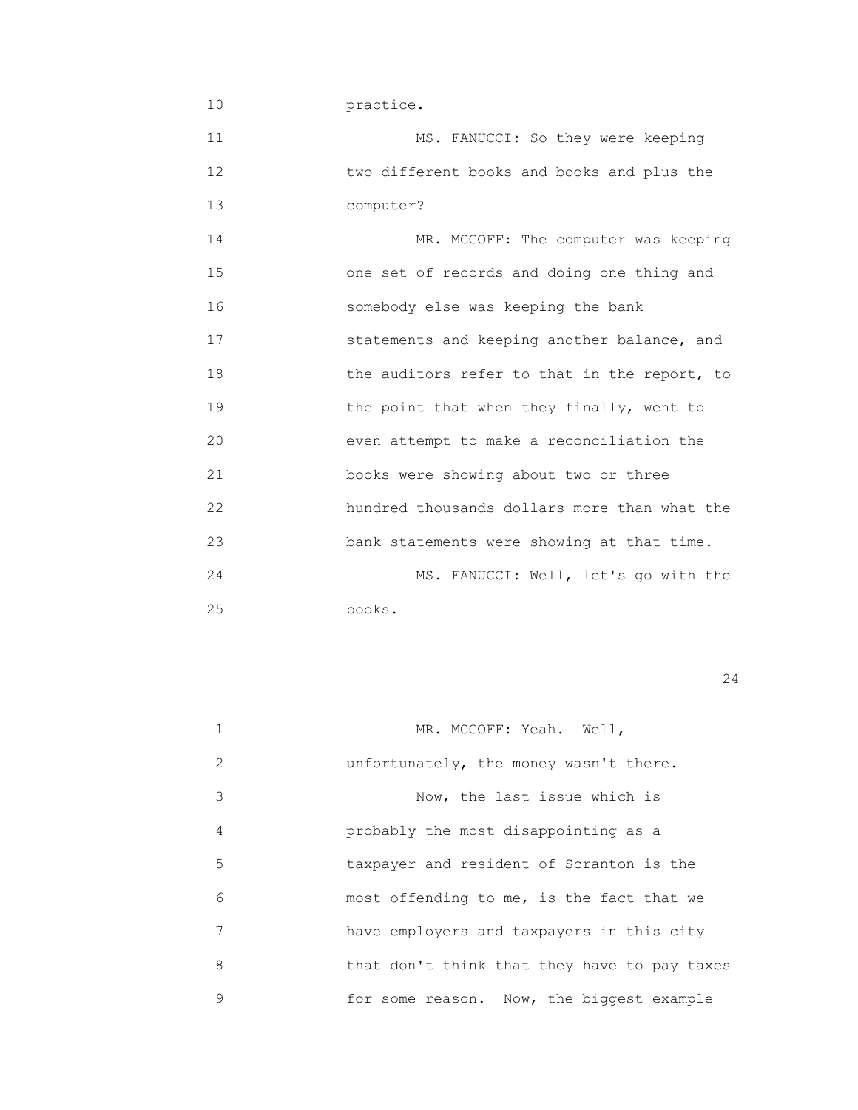10 practice. 11 MS. FANUCCI: So they were keeping 12 two different books and books and plus the 13 computer? 14 MR. MCGOFF: The computer was keeping 15 one set of records and doing one thing and 16 somebody else was keeping the bank 17 statements and keeping another balance, and 18 the auditors refer to that in the report, to 19 the point that when they finally, went to 20 even attempt to make a reconciliation the 21 books were showing about two or three 22 hundred thousands dollars more than what the 23 bank statements were showing at that time. 24 MS. FANUCCI: Well, let's go with the 25 books.

|   | MR. MCGOFF: Yeah. Well,                      |
|---|----------------------------------------------|
| 2 | unfortunately, the money wasn't there.       |
| 3 | Now, the last issue which is                 |
| 4 | probably the most disappointing as a         |
| 5 | taxpayer and resident of Scranton is the     |
| 6 | most offending to me, is the fact that we    |
| 7 | have employers and taxpayers in this city    |
| 8 | that don't think that they have to pay taxes |
| 9 | for some reason. Now, the biggest example    |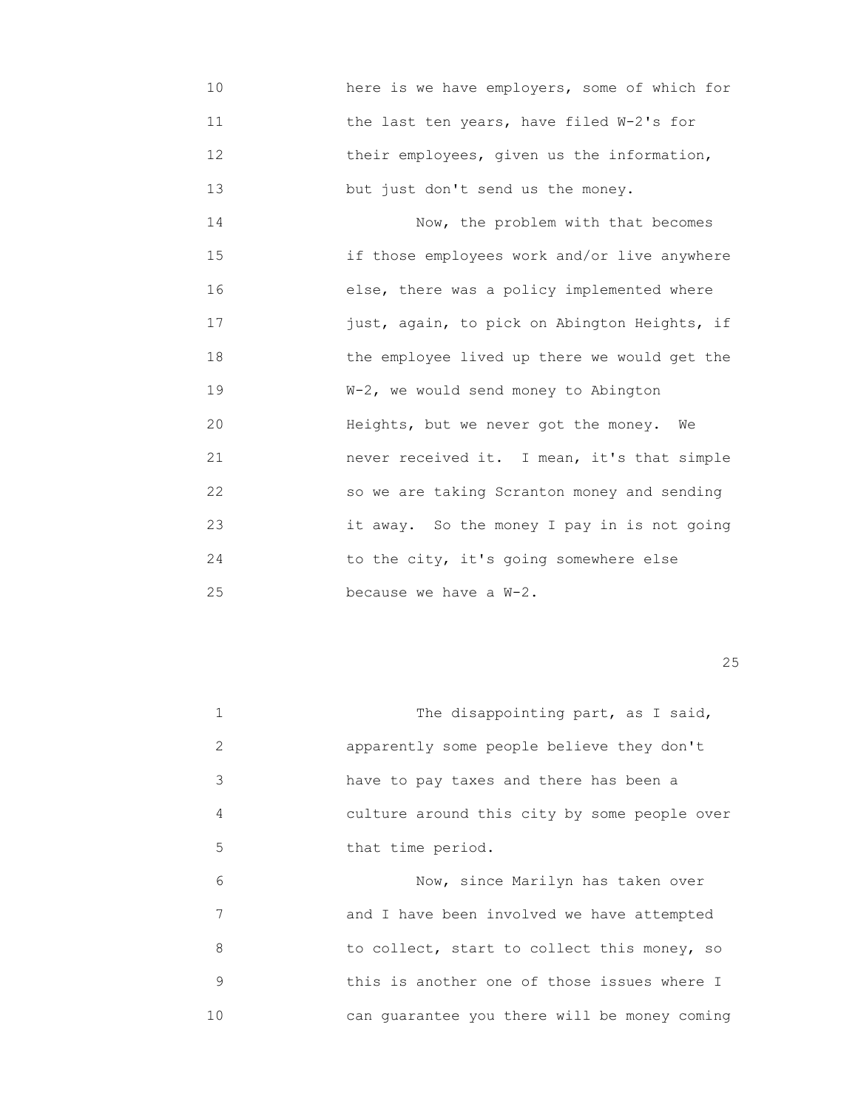10 here is we have employers, some of which for 11 the last ten years, have filed W-2's for 12 **their employees, given us the information,** 13 but just don't send us the money.

 14 Now, the problem with that becomes 15 if those employees work and/or live anywhere 16 else, there was a policy implemented where 17 just, again, to pick on Abington Heights, if 18 the employee lived up there we would get the 19  $W-2$ , we would send money to Abington 20 **Heights, but we never got the money.** We 21 never received it. I mean, it's that simple 22 so we are taking Scranton money and sending 23 it away. So the money I pay in is not going 24 to the city, it's going somewhere else 25 because we have a W-2.

<u>25</u>

|    | The disappointing part, as I said,           |
|----|----------------------------------------------|
| 2  | apparently some people believe they don't    |
| 3  | have to pay taxes and there has been a       |
| 4  | culture around this city by some people over |
| 5  | that time period.                            |
| 6  | Now, since Marilyn has taken over            |
| 7  | and I have been involved we have attempted   |
| 8  | to collect, start to collect this money, so  |
| 9  | this is another one of those issues where I  |
| 10 | can guarantee you there will be money coming |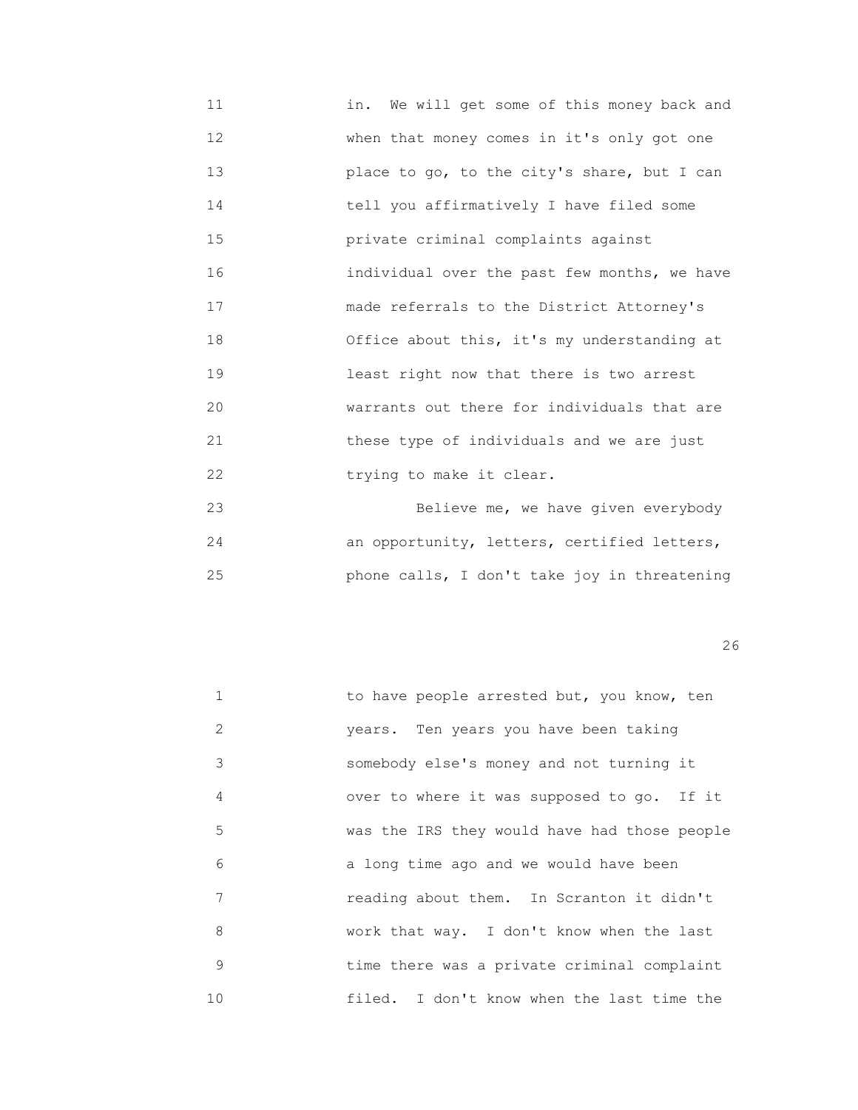11 in. We will get some of this money back and 12 When that money comes in it's only got one 13 place to go, to the city's share, but I can 14 tell you affirmatively I have filed some 15 private criminal complaints against 16 individual over the past few months, we have 17 made referrals to the District Attorney's 18 Office about this, it's my understanding at 19 least right now that there is two arrest 20 warrants out there for individuals that are 21 these type of individuals and we are just 22 **trying to make it clear.** 

 23 Believe me, we have given everybody 24 an opportunity, letters, certified letters, 25 phone calls, I don't take joy in threatening

| $\mathbf{1}$ | to have people arrested but, you know, ten   |
|--------------|----------------------------------------------|
| 2            | years. Ten years you have been taking        |
| 3            | somebody else's money and not turning it     |
| 4            | over to where it was supposed to go. If it   |
| 5            | was the IRS they would have had those people |
| 6            | a long time ago and we would have been       |
| 7            | reading about them. In Scranton it didn't    |
| 8            | work that way. I don't know when the last    |
| 9            | time there was a private criminal complaint  |
| 10           | filed. I don't know when the last time the   |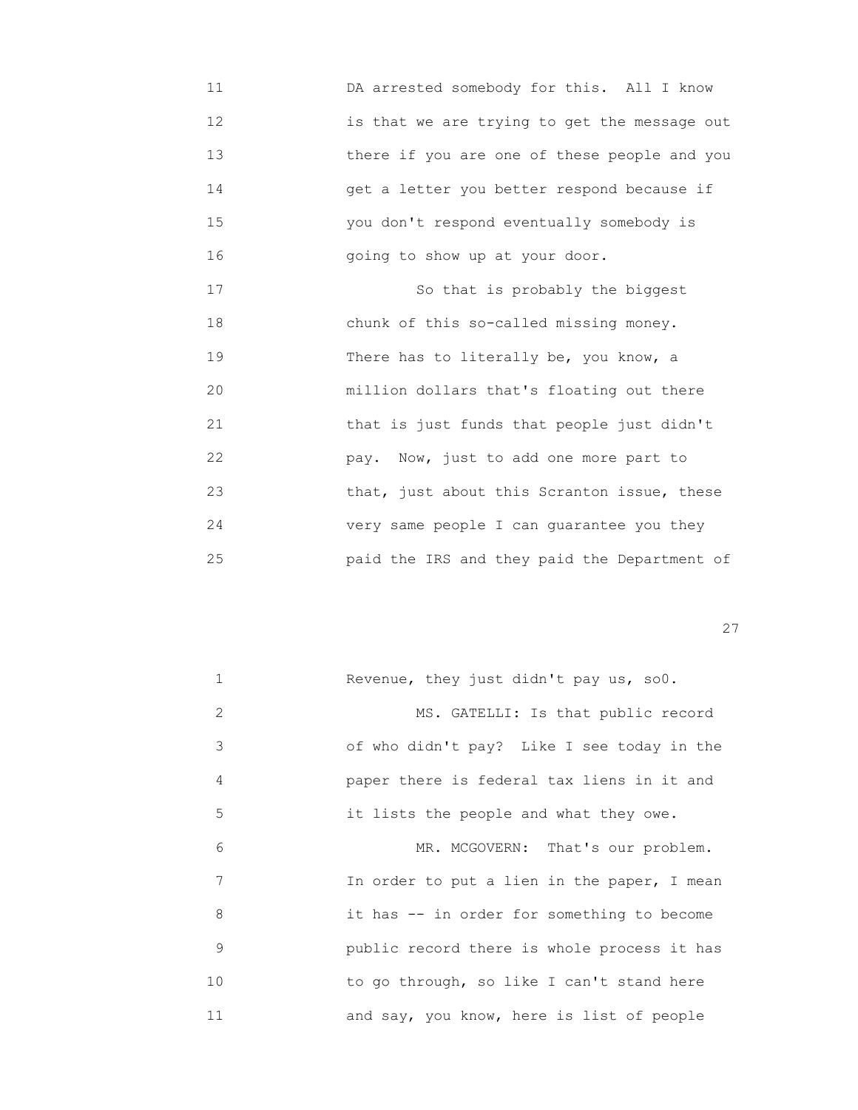11 DA arrested somebody for this. All I know 12 is that we are trying to get the message out 13 there if you are one of these people and you 14 get a letter you better respond because if 15 you don't respond eventually somebody is 16 going to show up at your door.

17 So that is probably the biggest 18 chunk of this so-called missing money. 19 There has to literally be, you know, a 20 million dollars that's floating out there 21 that is just funds that people just didn't 22 pay. Now, just to add one more part to 23 that, just about this Scranton issue, these 24 very same people I can guarantee you they 25 paid the IRS and they paid the Department of

<u>27</u>

| 1  | Revenue, they just didn't pay us, so0.      |
|----|---------------------------------------------|
| 2  | MS. GATELLI: Is that public record          |
| 3  | of who didn't pay? Like I see today in the  |
| 4  | paper there is federal tax liens in it and  |
| 5  | it lists the people and what they owe.      |
| 6  | MR. MCGOVERN: That's our problem.           |
| 7  | In order to put a lien in the paper, I mean |
| 8  | it has -- in order for something to become  |
| 9  | public record there is whole process it has |
| 10 | to go through, so like I can't stand here   |
| 11 | and say, you know, here is list of people   |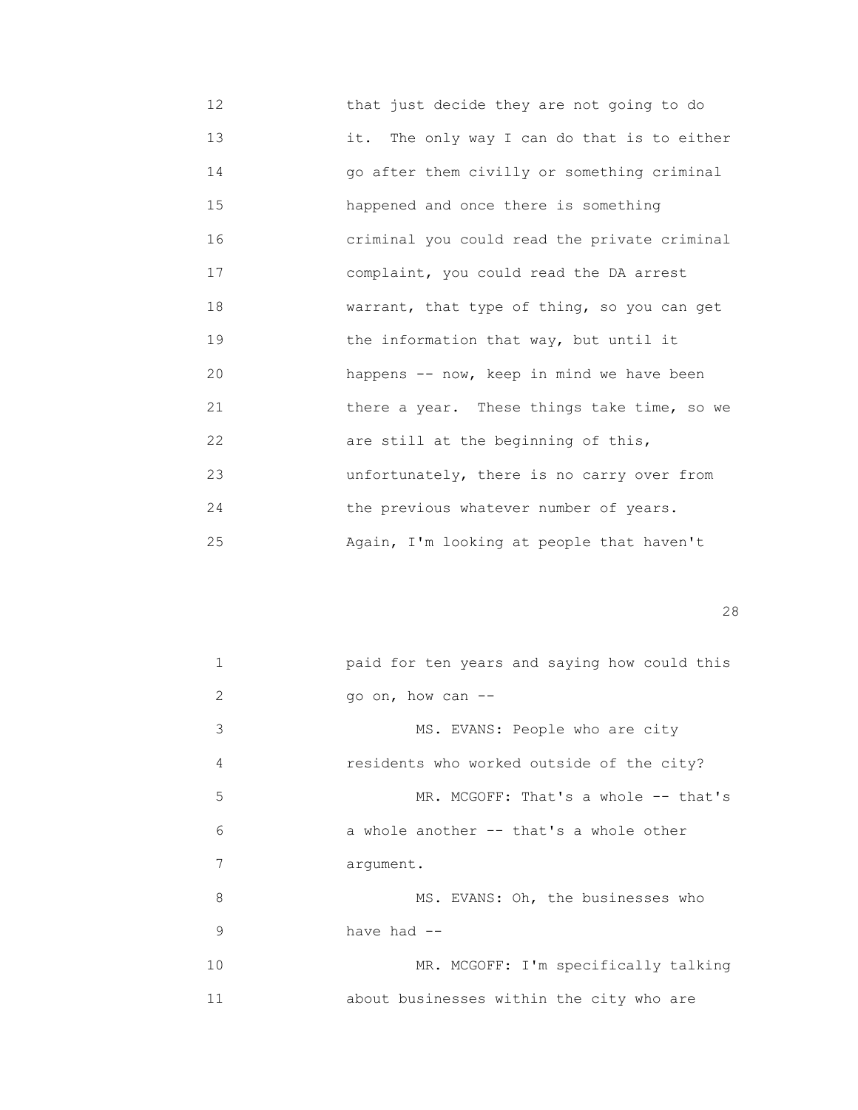12 that just decide they are not going to do 13 it. The only way I can do that is to either 14 go after them civilly or something criminal 15 happened and once there is something 16 criminal you could read the private criminal 17 complaint, you could read the DA arrest 18 warrant, that type of thing, so you can get 19 the information that way, but until it 20 happens -- now, keep in mind we have been 21 there a year. These things take time, so we 22 are still at the beginning of this, 23 unfortunately, there is no carry over from 24 the previous whatever number of years. 25 Again, I'm looking at people that haven't

<u>28</u>

| 1             | paid for ten years and saying how could this |
|---------------|----------------------------------------------|
| $\mathcal{L}$ | go on, how can --                            |
| 3             | MS. EVANS: People who are city               |
| 4             | residents who worked outside of the city?    |
| 5             | MR. MCGOFF: That's a whole -- that's         |
| 6             | a whole another -- that's a whole other      |
| 7             | arqument.                                    |
| 8             | MS. EVANS: Oh, the businesses who            |
| 9             | have had --                                  |
| 10            | MR. MCGOFF: I'm specifically talking         |
| 11            | about businesses within the city who are     |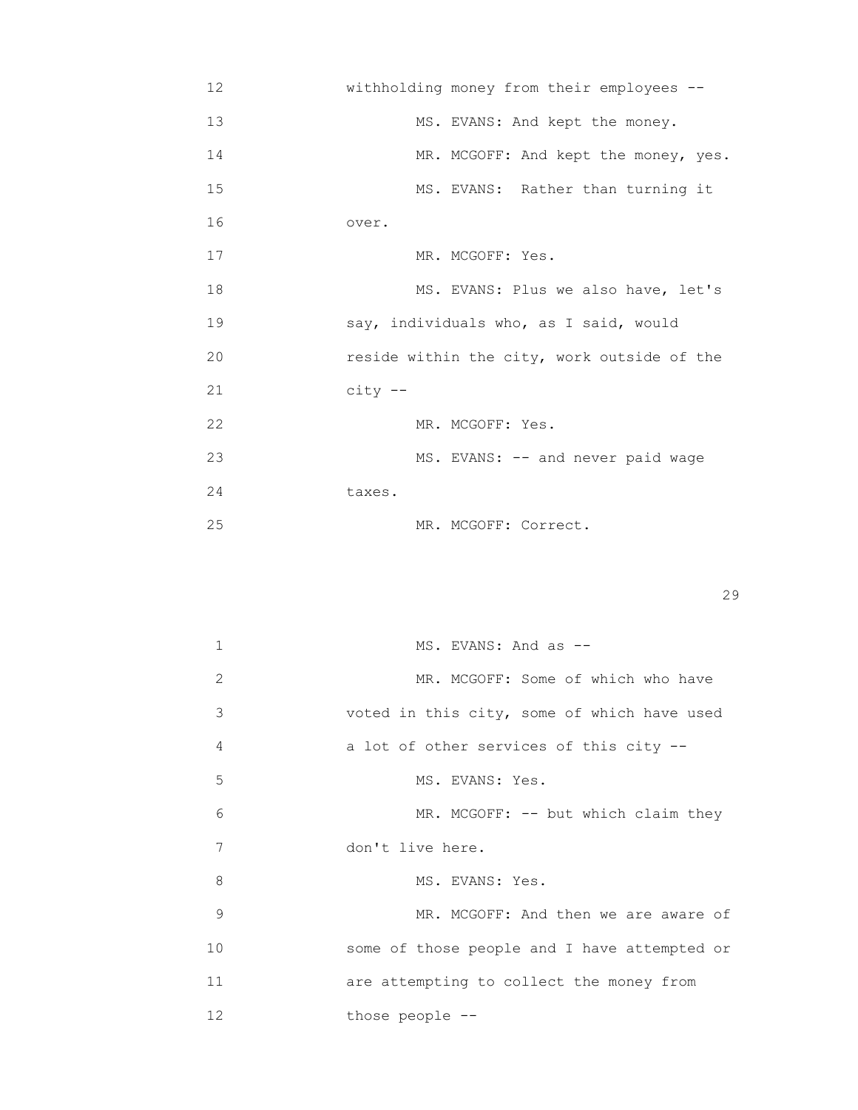| 12 | withholding money from their employees --   |
|----|---------------------------------------------|
| 13 | MS. EVANS: And kept the money.              |
| 14 | MR. MCGOFF: And kept the money, yes.        |
| 15 | MS. EVANS: Rather than turning it           |
| 16 | over.                                       |
| 17 | MR. MCGOFF: Yes.                            |
| 18 | MS. EVANS: Plus we also have, let's         |
| 19 | say, individuals who, as I said, would      |
| 20 | reside within the city, work outside of the |
| 21 | $city --$                                   |
| 22 | MR. MCGOFF: Yes.                            |
| 23 | MS. EVANS: -- and never paid wage           |
| 24 | taxes.                                      |
| 25 | MR. MCGOFF: Correct.                        |

| $\mathbf{1}$      | MS. EVANS: And as --                         |
|-------------------|----------------------------------------------|
| 2                 | MR. MCGOFF: Some of which who have           |
| 3                 | voted in this city, some of which have used  |
| 4                 | a lot of other services of this city --      |
| 5                 | MS. EVANS: Yes.                              |
| 6                 | MR. MCGOFF: -- but which claim they          |
| 7                 | don't live here.                             |
| 8                 | MS. EVANS: Yes.                              |
| 9                 | MR. MCGOFF: And then we are aware of         |
| 10                | some of those people and I have attempted or |
| 11                | are attempting to collect the money from     |
| $12 \overline{ }$ | those people --                              |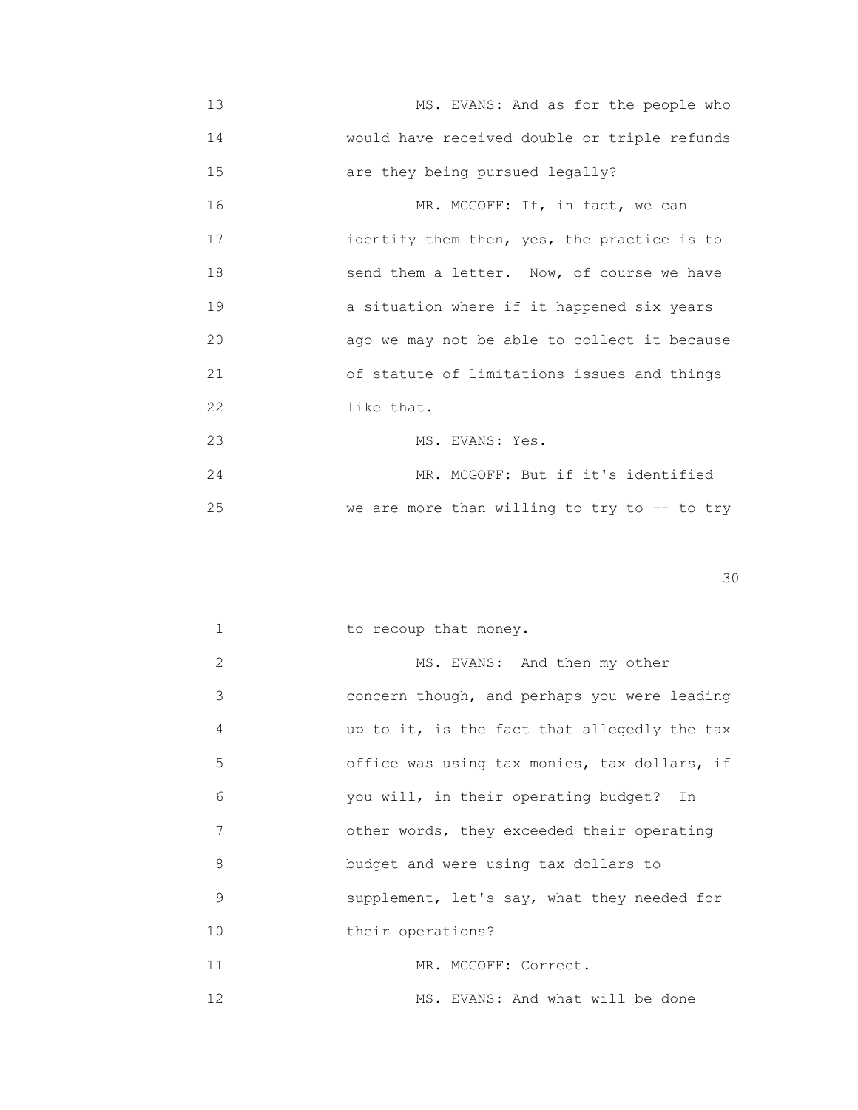13 MS. EVANS: And as for the people who 14 would have received double or triple refunds 15 are they being pursued legally? 16 MR. MCGOFF: If, in fact, we can 17 identify them then, yes, the practice is to 18 send them a letter. Now, of course we have 19 a situation where if it happened six years 20 ago we may not be able to collect it because 21 of statute of limitations issues and things 22 like that. 23 MS. EVANS: Yes. 24 MR. MCGOFF: But if it's identified 25 we are more than willing to try to -- to try

30

1 to recoup that money.

2 MS. EVANS: And then my other 3 concern though, and perhaps you were leading 4 up to it, is the fact that allegedly the tax 5 office was using tax monies, tax dollars, if 6 you will, in their operating budget? In 7 other words, they exceeded their operating 8 budget and were using tax dollars to 9 supplement, let's say, what they needed for 10 **their operations?** 11 MR. MCGOFF: Correct. 12 MS. EVANS: And what will be done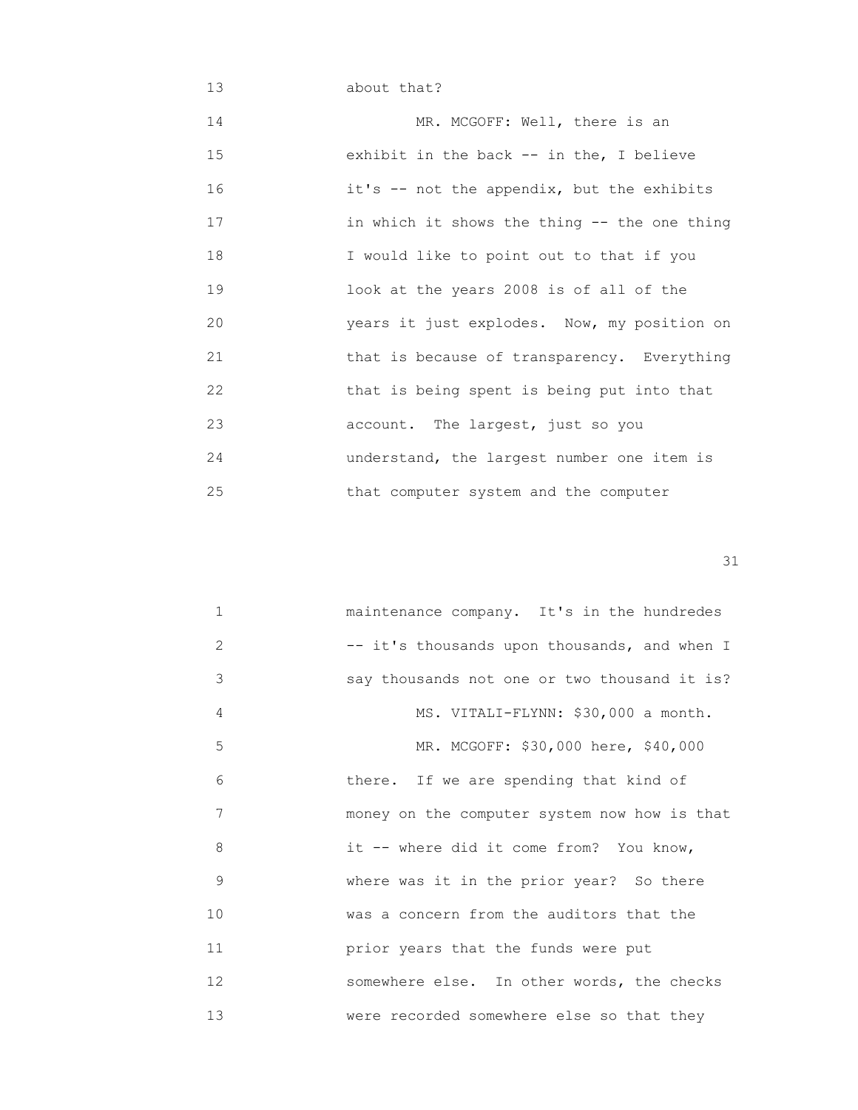## 13 about that? 14 MR. MCGOFF: Well, there is an 15 exhibit in the back -- in the, I believe 16 it's -- not the appendix, but the exhibits 17 in which it shows the thing -- the one thing 18 I would like to point out to that if you 19 look at the years 2008 is of all of the 20 years it just explodes. Now, my position on 21 that is because of transparency. Everything 22 that is being spent is being put into that 23 account. The largest, just so you 24 understand, the largest number one item is 25 that computer system and the computer

| $\mathbf{1}$ | maintenance company. It's in the hundredes   |
|--------------|----------------------------------------------|
| 2            | -- it's thousands upon thousands, and when I |
| 3            | say thousands not one or two thousand it is? |
| 4            | MS. VITALI-FLYNN: \$30,000 a month.          |
| 5            | MR. MCGOFF: \$30,000 here, \$40,000          |
| 6            | there. If we are spending that kind of       |
| 7            | money on the computer system now how is that |
| 8            | it -- where did it come from? You know,      |
| 9            | where was it in the prior year? So there     |
| 10           | was a concern from the auditors that the     |
| 11           | prior years that the funds were put          |
| 12           | somewhere else. In other words, the checks   |
| 13           | were recorded somewhere else so that they    |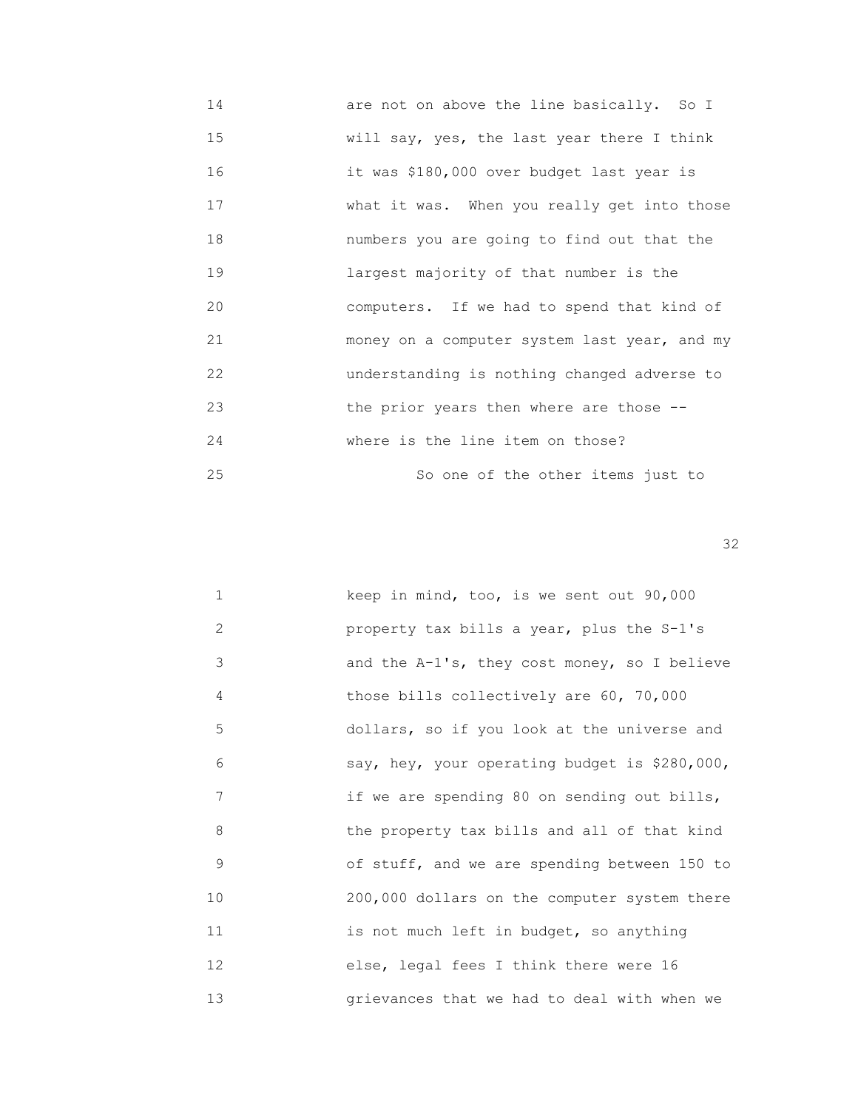14 are not on above the line basically. So I 15 **WAREN WILL SAY, yes, the last year there I think**  16 it was \$180,000 over budget last year is 17 What it was. When you really get into those 18 numbers you are going to find out that the 19 largest majority of that number is the 20 computers. If we had to spend that kind of 21 money on a computer system last year, and my 22 understanding is nothing changed adverse to 23 the prior years then where are those -- 24 where is the line item on those? 25 So one of the other items just to

| $\mathbf{1}$ | keep in mind, too, is we sent out 90,000        |
|--------------|-------------------------------------------------|
| 2            | property tax bills a year, plus the S-1's       |
| 3            | and the $A-1$ 's, they cost money, so I believe |
| 4            | those bills collectively are 60, 70,000         |
| 5            | dollars, so if you look at the universe and     |
| 6            | say, hey, your operating budget is \$280,000,   |
| 7            | if we are spending 80 on sending out bills,     |
| 8            | the property tax bills and all of that kind     |
| 9            | of stuff, and we are spending between 150 to    |
| 10           | 200,000 dollars on the computer system there    |
| 11           | is not much left in budget, so anything         |
| 12           | else, legal fees I think there were 16          |
| 13           | grievances that we had to deal with when we     |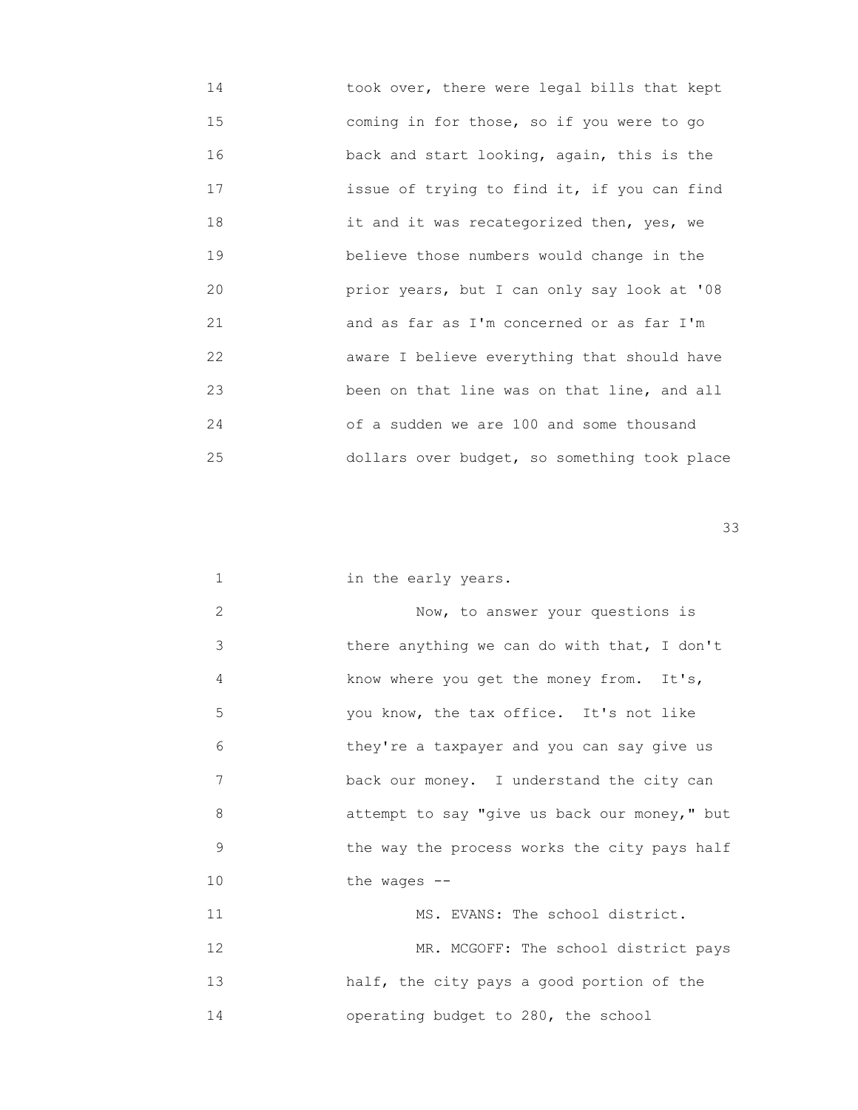| 14 | took over, there were legal bills that kept  |
|----|----------------------------------------------|
| 15 | coming in for those, so if you were to go    |
| 16 | back and start looking, again, this is the   |
| 17 | issue of trying to find it, if you can find  |
| 18 | it and it was recategorized then, yes, we    |
| 19 | believe those numbers would change in the    |
| 20 | prior years, but I can only say look at '08  |
| 21 | and as far as I'm concerned or as far I'm    |
| 22 | aware I believe everything that should have  |
| 23 | been on that line was on that line, and all  |
| 24 | of a sudden we are 100 and some thousand     |
| 25 | dollars over budget, so something took place |

| $\mathbf 1$ | in the early years.                          |
|-------------|----------------------------------------------|
| 2           | Now, to answer your questions is             |
| 3           | there anything we can do with that, I don't  |
| 4           | know where you get the money from. It's,     |
| 5           | you know, the tax office. It's not like      |
| 6           | they're a taxpayer and you can say give us   |
| 7           | back our money. I understand the city can    |
| 8           | attempt to say "give us back our money," but |
| 9           | the way the process works the city pays half |
| 10          | the wages $--$                               |
| 11          | MS. EVANS: The school district.              |
| 12          | MR. MCGOFF: The school district pays         |
| 13          | half, the city pays a good portion of the    |
| 14          | operating budget to 280, the school          |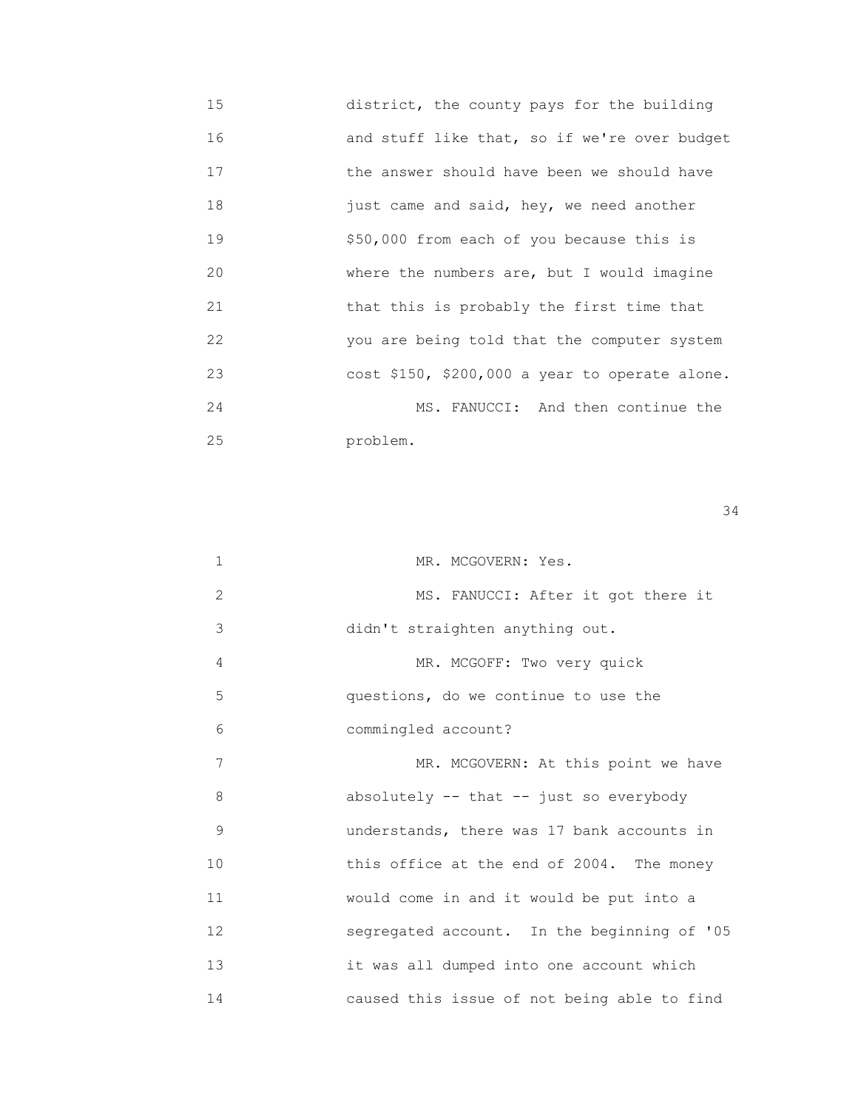| 15 | district, the county pays for the building     |
|----|------------------------------------------------|
| 16 | and stuff like that, so if we're over budget   |
| 17 | the answer should have been we should have     |
| 18 | just came and said, hey, we need another       |
| 19 | \$50,000 from each of you because this is      |
| 20 | where the numbers are, but I would imagine     |
| 21 | that this is probably the first time that      |
| 22 | you are being told that the computer system    |
| 23 | cost \$150, \$200,000 a year to operate alone. |
| 24 | MS. FANUCCI: And then continue the             |
| 25 | problem.                                       |

| 1  | MR. MCGOVERN: Yes.                          |
|----|---------------------------------------------|
| 2  | MS. FANUCCI: After it got there it          |
| 3  | didn't straighten anything out.             |
| 4  | MR. MCGOFF: Two very quick                  |
| 5  | questions, do we continue to use the        |
| 6  | commingled account?                         |
| 7  | MR. MCGOVERN: At this point we have         |
| 8  | absolutely -- that -- just so everybody     |
| 9  | understands, there was 17 bank accounts in  |
| 10 | this office at the end of 2004. The money   |
| 11 | would come in and it would be put into a    |
| 12 | segregated account. In the beginning of '05 |
| 13 | it was all dumped into one account which    |
| 14 | caused this issue of not being able to find |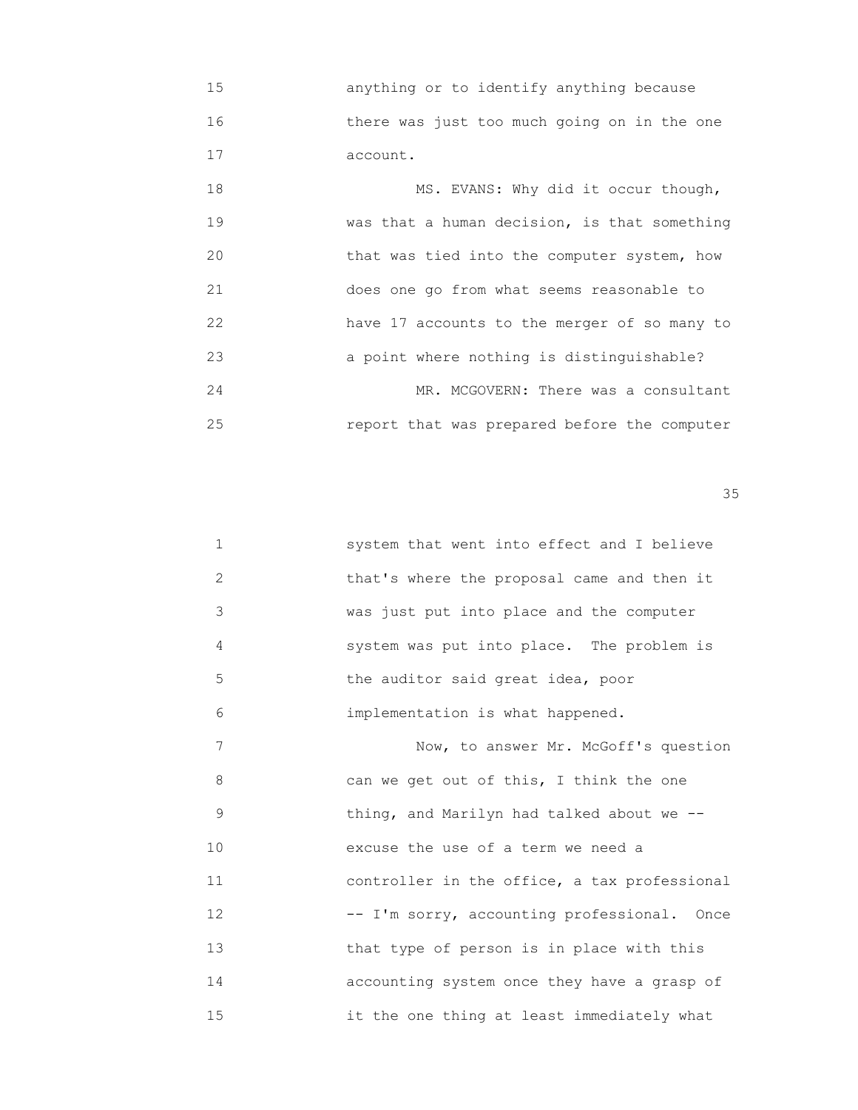15 anything or to identify anything because 16 there was just too much going on in the one 17 account.

| 18 | MS. EVANS: Why did it occur though,          |
|----|----------------------------------------------|
| 19 | was that a human decision, is that something |
| 20 | that was tied into the computer system, how  |
| 21 | does one go from what seems reasonable to    |
| 22 | have 17 accounts to the merger of so many to |
| 23 | a point where nothing is distinguishable?    |
| 24 | MR. MCGOVERN: There was a consultant         |
| 25 | report that was prepared before the computer |

| $\mathbf{1}$ | system that went into effect and I believe   |
|--------------|----------------------------------------------|
| 2            | that's where the proposal came and then it   |
| 3            | was just put into place and the computer     |
| 4            | system was put into place. The problem is    |
| 5            | the auditor said great idea, poor            |
| 6            | implementation is what happened.             |
| 7            | Now, to answer Mr. McGoff's question         |
| 8            | can we get out of this, I think the one      |
| 9            | thing, and Marilyn had talked about we --    |
| 10           | excuse the use of a term we need a           |
| 11           | controller in the office, a tax professional |
| 12           | -- I'm sorry, accounting professional. Once  |
| 13           | that type of person is in place with this    |
| 14           | accounting system once they have a grasp of  |
| 15           | it the one thing at least immediately what   |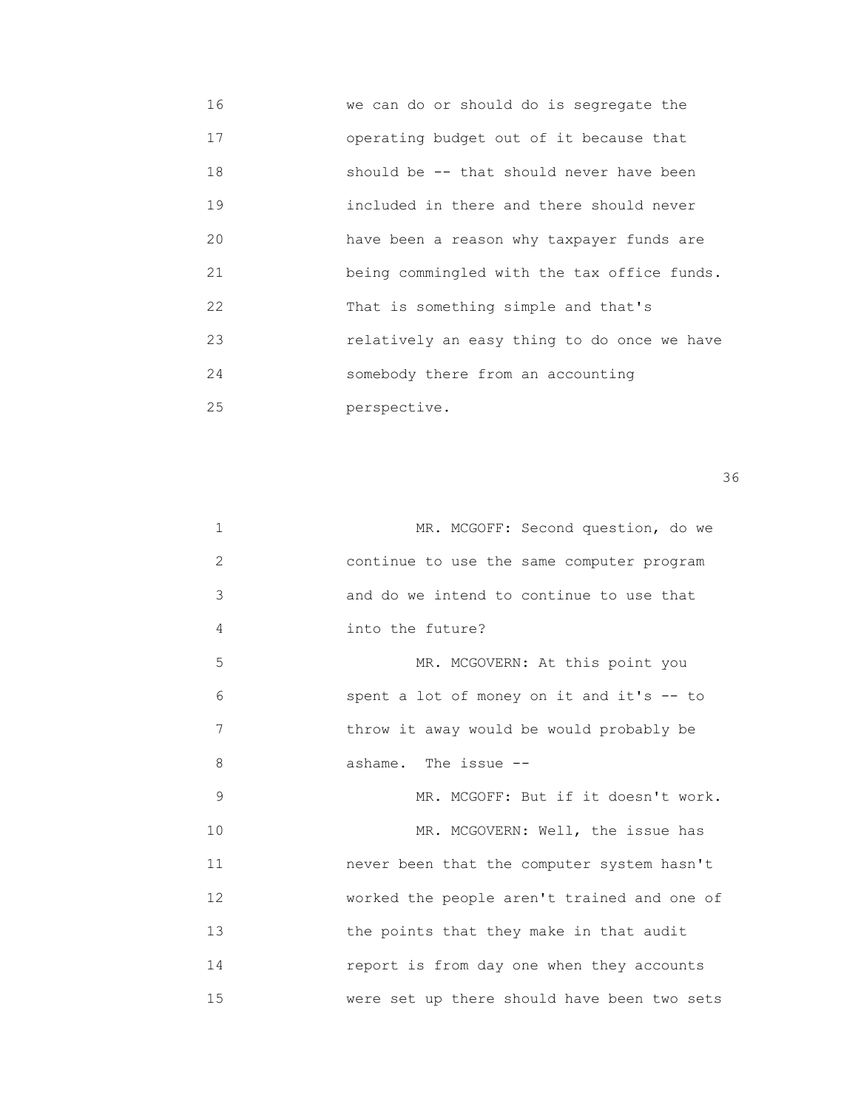16 we can do or should do is segregate the 17 operating budget out of it because that 18 should be -- that should never have been 19 included in there and there should never 20 have been a reason why taxpayer funds are 21 being commingled with the tax office funds. 22 That is something simple and that's 23 relatively an easy thing to do once we have 24 somebody there from an accounting 25 perspective.

| 1            | MR. MCGOFF: Second question, do we          |
|--------------|---------------------------------------------|
| $\mathbf{2}$ | continue to use the same computer program   |
| 3            | and do we intend to continue to use that    |
| 4            | into the future?                            |
| 5            | MR. MCGOVERN: At this point you             |
| 6            | spent a lot of money on it and it's -- to   |
| 7            | throw it away would be would probably be    |
| 8            | ashame. The issue --                        |
| 9            | MR. MCGOFF: But if it doesn't work.         |
| 10           | MR. MCGOVERN: Well, the issue has           |
| 11           | never been that the computer system hasn't  |
| 12           | worked the people aren't trained and one of |
| 13           | the points that they make in that audit     |
| 14           | report is from day one when they accounts   |
| 15           | were set up there should have been two sets |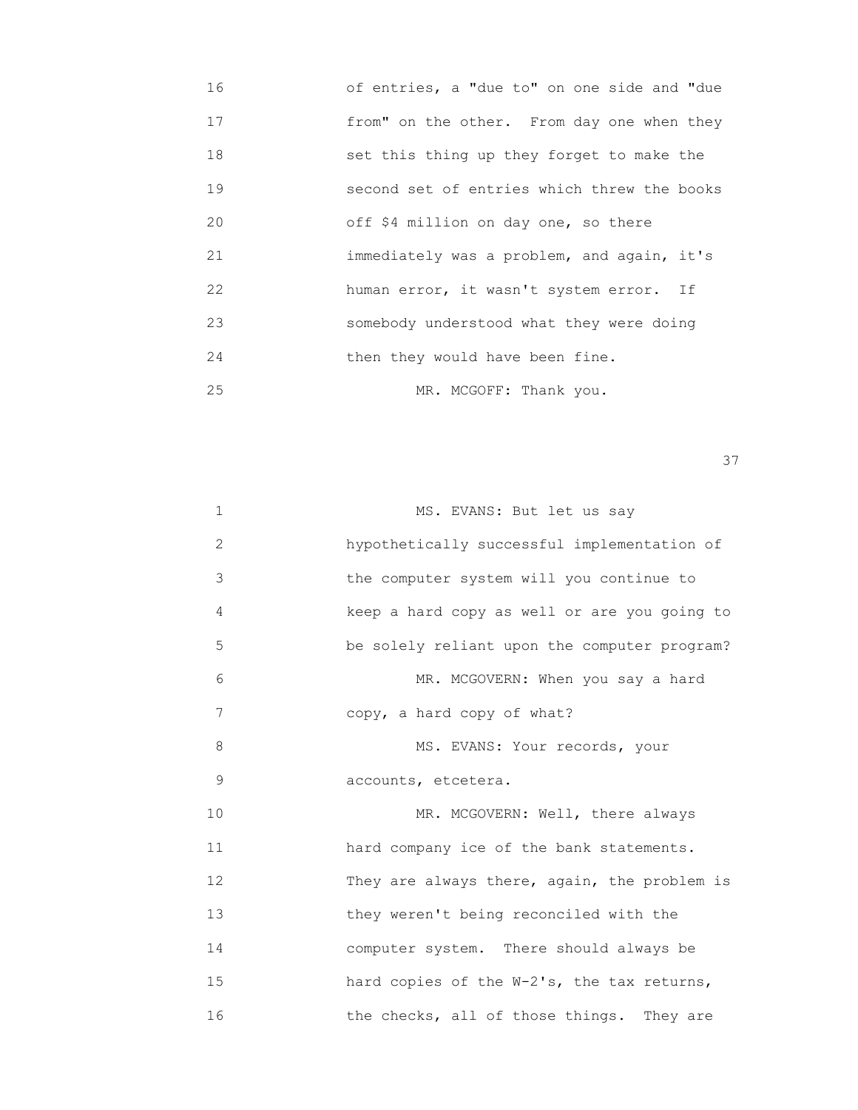16 of entries, a "due to" on one side and "due 17 from" on the other. From day one when they 18 set this thing up they forget to make the 19 second set of entries which threw the books 20 off \$4 million on day one, so there 21 immediately was a problem, and again, it's 22 human error, it wasn't system error. If 23 somebody understood what they were doing 24 then they would have been fine. 25 MR. MCGOFF: Thank you.

<u>37</u>

| 1            | MS. EVANS: But let us say                    |
|--------------|----------------------------------------------|
| $\mathbf{2}$ | hypothetically successful implementation of  |
| 3            | the computer system will you continue to     |
| 4            | keep a hard copy as well or are you going to |
| 5            | be solely reliant upon the computer program? |
| 6            | MR. MCGOVERN: When you say a hard            |
| 7            | copy, a hard copy of what?                   |
| 8            | MS. EVANS: Your records, your                |
| 9            | accounts, etcetera.                          |
| 10           | MR. MCGOVERN: Well, there always             |
| 11           | hard company ice of the bank statements.     |
| 12           | They are always there, again, the problem is |
| 13           | they weren't being reconciled with the       |
| 14           | computer system. There should always be      |
| 15           | hard copies of the W-2's, the tax returns,   |
| 16           | the checks, all of those things. They are    |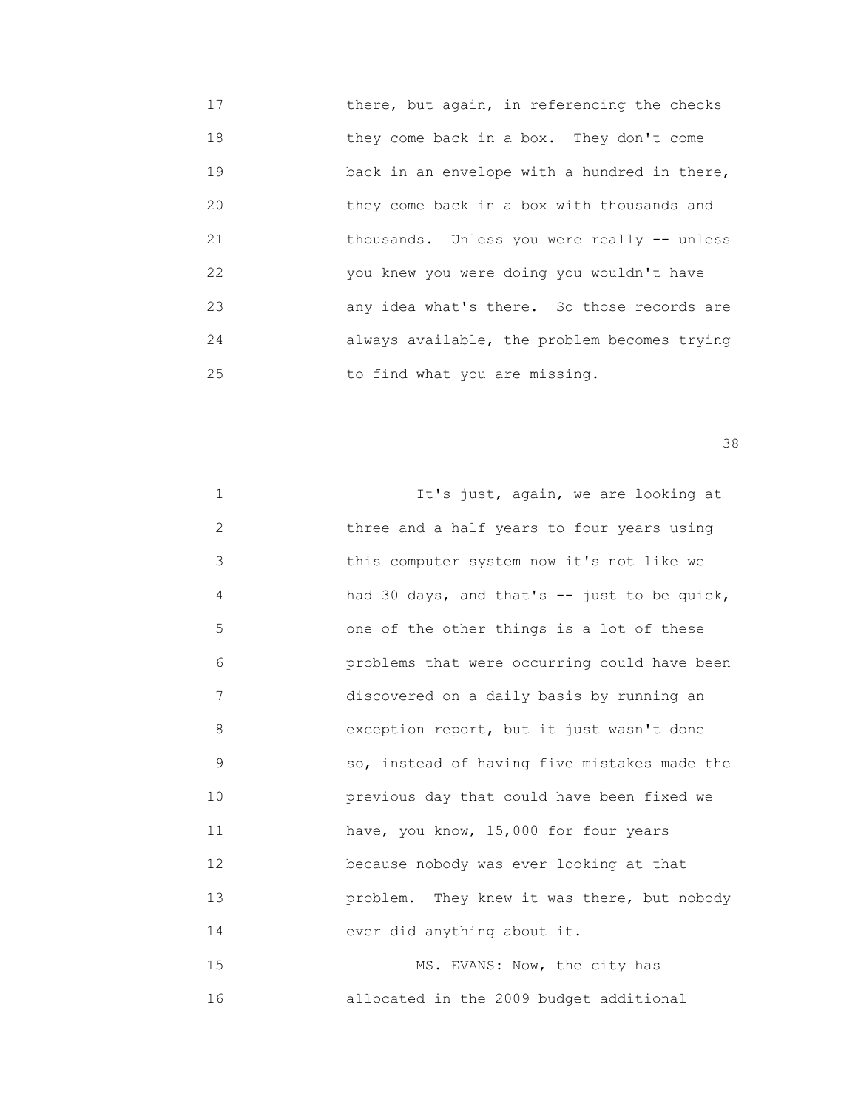17 **there, but again, in referencing the checks**  18 they come back in a box. They don't come 19 **back** in an envelope with a hundred in there, 20 they come back in a box with thousands and 21 thousands. Unless you were really -- unless 22 you knew you were doing you wouldn't have 23 any idea what's there. So those records are 24 always available, the problem becomes trying 25 to find what you are missing.

<u>38 and 2001 and 2002 and 2003 and 2003 and 2003 and 2003 and 2003 and 2003 and 2003 and 2003 and 2003 and 200</u>

| $\mathbf 1$  | It's just, again, we are looking at          |
|--------------|----------------------------------------------|
| $\mathbf{2}$ | three and a half years to four years using   |
| 3            | this computer system now it's not like we    |
| 4            | had 30 days, and that's -- just to be quick, |
| 5            | one of the other things is a lot of these    |
| 6            | problems that were occurring could have been |
| 7            | discovered on a daily basis by running an    |
| 8            | exception report, but it just wasn't done    |
| $\mathsf 9$  | so, instead of having five mistakes made the |
| 10           | previous day that could have been fixed we   |
| 11           | have, you know, 15,000 for four years        |
| 12           | because nobody was ever looking at that      |
| 13           | problem. They knew it was there, but nobody  |
| 14           | ever did anything about it.                  |
| 15           | MS. EVANS: Now, the city has                 |

16 allocated in the 2009 budget additional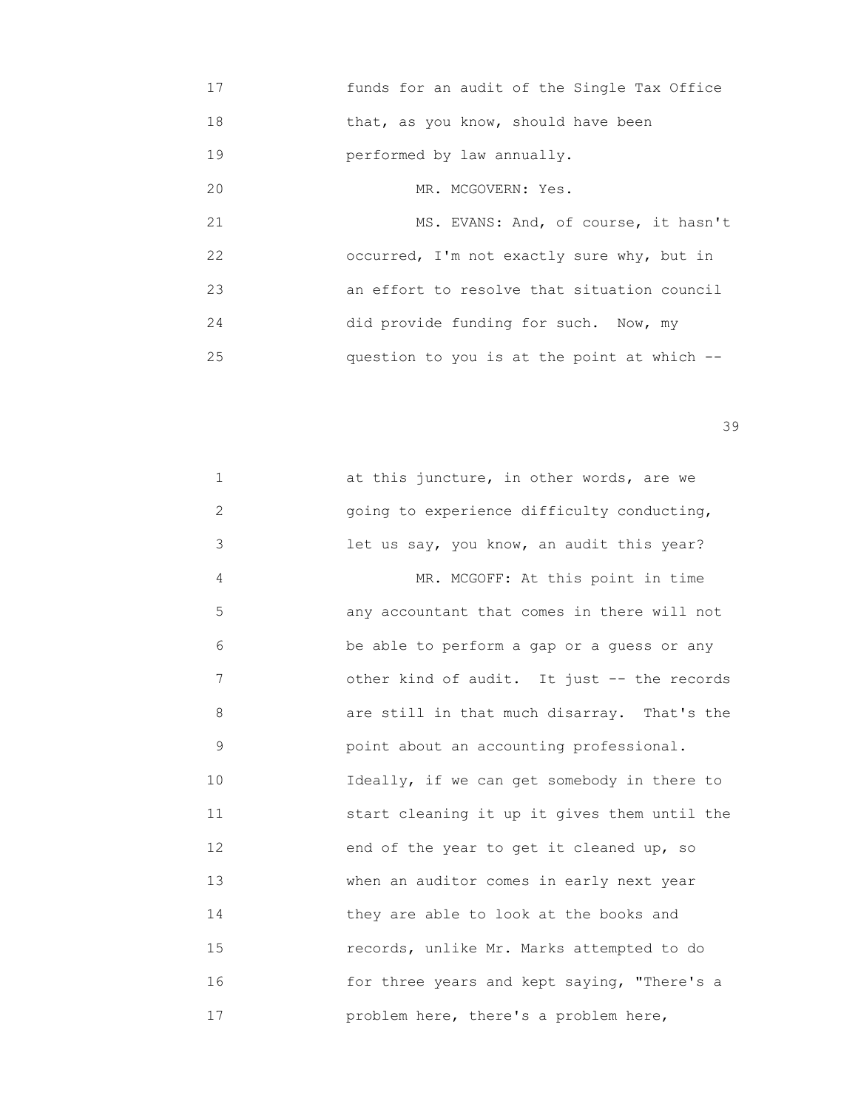17 funds for an audit of the Single Tax Office 18 that, as you know, should have been 19 performed by law annually. 20 MR. MCGOVERN: Yes. 21 MS. EVANS: And, of course, it hasn't 22 occurred, I'm not exactly sure why, but in 23 an effort to resolve that situation council 24 did provide funding for such. Now, my 25 question to you is at the point at which --

| $\mathbf 1$ | at this juncture, in other words, are we     |
|-------------|----------------------------------------------|
| 2           | going to experience difficulty conducting,   |
| 3           | let us say, you know, an audit this year?    |
| 4           | MR. MCGOFF: At this point in time            |
| 5           | any accountant that comes in there will not  |
| 6           | be able to perform a gap or a guess or any   |
| 7           | other kind of audit. It just -- the records  |
| 8           | are still in that much disarray. That's the  |
| 9           | point about an accounting professional.      |
| 10          | Ideally, if we can get somebody in there to  |
| 11          | start cleaning it up it gives them until the |
| 12          | end of the year to get it cleaned up, so     |
| 13          | when an auditor comes in early next year     |
| 14          | they are able to look at the books and       |
| 15          | records, unlike Mr. Marks attempted to do    |
| 16          | for three years and kept saying, "There's a  |
| 17          | problem here, there's a problem here,        |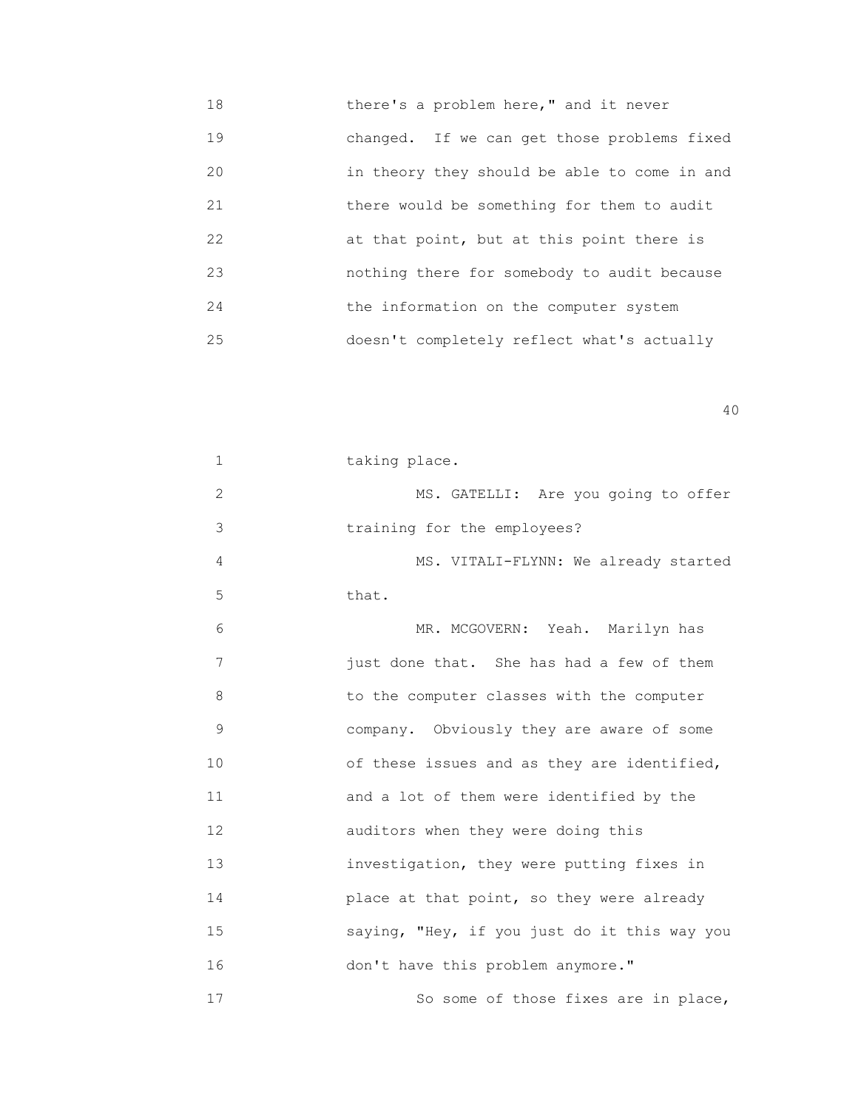18 there's a problem here," and it never 19 changed. If we can get those problems fixed 20 in theory they should be able to come in and 21 there would be something for them to audit 22 **at that point, but at this point there is**  23 nothing there for somebody to audit because 24 **the information on the computer system** 25 doesn't completely reflect what's actually

| $\mathbf 1$  | taking place.                                |
|--------------|----------------------------------------------|
| $\mathbf{2}$ | MS. GATELLI: Are you going to offer          |
| 3            | training for the employees?                  |
| 4            | MS. VITALI-FLYNN: We already started         |
| 5            | that.                                        |
| 6            | MR. MCGOVERN: Yeah. Marilyn has              |
| 7            | just done that. She has had a few of them    |
| 8            | to the computer classes with the computer    |
| 9            | company. Obviously they are aware of some    |
| 10           | of these issues and as they are identified,  |
| 11           | and a lot of them were identified by the     |
| 12           | auditors when they were doing this           |
| 13           | investigation, they were putting fixes in    |
| 14           | place at that point, so they were already    |
| 15           | saying, "Hey, if you just do it this way you |
| 16           | don't have this problem anymore."            |
| 17           | So some of those fixes are in place,         |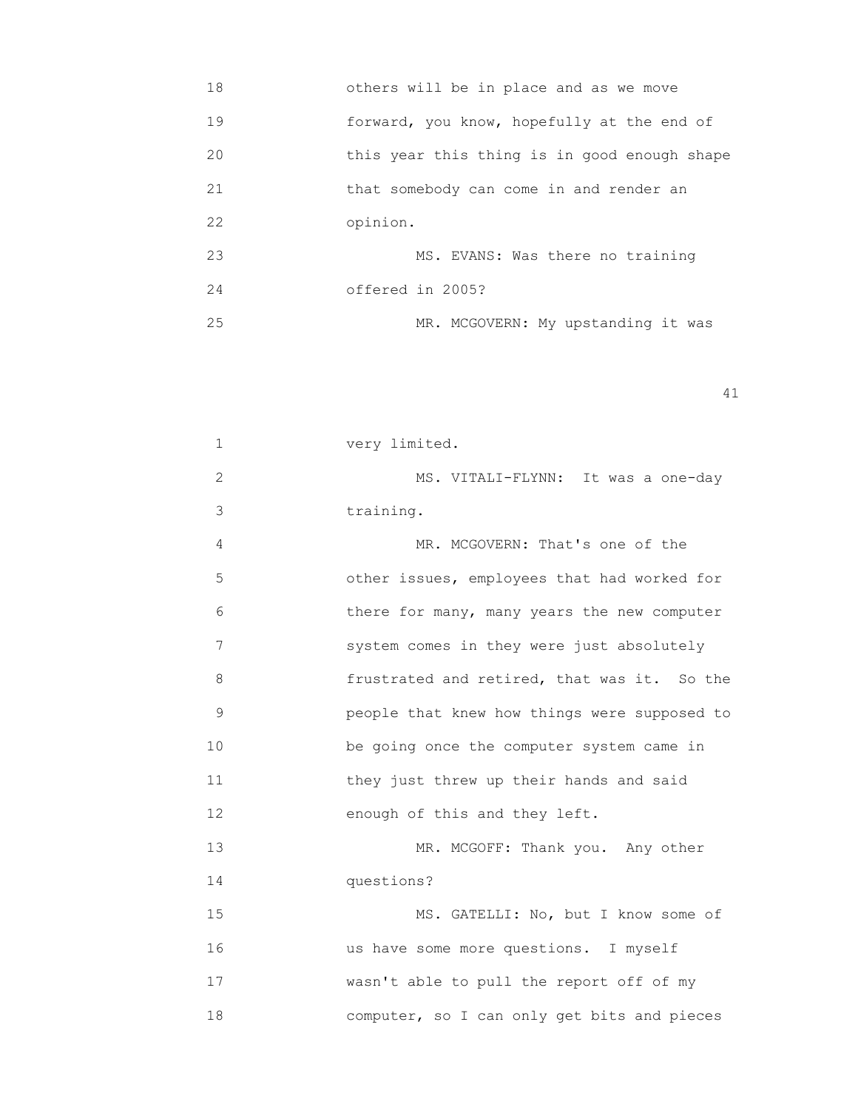| 18 | others will be in place and as we move       |
|----|----------------------------------------------|
| 19 | forward, you know, hopefully at the end of   |
| 20 | this year this thing is in good enough shape |
| 21 | that somebody can come in and render an      |
| 22 | opinion.                                     |
| 23 | MS. EVANS: Was there no training             |
| 24 | offered in 2005?                             |
| 25 | MR. MCGOVERN: My upstanding it was           |

| 1             | very limited.                                |
|---------------|----------------------------------------------|
| $\mathbf{2}$  | MS. VITALI-FLYNN: It was a one-day           |
| 3             | training.                                    |
| 4             | MR. MCGOVERN: That's one of the              |
| 5             | other issues, employees that had worked for  |
| 6             | there for many, many years the new computer  |
| 7             | system comes in they were just absolutely    |
| 8             | frustrated and retired, that was it. So the  |
| $\mathcal{G}$ | people that knew how things were supposed to |
| 10            | be going once the computer system came in    |
| 11            | they just threw up their hands and said      |
| 12            | enough of this and they left.                |
| 13            | MR. MCGOFF: Thank you. Any other             |
| 14            | questions?                                   |
| 15            | MS. GATELLI: No, but I know some of          |
| 16            | us have some more questions. I myself        |
| 17            | wasn't able to pull the report off of my     |
| 18            | computer, so I can only get bits and pieces  |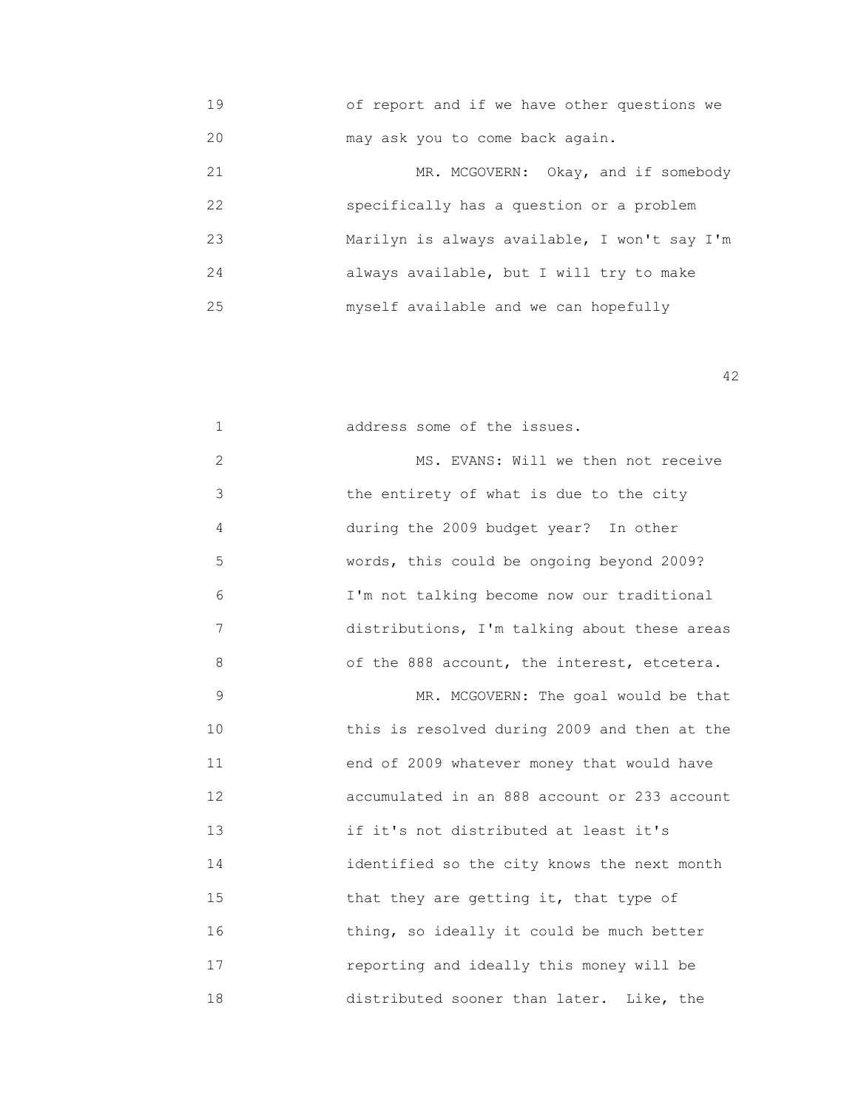19 of report and if we have other questions we 20 may ask you to come back again.

| 21 | MR. MCGOVERN: Okay, and if somebody          |
|----|----------------------------------------------|
| 22 | specifically has a question or a problem     |
| 23 | Marilyn is always available, I won't say I'm |
| 24 | always available, but I will try to make     |
| 25 | myself available and we can hopefully        |

| $\mathbf{1}$ | address some of the issues.                  |
|--------------|----------------------------------------------|
| 2            | MS. EVANS: Will we then not receive          |
| 3            | the entirety of what is due to the city      |
| 4            | during the 2009 budget year? In other        |
| 5            | words, this could be ongoing beyond 2009?    |
| 6            | I'm not talking become now our traditional   |
| 7            | distributions, I'm talking about these areas |
| 8            | of the 888 account, the interest, etcetera.  |
| 9            | MR. MCGOVERN: The goal would be that         |
| 10           | this is resolved during 2009 and then at the |
| 11           | end of 2009 whatever money that would have   |
| 12           | accumulated in an 888 account or 233 account |
| 13           | if it's not distributed at least it's        |
| 14           | identified so the city knows the next month  |
| 15           | that they are getting it, that type of       |
| 16           | thing, so ideally it could be much better    |
| 17           | reporting and ideally this money will be     |
| 18           | distributed sooner than later.<br>Like, the  |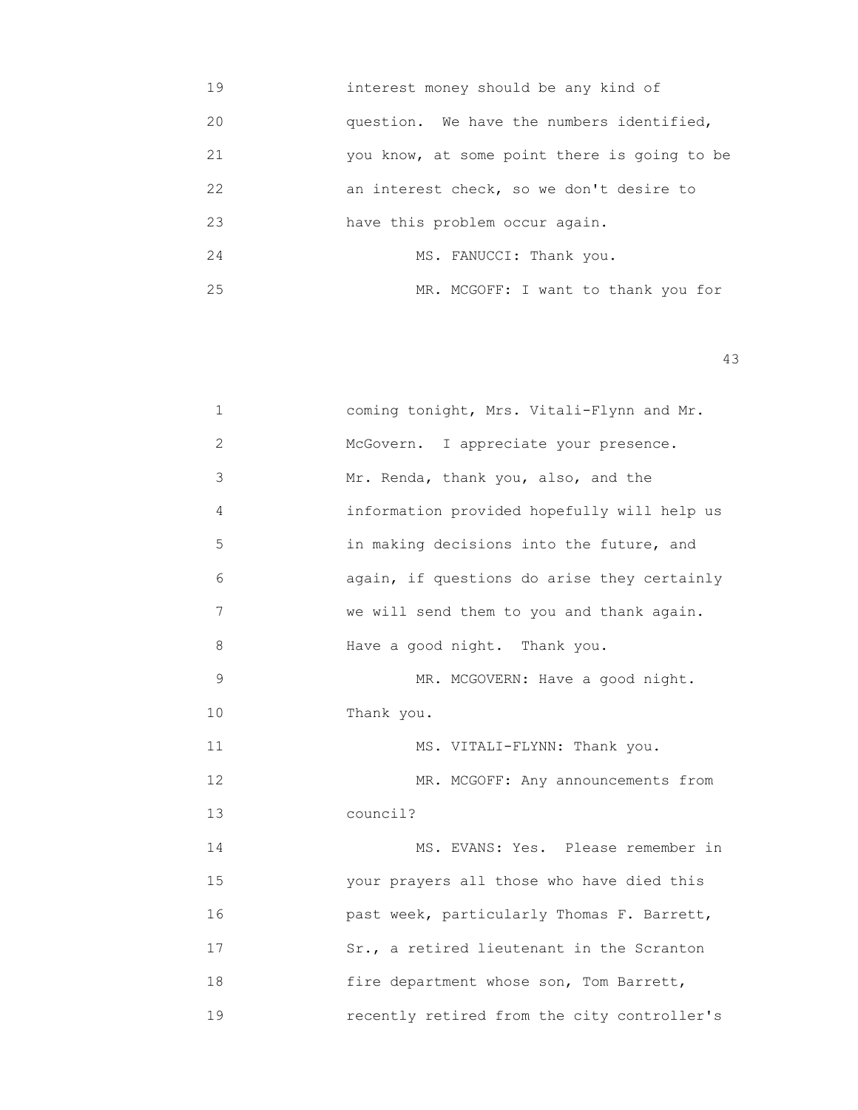19 interest money should be any kind of 20 question. We have the numbers identified, 21 you know, at some point there is going to be 22 **an interest check, so we don't desire to**  23 have this problem occur again. 24 MS. FANUCCI: Thank you. 25 MR. MCGOFF: I want to thank you for

| 1  | coming tonight, Mrs. Vitali-Flynn and Mr.   |
|----|---------------------------------------------|
| 2  | McGovern.<br>I appreciate your presence.    |
| 3  | Mr. Renda, thank you, also, and the         |
| 4  | information provided hopefully will help us |
| 5  | in making decisions into the future, and    |
| 6  | again, if questions do arise they certainly |
| 7  | we will send them to you and thank again.   |
| 8  | Have a good night. Thank you.               |
| 9  | MR. MCGOVERN: Have a good night.            |
| 10 | Thank you.                                  |
| 11 | MS. VITALI-FLYNN: Thank you.                |
| 12 | MR. MCGOFF: Any announcements from          |
| 13 | council?                                    |
| 14 | MS. EVANS: Yes. Please remember in          |
| 15 | your prayers all those who have died this   |
| 16 | past week, particularly Thomas F. Barrett,  |
| 17 | Sr., a retired lieutenant in the Scranton   |
| 18 | fire department whose son, Tom Barrett,     |
| 19 | recently retired from the city controller's |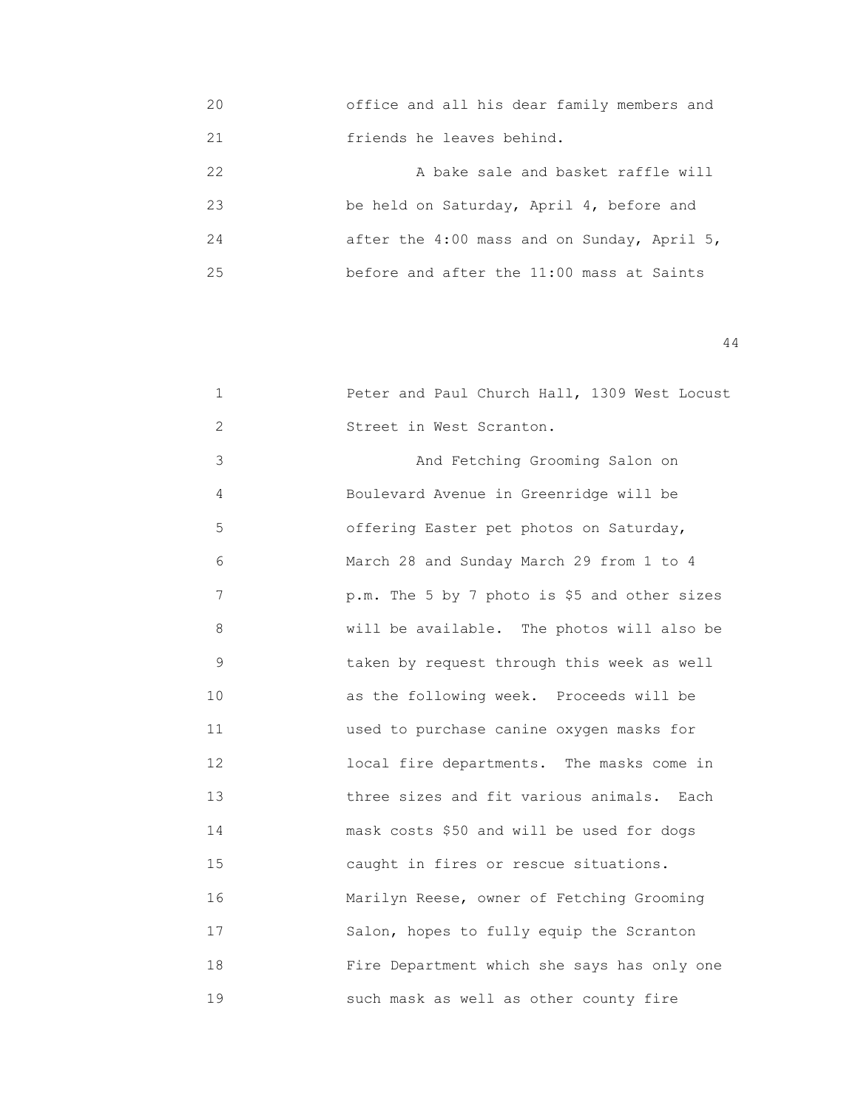20 office and all his dear family members and 21 friends he leaves behind.

| クク | A bake sale and basket raffle will          |
|----|---------------------------------------------|
| 23 | be held on Saturday, April 4, before and    |
| 24 | after the 4:00 mass and on Sunday, April 5, |
| 25 | before and after the 11:00 mass at Saints   |

| $\mathbf 1$   | Peter and Paul Church Hall, 1309 West Locust |
|---------------|----------------------------------------------|
| $\mathbf{2}$  | Street in West Scranton.                     |
| 3             | And Fetching Grooming Salon on               |
| 4             | Boulevard Avenue in Greenridge will be       |
| 5             | offering Easter pet photos on Saturday,      |
| 6             | March 28 and Sunday March 29 from 1 to 4     |
| 7             | p.m. The 5 by 7 photo is \$5 and other sizes |
| 8             | will be available. The photos will also be   |
| $\mathcal{G}$ | taken by request through this week as well   |
| 10            | as the following week. Proceeds will be      |
| 11            | used to purchase canine oxygen masks for     |
| 12            | local fire departments. The masks come in    |
| 13            | three sizes and fit various animals.<br>Each |
| 14            | mask costs \$50 and will be used for dogs    |
| 15            | caught in fires or rescue situations.        |
| 16            | Marilyn Reese, owner of Fetching Grooming    |
| 17            | Salon, hopes to fully equip the Scranton     |
| 18            | Fire Department which she says has only one  |
| 19            | such mask as well as other county fire       |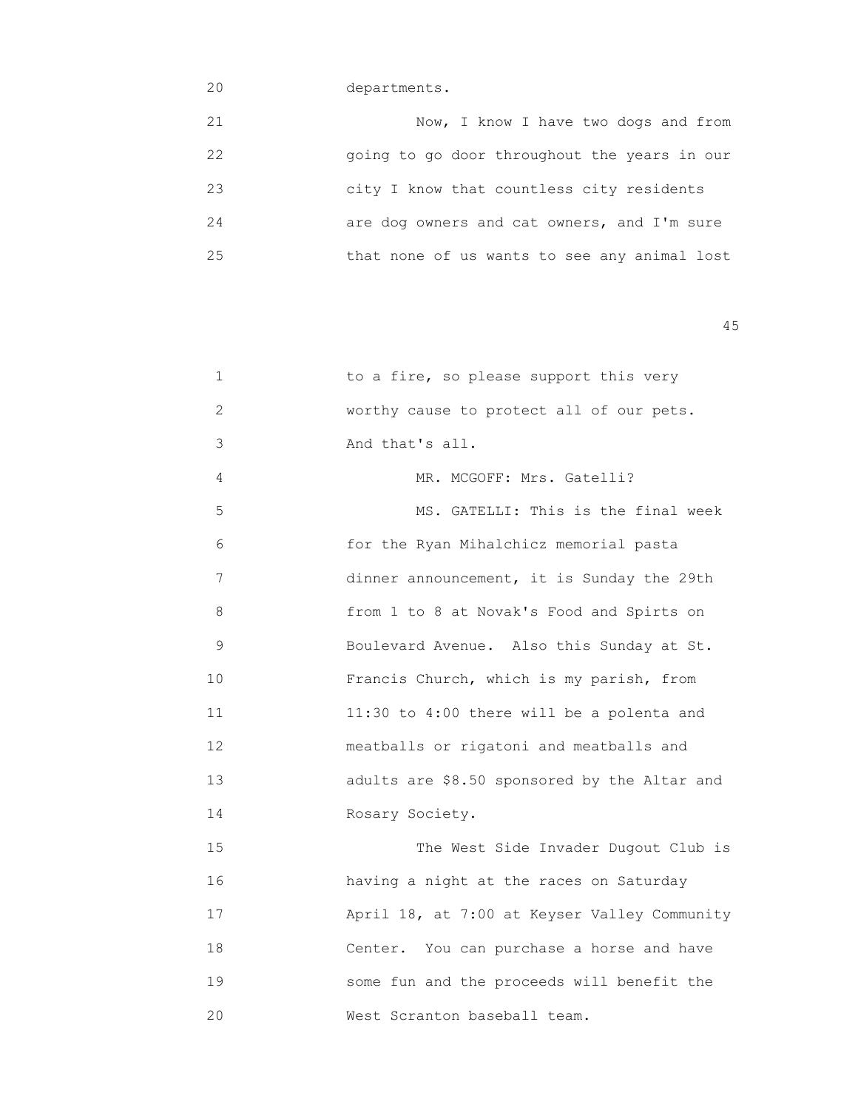## 20 departments.

| 21 | Now, I know I have two dogs and from         |
|----|----------------------------------------------|
| 22 | going to go door throughout the years in our |
| 23 | city I know that countless city residents    |
| 24 | are dog owners and cat owners, and I'm sure  |
| 25 | that none of us wants to see any animal lost |

| 2             | worthy cause to protect all of our pets.     |
|---------------|----------------------------------------------|
| 3             | And that's all.                              |
| 4             | MR. MCGOFF: Mrs. Gatelli?                    |
| 5             | MS. GATELLI: This is the final week          |
| 6             | for the Ryan Mihalchicz memorial pasta       |
| 7             | dinner announcement, it is Sunday the 29th   |
| 8             | from 1 to 8 at Novak's Food and Spirts on    |
| $\mathcal{G}$ | Boulevard Avenue. Also this Sunday at St.    |
| 10            | Francis Church, which is my parish, from     |
| 11            | 11:30 to 4:00 there will be a polenta and    |
| 12            | meatballs or rigatoni and meatballs and      |
| 13            | adults are \$8.50 sponsored by the Altar and |
| 14            | Rosary Society.                              |
| 15            | The West Side Invader Dugout Club is         |
| 16            | having a night at the races on Saturday      |
| 17            | April 18, at 7:00 at Keyser Valley Community |
| 18            | Center. You can purchase a horse and have    |
| 19            | some fun and the proceeds will benefit the   |
| 20            | West Scranton baseball team.                 |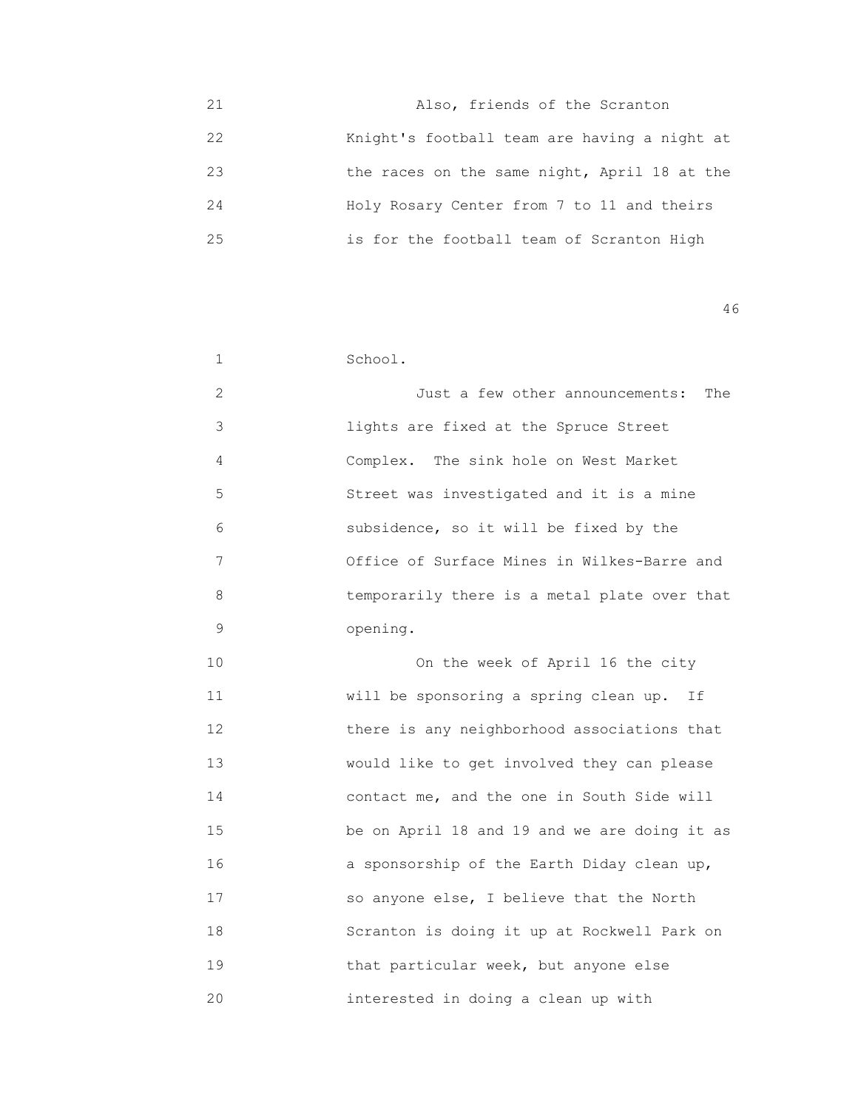| 21 | Also, friends of the Scranton                |
|----|----------------------------------------------|
| 22 | Knight's football team are having a night at |
| 23 | the races on the same night, April 18 at the |
| 24 | Holy Rosary Center from 7 to 11 and theirs   |
| 25 | is for the football team of Scranton High    |

| 1              | School.                                      |
|----------------|----------------------------------------------|
| $\overline{2}$ | Just a few other announcements:<br>The       |
| 3              | lights are fixed at the Spruce Street        |
| 4              | Complex. The sink hole on West Market        |
| 5              | Street was investigated and it is a mine     |
| 6              | subsidence, so it will be fixed by the       |
| 7              | Office of Surface Mines in Wilkes-Barre and  |
| 8              | temporarily there is a metal plate over that |
| 9              | opening.                                     |
| 10             | On the week of April 16 the city             |
| 11             | will be sponsoring a spring clean up. If     |
| 12             | there is any neighborhood associations that  |
| 13             | would like to get involved they can please   |
| 14             | contact me, and the one in South Side will   |
| 15             | be on April 18 and 19 and we are doing it as |
| 16             | a sponsorship of the Earth Diday clean up,   |
| 17             | so anyone else, I believe that the North     |
| 18             | Scranton is doing it up at Rockwell Park on  |
| 19             | that particular week, but anyone else        |
| 20             | interested in doing a clean up with          |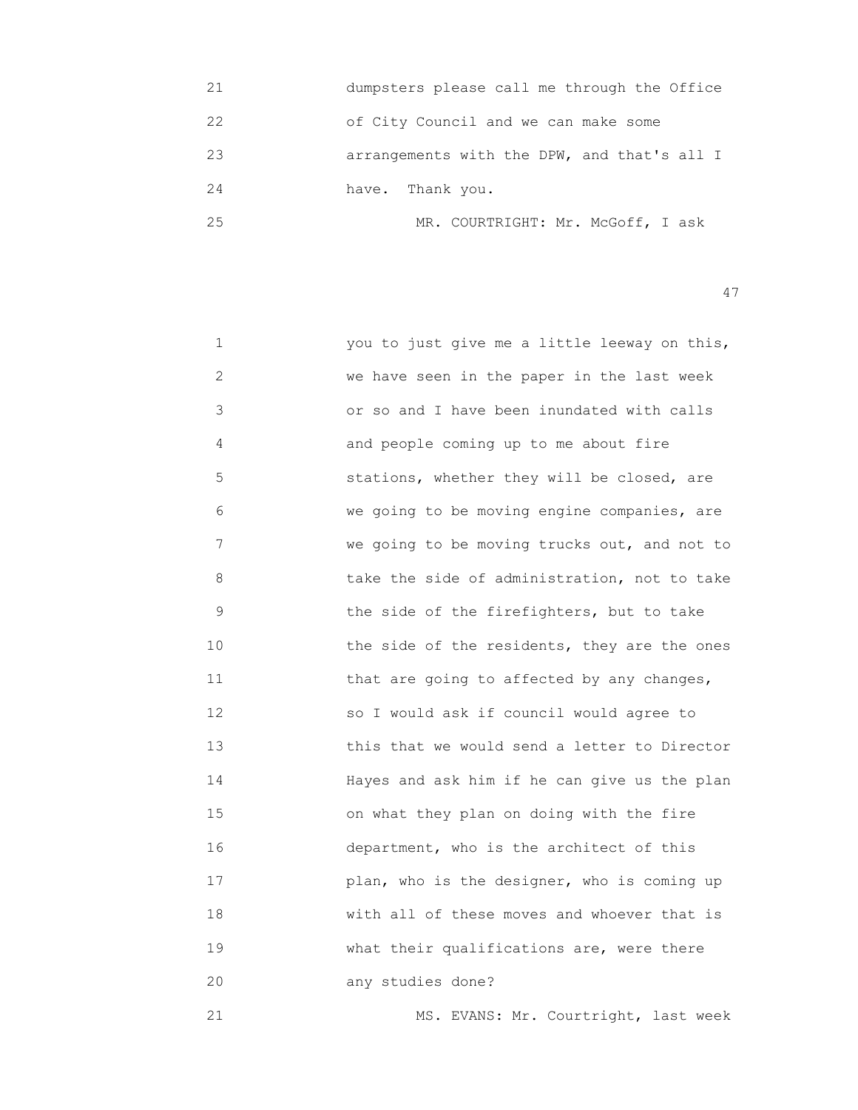| 21  | dumpsters please call me through the Office |
|-----|---------------------------------------------|
| 22  | of City Council and we can make some        |
| 23  | arrangements with the DPW, and that's all I |
| 2.4 | have. Thank you.                            |
| 25  | MR. COURTRIGHT: Mr. McGoff, I ask           |

| 1            | you to just give me a little leeway on this, |
|--------------|----------------------------------------------|
| $\mathbf{2}$ | we have seen in the paper in the last week   |
| 3            | or so and I have been inundated with calls   |
| 4            | and people coming up to me about fire        |
| 5            | stations, whether they will be closed, are   |
| 6            | we going to be moving engine companies, are  |
| 7            | we going to be moving trucks out, and not to |
| 8            | take the side of administration, not to take |
| $\mathsf 9$  | the side of the firefighters, but to take    |
| 10           | the side of the residents, they are the ones |
| 11           | that are going to affected by any changes,   |
| 12           | so I would ask if council would agree to     |
| 13           | this that we would send a letter to Director |
| 14           | Hayes and ask him if he can give us the plan |
| 15           | on what they plan on doing with the fire     |
| 16           | department, who is the architect of this     |
| 17           | plan, who is the designer, who is coming up  |
| 18           | with all of these moves and whoever that is  |
| 19           | what their qualifications are, were there    |
| 20           | any studies done?                            |
|              |                                              |

21 MS. EVANS: Mr. Courtright, last week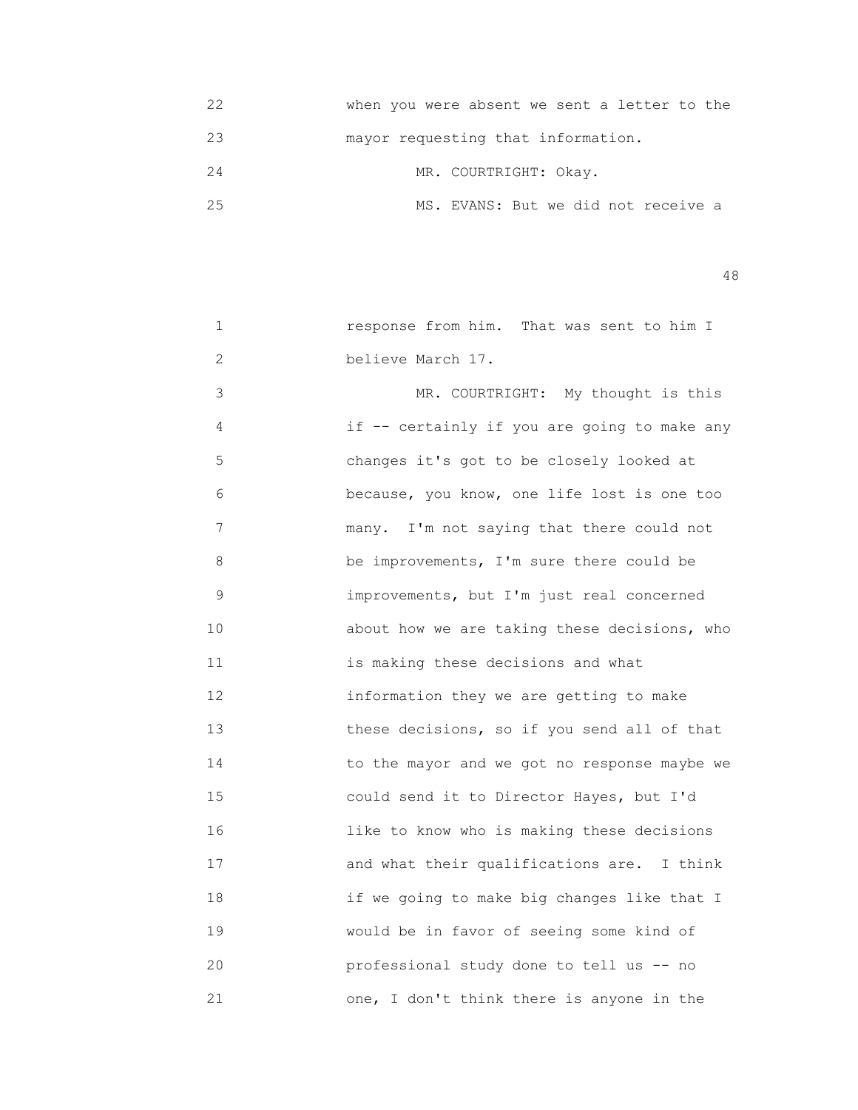| 22 | when you were absent we sent a letter to the |
|----|----------------------------------------------|
| 23 | mayor requesting that information.           |
| 24 | MR. COURTRIGHT: Okay.                        |
| クら | MS. EVANS: But we did not receive a          |

| 1  | response from him. That was sent to him I    |
|----|----------------------------------------------|
| 2  | believe March 17.                            |
| 3  | MR. COURTRIGHT: My thought is this           |
| 4  | if -- certainly if you are going to make any |
| 5  | changes it's got to be closely looked at     |
| 6  | because, you know, one life lost is one too  |
| 7  | many. I'm not saying that there could not    |
| 8  | be improvements, I'm sure there could be     |
| 9  | improvements, but I'm just real concerned    |
| 10 | about how we are taking these decisions, who |
| 11 | is making these decisions and what           |
| 12 | information they we are getting to make      |
| 13 | these decisions, so if you send all of that  |
| 14 | to the mayor and we got no response maybe we |
| 15 | could send it to Director Hayes, but I'd     |
| 16 | like to know who is making these decisions   |
| 17 | and what their qualifications are. I think   |
| 18 | if we going to make big changes like that I  |
| 19 | would be in favor of seeing some kind of     |
| 20 | professional study done to tell us -- no     |
| 21 | one, I don't think there is anyone in the    |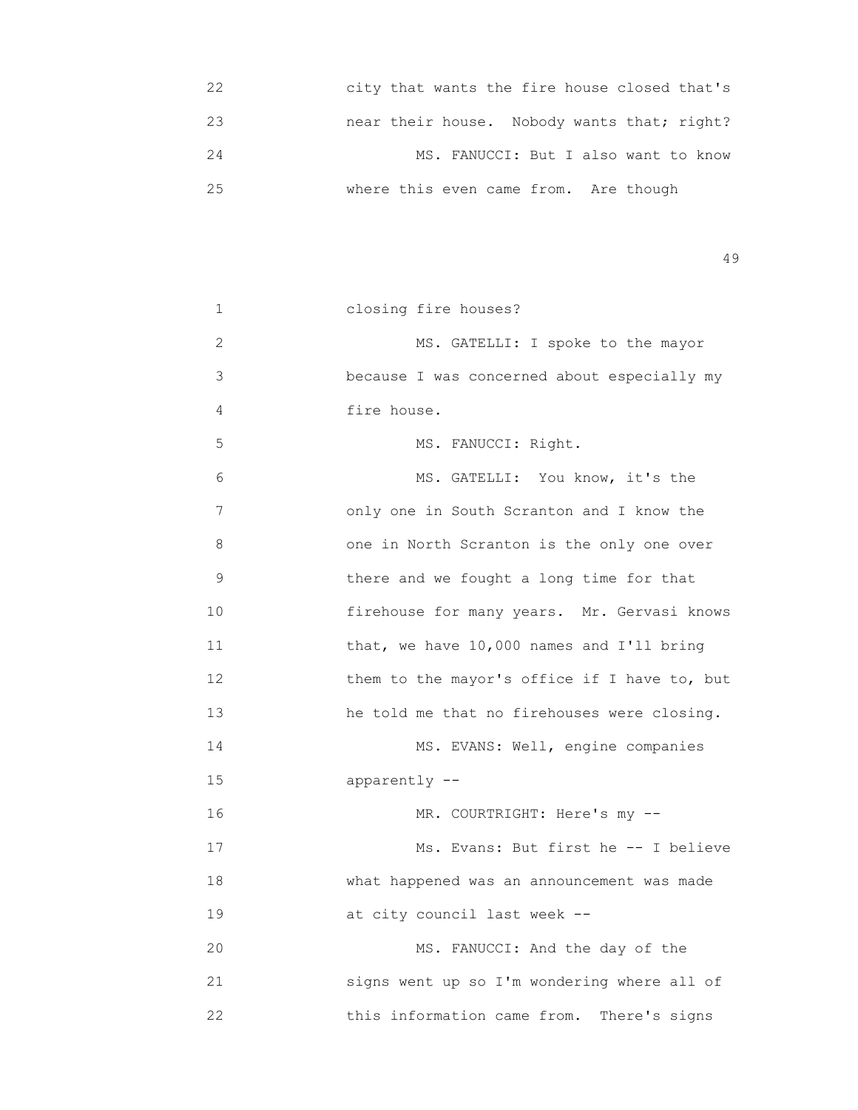| 22 | city that wants the fire house closed that's |
|----|----------------------------------------------|
| 23 | near their house. Nobody wants that; right?  |
| 24 | MS. FANUCCI: But I also want to know         |
| クら | where this even came from. Are though        |

| 1           | closing fire houses?                         |
|-------------|----------------------------------------------|
| 2           | MS. GATELLI: I spoke to the mayor            |
| 3           | because I was concerned about especially my  |
| 4           | fire house.                                  |
| 5           | MS. FANUCCI: Right.                          |
| 6           | MS. GATELLI: You know, it's the              |
| 7           | only one in South Scranton and I know the    |
| 8           | one in North Scranton is the only one over   |
| $\mathsf 9$ | there and we fought a long time for that     |
| 10          | firehouse for many years. Mr. Gervasi knows  |
| 11          | that, we have 10,000 names and I'll bring    |
| 12          | them to the mayor's office if I have to, but |
| 13          | he told me that no firehouses were closing.  |
| 14          | MS. EVANS: Well, engine companies            |
| 15          | apparently --                                |
| 16          | MR. COURTRIGHT: Here's my --                 |
| 17          | Ms. Evans: But first he -- I believe         |
| 18          | what happened was an announcement was made   |
| 19          | at city council last week --                 |
| 20          | MS. FANUCCI: And the day of the              |
| 21          | signs went up so I'm wondering where all of  |
| 22          | this information came from. There's signs    |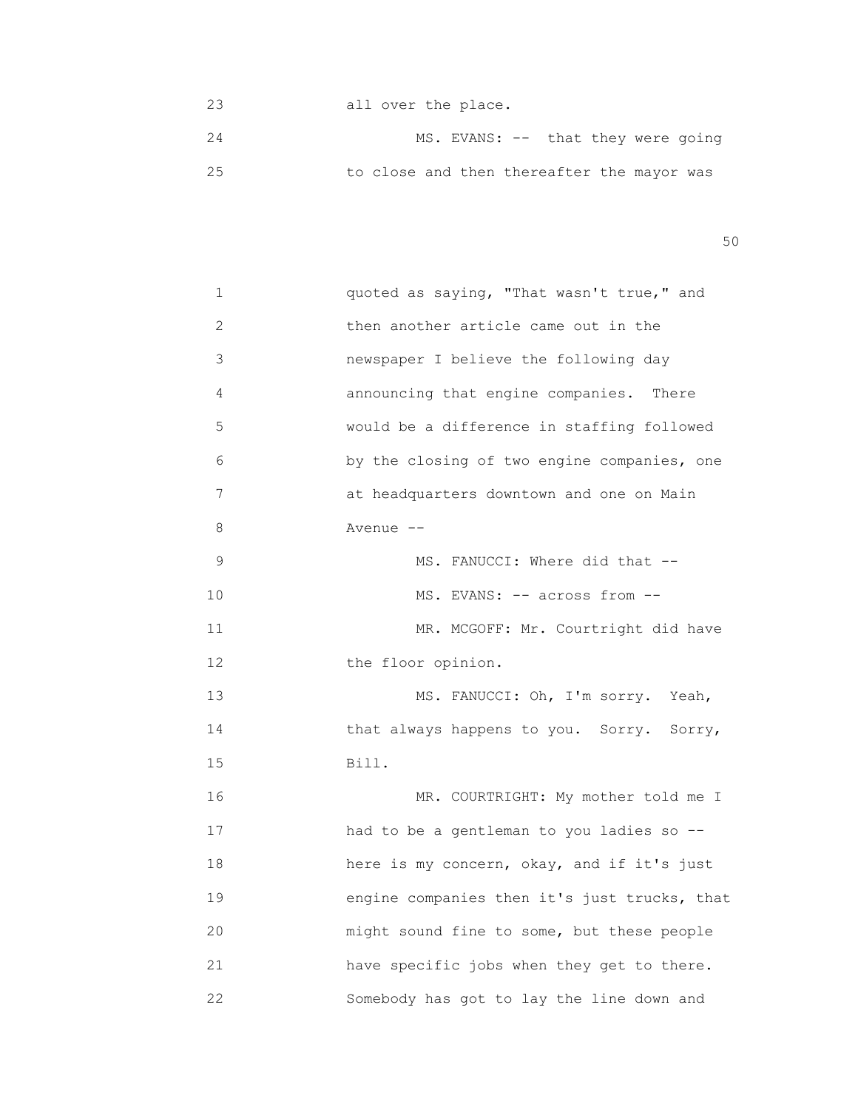23 all over the place. 24 MS. EVANS: -- that they were going 25 to close and then thereafter the mayor was

 $50<sub>50</sub>$ 

| 1              | quoted as saying, "That wasn't true," and    |
|----------------|----------------------------------------------|
| $\overline{2}$ | then another article came out in the         |
| 3              | newspaper I believe the following day        |
| 4              | announcing that engine companies. There      |
| 5              | would be a difference in staffing followed   |
| 6              | by the closing of two engine companies, one  |
| 7              | at headquarters downtown and one on Main     |
| 8              | Avenue --                                    |
| 9              | MS. FANUCCI: Where did that --               |
| 10             | MS. EVANS: -- across from --                 |
| 11             | MR. MCGOFF: Mr. Courtright did have          |
| 12             | the floor opinion.                           |
| 13             | MS. FANUCCI: Oh, I'm sorry. Yeah,            |
| 14             | that always happens to you. Sorry. Sorry,    |
| 15             | Bill.                                        |
| 16             | MR. COURTRIGHT: My mother told me I          |
| 17             | had to be a gentleman to you ladies so --    |
| 18             | here is my concern, okay, and if it's just   |
| 19             | engine companies then it's just trucks, that |
| 20             | might sound fine to some, but these people   |
| 21             | have specific jobs when they get to there.   |
| 22             | Somebody has got to lay the line down and    |
|                |                                              |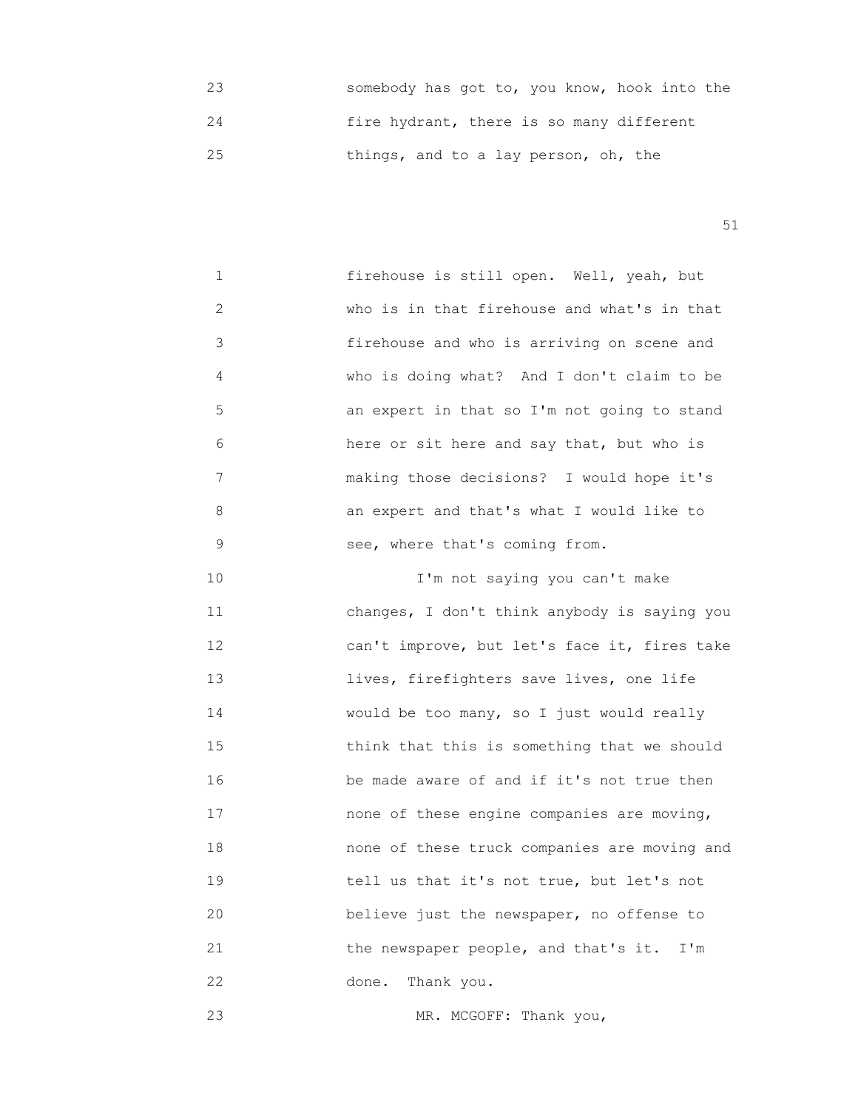23 somebody has got to, you know, hook into the 24 fire hydrant, there is so many different 25 things, and to a lay person, oh, the

51

 1 firehouse is still open. Well, yeah, but 2 who is in that firehouse and what's in that 3 firehouse and who is arriving on scene and 4 who is doing what? And I don't claim to be 5 an expert in that so I'm not going to stand 6 here or sit here and say that, but who is 7 making those decisions? I would hope it's 8 an expert and that's what I would like to 9 see, where that's coming from.

10 I'm not saying you can't make 11 changes, I don't think anybody is saying you 12 can't improve, but let's face it, fires take 13 lives, firefighters save lives, one life 14 would be too many, so I just would really 15 think that this is something that we should 16 be made aware of and if it's not true then 17 none of these engine companies are moving, 18 none of these truck companies are moving and 19 **19** tell us that it's not true, but let's not 20 believe just the newspaper, no offense to 21 the newspaper people, and that's it. I'm 22 done. Thank you.

23 MR. MCGOFF: Thank you,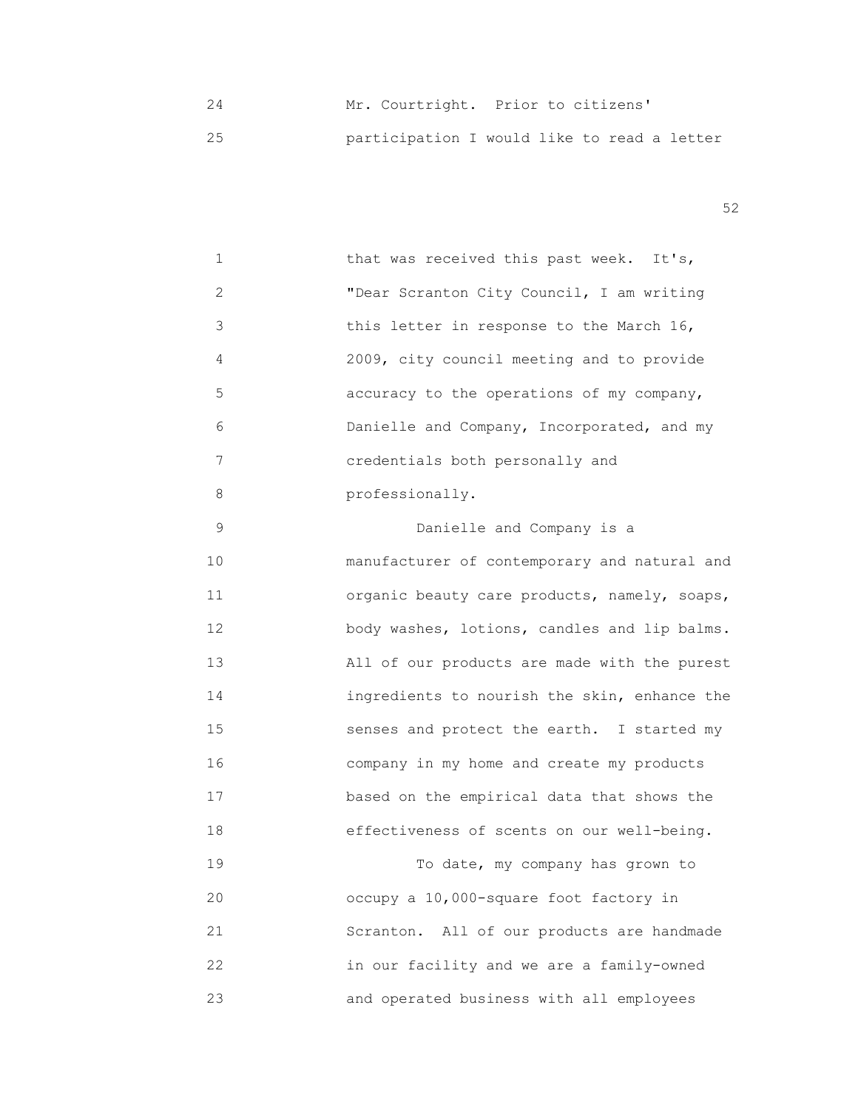24 Mr. Courtright. Prior to citizens' 25 participation I would like to read a letter

| $\mathbf 1$ | that was received this past week. It's,      |
|-------------|----------------------------------------------|
| 2           | "Dear Scranton City Council, I am writing    |
| 3           | this letter in response to the March 16,     |
| 4           | 2009, city council meeting and to provide    |
| 5           | accuracy to the operations of my company,    |
| 6           | Danielle and Company, Incorporated, and my   |
| 7           | credentials both personally and              |
| 8           | professionally.                              |
| 9           | Danielle and Company is a                    |
| 10          | manufacturer of contemporary and natural and |
| 11          | organic beauty care products, namely, soaps, |
| 12          | body washes, lotions, candles and lip balms. |
| 13          | All of our products are made with the purest |
| 14          | ingredients to nourish the skin, enhance the |
| 15          | senses and protect the earth. I started my   |
| 16          | company in my home and create my products    |
| 17          | based on the empirical data that shows the   |
| 18          | effectiveness of scents on our well-being.   |
| 19          | To date, my company has grown to             |
| 20          | occupy a 10,000-square foot factory in       |
| 21          | Scranton. All of our products are handmade   |
| 22          | in our facility and we are a family-owned    |
| 23          | and operated business with all employees     |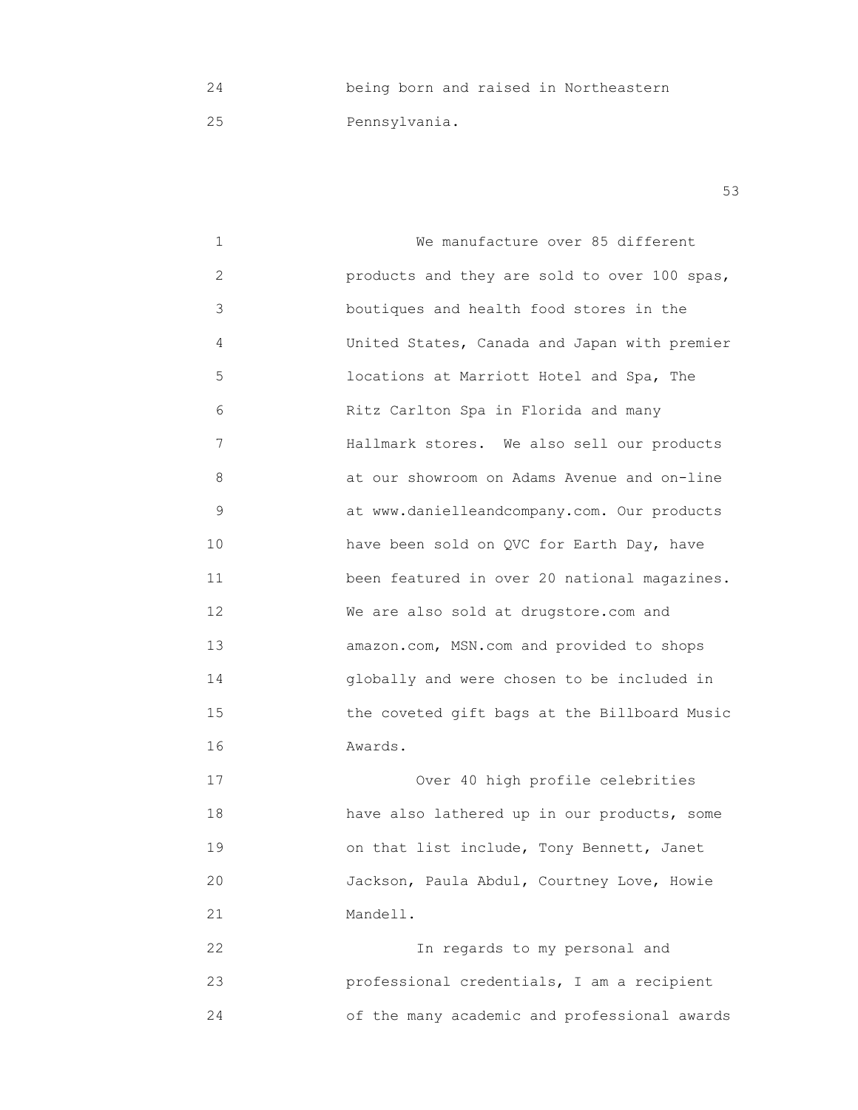24 being born and raised in Northeastern

25 Pennsylvania.

 $53$ 

1 **1 We manufacture over 85 different**  2 products and they are sold to over 100 spas, 3 boutiques and health food stores in the 4 United States, Canada and Japan with premier 5 locations at Marriott Hotel and Spa, The 6 Ritz Carlton Spa in Florida and many 7 **Hallmark stores.** We also sell our products 8 at our showroom on Adams Avenue and on-line 9 at www.danielleandcompany.com. Our products 10 have been sold on QVC for Earth Day, have 11 been featured in over 20 national magazines. 12 We are also sold at drugstore.com and 13 amazon.com, MSN.com and provided to shops 14 globally and were chosen to be included in 15 the coveted gift bags at the Billboard Music 16 Awards.

 17 Over 40 high profile celebrities 18 have also lathered up in our products, some 19 on that list include, Tony Bennett, Janet 20 Jackson, Paula Abdul, Courtney Love, Howie 21 Mandell.

 22 In regards to my personal and 23 professional credentials, I am a recipient 24 of the many academic and professional awards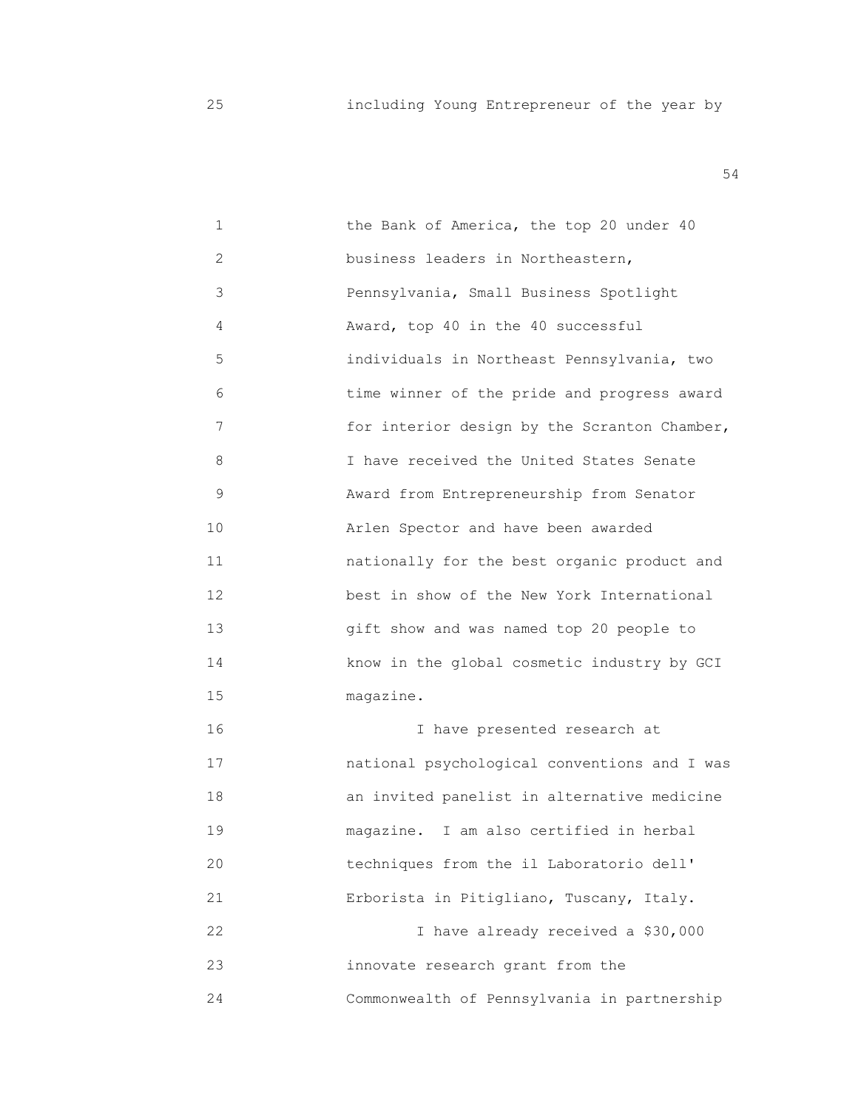| $\mathbf 1$ | the Bank of America, the top 20 under 40     |
|-------------|----------------------------------------------|
| 2           | business leaders in Northeastern,            |
| 3           | Pennsylvania, Small Business Spotlight       |
| 4           | Award, top 40 in the 40 successful           |
| 5           | individuals in Northeast Pennsylvania, two   |
| 6           | time winner of the pride and progress award  |
| 7           | for interior design by the Scranton Chamber, |
| 8           | I have received the United States Senate     |
| 9           | Award from Entrepreneurship from Senator     |
| 10          | Arlen Spector and have been awarded          |
| 11          | nationally for the best organic product and  |
| 12          | best in show of the New York International   |
| 13          | gift show and was named top 20 people to     |
| 14          | know in the global cosmetic industry by GCI  |
| 15          | magazine.                                    |
| 16          | I have presented research at                 |
| 17          | national psychological conventions and I was |
| 18          | an invited panelist in alternative medicine  |
| 19          | I am also certified in herbal<br>magazine.   |
| 20          | techniques from the il Laboratorio dell'     |
| 21          | Erborista in Pitigliano, Tuscany, Italy.     |
| 22          | I have already received a \$30,000           |
| 23          | innovate research grant from the             |
| 24          | Commonwealth of Pennsylvania in partnership  |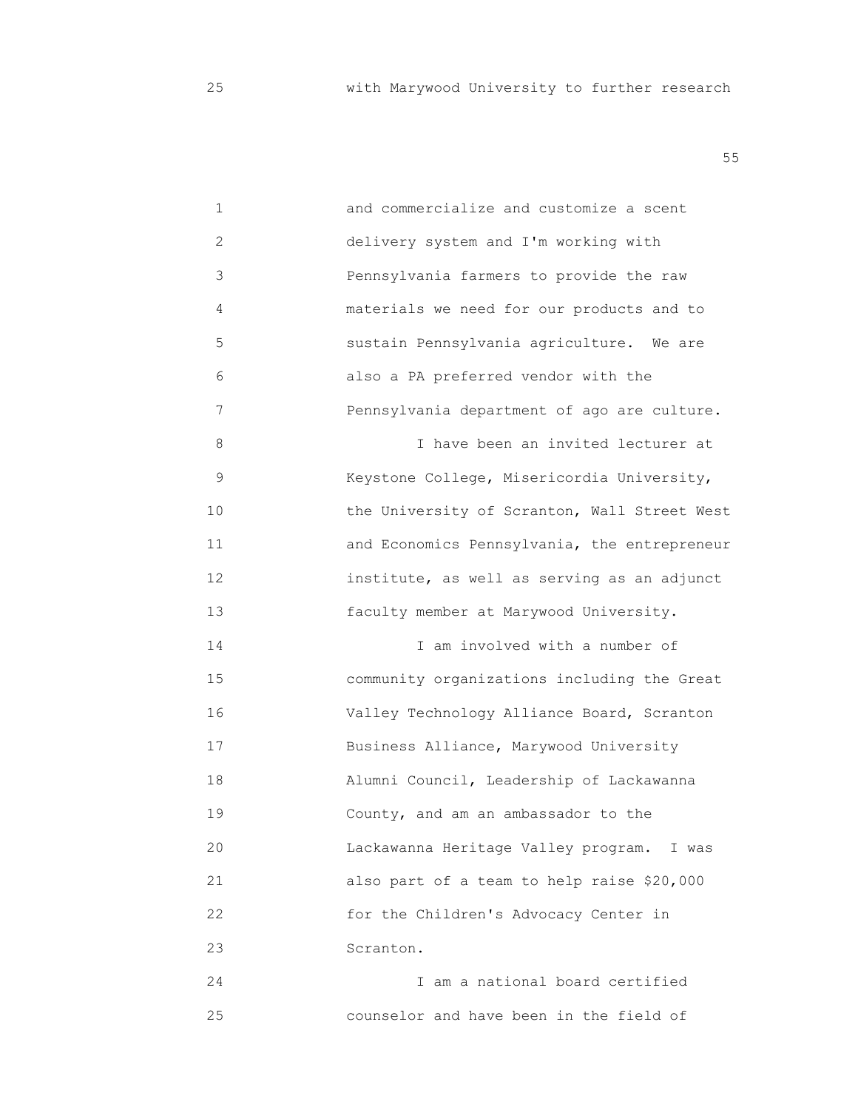| $\mathbf 1$ | and commercialize and customize a scent      |
|-------------|----------------------------------------------|
| 2           | delivery system and I'm working with         |
| 3           | Pennsylvania farmers to provide the raw      |
| 4           | materials we need for our products and to    |
| 5           | sustain Pennsylvania agriculture. We are     |
| 6           | also a PA preferred vendor with the          |
| 7           | Pennsylvania department of ago are culture.  |
| 8           | I have been an invited lecturer at           |
| 9           | Keystone College, Misericordia University,   |
| 10          | the University of Scranton, Wall Street West |
| 11          | and Economics Pennsylvania, the entrepreneur |
| 12          | institute, as well as serving as an adjunct  |
| 13          | faculty member at Marywood University.       |
| 14          | I am involved with a number of               |
| 15          | community organizations including the Great  |
| 16          | Valley Technology Alliance Board, Scranton   |
| 17          | Business Alliance, Marywood University       |
| 18          | Alumni Council, Leadership of Lackawanna     |
| 19          | County, and am an ambassador to the          |
| 20          | Lackawanna Heritage Valley program. I was    |
| 21          | also part of a team to help raise \$20,000   |
| 22          | for the Children's Advocacy Center in        |
| 23          | Scranton.                                    |
| 24          | I am a national board certified              |
| 25          | counselor and have been in the field of      |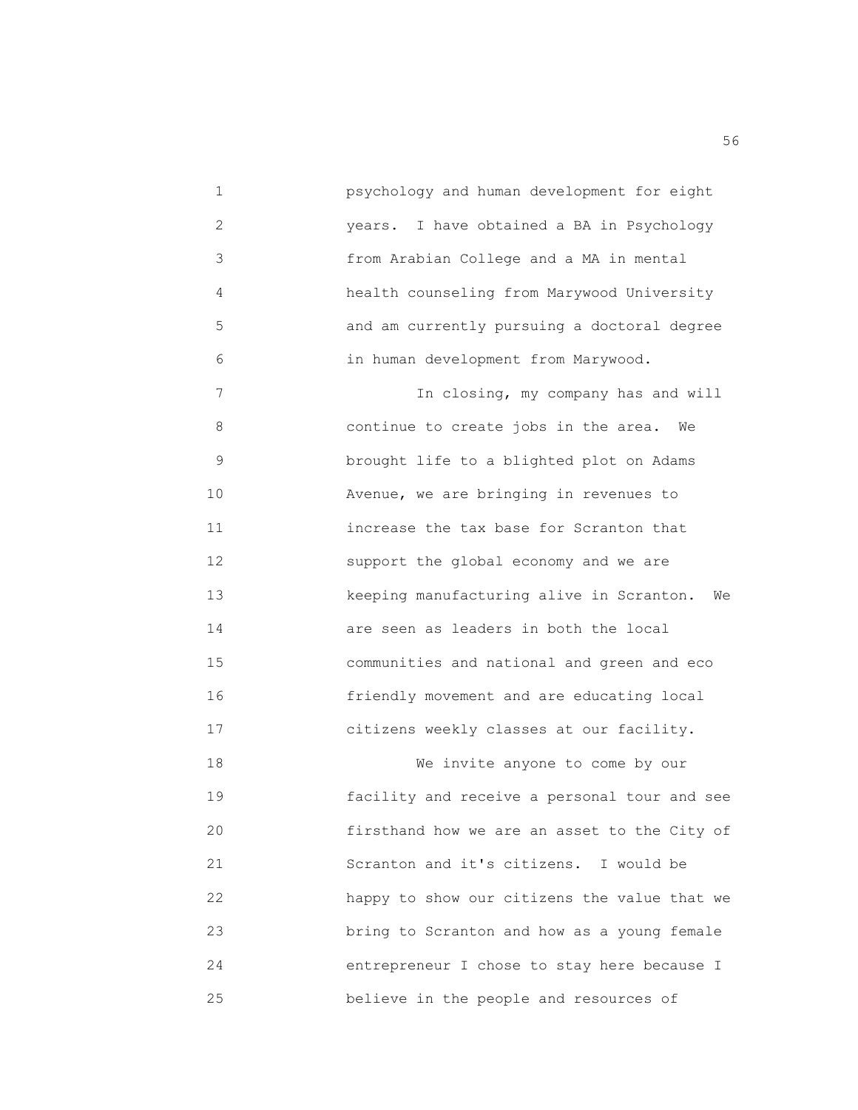1 psychology and human development for eight 2 years. I have obtained a BA in Psychology 3 from Arabian College and a MA in mental 4 health counseling from Marywood University 5 and am currently pursuing a doctoral degree 6 in human development from Marywood. 7 In closing, my company has and will 8 continue to create jobs in the area. We 9 brought life to a blighted plot on Adams 10 **Avenue, we are bringing in revenues to**  11 increase the tax base for Scranton that 12 support the global economy and we are 13 keeping manufacturing alive in Scranton. We 14 are seen as leaders in both the local 15 communities and national and green and eco 16 friendly movement and are educating local 17 citizens weekly classes at our facility. 18 We invite anyone to come by our 19 facility and receive a personal tour and see 20 firsthand how we are an asset to the City of 21 Scranton and it's citizens. I would be 22 happy to show our citizens the value that we 23 bring to Scranton and how as a young female 24 entrepreneur I chose to stay here because I 25 believe in the people and resources of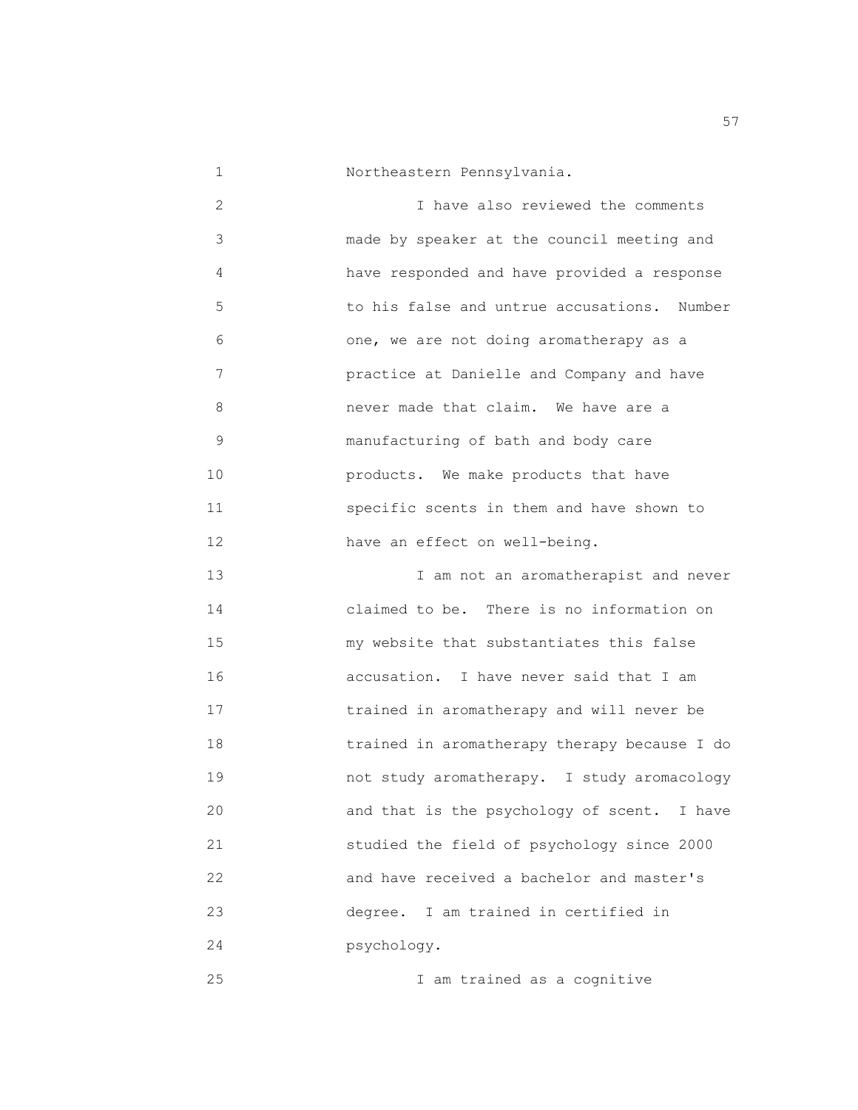1 Northeastern Pennsylvania.

 2 I have also reviewed the comments 3 made by speaker at the council meeting and 4 have responded and have provided a response 5 to his false and untrue accusations. Number 6 one, we are not doing aromatherapy as a 7 practice at Danielle and Company and have 8 never made that claim. We have are a 9 manufacturing of bath and body care 10 products. We make products that have 11 specific scents in them and have shown to 12 have an effect on well-being.

 13 I am not an aromatherapist and never 14 claimed to be. There is no information on 15 my website that substantiates this false 16 accusation. I have never said that I am 17 trained in aromatherapy and will never be 18 trained in aromatherapy therapy because I do 19 not study aromatherapy. I study aromacology 20 and that is the psychology of scent. I have 21 studied the field of psychology since 2000 22 and have received a bachelor and master's 23 degree. I am trained in certified in 24 psychology.

25 I am trained as a cognitive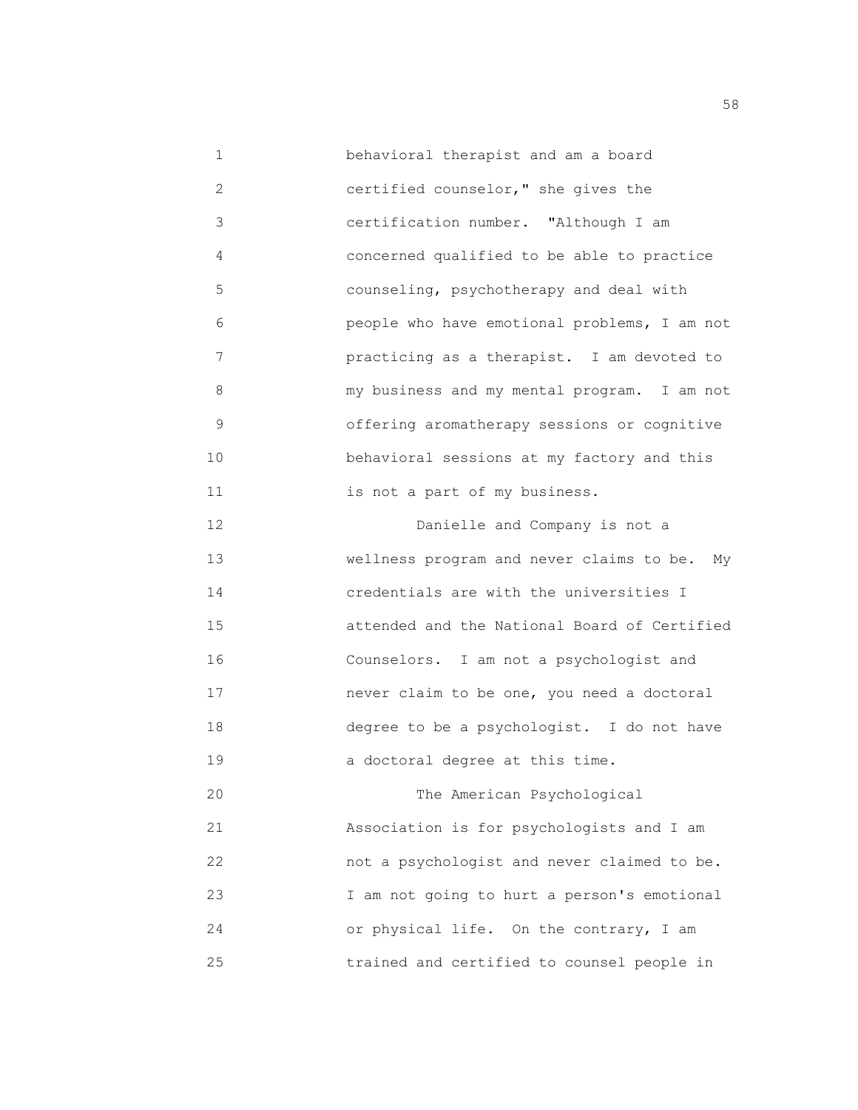1 **behavioral therapist and am a board**  2 certified counselor," she gives the 3 certification number. "Although I am 4 concerned qualified to be able to practice 5 counseling, psychotherapy and deal with 6 people who have emotional problems, I am not 7 practicing as a therapist. I am devoted to 8 my business and my mental program. I am not 9 offering aromatherapy sessions or cognitive 10 behavioral sessions at my factory and this 11 is not a part of my business. 12 Danielle and Company is not a 13 wellness program and never claims to be. My 14 credentials are with the universities I 15 attended and the National Board of Certified 16 Counselors. I am not a psychologist and 17 never claim to be one, you need a doctoral 18 degree to be a psychologist. I do not have 19 a doctoral degree at this time. 20 The American Psychological 21 Association is for psychologists and I am 22 not a psychologist and never claimed to be. 23 I am not going to hurt a person's emotional 24 or physical life. On the contrary, I am

25 trained and certified to counsel people in

the state of the state of the state of the state of the state of the state of the state of the state of the state of the state of the state of the state of the state of the state of the state of the state of the state of t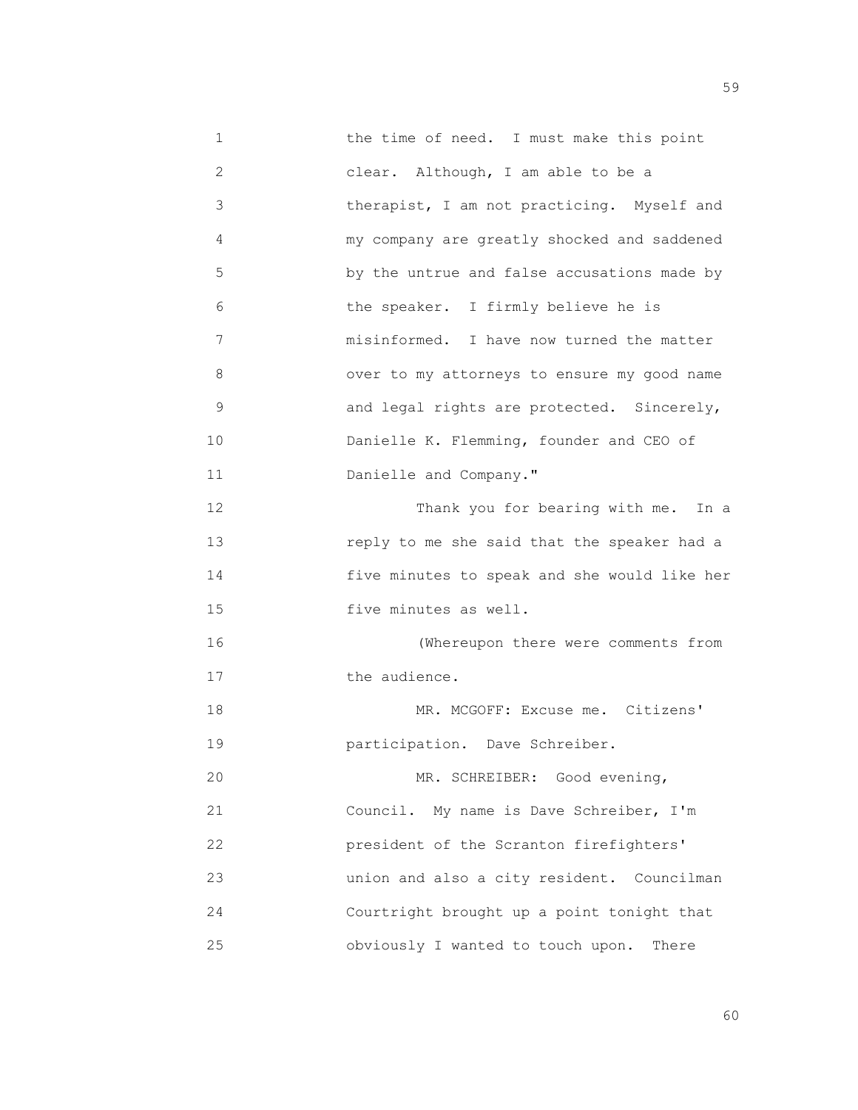1 the time of need. I must make this point 2 clear. Although, I am able to be a 3 therapist, I am not practicing. Myself and 4 my company are greatly shocked and saddened 5 by the untrue and false accusations made by 6 the speaker. I firmly believe he is 7 misinformed. I have now turned the matter 8 over to my attorneys to ensure my good name 9 and legal rights are protected. Sincerely, 10 **Danielle K. Flemming, founder and CEO of** 11 Danielle and Company." 12 Thank you for bearing with me. In a 13 reply to me she said that the speaker had a 14 five minutes to speak and she would like her 15 five minutes as well. 16 (Whereupon there were comments from 17 the audience. 18 MR. MCGOFF: Excuse me. Citizens' 19 participation. Dave Schreiber. 20 MR. SCHREIBER: Good evening, 21 Council. My name is Dave Schreiber, I'm 22 president of the Scranton firefighters' 23 union and also a city resident. Councilman 24 Courtright brought up a point tonight that 25 obviously I wanted to touch upon. There

 $\sim$  60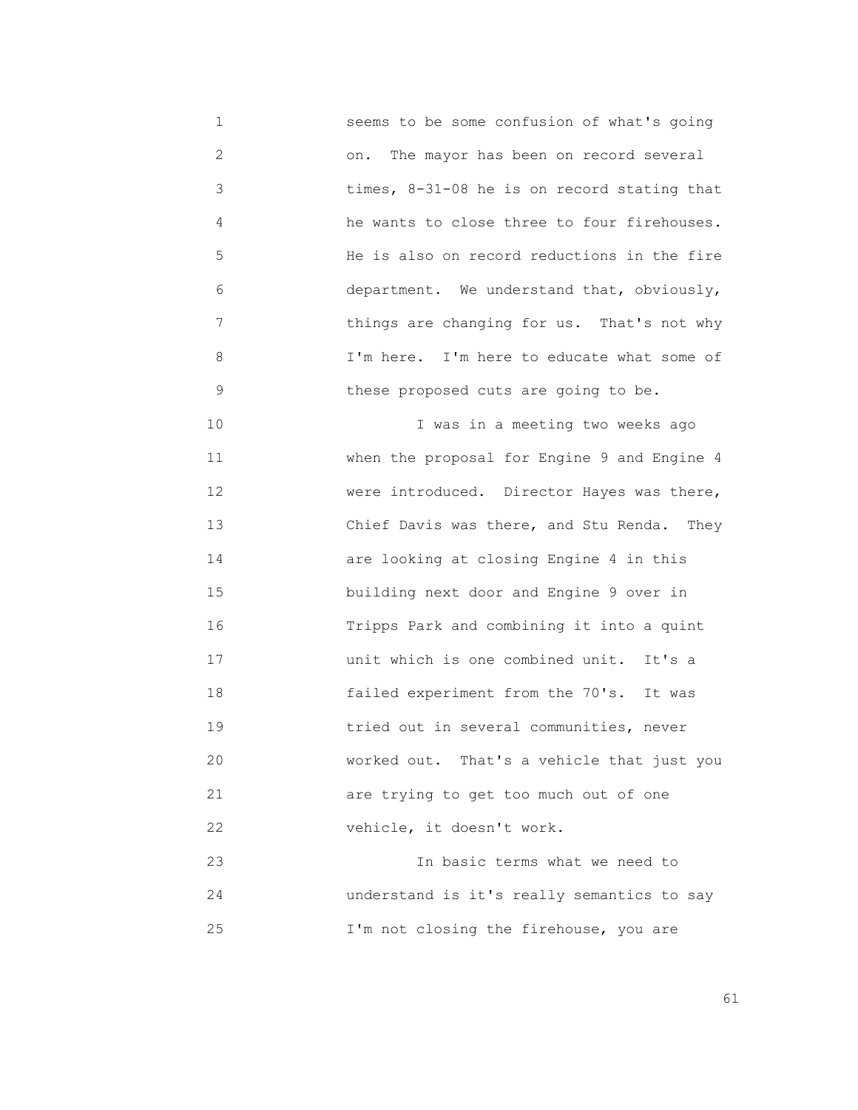1 seems to be some confusion of what's going 2 on. The mayor has been on record several 3 times, 8-31-08 he is on record stating that 4 he wants to close three to four firehouses. 5 He is also on record reductions in the fire 6 department. We understand that, obviously, 7 things are changing for us. That's not why 8 I'm here. I'm here to educate what some of 9 these proposed cuts are going to be.

 10 I was in a meeting two weeks ago 11 when the proposal for Engine 9 and Engine 4 12 were introduced. Director Hayes was there, 13 Chief Davis was there, and Stu Renda. They 14 are looking at closing Engine 4 in this 15 building next door and Engine 9 over in 16 Tripps Park and combining it into a quint 17 unit which is one combined unit. It's a 18 failed experiment from the 70's. It was 19 tried out in several communities, never 20 worked out. That's a vehicle that just you 21 are trying to get too much out of one 22 vehicle, it doesn't work.

 23 In basic terms what we need to 24 understand is it's really semantics to say 25 **I'm not closing the firehouse, you are**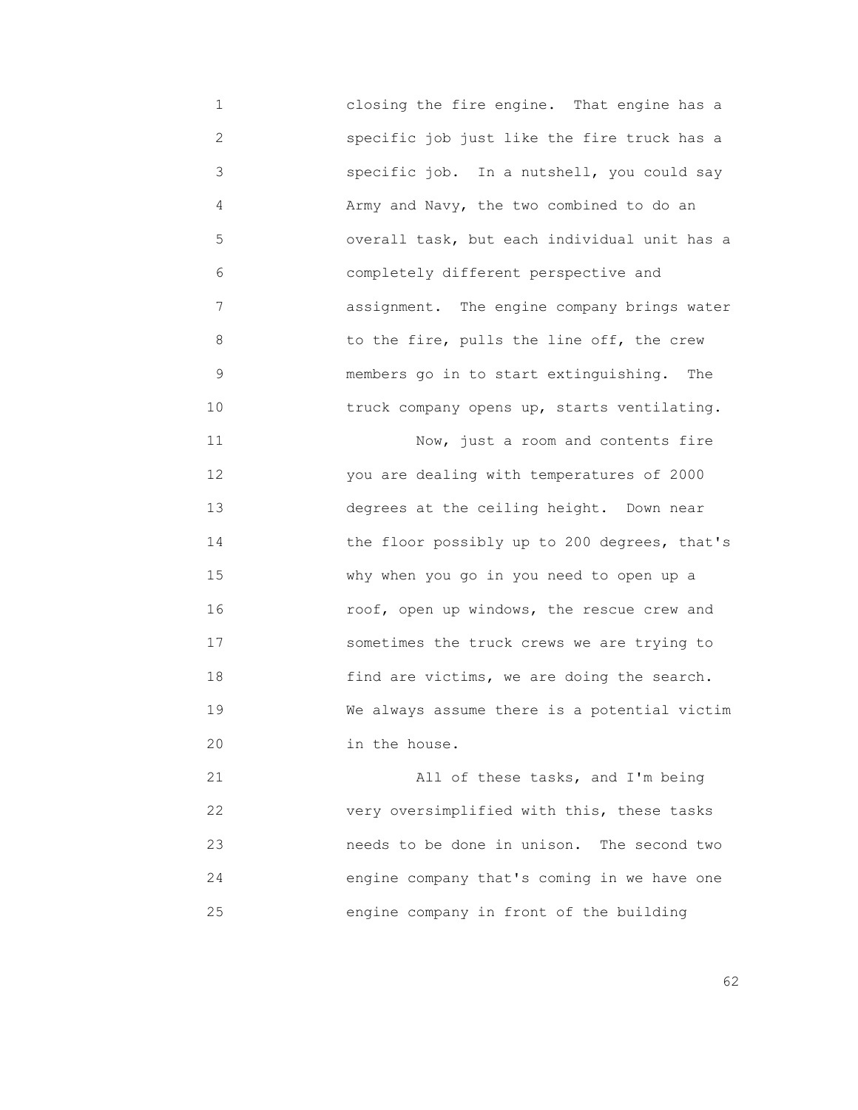1 closing the fire engine. That engine has a 2 specific job just like the fire truck has a 3 specific job. In a nutshell, you could say 4 Army and Navy, the two combined to do an 5 overall task, but each individual unit has a 6 completely different perspective and 7 assignment. The engine company brings water 8 to the fire, pulls the line off, the crew 9 members go in to start extinguishing. The 10 **10** truck company opens up, starts ventilating. 11 Now, just a room and contents fire 12 you are dealing with temperatures of 2000 13 degrees at the ceiling height. Down near 14 the floor possibly up to 200 degrees, that's 15 why when you go in you need to open up a 16 roof, open up windows, the rescue crew and 17 sometimes the truck crews we are trying to 18 find are victims, we are doing the search. 19 We always assume there is a potential victim 20 in the house. 21 All of these tasks, and I'm being

 22 very oversimplified with this, these tasks 23 needs to be done in unison. The second two 24 engine company that's coming in we have one 25 engine company in front of the building

 $\sim$  62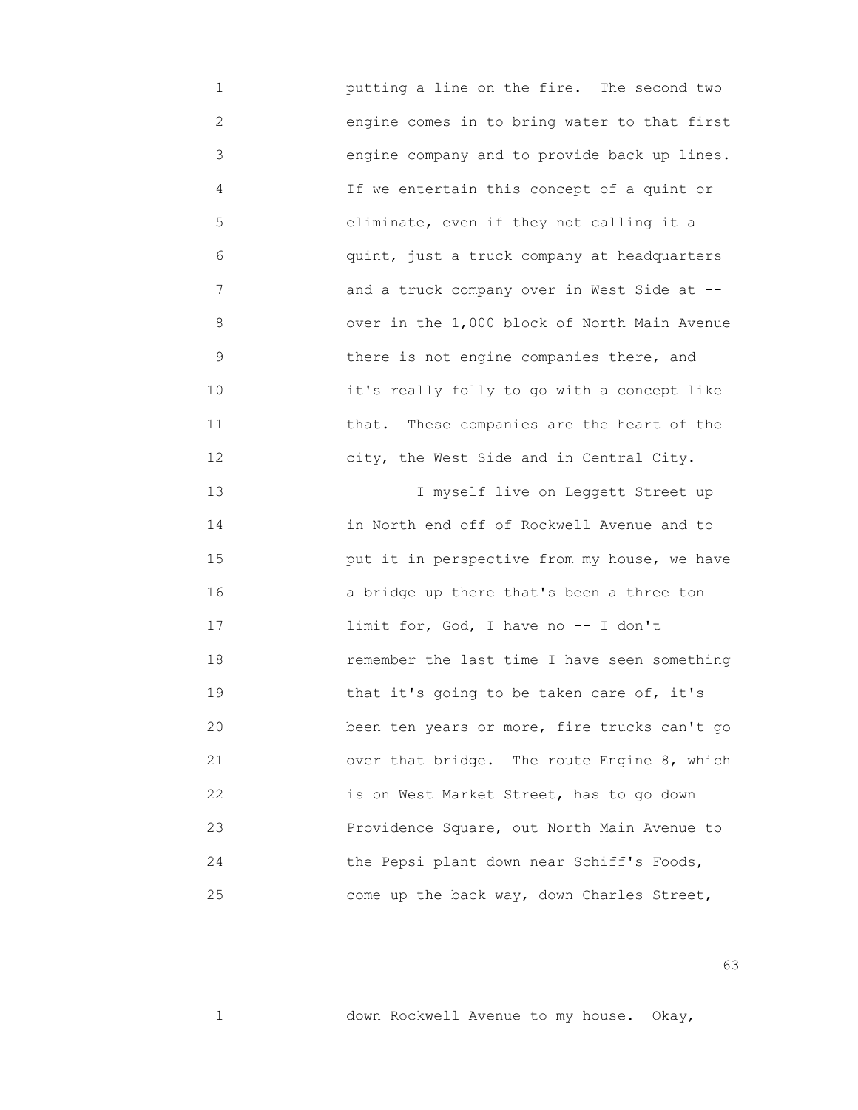1 putting a line on the fire. The second two 2 engine comes in to bring water to that first 3 engine company and to provide back up lines. 4 If we entertain this concept of a quint or 5 eliminate, even if they not calling it a 6 quint, just a truck company at headquarters 7 and a truck company over in West Side at -- 8 over in the 1,000 block of North Main Avenue 9 there is not engine companies there, and 10 it's really folly to go with a concept like 11 that. These companies are the heart of the 12 city, the West Side and in Central City. 13 I myself live on Leggett Street up 14 in North end off of Rockwell Avenue and to 15 put it in perspective from my house, we have 16 a bridge up there that's been a three ton 17 limit for, God, I have no -- I don't 18 remember the last time I have seen something 19 that it's going to be taken care of, it's 20 been ten years or more, fire trucks can't go 21 over that bridge. The route Engine 8, which 22 is on West Market Street, has to go down 23 Providence Square, out North Main Avenue to 24 the Pepsi plant down near Schiff's Foods, 25 come up the back way, down Charles Street,

 $\sim$  63

1 down Rockwell Avenue to my house. Okay,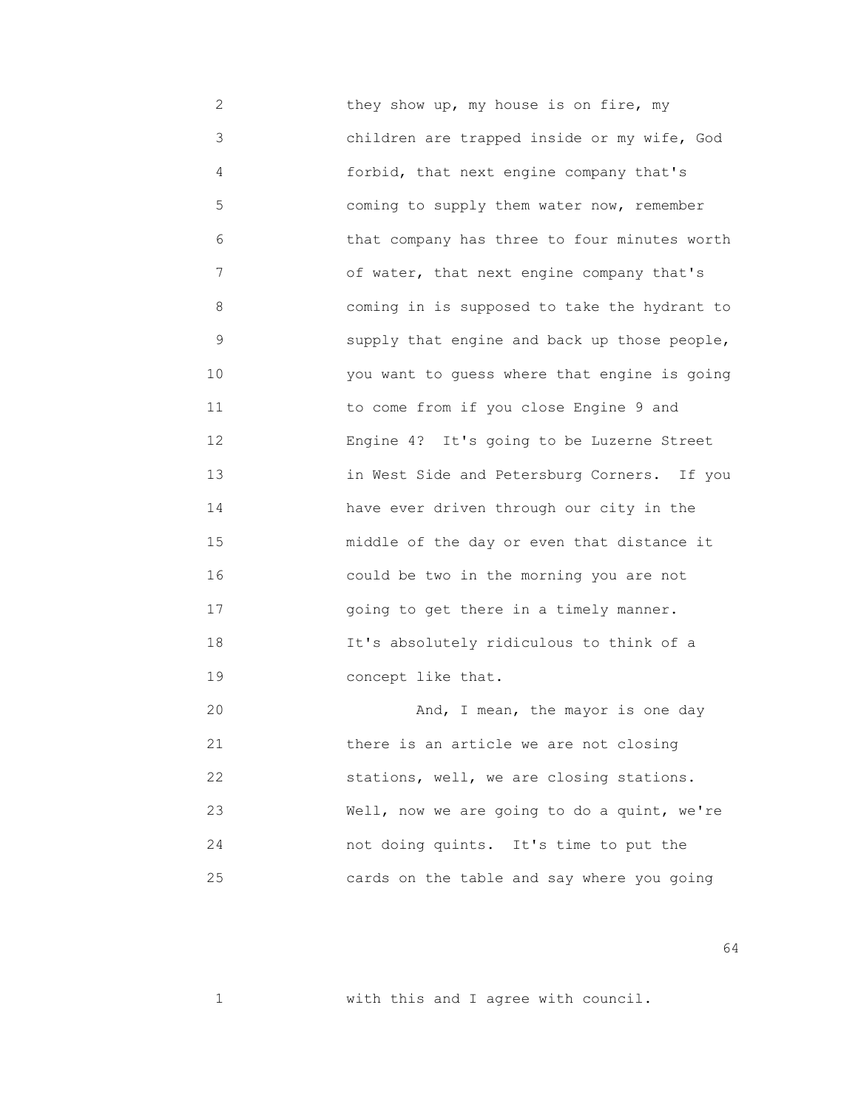2 they show up, my house is on fire, my 3 children are trapped inside or my wife, God 4 forbid, that next engine company that's 5 coming to supply them water now, remember 6 that company has three to four minutes worth 7 of water, that next engine company that's 8 coming in is supposed to take the hydrant to 9 supply that engine and back up those people, 10 you want to guess where that engine is going 11 to come from if you close Engine 9 and 12 Engine 4? It's going to be Luzerne Street 13 in West Side and Petersburg Corners. If you 14 have ever driven through our city in the 15 middle of the day or even that distance it 16 could be two in the morning you are not 17 going to get there in a timely manner. 18 It's absolutely ridiculous to think of a 19 concept like that. 20 And, I mean, the mayor is one day 21 there is an article we are not closing 22 stations, well, we are closing stations.

 23 Well, now we are going to do a quint, we're 24 not doing quints. It's time to put the 25 cards on the table and say where you going

 $64$ 

1 with this and I agree with council.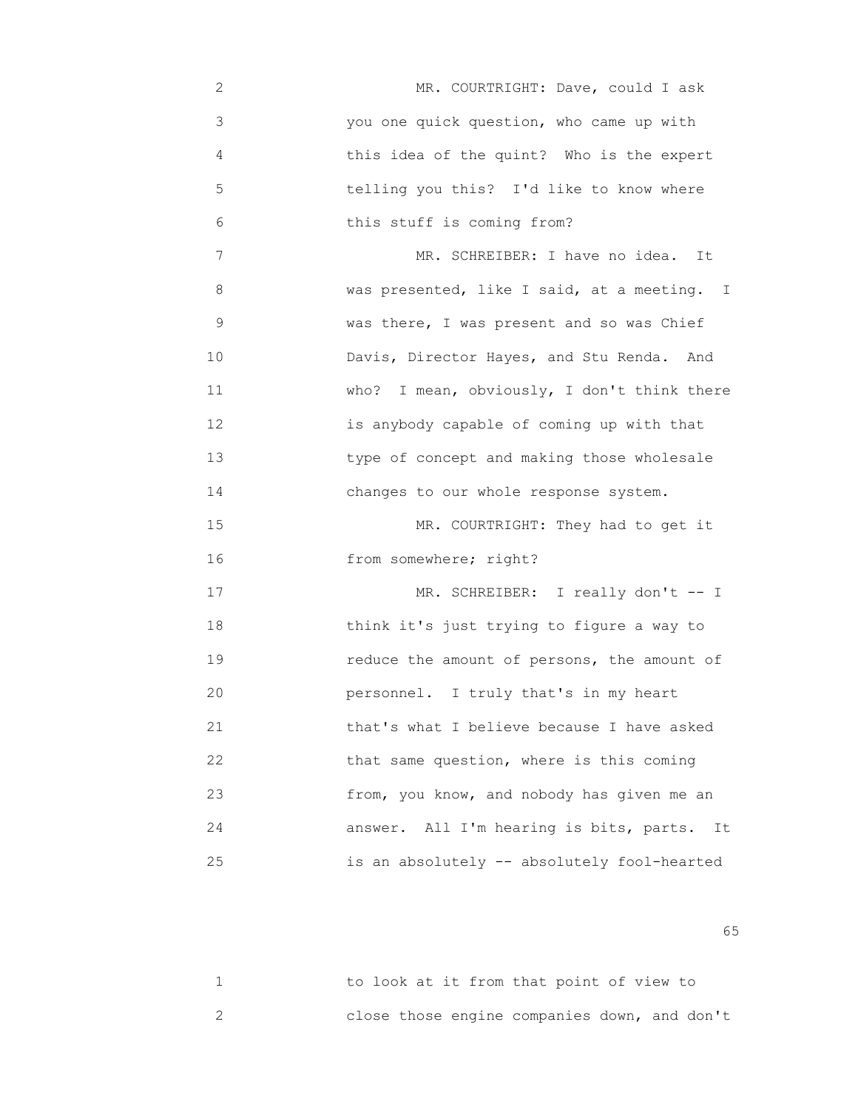- 2 MR. COURTRIGHT: Dave, could I ask 3 you one quick question, who came up with 4 this idea of the quint? Who is the expert 5 telling you this? I'd like to know where 6 this stuff is coming from?
- 7 MR. SCHREIBER: I have no idea. It 8 was presented, like I said, at a meeting. I 9 **WAS WAS THERE, I was present and so was Chief** 10 **Davis, Director Hayes, and Stu Renda.** And 11 who? I mean, obviously, I don't think there 12 is anybody capable of coming up with that 13 type of concept and making those wholesale 14 changes to our whole response system.

15 MR. COURTRIGHT: They had to get it 16 from somewhere; right?

17 MR. SCHREIBER: I really don't -- I 18 think it's just trying to figure a way to 19 **19 reduce the amount of persons, the amount of**  20 personnel. I truly that's in my heart 21 that's what I believe because I have asked 22 that same question, where is this coming 23 from, you know, and nobody has given me an 24 answer. All I'm hearing is bits, parts. It 25 is an absolutely -- absolutely fool-hearted

 $\sim$  65

| to look at it from that point of view to     |  |  |  |  |  |
|----------------------------------------------|--|--|--|--|--|
| close those engine companies down, and don't |  |  |  |  |  |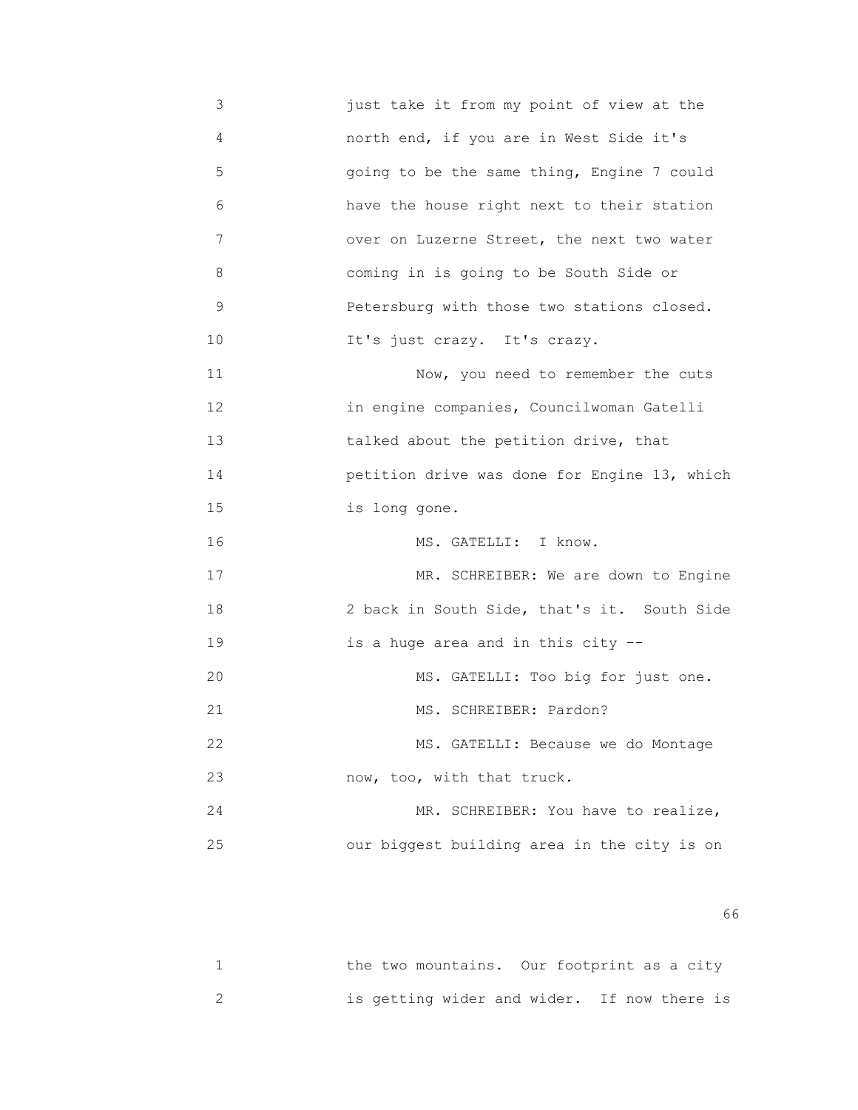3 just take it from my point of view at the 4 north end, if you are in West Side it's 5 going to be the same thing, Engine 7 could 6 have the house right next to their station 7 over on Luzerne Street, the next two water 8 coming in is going to be South Side or 9 Petersburg with those two stations closed. 10 It's just crazy. It's crazy. 11 Now, you need to remember the cuts 12 in engine companies, Councilwoman Gatelli 13 talked about the petition drive, that 14 petition drive was done for Engine 13, which 15 is long gone. 16 MS. GATELLI: I know. 17 MR. SCHREIBER: We are down to Engine 18 2 back in South Side, that's it. South Side 19 is a huge area and in this city -- 20 MS. GATELLI: Too big for just one. 21 MS. SCHREIBER: Pardon? 22 MS. GATELLI: Because we do Montage 23 now, too, with that truck. 24 MR. SCHREIBER: You have to realize, 25 our biggest building area in the city is on

 $\sim$  66

|  | the two mountains. Our footprint as a city  |  |
|--|---------------------------------------------|--|
|  | is getting wider and wider. If now there is |  |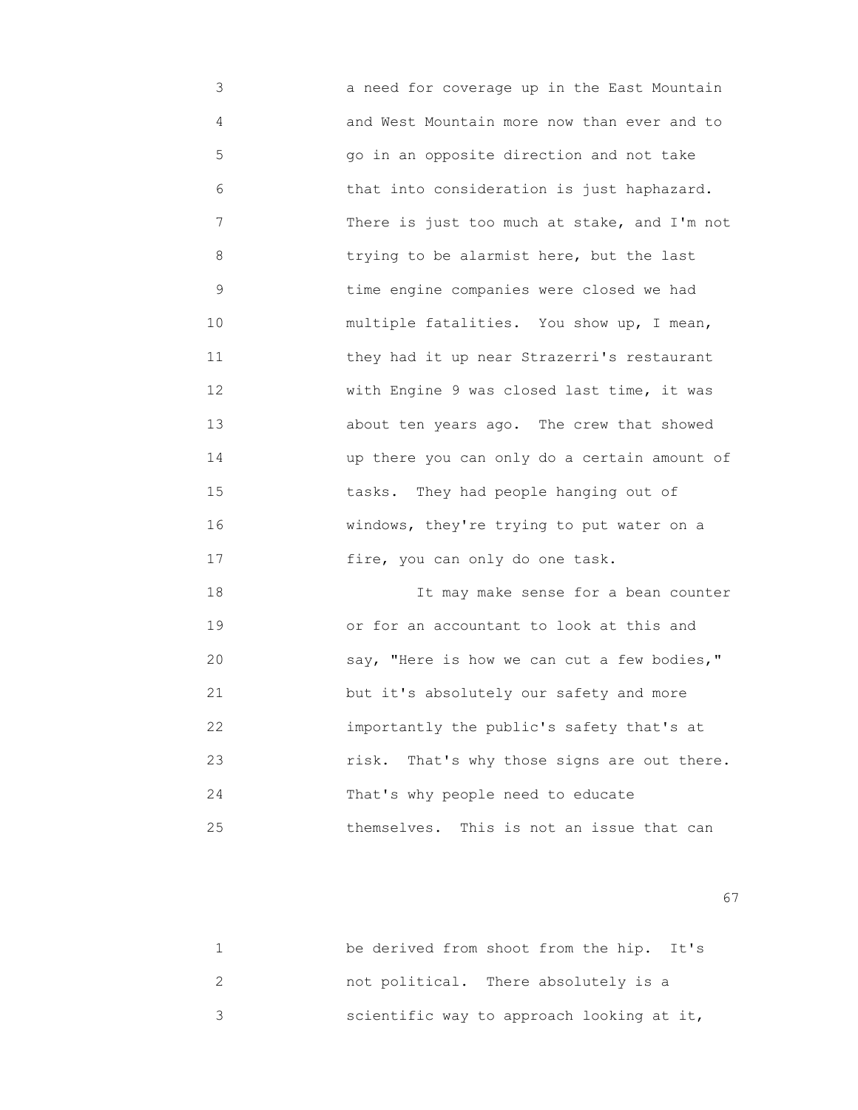3 a need for coverage up in the East Mountain 4 and West Mountain more now than ever and to 5 go in an opposite direction and not take 6 that into consideration is just haphazard. 7 There is just too much at stake, and I'm not 8 trying to be alarmist here, but the last 9 time engine companies were closed we had 10 multiple fatalities. You show up, I mean, 11 they had it up near Strazerri's restaurant 12 With Engine 9 was closed last time, it was 13 about ten years ago. The crew that showed 14 up there you can only do a certain amount of 15 tasks. They had people hanging out of 16 windows, they're trying to put water on a 17 fire, you can only do one task.

 18 It may make sense for a bean counter 19 or for an accountant to look at this and 20 say, "Here is how we can cut a few bodies," 21 but it's absolutely our safety and more 22 importantly the public's safety that's at 23 risk. That's why those signs are out there. 24 That's why people need to educate 25 themselves. This is not an issue that can

experience of the contract of the contract of the contract of the contract of the contract of the contract of the contract of the contract of the contract of the contract of the contract of the contract of the contract of

| be derived from shoot from the hip. It's  |  |  |
|-------------------------------------------|--|--|
| not political. There absolutely is a      |  |  |
| scientific way to approach looking at it, |  |  |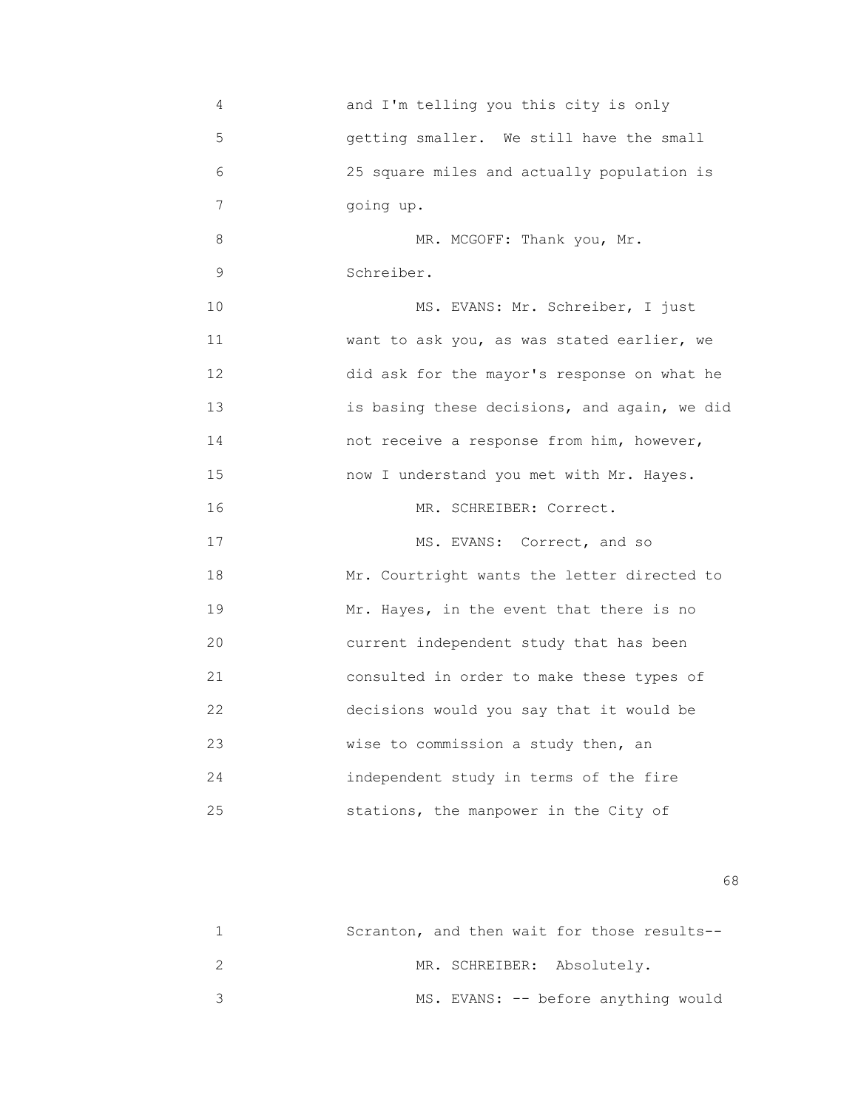4 and I'm telling you this city is only 5 getting smaller. We still have the small 6 25 square miles and actually population is 7 going up. 8 MR. MCGOFF: Thank you, Mr. 9 Schreiber. 10 MS. EVANS: Mr. Schreiber, I just 11 want to ask you, as was stated earlier, we 12 did ask for the mayor's response on what he 13 is basing these decisions, and again, we did 14 not receive a response from him, however, 15 now I understand you met with Mr. Hayes. 16 MR. SCHREIBER: Correct. 17 MS. EVANS: Correct, and so 18 Mr. Courtright wants the letter directed to 19 Mr. Hayes, in the event that there is no 20 current independent study that has been 21 consulted in order to make these types of 22 decisions would you say that it would be 23 **Wise to commission a study then, an**  24 independent study in terms of the fire 25 stations, the manpower in the City of

 $\sim$  68

| Scranton, and then wait for those results-- |  |  |                                     |  |
|---------------------------------------------|--|--|-------------------------------------|--|
|                                             |  |  | MR. SCHREIBER: Absolutely.          |  |
|                                             |  |  | MS. EVANS: -- before anything would |  |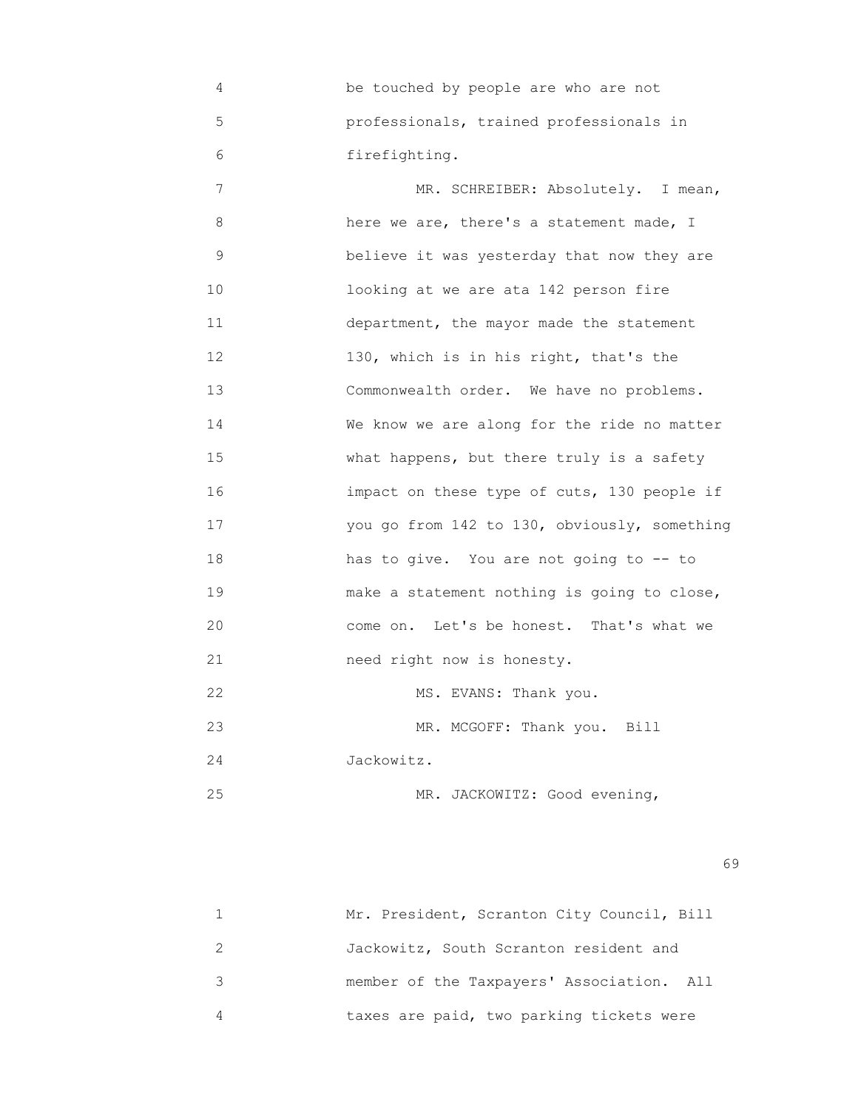4 be touched by people are who are not 5 professionals, trained professionals in 6 firefighting.

7 MR. SCHREIBER: Absolutely. I mean, 8 here we are, there's a statement made, I 9 believe it was yesterday that now they are 10 looking at we are ata 142 person fire 11 department, the mayor made the statement 12 130, which is in his right, that's the 13 Commonwealth order. We have no problems. 14 We know we are along for the ride no matter 15 What happens, but there truly is a safety 16 impact on these type of cuts, 130 people if 17 you go from 142 to 130, obviously, something 18 has to give. You are not going to -- to 19 make a statement nothing is going to close, 20 come on. Let's be honest. That's what we 21 need right now is honesty. 22 MS. EVANS: Thank you. 23 MR. MCGOFF: Thank you. Bill 24 Jackowitz.

25 MR. JACKOWITZ: Good evening,

 $\sim$  69

| Mr. President, Scranton City Council, Bill |
|--------------------------------------------|
| Jackowitz, South Scranton resident and     |
| member of the Taxpayers' Association. All  |
| taxes are paid, two parking tickets were   |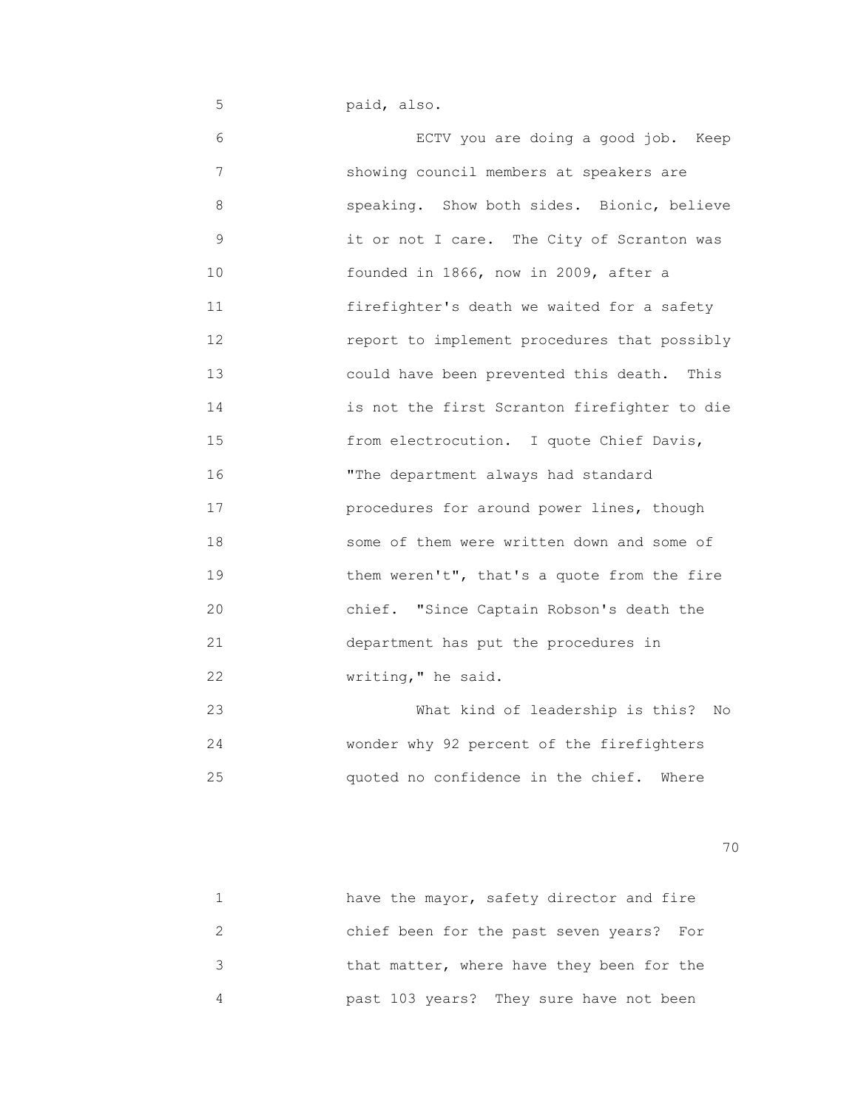5 paid, also.

 6 ECTV you are doing a good job. Keep 7 showing council members at speakers are 8 speaking. Show both sides. Bionic, believe 9 it or not I care. The City of Scranton was 10 founded in 1866, now in 2009, after a 11 firefighter's death we waited for a safety 12 report to implement procedures that possibly 13 could have been prevented this death. This 14 is not the first Scranton firefighter to die 15 from electrocution. I quote Chief Davis, 16 "The department always had standard 17 procedures for around power lines, though 18 some of them were written down and some of 19 **19** them weren't", that's a quote from the fire 20 chief. "Since Captain Robson's death the 21 department has put the procedures in 22 **Writing, "** he said.

 23 What kind of leadership is this? No 24 wonder why 92 percent of the firefighters 25 quoted no confidence in the chief. Where

| have the mayor, safety director and fire  |
|-------------------------------------------|
| chief been for the past seven years? For  |
| that matter, where have they been for the |
| past 103 years? They sure have not been   |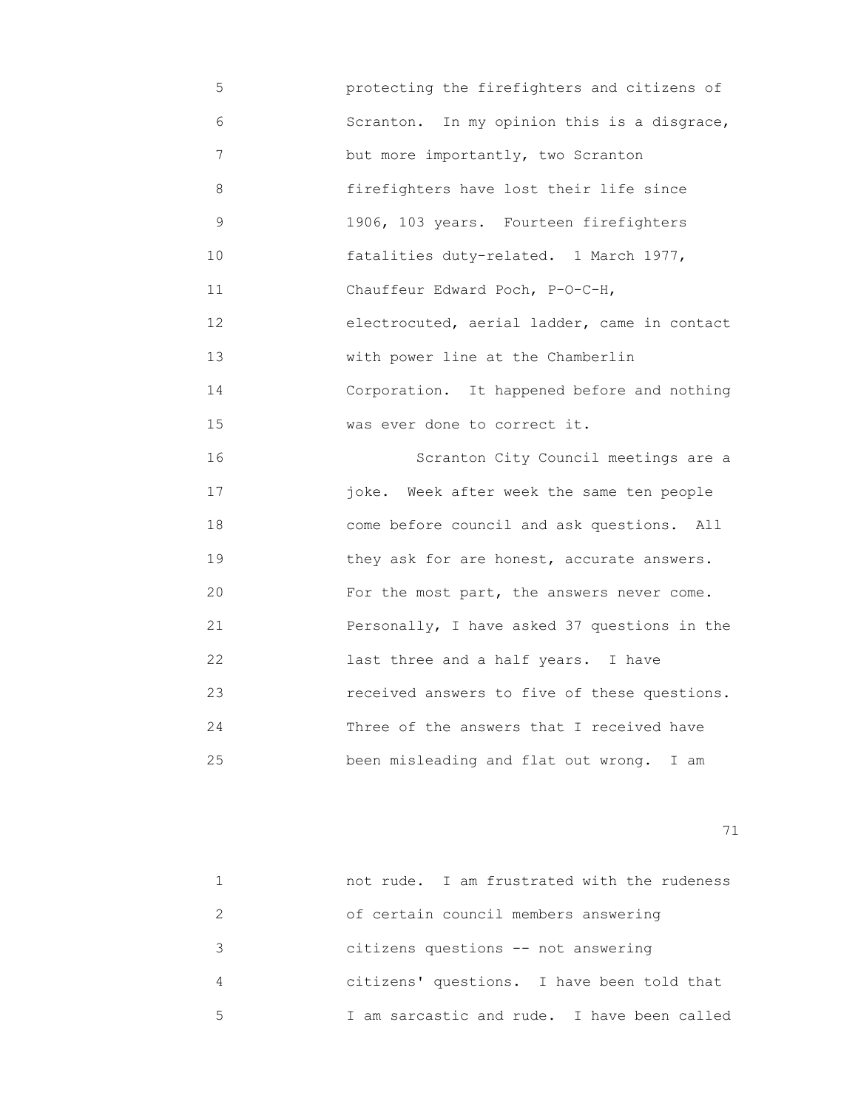- 5 protecting the firefighters and citizens of 6 Scranton. In my opinion this is a disgrace, 7 but more importantly, two Scranton 8 firefighters have lost their life since 9 1906, 103 years. Fourteen firefighters 10 **Example 10** fatalities duty-related. 1 March 1977, 11 Chauffeur Edward Poch, P-O-C-H, 12 electrocuted, aerial ladder, came in contact 13 with power line at the Chamberlin 14 Corporation. It happened before and nothing 15 **WAS EXELL** done to correct it.
- 16 Scranton City Council meetings are a 17 joke. Week after week the same ten people 18 come before council and ask questions. All 19 they ask for are honest, accurate answers. 20 For the most part, the answers never come. 21 Personally, I have asked 37 questions in the 22 last three and a half years. I have 23 received answers to five of these questions. 24 Three of the answers that I received have 25 been misleading and flat out wrong. I am

|   | not rude. I am frustrated with the rudeness |
|---|---------------------------------------------|
|   | of certain council members answering        |
| २ | citizens questions -- not answering         |
| 4 | citizens' questions. I have been told that  |
| 5 | I am sarcastic and rude. I have been called |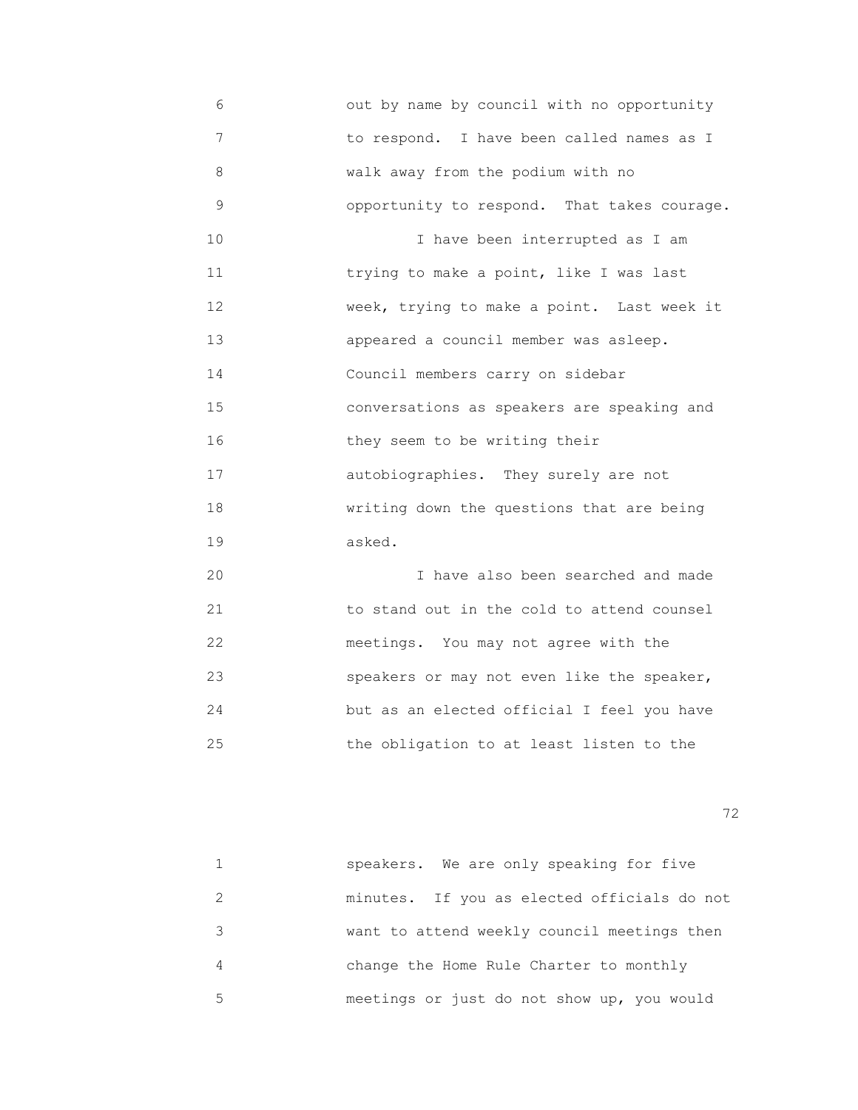6 out by name by council with no opportunity 7 to respond. I have been called names as I 8 walk away from the podium with no 9 opportunity to respond. That takes courage. 10 10 I have been interrupted as I am 11 **11** trying to make a point, like I was last 12 week, trying to make a point. Last week it 13 appeared a council member was asleep. 14 Council members carry on sidebar 15 conversations as speakers are speaking and 16 they seem to be writing their 17 autobiographies. They surely are not 18 writing down the questions that are being 19 asked. 20 I have also been searched and made

 21 to stand out in the cold to attend counsel 22 meetings. You may not agree with the 23 speakers or may not even like the speaker, 24 but as an elected official I feel you have 25 the obligation to at least listen to the

<u>72</u> — Политика и Станиција и Станиција и Станиција и Станиција и Станиција и Станиција и Станиција и Станиција<br>Во селото се постаниција и Станиција и Станиција и Станиција и Станиција и Станиција и Станиција и Станиција

|   | speakers. We are only speaking for five     |
|---|---------------------------------------------|
|   | minutes. If you as elected officials do not |
|   | want to attend weekly council meetings then |
|   | change the Home Rule Charter to monthly     |
| 5 | meetings or just do not show up, you would  |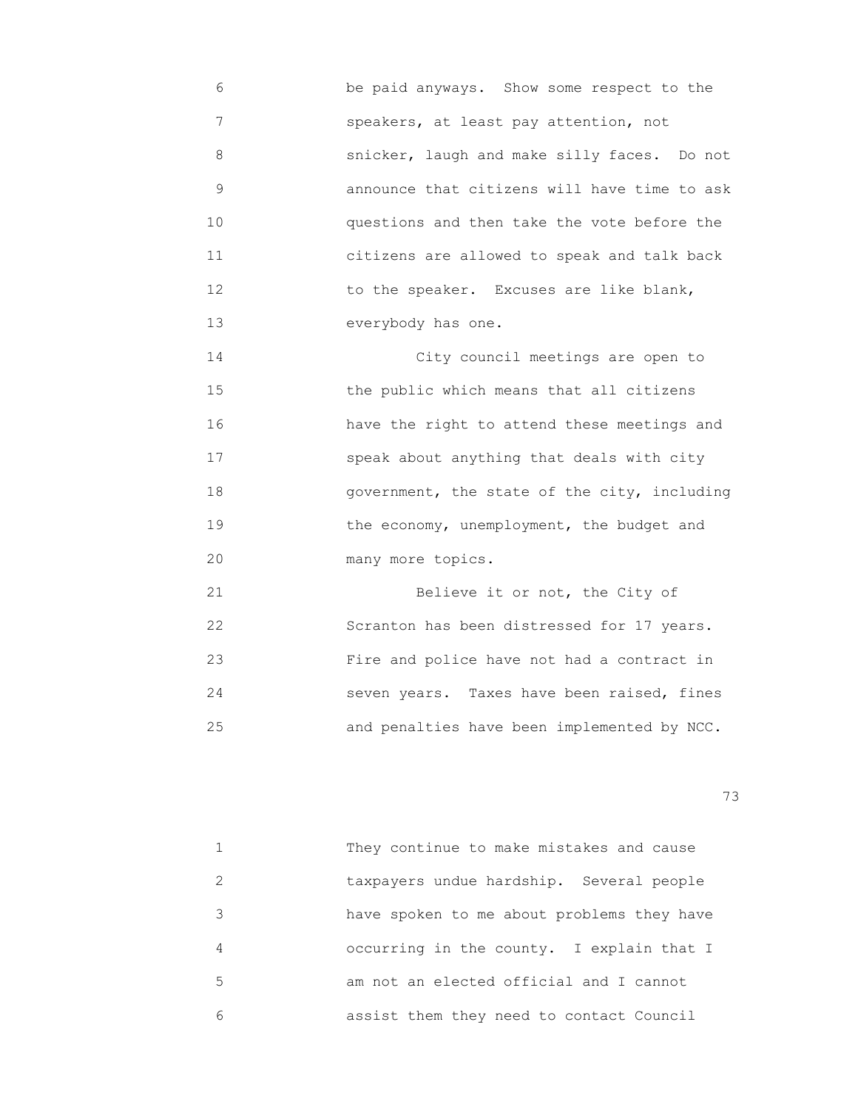6 be paid anyways. Show some respect to the 7 speakers, at least pay attention, not 8 snicker, laugh and make silly faces. Do not 9 announce that citizens will have time to ask 10 questions and then take the vote before the 11 citizens are allowed to speak and talk back 12 to the speaker. Excuses are like blank, 13 everybody has one.

 14 City council meetings are open to 15 the public which means that all citizens 16 have the right to attend these meetings and 17 speak about anything that deals with city 18 government, the state of the city, including 19 the economy, unemployment, the budget and 20 many more topics.

21 Believe it or not, the City of 22 Scranton has been distressed for 17 years. 23 Fire and police have not had a contract in 24 seven years. Taxes have been raised, fines 25 and penalties have been implemented by NCC.

|               | They continue to make mistakes and cause   |
|---------------|--------------------------------------------|
| $\mathcal{P}$ | taxpayers undue hardship. Several people   |
| 3             | have spoken to me about problems they have |
| 4             | occurring in the county. I explain that I  |
| 5             | am not an elected official and I cannot    |
| 6             | assist them they need to contact Council   |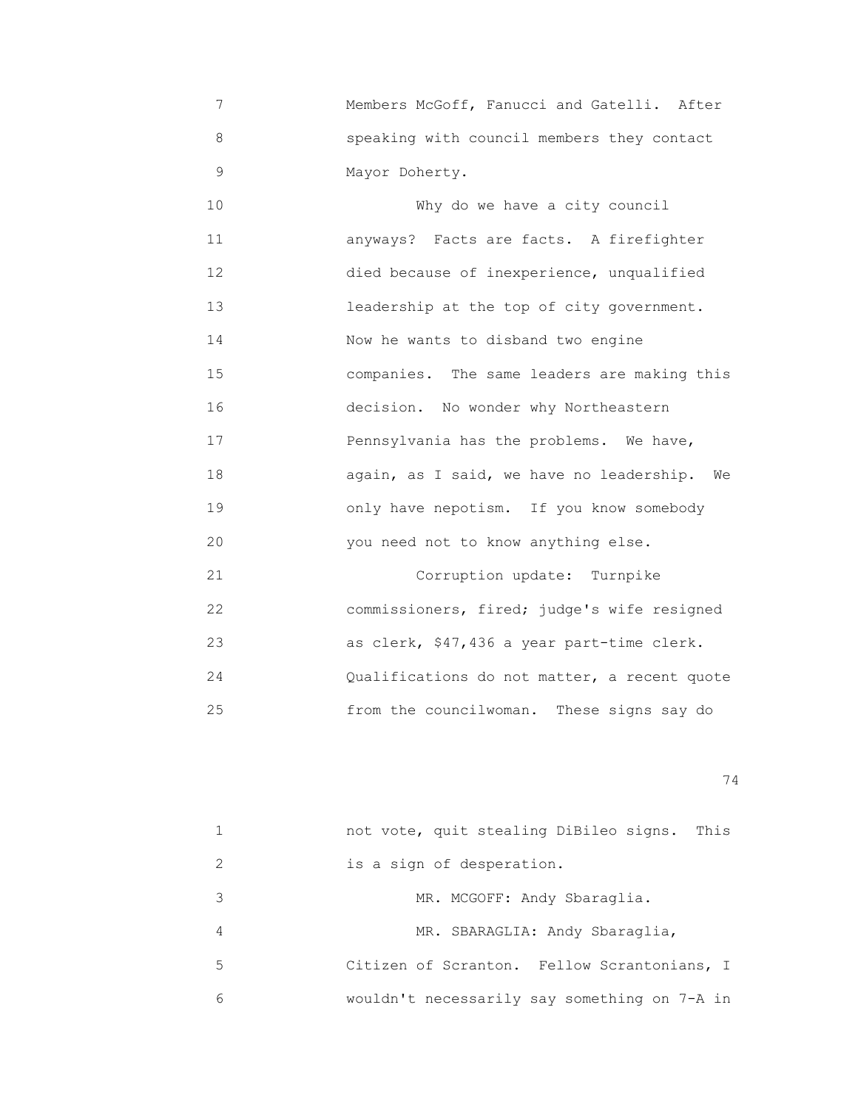7 Members McGoff, Fanucci and Gatelli. After 8 speaking with council members they contact 9 Mayor Doherty.

10 Why do we have a city council 11 anyways? Facts are facts. A firefighter 12 died because of inexperience, unqualified 13 **13 12 1 leadership at the top of city government.**  14 Now he wants to disband two engine 15 companies. The same leaders are making this 16 decision. No wonder why Northeastern 17 Pennsylvania has the problems. We have, 18 again, as I said, we have no leadership. We 19 only have nepotism. If you know somebody 20 you need not to know anything else. 21 Corruption update: Turnpike

 22 commissioners, fired; judge's wife resigned 23 as clerk, \$47,436 a year part-time clerk. 24 Qualifications do not matter, a recent quote 25 from the councilwoman. These signs say do

|    | This<br>not vote, quit stealing DiBileo signs. |
|----|------------------------------------------------|
| 2  | is a sign of desperation.                      |
| 3  | MR. MCGOFF: Andy Sbaraglia.                    |
| 4  | MR. SBARAGLIA: Andy Sbaraglia,                 |
| 5. | Citizen of Scranton. Fellow Scrantonians, I    |
| 6  | wouldn't necessarily say something on 7-A in   |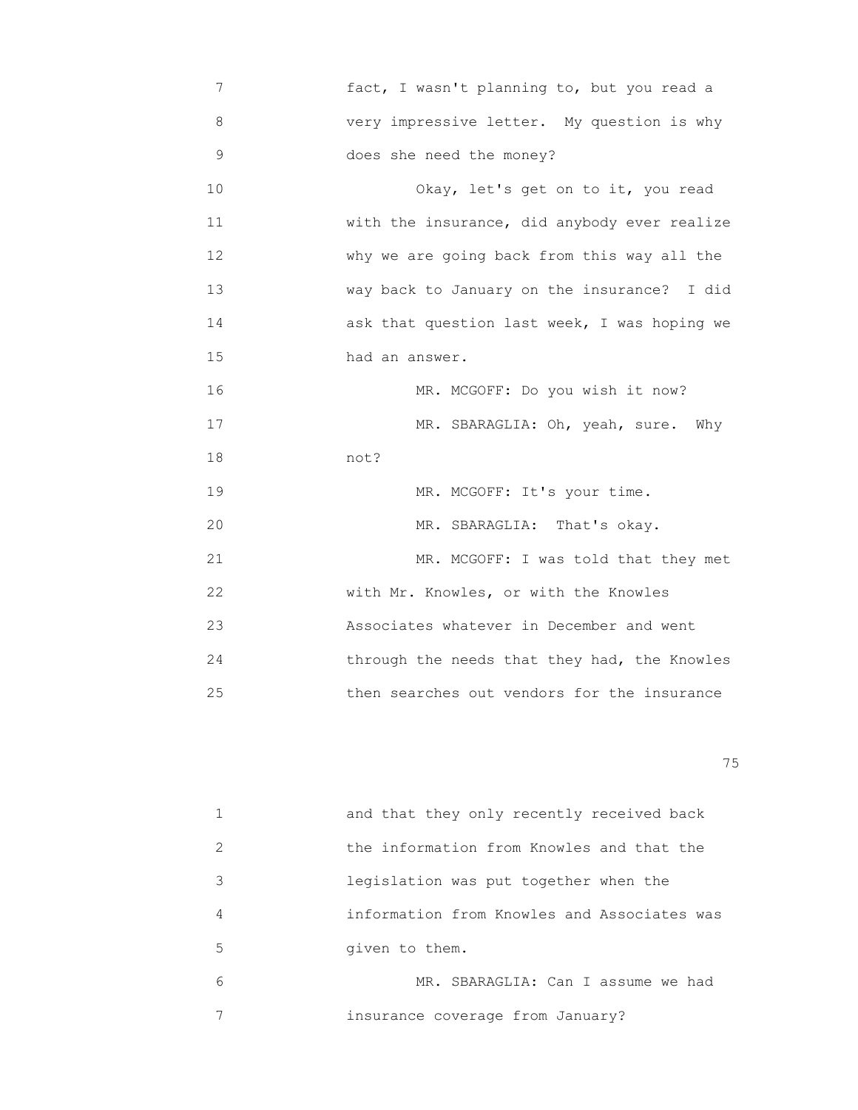7 fact, I wasn't planning to, but you read a 8 very impressive letter. My question is why 9 does she need the money?

10 Okay, let's get on to it, you read 11 with the insurance, did anybody ever realize 12 why we are going back from this way all the 13 way back to January on the insurance? I did 14 ask that question last week, I was hoping we 15 had an answer.

 16 MR. MCGOFF: Do you wish it now? 17 MR. SBARAGLIA: Oh, yeah, sure. Why 18 not?

19 MR. MCGOFF: It's your time. 20 MR. SBARAGLIA: That's okay. 21 MR. MCGOFF: I was told that they met 22 with Mr. Knowles, or with the Knowles 23 Associates whatever in December and went 24 through the needs that they had, the Knowles 25 then searches out vendors for the insurance

na matsay na katalog as na katalog as na katalog as na katalog as na katalog as na katalog as na katalog as na<br>Tagairta

|                         | and that they only recently received back   |
|-------------------------|---------------------------------------------|
| $\mathcal{D}_{1}^{(1)}$ | the information from Knowles and that the   |
| 3                       | legislation was put together when the       |
| 4                       | information from Knowles and Associates was |
| 5                       | given to them.                              |
| 6                       | MR. SBARAGLIA: Can I assume we had          |
|                         | insurance coverage from January?            |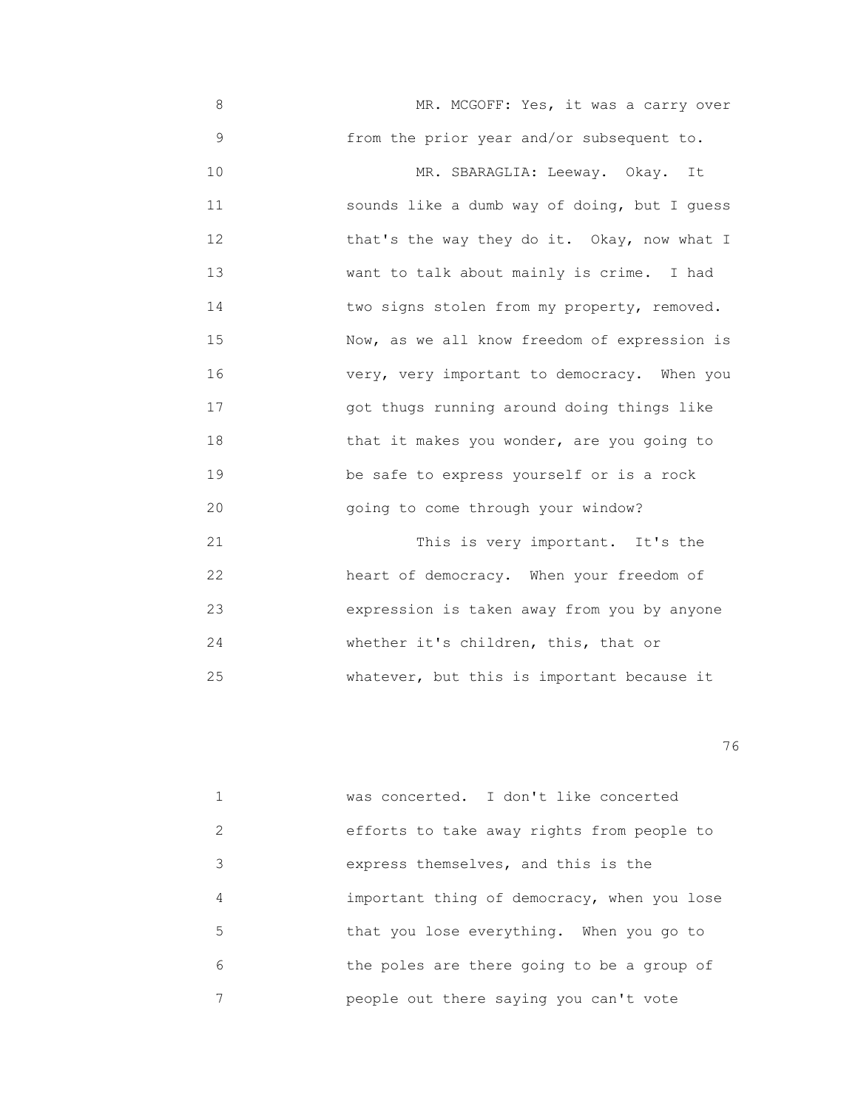8 MR. MCGOFF: Yes, it was a carry over 9 from the prior year and/or subsequent to. 10 MR. SBARAGLIA: Leeway. Okay. It 11 sounds like a dumb way of doing, but I guess 12 that's the way they do it. Okay, now what I 13 want to talk about mainly is crime. I had 14 **two signs stolen from my property, removed.**  15 Now, as we all know freedom of expression is 16 very, very important to democracy. When you 17 got thugs running around doing things like 18 that it makes you wonder, are you going to 19 be safe to express yourself or is a rock 20 going to come through your window? 21 This is very important. It's the 22 heart of democracy. When your freedom of 23 expression is taken away from you by anyone 24 whether it's children, this, that or

25 whatever, but this is important because it

<u>76 and 2001 and 2002 and 2003 and 2003 and 2003 and 2003 and 2003 and 2003 and 2003 and 2003 and 2003 and 200</u>

|                                                                                                                                                                 | was concerted. I don't like concerted       |
|-----------------------------------------------------------------------------------------------------------------------------------------------------------------|---------------------------------------------|
| $\mathcal{D}_{\mathcal{L}}^{\mathcal{L}}(\mathcal{L})=\mathcal{D}_{\mathcal{L}}^{\mathcal{L}}(\mathcal{L})\mathcal{D}_{\mathcal{L}}^{\mathcal{L}}(\mathcal{L})$ | efforts to take away rights from people to  |
| 3                                                                                                                                                               | express themselves, and this is the         |
| 4                                                                                                                                                               | important thing of democracy, when you lose |
| 5                                                                                                                                                               | that you lose everything. When you go to    |
| 6                                                                                                                                                               | the poles are there going to be a group of  |
|                                                                                                                                                                 | people out there saying you can't vote      |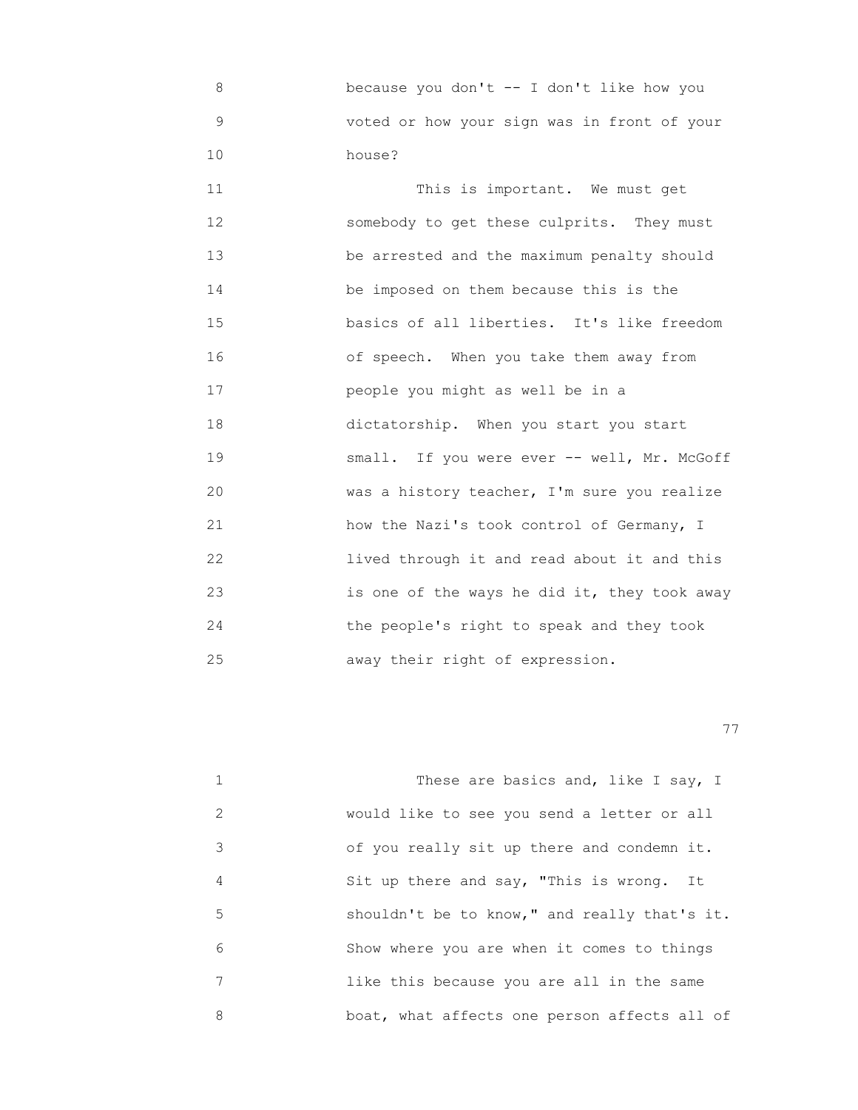8 because you don't -- I don't like how you 9 voted or how your sign was in front of your 10 house?

11 This is important. We must get 12 somebody to get these culprits. They must 13 be arrested and the maximum penalty should 14 be imposed on them because this is the 15 basics of all liberties. It's like freedom 16 of speech. When you take them away from 17 people you might as well be in a 18 dictatorship. When you start you start 19 small. If you were ever -- well, Mr. McGoff 20 was a history teacher, I'm sure you realize 21 how the Nazi's took control of Germany, I 22 lived through it and read about it and this 23 is one of the ways he did it, they took away 24 the people's right to speak and they took 25 away their right of expression.

|               | These are basics and, like I say, I          |
|---------------|----------------------------------------------|
| $\mathcal{L}$ | would like to see you send a letter or all   |
| 3             | of you really sit up there and condemn it.   |
| 4             | Sit up there and say, "This is wrong. It     |
| 5             | shouldn't be to know," and really that's it. |
| 6             | Show where you are when it comes to things   |
| 7             | like this because you are all in the same    |
| 8             | boat, what affects one person affects all of |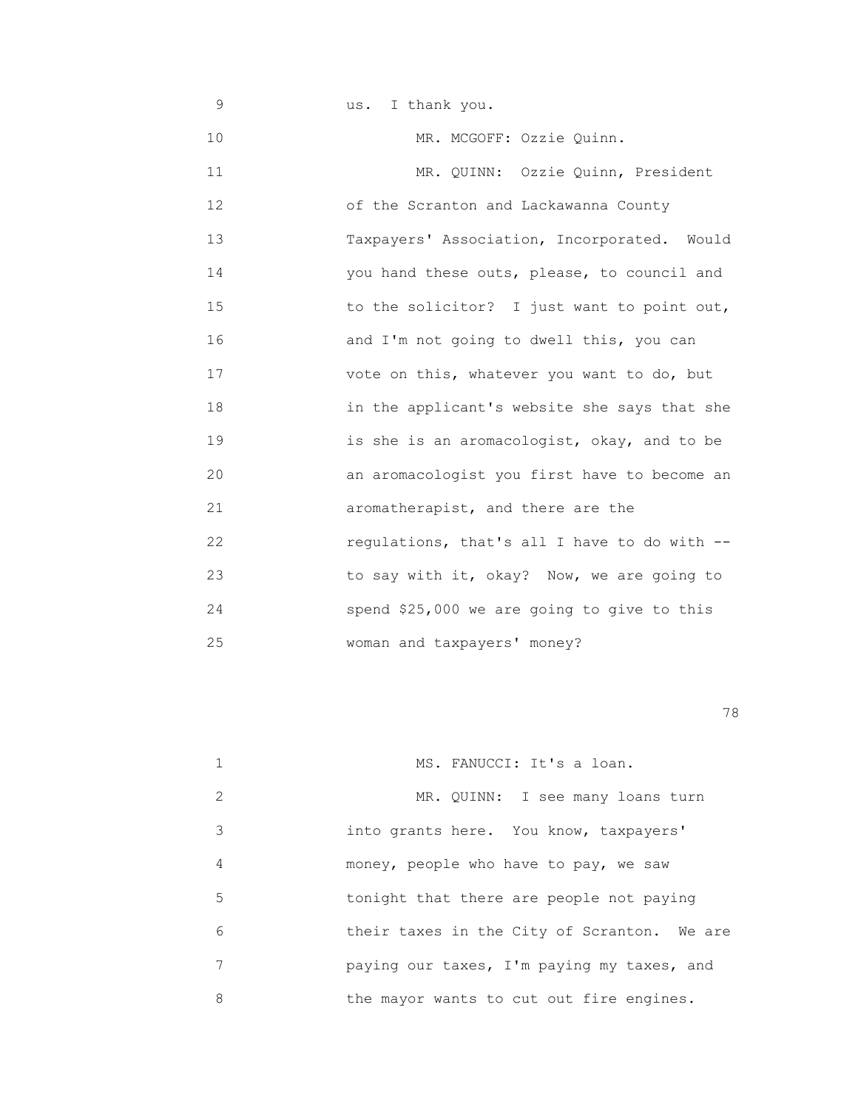| 9  | us. I thank you.                             |
|----|----------------------------------------------|
| 10 | MR. MCGOFF: Ozzie Quinn.                     |
| 11 | MR. QUINN: Ozzie Quinn, President            |
| 12 | of the Scranton and Lackawanna County        |
| 13 | Taxpayers' Association, Incorporated. Would  |
| 14 | you hand these outs, please, to council and  |
| 15 | to the solicitor? I just want to point out,  |
| 16 | and I'm not going to dwell this, you can     |
| 17 | vote on this, whatever you want to do, but   |
| 18 | in the applicant's website she says that she |
| 19 | is she is an aromacologist, okay, and to be  |
| 20 | an aromacologist you first have to become an |
| 21 | aromatherapist, and there are the            |
| 22 | regulations, that's all I have to do with -- |
| 23 | to say with it, okay? Now, we are going to   |
| 24 | spend \$25,000 we are going to give to this  |
| 25 | woman and taxpayers' money?                  |

|               | MS. FANUCCI: It's a loan.                   |
|---------------|---------------------------------------------|
| $\mathcal{L}$ | MR. QUINN: I see many loans turn            |
| 3             | into grants here. You know, taxpayers'      |
| 4             | money, people who have to pay, we saw       |
| 5             | tonight that there are people not paying    |
| 6             | their taxes in the City of Scranton. We are |
| 7             | paying our taxes, I'm paying my taxes, and  |
| 8             | the mayor wants to cut out fire engines.    |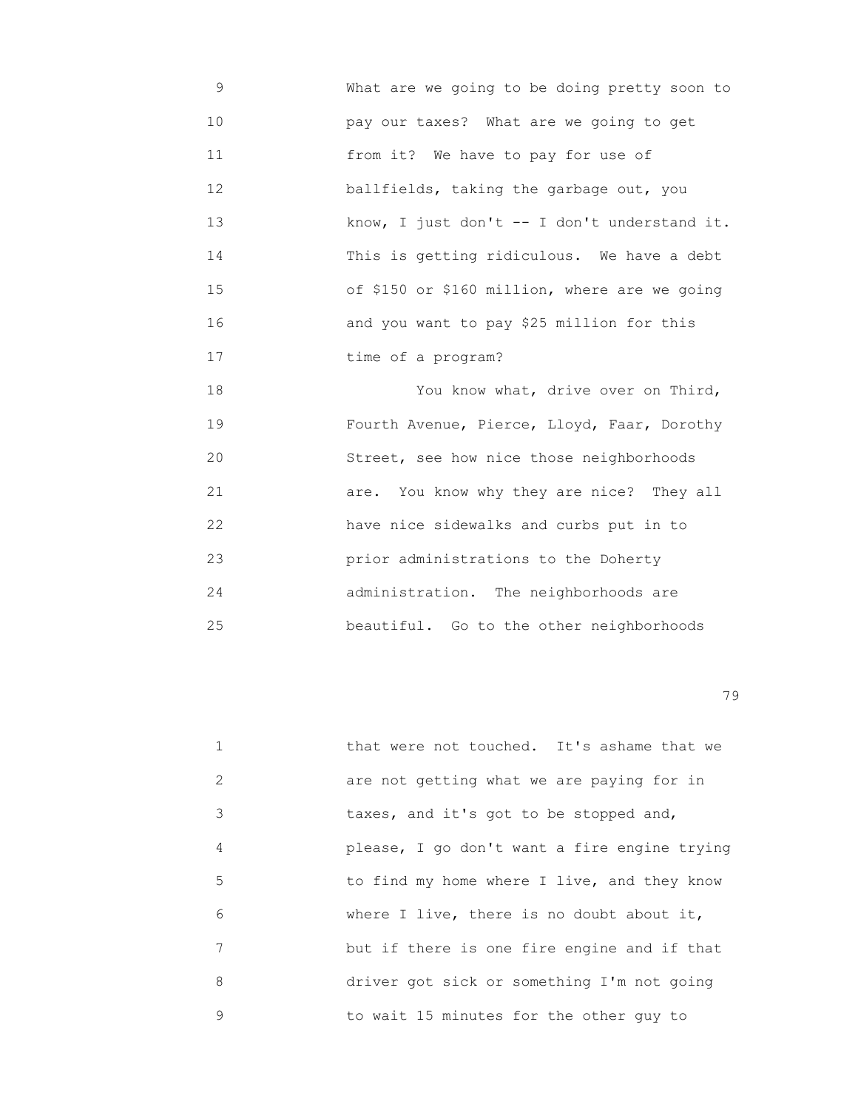9 What are we going to be doing pretty soon to 10 pay our taxes? What are we going to get 11 from it? We have to pay for use of 12 ballfields, taking the garbage out, you 13 know, I just don't -- I don't understand it. 14 This is getting ridiculous. We have a debt 15 of \$150 or \$160 million, where are we going 16 and you want to pay \$25 million for this 17 **time of a program?** 

 18 You know what, drive over on Third, 19 Fourth Avenue, Pierce, Lloyd, Faar, Dorothy 20 Street, see how nice those neighborhoods 21 are. You know why they are nice? They all 22 have nice sidewalks and curbs put in to 23 prior administrations to the Doherty 24 administration. The neighborhoods are 25 beautiful. Go to the other neighborhoods

na matsay na matsay na matsay na matsay na matsay na matsay na matsay na matsay na matsay na matsay na matsay<br>Matsay na matsay na matsay na matsay na matsay na matsay na matsay na matsay na matsay na matsay na matsay na

|               | that were not touched. It's ashame that we   |
|---------------|----------------------------------------------|
| $\mathcal{L}$ | are not getting what we are paying for in    |
| 3             | taxes, and it's got to be stopped and,       |
| 4             | please, I go don't want a fire engine trying |
| 5             | to find my home where I live, and they know  |
| 6             | where I live, there is no doubt about it,    |
| 7             | but if there is one fire engine and if that  |
| 8             | driver got sick or something I'm not going   |
| 9             | to wait 15 minutes for the other guy to      |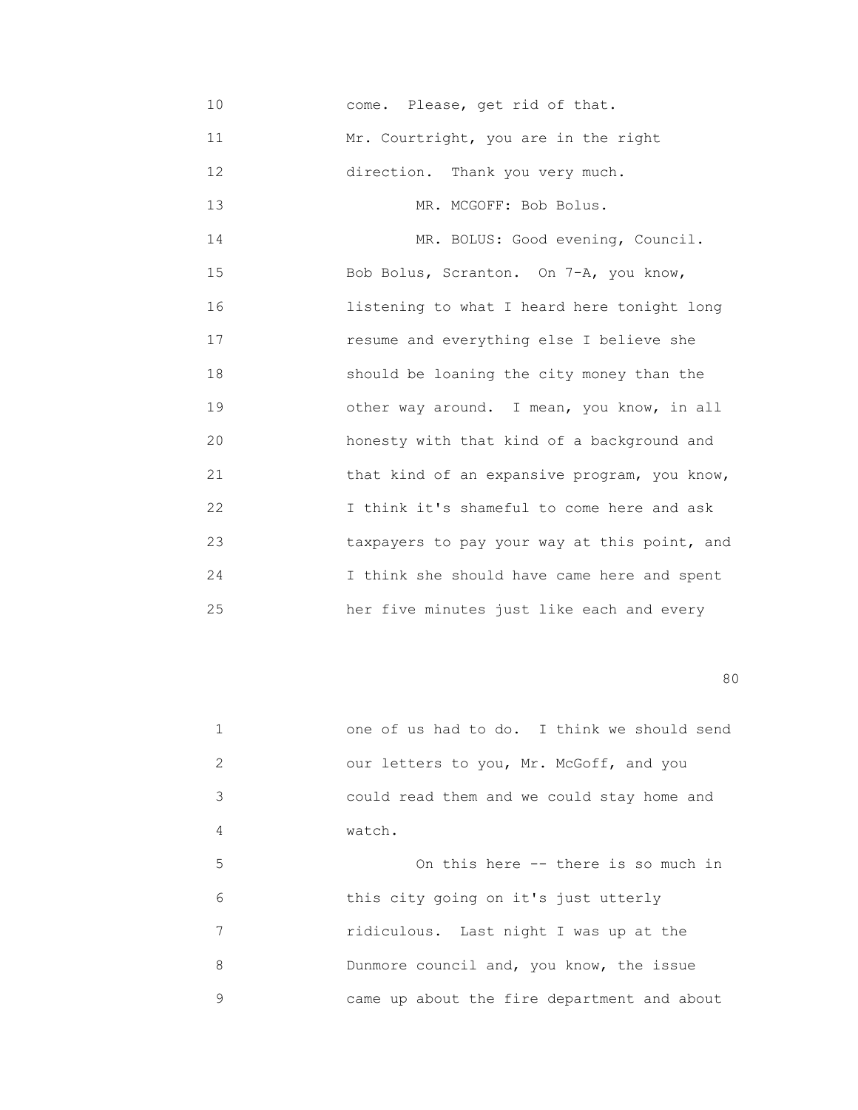10 come. Please, get rid of that. 11 Mr. Courtright, you are in the right 12 direction. Thank you very much. 13 MR. MCGOFF: Bob Bolus. 14 MR. BOLUS: Good evening, Council. 15 Bob Bolus, Scranton. On 7-A, you know, 16 listening to what I heard here tonight long 17 resume and everything else I believe she 18 should be loaning the city money than the 19 other way around. I mean, you know, in all 20 honesty with that kind of a background and 21 that kind of an expansive program, you know, 22 I think it's shameful to come here and ask 23 taxpayers to pay your way at this point, and 24 I think she should have came here and spent 25 her five minutes just like each and every

experience of the state of the state of the state of the state of the state of the state of the state of the s

|               | one of us had to do. I think we should send |
|---------------|---------------------------------------------|
| $\mathcal{L}$ | our letters to you, Mr. McGoff, and you     |
| 3             | could read them and we could stay home and  |
| 4             | watch.                                      |
| 5             | On this here -- there is so much in         |
| 6             | this city going on it's just utterly        |
| 7             | ridiculous. Last night I was up at the      |
| 8             | Dunmore council and, you know, the issue    |
| 9             | came up about the fire department and about |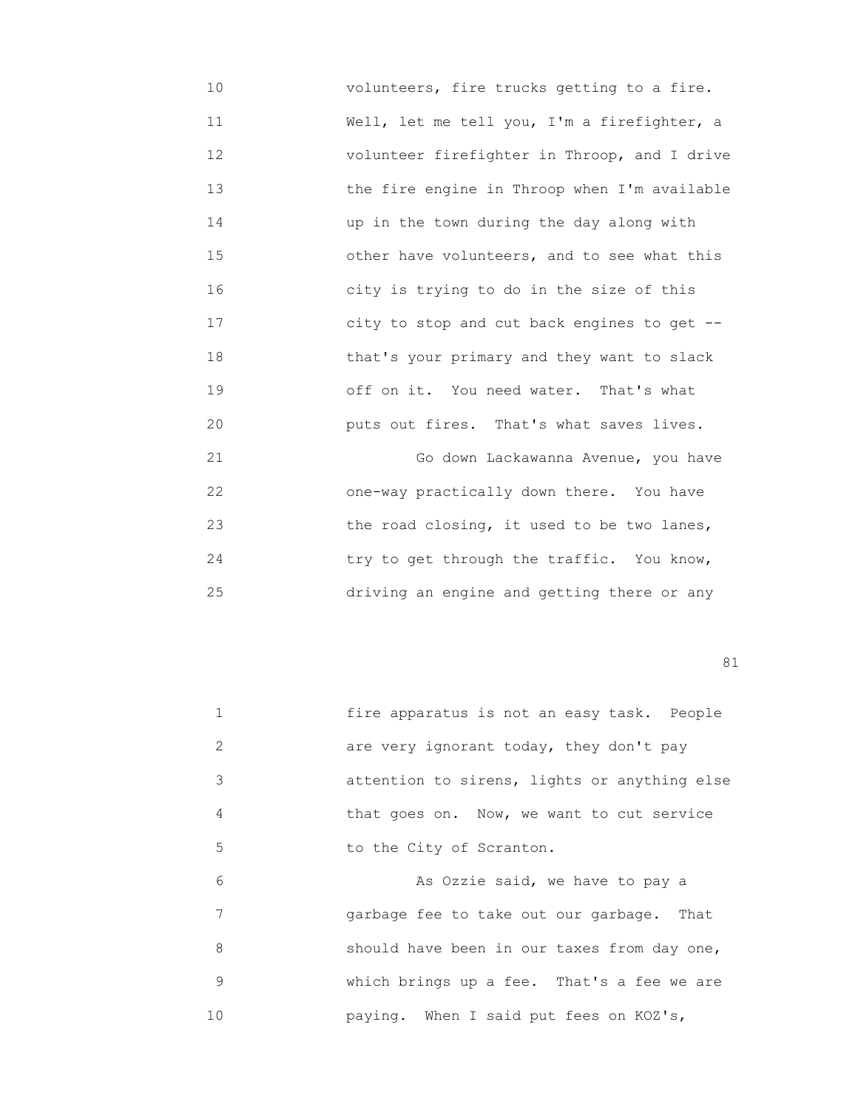10 volunteers, fire trucks getting to a fire. 11 **Well, let me tell you, I'm a firefighter, a**  12 volunteer firefighter in Throop, and I drive 13 the fire engine in Throop when I'm available 14 up in the town during the day along with 15 6 10 115 15 The other have volunteers, and to see what this 16 city is trying to do in the size of this 17 city to stop and cut back engines to get -- 18 that's your primary and they want to slack 19 off on it. You need water. That's what 20 puts out fires. That's what saves lives.

 21 Go down Lackawanna Avenue, you have 22 one-way practically down there. You have 23 the road closing, it used to be two lanes, 24 try to get through the traffic. You know, 25 driving an engine and getting there or any

81

 1 fire apparatus is not an easy task. People 2 are very ignorant today, they don't pay 3 attention to sirens, lights or anything else 4 that goes on. Now, we want to cut service 5 to the City of Scranton. 6 As Ozzie said, we have to pay a

 7 garbage fee to take out our garbage. That 8 should have been in our taxes from day one, 9 which brings up a fee. That's a fee we are 10 paying. When I said put fees on KOZ's,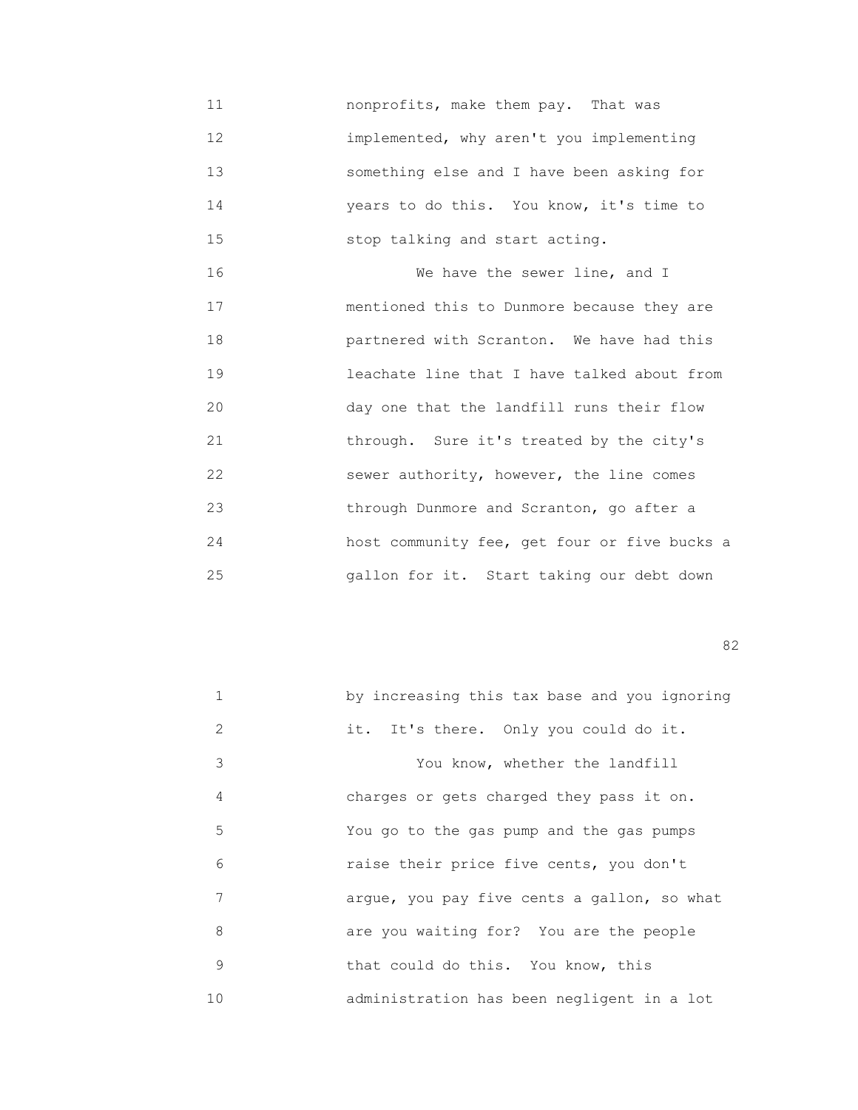11 nonprofits, make them pay. That was 12 implemented, why aren't you implementing 13 something else and I have been asking for 14 years to do this. You know, it's time to 15 stop talking and start acting.

 16 We have the sewer line, and I 17 mentioned this to Dunmore because they are 18 partnered with Scranton. We have had this 19 leachate line that I have talked about from 20 day one that the landfill runs their flow 21 through. Sure it's treated by the city's 22 sewer authority, however, the line comes 23 through Dunmore and Scranton, go after a 24 host community fee, get four or five bucks a 25 gallon for it. Start taking our debt down

experience of the state of the state of the state of the state of the state of the state of the state of the s

|               | by increasing this tax base and you ignoring |
|---------------|----------------------------------------------|
| $\mathcal{L}$ | it. It's there. Only you could do it.        |
| 3             | You know, whether the landfill               |
| 4             | charges or gets charged they pass it on.     |
| 5             | You go to the gas pump and the gas pumps     |
| 6             | raise their price five cents, you don't      |
| 7             | arque, you pay five cents a gallon, so what  |
| 8             | are you waiting for? You are the people      |
| 9             | that could do this. You know, this           |
| 10            | administration has been negligent in a lot   |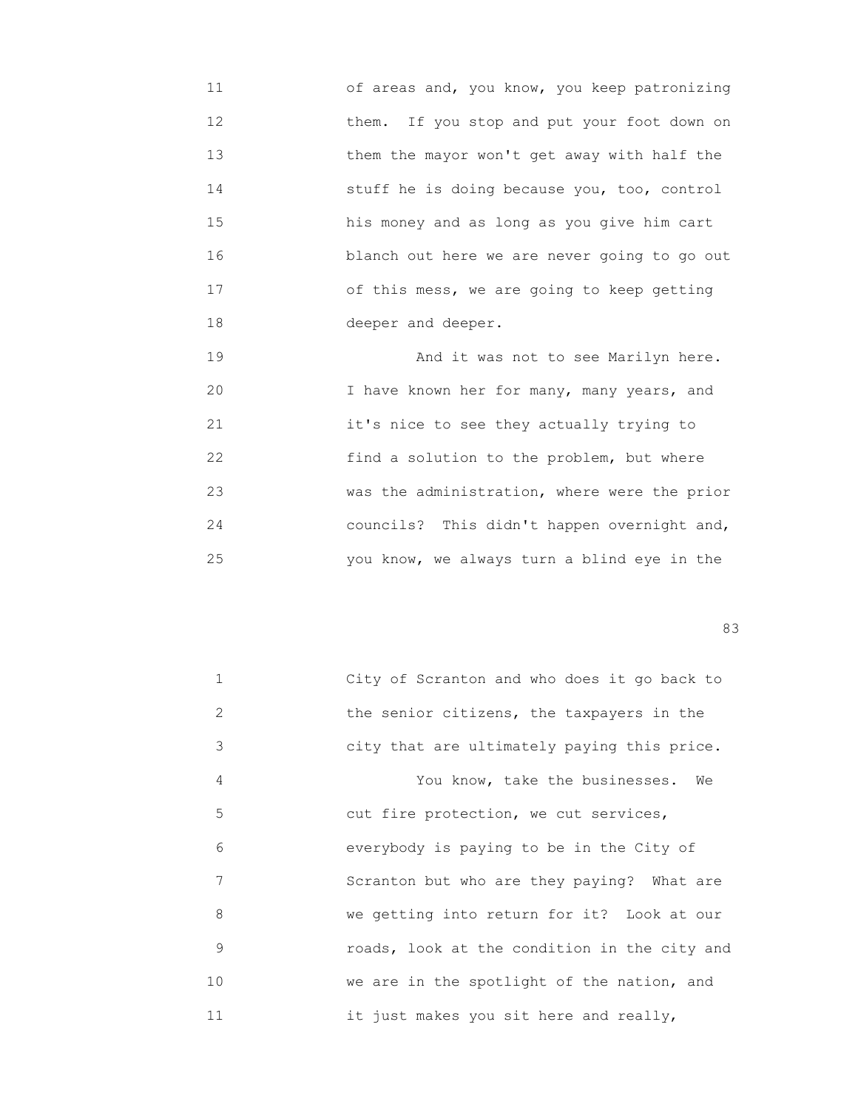11 of areas and, you know, you keep patronizing 12 them. If you stop and put your foot down on 13 them the mayor won't get away with half the 14 stuff he is doing because you, too, control 15 his money and as long as you give him cart 16 blanch out here we are never going to go out 17 of this mess, we are going to keep getting 18 deeper and deeper.

 19 And it was not to see Marilyn here. 20 I have known her for many, many years, and 21 it's nice to see they actually trying to 22 find a solution to the problem, but where 23 was the administration, where were the prior 24 councils? This didn't happen overnight and, 25 you know, we always turn a blind eye in the

en 1982 en 1982 en 1983 en 1983 en 1983 en 1983 en 1983 en 1984 en 1983 en 1984 en 1983 en 1984 en 1984 en 19

| $\mathbf{1}$ | City of Scranton and who does it go back to  |
|--------------|----------------------------------------------|
| 2            | the senior citizens, the taxpayers in the    |
| 3            | city that are ultimately paying this price.  |
| 4            | You know, take the businesses.<br>We         |
| 5            | cut fire protection, we cut services,        |
| 6            | everybody is paying to be in the City of     |
| 7            | Scranton but who are they paying? What are   |
| 8            | we getting into return for it? Look at our   |
| 9            | roads, look at the condition in the city and |
| 10           | we are in the spotlight of the nation, and   |
| 11           | it just makes you sit here and really,       |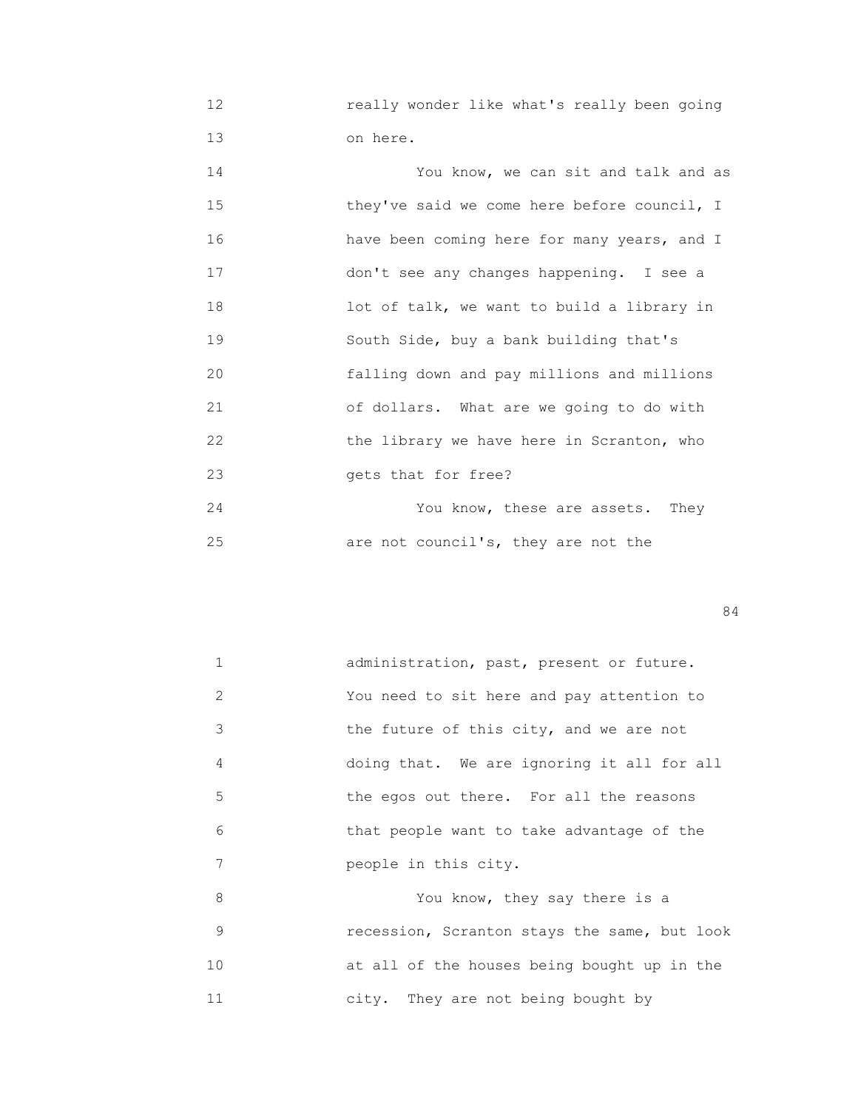12 really wonder like what's really been going 13 on here.

| 14 | You know, we can sit and talk and as        |
|----|---------------------------------------------|
| 15 | they've said we come here before council, I |
| 16 | have been coming here for many years, and I |
| 17 | don't see any changes happening. I see a    |
| 18 | lot of talk, we want to build a library in  |
| 19 | South Side, buy a bank building that's      |
| 20 | falling down and pay millions and millions  |
| 21 | of dollars. What are we going to do with    |
| 22 | the library we have here in Scranton, who   |
| 23 | gets that for free?                         |
| 24 | You know, these are assets. They            |
|    |                                             |

25 are not council's, they are not the

84

|    | administration, past, present or future.     |
|----|----------------------------------------------|
| 2  | You need to sit here and pay attention to    |
| 3  | the future of this city, and we are not      |
| 4  | doing that. We are ignoring it all for all   |
| 5  | the egos out there. For all the reasons      |
| 6  | that people want to take advantage of the    |
| 7  | people in this city.                         |
| 8  | You know, they say there is a                |
| 9  | recession, Scranton stays the same, but look |
| 10 | at all of the houses being bought up in the  |

11 city. They are not being bought by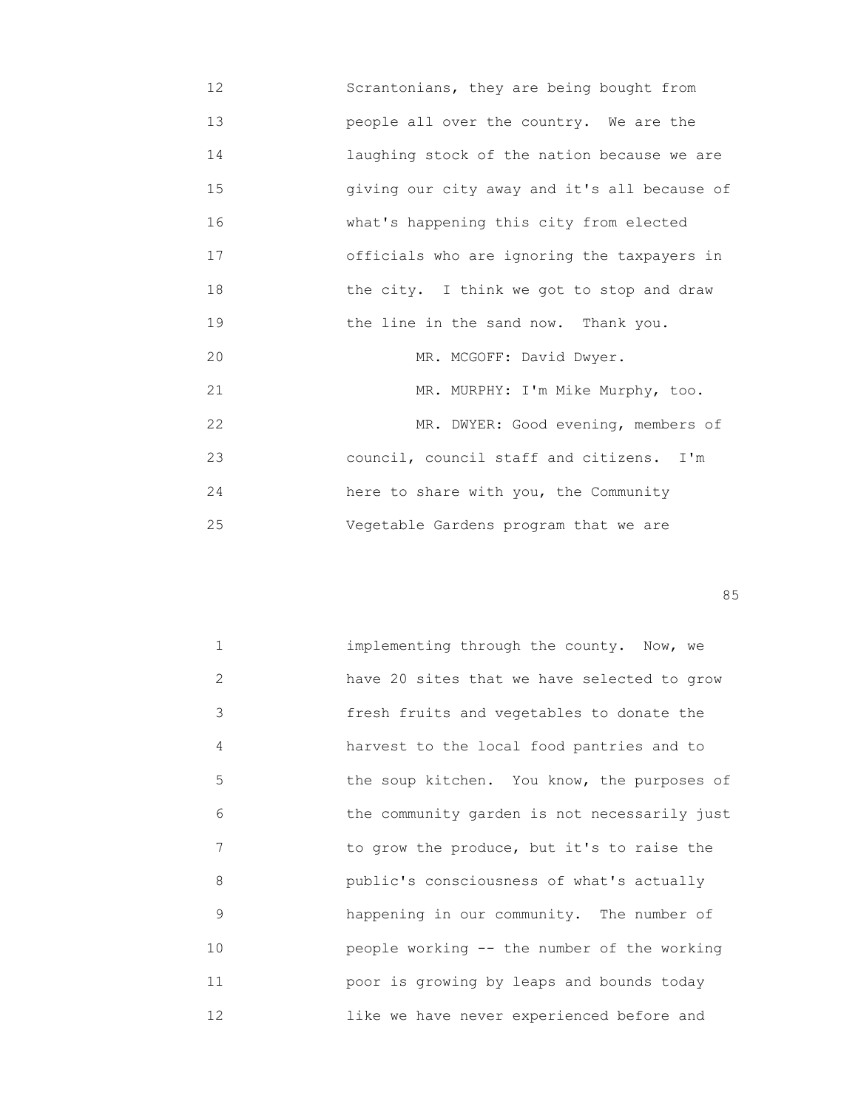12 Scrantonians, they are being bought from 13 people all over the country. We are the 14 laughing stock of the nation because we are 15 giving our city away and it's all because of 16 what's happening this city from elected 17 officials who are ignoring the taxpayers in 18 the city. I think we got to stop and draw 19 the line in the sand now. Thank you. 20 MR. MCGOFF: David Dwyer. 21 MR. MURPHY: I'm Mike Murphy, too. 22 MR. DWYER: Good evening, members of 23 council, council staff and citizens. I'm 24 here to share with you, the Community 25 Vegetable Gardens program that we are

<u>85 September 2006 September 2006 September 2006 September 2006 September 2006 September 2006 September 2006 S</u>

| $\mathbf{1}$ | implementing through the county. Now, we     |
|--------------|----------------------------------------------|
| 2            | have 20 sites that we have selected to grow  |
| 3            | fresh fruits and vegetables to donate the    |
| 4            | harvest to the local food pantries and to    |
| 5            | the soup kitchen. You know, the purposes of  |
| 6            | the community garden is not necessarily just |
| 7            | to grow the produce, but it's to raise the   |
| 8            | public's consciousness of what's actually    |
| 9            | happening in our community. The number of    |
| 10           | people working -- the number of the working  |
| 11           | poor is growing by leaps and bounds today    |
| 12           | like we have never experienced before and    |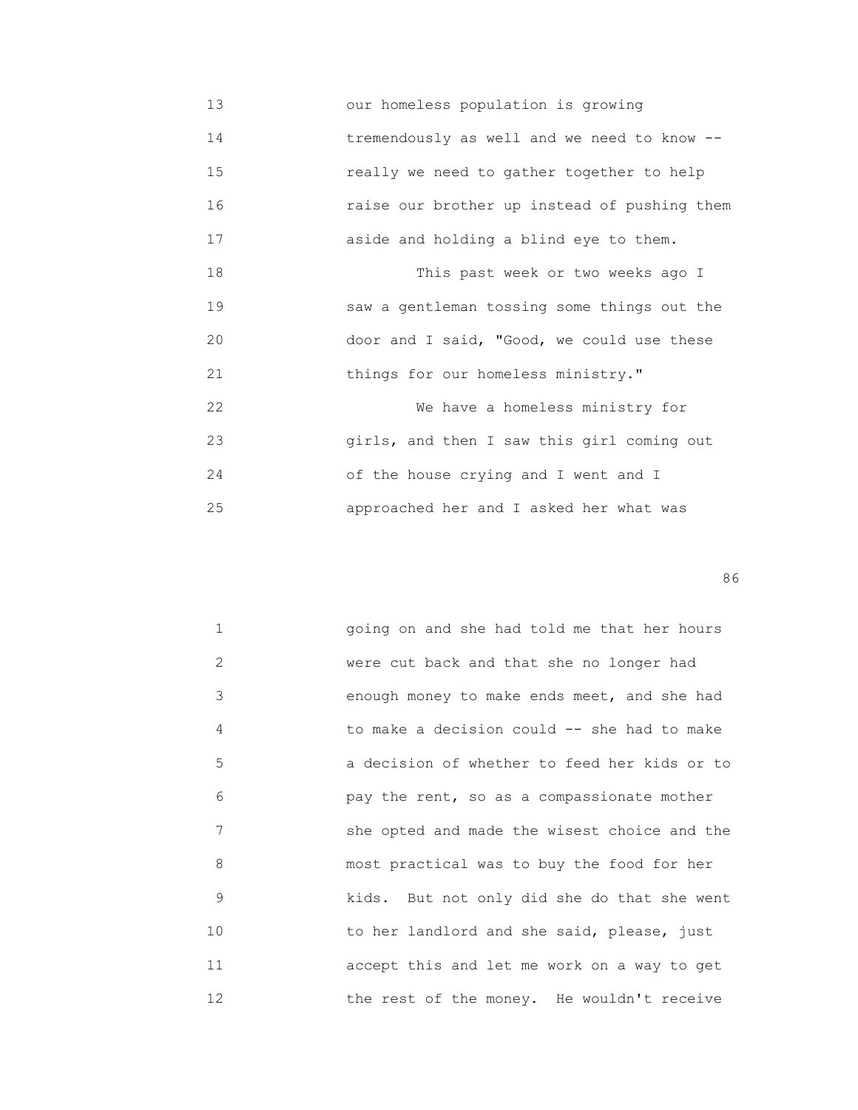13 our homeless population is growing 14 tremendously as well and we need to know -- 15 really we need to gather together to help 16 raise our brother up instead of pushing them 17 aside and holding a blind eye to them. 18 This past week or two weeks ago I 19 saw a gentleman tossing some things out the 20 door and I said, "Good, we could use these 21 things for our homeless ministry." 22 We have a homeless ministry for 23 girls, and then I saw this girl coming out 24 of the house crying and I went and I 25 approached her and I asked her what was

en de la construction de la construction de la construction de la construction de la construction de la construction de la construction de la construction de la construction de la construction de la construction de la cons

| $\mathbf{1}$  | going on and she had told me that her hours  |
|---------------|----------------------------------------------|
| $\mathcal{L}$ | were cut back and that she no longer had     |
| 3             | enough money to make ends meet, and she had  |
| 4             | to make a decision could -- she had to make  |
| 5             | a decision of whether to feed her kids or to |
| 6             | pay the rent, so as a compassionate mother   |
| 7             | she opted and made the wisest choice and the |
| 8             | most practical was to buy the food for her   |
| 9             | kids. But not only did she do that she went  |
| 10            | to her landlord and she said, please, just   |
| 11            | accept this and let me work on a way to get  |
| 12            | the rest of the money. He wouldn't receive   |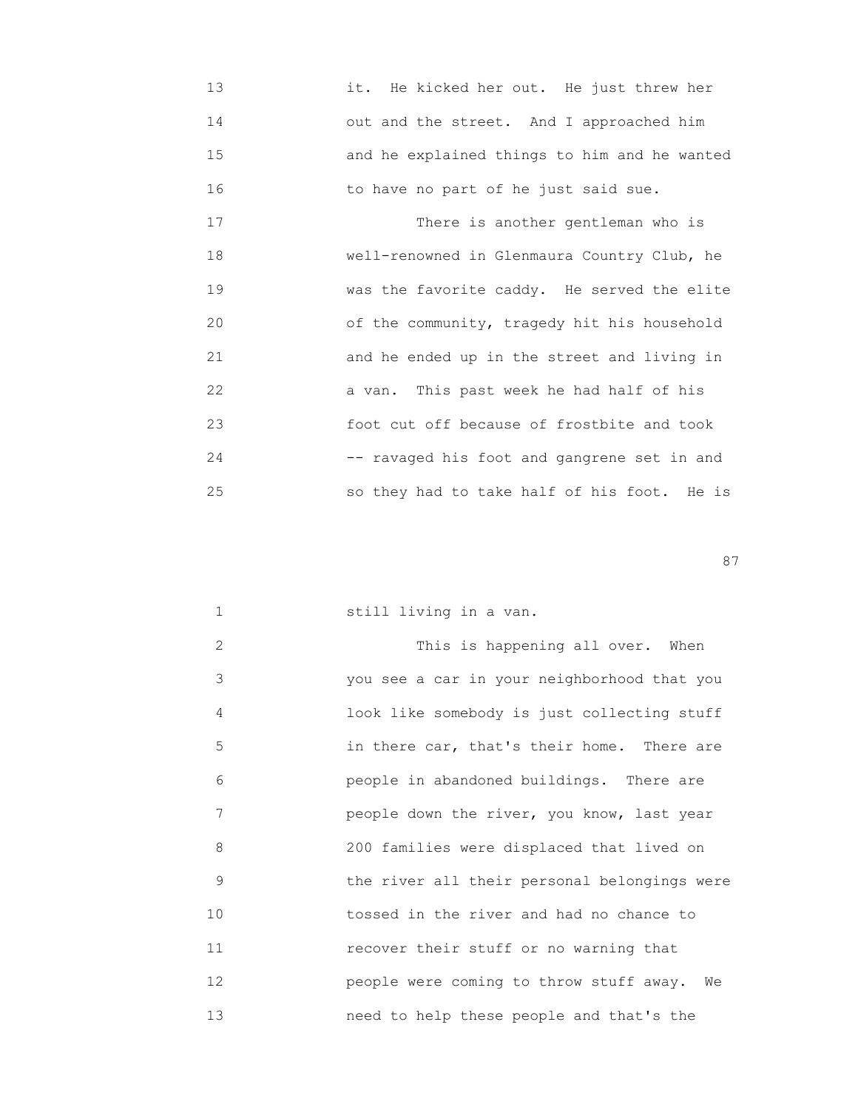13 it. He kicked her out. He just threw her 14 out and the street. And I approached him 15 and he explained things to him and he wanted 16 to have no part of he just said sue.

17 There is another gentleman who is 18 well-renowned in Glenmaura Country Club, he 19 was the favorite caddy. He served the elite 20 of the community, tragedy hit his household 21 and he ended up in the street and living in 22 a van. This past week he had half of his 23 foot cut off because of frostbite and took 24 -- ravaged his foot and gangrene set in and 25 so they had to take half of his foot. He is

experience of the state of the state of the state of the state of the state of the state of the state of the state of the state of the state of the state of the state of the state of the state of the state of the state of

|  |  | still living in a van. |  |  |  |
|--|--|------------------------|--|--|--|
|--|--|------------------------|--|--|--|

| 2  | This is happening all over. When              |
|----|-----------------------------------------------|
| 3  | you see a car in your neighborhood that you   |
| 4  | look like somebody is just collecting stuff   |
| 5  | in there car, that's their home. There are    |
| 6  | people in abandoned buildings. There are      |
| 7  | people down the river, you know, last year    |
| 8  | 200 families were displaced that lived on     |
| 9  | the river all their personal belongings were  |
| 10 | tossed in the river and had no chance to      |
| 11 | recover their stuff or no warning that        |
| 12 | people were coming to throw stuff away.<br>We |
| 13 | need to help these people and that's the      |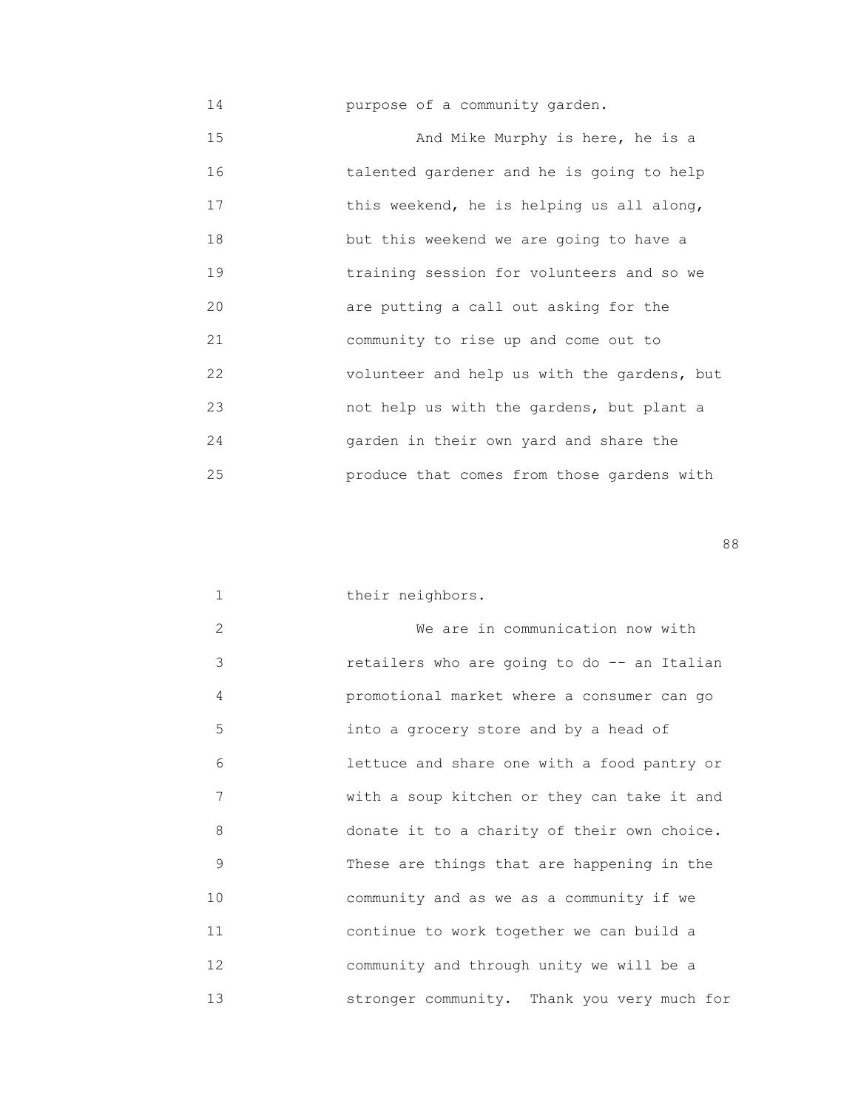|  |  | purpose of a community garden. |  |
|--|--|--------------------------------|--|
|--|--|--------------------------------|--|

 15 And Mike Murphy is here, he is a 16 talented gardener and he is going to help 17 this weekend, he is helping us all along, 18 but this weekend we are going to have a 19 training session for volunteers and so we 20 are putting a call out asking for the 21 community to rise up and come out to 22 volunteer and help us with the gardens, but 23 not help us with the gardens, but plant a 24 garden in their own yard and share the 25 produce that comes from those gardens with

en de la construction de la construction de la construction de la construction de la construction de la constr<br>1888 : le construction de la construction de la construction de la construction de la construction de la const

| $\mathbf{1}$      | their neighbors.                            |
|-------------------|---------------------------------------------|
| 2                 | We are in communication now with            |
| 3                 | retailers who are going to do -- an Italian |
| 4                 | promotional market where a consumer can go  |
| 5                 | into a grocery store and by a head of       |
| 6                 | lettuce and share one with a food pantry or |
| 7                 | with a soup kitchen or they can take it and |
| 8                 | donate it to a charity of their own choice. |
| 9                 | These are things that are happening in the  |
| 10                | community and as we as a community if we    |
| 11                | continue to work together we can build a    |
| $12 \overline{ }$ | community and through unity we will be a    |
| 13                | stronger community. Thank you very much for |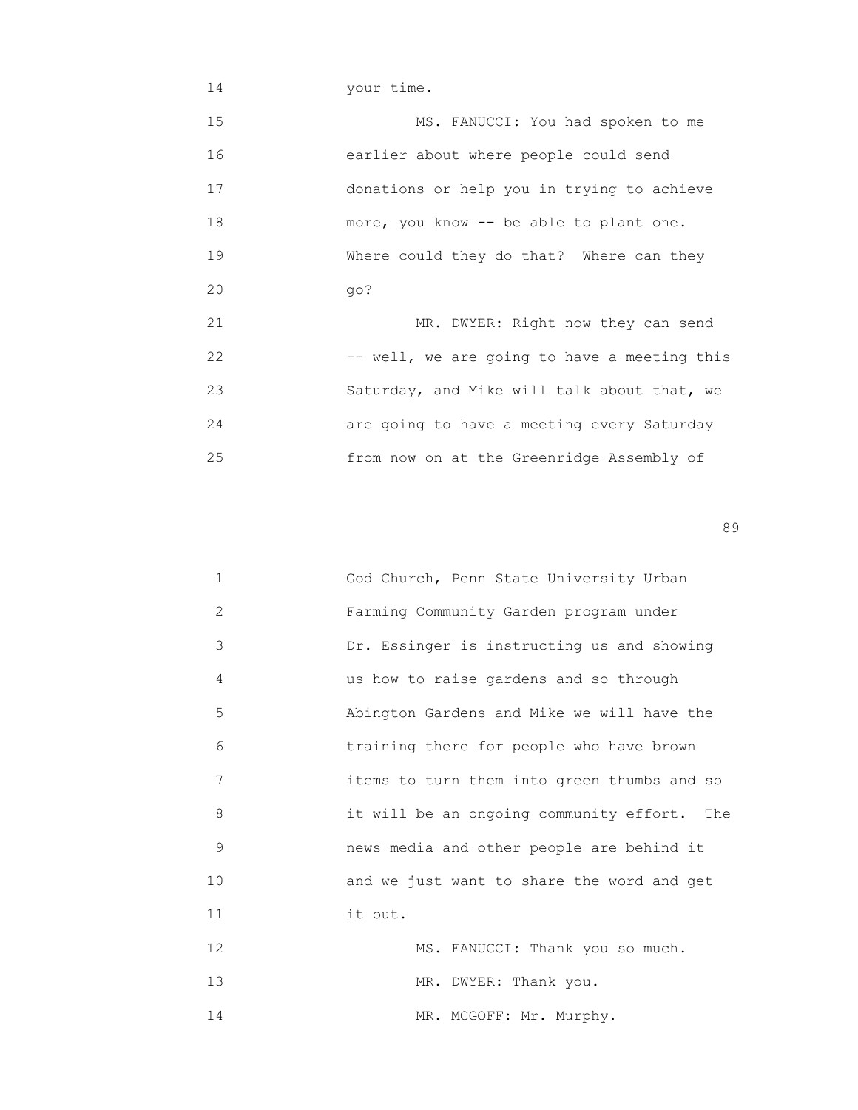14 your time. 15 MS. FANUCCI: You had spoken to me 16 earlier about where people could send 17 donations or help you in trying to achieve 18 more, you know -- be able to plant one. 19 Where could they do that? Where can they 20 go? 21 MR. DWYER: Right now they can send 22 -- well, we are going to have a meeting this 23 Saturday, and Mike will talk about that, we 24 are going to have a meeting every Saturday 25 from now on at the Greenridge Assembly of

en de la construction de la construction de la construction de la construction de la construction de la constr<br>1990 : la construction de la construction de la construction de la construction de la construction de la const

| $\mathbf{1}$   | God Church, Penn State University Urban     |
|----------------|---------------------------------------------|
| $\overline{2}$ | Farming Community Garden program under      |
| 3              | Dr. Essinger is instructing us and showing  |
| 4              | us how to raise gardens and so through      |
| 5              | Abington Gardens and Mike we will have the  |
| 6              | training there for people who have brown    |
| 7              | items to turn them into green thumbs and so |
| 8              | it will be an ongoing community effort. The |
| 9              | news media and other people are behind it   |
| 10             | and we just want to share the word and get  |
| 11             | it out.                                     |
| 12             | MS. FANUCCI: Thank you so much.             |
| 13             | MR. DWYER: Thank you.                       |
| 14             | MR. MCGOFF: Mr. Murphy.                     |
|                |                                             |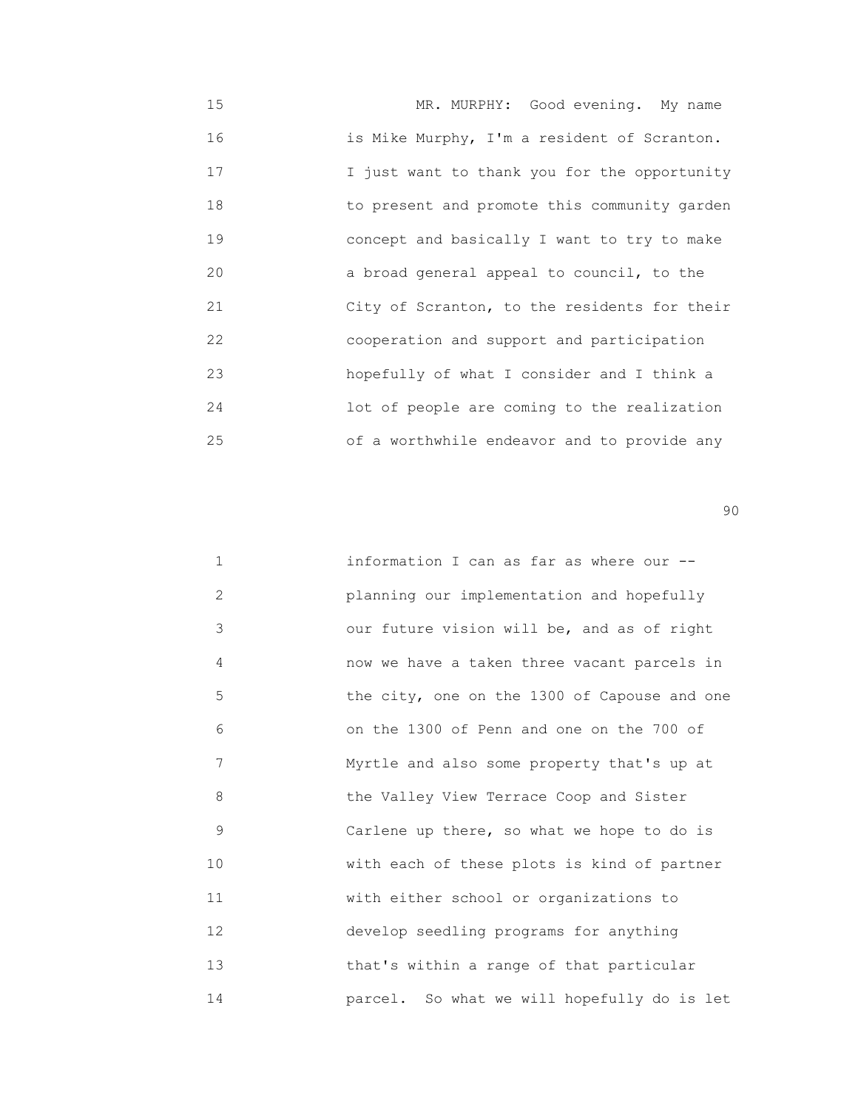15 MR. MURPHY: Good evening. My name 16 is Mike Murphy, I'm a resident of Scranton. 17 I just want to thank you for the opportunity 18 to present and promote this community garden 19 concept and basically I want to try to make 20 a broad general appeal to council, to the 21 City of Scranton, to the residents for their 22 cooperation and support and participation 23 hopefully of what I consider and I think a 24 lot of people are coming to the realization 25 of a worthwhile endeavor and to provide any

en de la construction de la construction de la construction de la construction de la construction de la constr<br>1900 : la construction de la construction de la construction de la construction de la construction de la const

| $\mathbf{1}$   | information I can as far as where our --     |
|----------------|----------------------------------------------|
| $\overline{2}$ | planning our implementation and hopefully    |
| 3              | our future vision will be, and as of right   |
| 4              | now we have a taken three vacant parcels in  |
| 5              | the city, one on the 1300 of Capouse and one |
| 6              | on the 1300 of Penn and one on the 700 of    |
| 7              | Myrtle and also some property that's up at   |
| 8              | the Valley View Terrace Coop and Sister      |
| 9              | Carlene up there, so what we hope to do is   |
| 10             | with each of these plots is kind of partner  |
| 11             | with either school or organizations to       |
| 12             | develop seedling programs for anything       |
| 13             | that's within a range of that particular     |
| 14             | parcel. So what we will hopefully do is let  |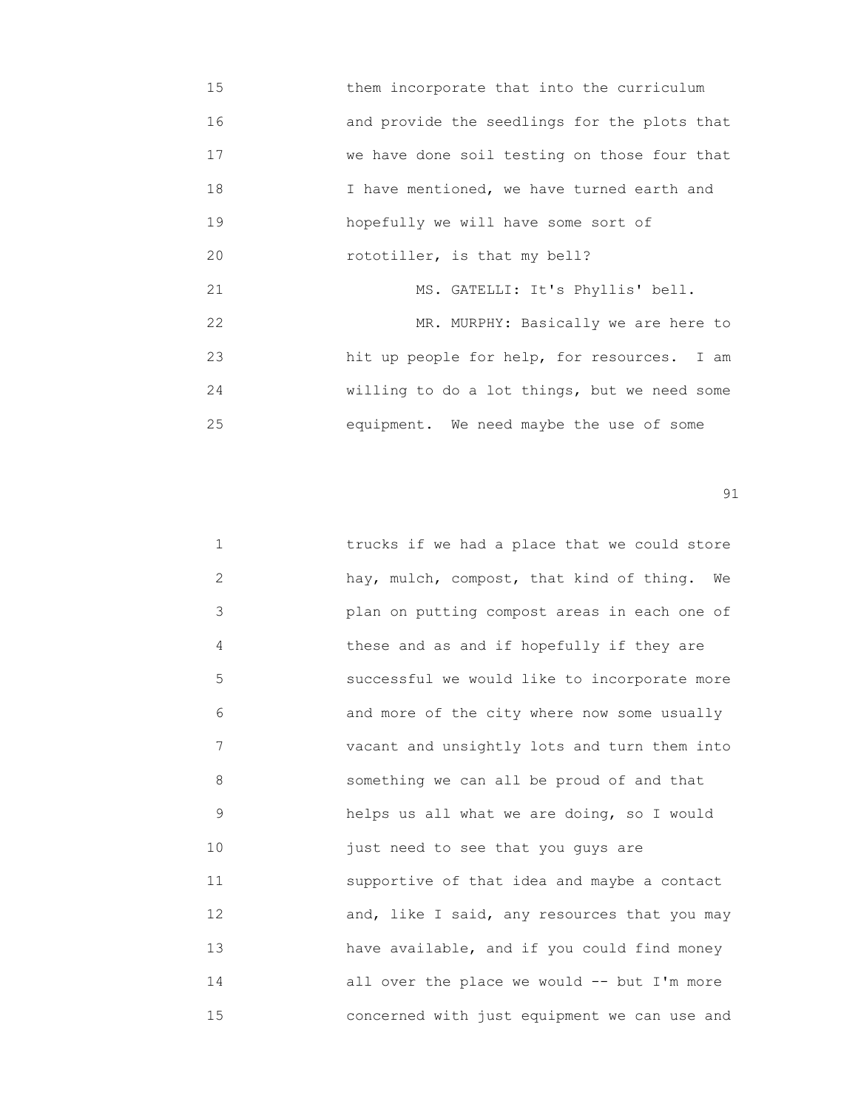15 them incorporate that into the curriculum 16 and provide the seedlings for the plots that 17 we have done soil testing on those four that 18 I have mentioned, we have turned earth and 19 hopefully we will have some sort of 20 rototiller, is that my bell? 21 MS. GATELLI: It's Phyllis' bell. 22 MR. MURPHY: Basically we are here to 23 hit up people for help, for resources. I am 24 willing to do a lot things, but we need some 25 equipment. We need maybe the use of some

| $\mathbf 1$ | trucks if we had a place that we could store |
|-------------|----------------------------------------------|
| 2           | hay, mulch, compost, that kind of thing. We  |
| 3           | plan on putting compost areas in each one of |
| 4           | these and as and if hopefully if they are    |
| 5           | successful we would like to incorporate more |
| 6           | and more of the city where now some usually  |
| 7           | vacant and unsightly lots and turn them into |
| 8           | something we can all be proud of and that    |
| 9           | helps us all what we are doing, so I would   |
| 10          | just need to see that you guys are           |
| 11          | supportive of that idea and maybe a contact  |
| 12          | and, like I said, any resources that you may |
| 13          | have available, and if you could find money  |
| 14          | all over the place we would $-$ but I'm more |
| 15          | concerned with just equipment we can use and |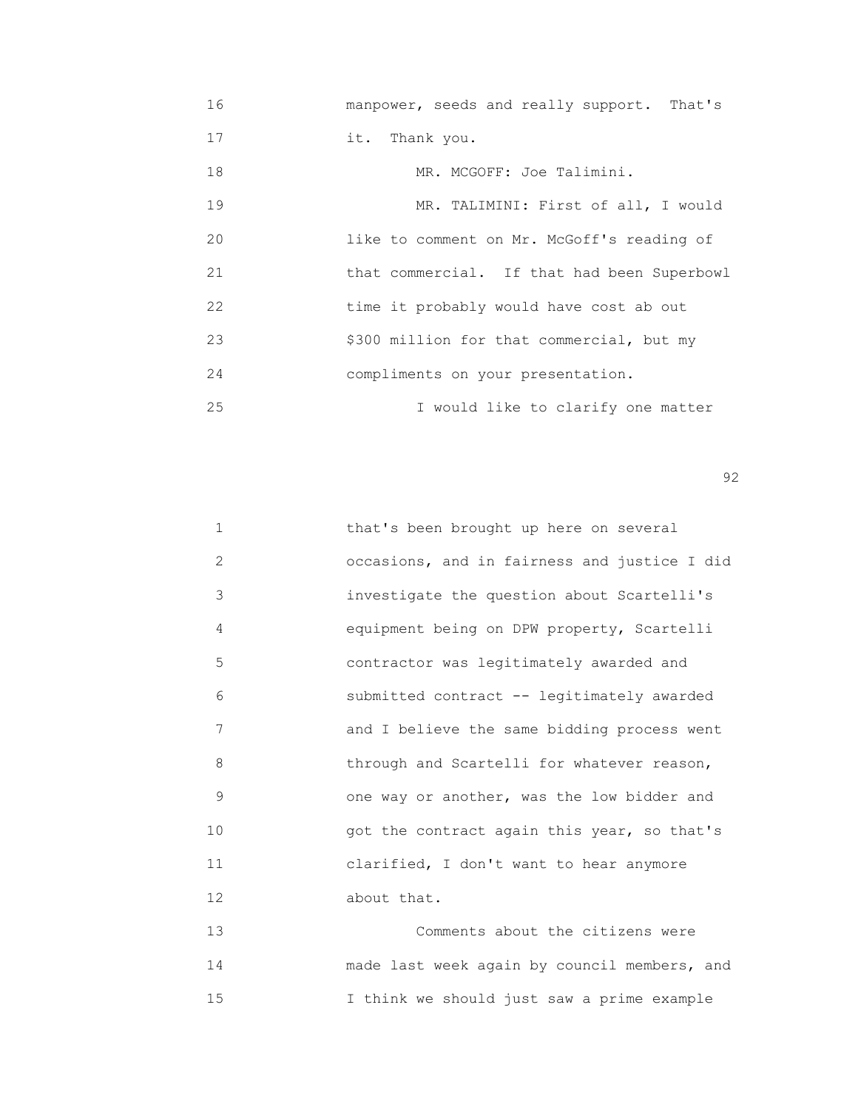16 manpower, seeds and really support. That's 17 it. Thank you. 18 MR. MCGOFF: Joe Talimini. 19 MR. TALIMINI: First of all, I would 20 like to comment on Mr. McGoff's reading of 21 that commercial. If that had been Superbowl 22 time it probably would have cost ab out 23 \$300 million for that commercial, but my 24 compliments on your presentation. 25 I would like to clarify one matter

 $\sim$  92

| $\mathbf{1}$ | that's been brought up here on several       |
|--------------|----------------------------------------------|
| 2            | occasions, and in fairness and justice I did |
| 3            | investigate the question about Scartelli's   |
| 4            | equipment being on DPW property, Scartelli   |
| 5            | contractor was legitimately awarded and      |
| 6            | submitted contract -- legitimately awarded   |
| 7            | and I believe the same bidding process went  |
| 8            | through and Scartelli for whatever reason,   |
| 9            | one way or another, was the low bidder and   |
| 10           | got the contract again this year, so that's  |
| 11           | clarified, I don't want to hear anymore      |
| 12           | about that.                                  |
|              |                                              |

 13 Comments about the citizens were 14 made last week again by council members, and 15 I think we should just saw a prime example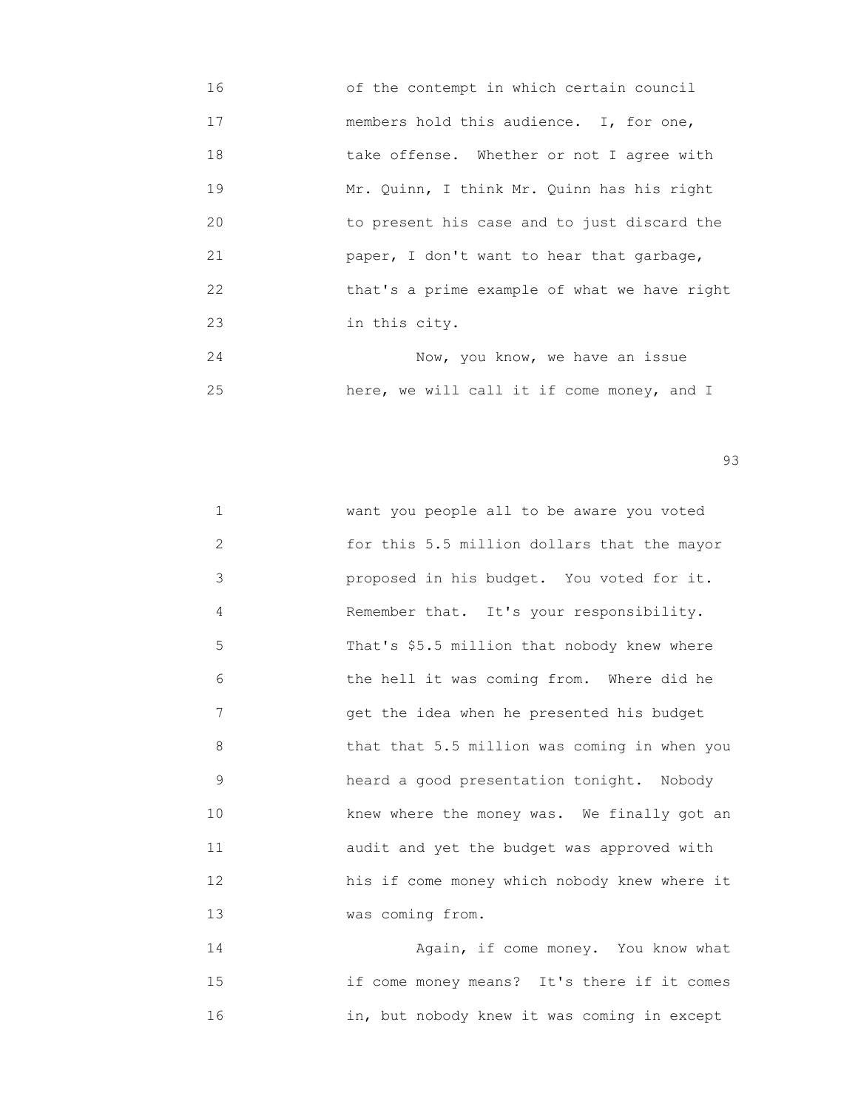- 16 of the contempt in which certain council 17 members hold this audience. I, for one, 18 take offense. Whether or not I agree with 19 Mr. Quinn, I think Mr. Quinn has his right 20 to present his case and to just discard the 21 paper, I don't want to hear that garbage, 22 that's a prime example of what we have right 23 in this city. 24 Now, you know, we have an issue
- 25 here, we will call it if come money, and I

experience of the contract of the contract of the contract of the contract of the contract of the contract of the contract of the contract of the contract of the contract of the contract of the contract of the contract of

1 **WARK** want you people all to be aware you voted 2 for this 5.5 million dollars that the mayor 3 proposed in his budget. You voted for it. 4 Remember that. It's your responsibility. 5 That's \$5.5 million that nobody knew where 6 the hell it was coming from. Where did he 7 get the idea when he presented his budget 8 that that 5.5 million was coming in when you 9 heard a good presentation tonight. Nobody 10 **10 EXECUTE:** knew where the money was. We finally got an 11 audit and yet the budget was approved with 12 his if come money which nobody knew where it 13 was coming from.

 14 Again, if come money. You know what 15 if come money means? It's there if it comes 16 in, but nobody knew it was coming in except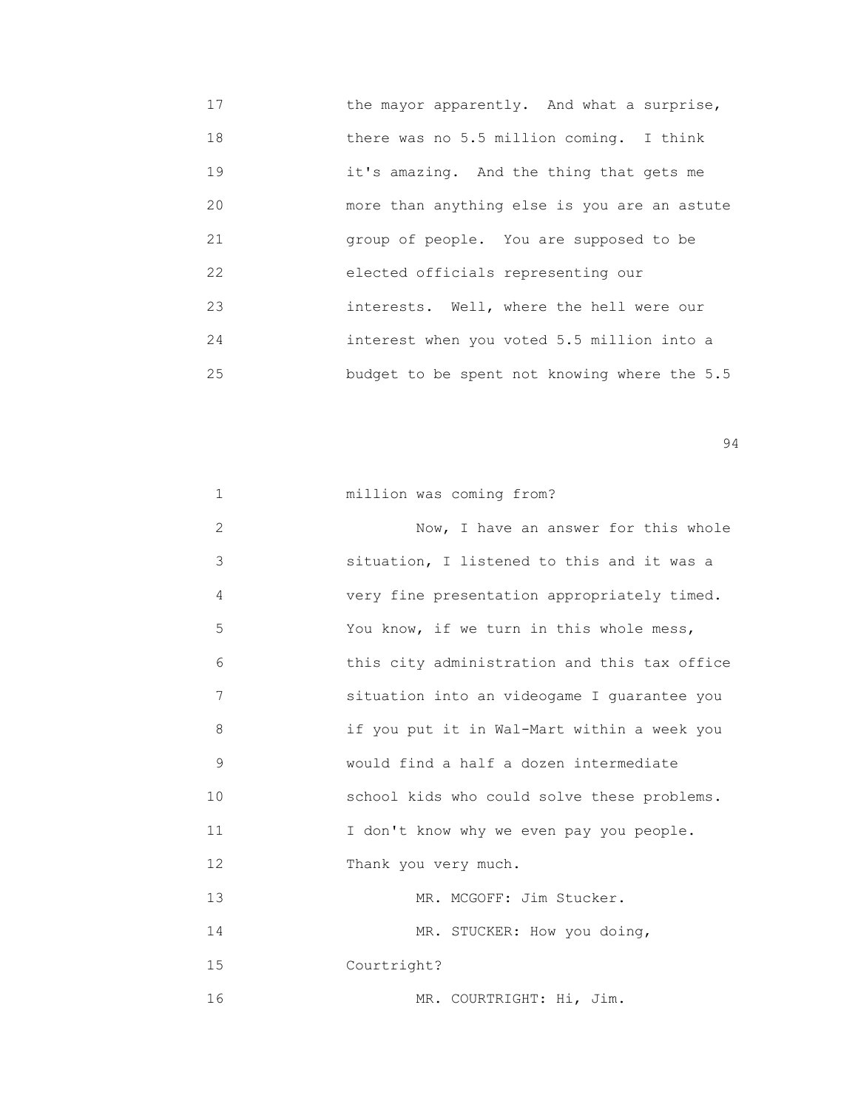17 **the mayor apparently.** And what a surprise, 18 there was no 5.5 million coming. I think 19 it's amazing. And the thing that gets me 20 more than anything else is you are an astute 21 group of people. You are supposed to be 22 elected officials representing our 23 interests. Well, where the hell were our 24 interest when you voted 5.5 million into a 25 budget to be spent not knowing where the 5.5

| $\mathbf{1}$ | million was coming from?                     |
|--------------|----------------------------------------------|
| 2            | Now, I have an answer for this whole         |
| 3            | situation, I listened to this and it was a   |
| 4            | very fine presentation appropriately timed.  |
| 5            | You know, if we turn in this whole mess,     |
| 6            | this city administration and this tax office |
| 7            | situation into an videogame I quarantee you  |
| 8            | if you put it in Wal-Mart within a week you  |
| 9            | would find a half a dozen intermediate       |
| 10           | school kids who could solve these problems.  |
| 11           | I don't know why we even pay you people.     |
| 12           | Thank you very much.                         |
| 13           | MR. MCGOFF: Jim Stucker.                     |
| 14           | MR. STUCKER: How you doing,                  |
| 15           | Courtright?                                  |
| 16           | MR. COURTRIGHT: Hi, Jim.                     |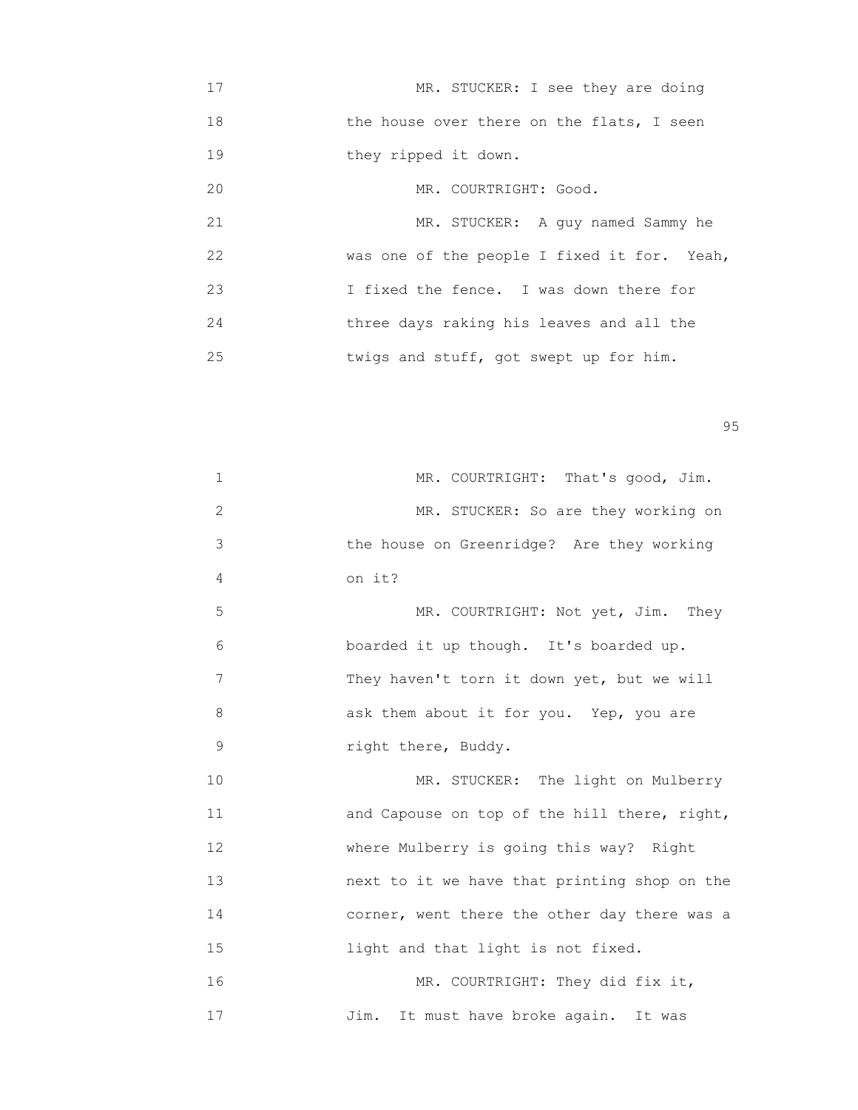17 MR. STUCKER: I see they are doing 18 the house over there on the flats, I seen 19 they ripped it down. 20 MR. COURTRIGHT: Good. 21 MR. STUCKER: A guy named Sammy he 22 **was one of the people I fixed it for.** Yeah, 23 I fixed the fence. I was down there for 24 three days raking his leaves and all the 25 twigs and stuff, got swept up for him.

en 1995 en 1996 en 1996 en 1997 en 1998 en 1998 en 1999 en 1999 en 1999 en 1999 en 1999 en 1999 en 1999 en 19<br>De grote en 1999 en 1999 en 1999 en 1999 en 1999 en 1999 en 1999 en 1999 en 1999 en 1999 en 1999 en 1999 en 19

| 1           | MR. COURTRIGHT: That's good, Jim.            |
|-------------|----------------------------------------------|
| 2           | MR. STUCKER: So are they working on          |
| 3           | the house on Greenridge? Are they working    |
| 4           | on it?                                       |
| 5           | MR. COURTRIGHT: Not yet, Jim. They           |
| 6           | boarded it up though. It's boarded up.       |
| 7           | They haven't torn it down yet, but we will   |
| 8           | ask them about it for you. Yep, you are      |
| $\mathsf 9$ | right there, Buddy.                          |
| 10          | MR. STUCKER: The light on Mulberry           |
| 11          | and Capouse on top of the hill there, right, |
| 12          | where Mulberry is going this way? Right      |
| 13          | next to it we have that printing shop on the |
| 14          | corner, went there the other day there was a |
| 15          | light and that light is not fixed.           |
| 16          | MR. COURTRIGHT: They did fix it,             |
| 17          | It must have broke again. It was<br>Jim.     |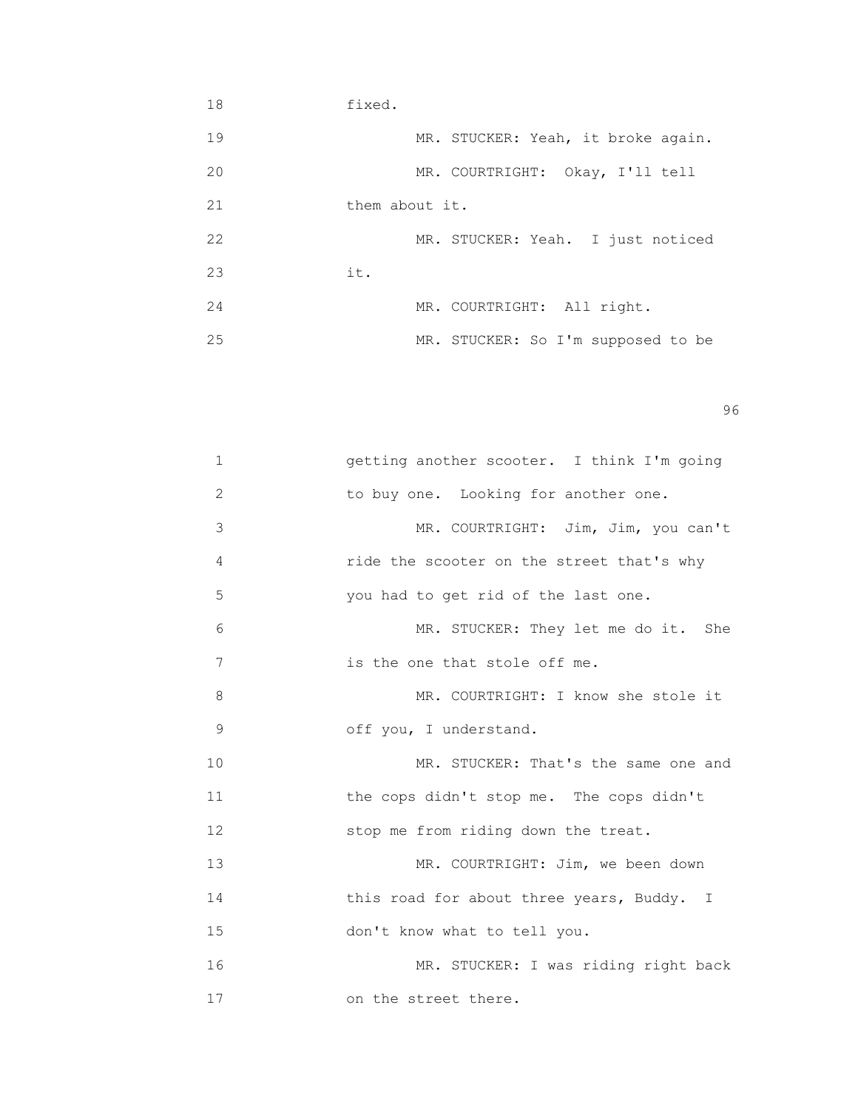18 fixed. 19 MR. STUCKER: Yeah, it broke again. 20 MR. COURTRIGHT: Okay, I'll tell 21 them about it. 22 MR. STUCKER: Yeah. I just noticed 23 it. 24 MR. COURTRIGHT: All right. 25 MR. STUCKER: So I'm supposed to be

en 1996 en 1996 en 1996 en 1996 en 1996 en 1996 en 1996 en 1996 en 1996 en 1996 en 1996 en 1996 en 1996 en 19<br>De grote en 1996 en 1996 en 1999 en 1999 en 1999 en 1999 en 1999 en 1999 en 1999 en 1999 en 1999 en 1999 en 19

| $\mathbf 1$ | getting another scooter. I think I'm going |
|-------------|--------------------------------------------|
| 2           | to buy one. Looking for another one.       |
| 3           | MR. COURTRIGHT: Jim, Jim, you can't        |
| 4           | ride the scooter on the street that's why  |
| 5           | you had to get rid of the last one.        |
| 6           | MR. STUCKER: They let me do it. She        |
| 7           | is the one that stole off me.              |
| 8           | MR. COURTRIGHT: I know she stole it        |
| 9           | off you, I understand.                     |
| 10          | MR. STUCKER: That's the same one and       |
| 11          | the cops didn't stop me. The cops didn't   |
| 12          | stop me from riding down the treat.        |
| 13          | MR. COURTRIGHT: Jim, we been down          |
| 14          | this road for about three years, Buddy. I  |
| 15          | don't know what to tell you.               |
| 16          | MR. STUCKER: I was riding right back       |
| 17          | on the street there.                       |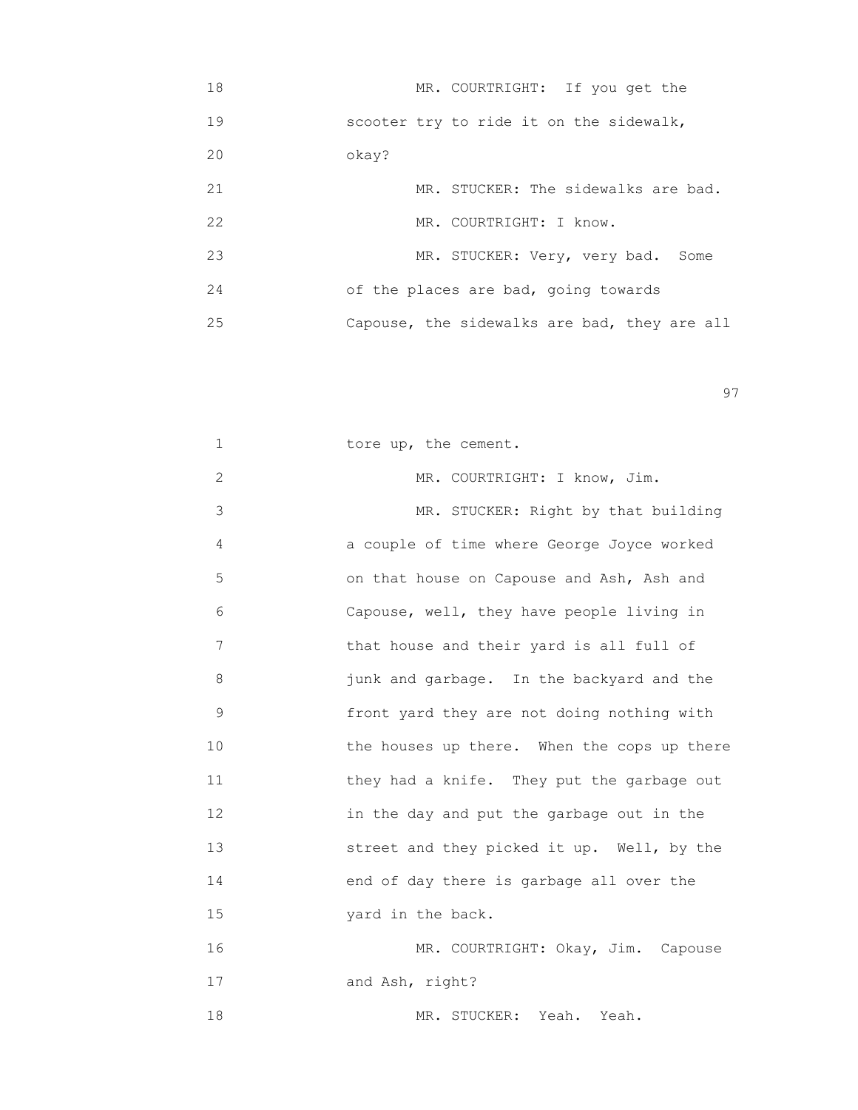| 18 | MR. COURTRIGHT: If you get the               |
|----|----------------------------------------------|
| 19 | scooter try to ride it on the sidewalk,      |
| 20 | okay?                                        |
| 21 | MR. STUCKER: The sidewalks are bad.          |
| 22 | MR. COURTRIGHT: I know.                      |
| 23 | MR. STUCKER: Very, very bad.<br>Some         |
| 24 | of the places are bad, going towards         |
| 25 | Capouse, the sidewalks are bad, they are all |

experience of the contract of the contract of the contract of the contract of the contract of the contract of the contract of the contract of the contract of the contract of the contract of the contract of the contract of

| 1  | tore up, the cement.                        |
|----|---------------------------------------------|
| 2  | MR. COURTRIGHT: I know, Jim.                |
| 3  | MR. STUCKER: Right by that building         |
| 4  | a couple of time where George Joyce worked  |
| 5  | on that house on Capouse and Ash, Ash and   |
| 6  | Capouse, well, they have people living in   |
| 7  | that house and their yard is all full of    |
| 8  | junk and garbage. In the backyard and the   |
| 9  | front yard they are not doing nothing with  |
| 10 | the houses up there. When the cops up there |
| 11 | they had a knife. They put the garbage out  |
| 12 | in the day and put the garbage out in the   |
| 13 | street and they picked it up. Well, by the  |
| 14 | end of day there is garbage all over the    |
| 15 | yard in the back.                           |
| 16 | MR. COURTRIGHT: Okay, Jim. Capouse          |
| 17 | and Ash, right?                             |
| 18 | MR. STUCKER: Yeah. Yeah.                    |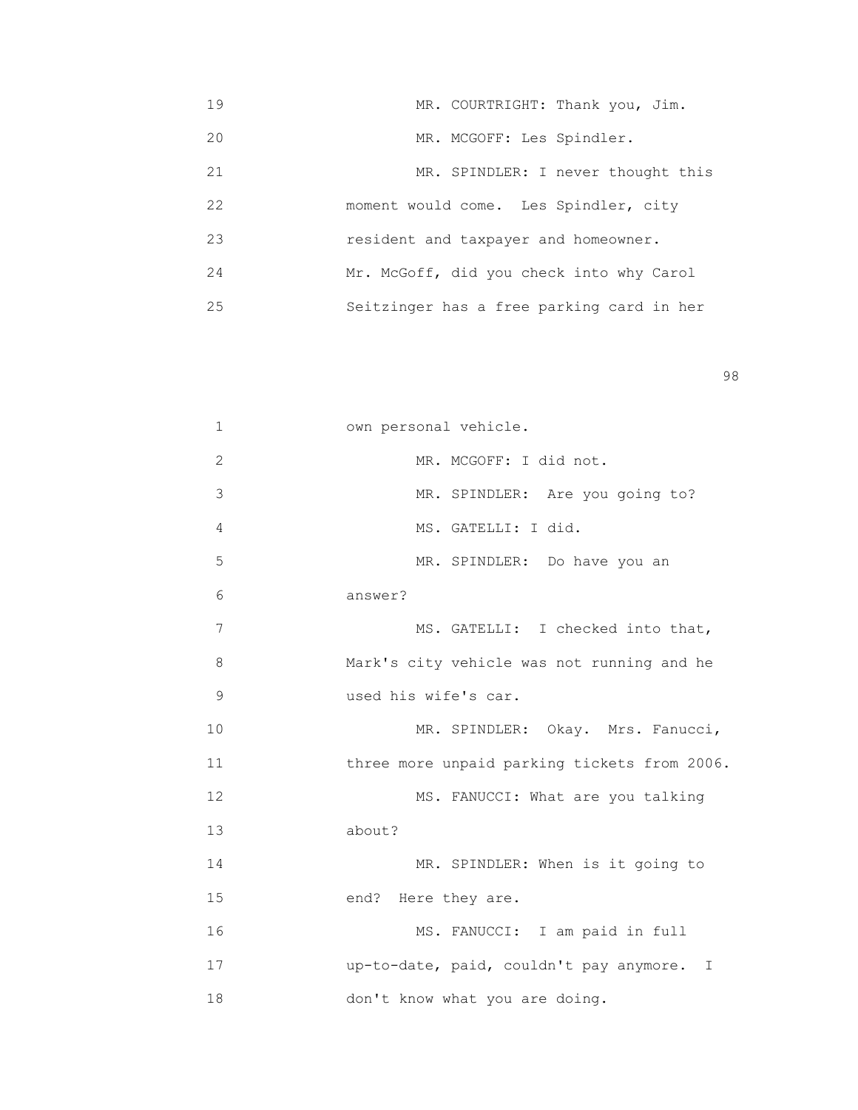19 MR. COURTRIGHT: Thank you, Jim. 20 MR. MCGOFF: Les Spindler. 21 MR. SPINDLER: I never thought this 22 moment would come. Les Spindler, city 23 resident and taxpayer and homeowner. 24 Mr. McGoff, did you check into why Carol 25 Seitzinger has a free parking card in her

en 1980 en 1980 en 1980 en 1980 en 1980 en 1980 en 1980 en 1980 en 1980 en 1980 en 1980 en 1980 en 1980 en 19<br>De grote en 1980 en 1980 en 1980 en 1980 en 1980 en 1980 en 1980 en 1980 en 1980 en 1980 en 1980 en 1980 en 19

| 1  | own personal vehicle.                        |
|----|----------------------------------------------|
| 2  | MR. MCGOFF: I did not.                       |
| 3  | MR. SPINDLER: Are you going to?              |
| 4  | MS. GATELLI: I did.                          |
| 5  | MR. SPINDLER: Do have you an                 |
| 6  | answer?                                      |
| 7  | MS. GATELLI: I checked into that,            |
| 8  | Mark's city vehicle was not running and he   |
| 9  | used his wife's car.                         |
| 10 | MR. SPINDLER: Okay. Mrs. Fanucci,            |
| 11 | three more unpaid parking tickets from 2006. |
| 12 | MS. FANUCCI: What are you talking            |
| 13 | about?                                       |
| 14 | MR. SPINDLER: When is it going to            |
| 15 | end? Here they are.                          |
| 16 | MS. FANUCCI: I am paid in full               |
| 17 | up-to-date, paid, couldn't pay anymore. I    |
| 18 | don't know what you are doing.               |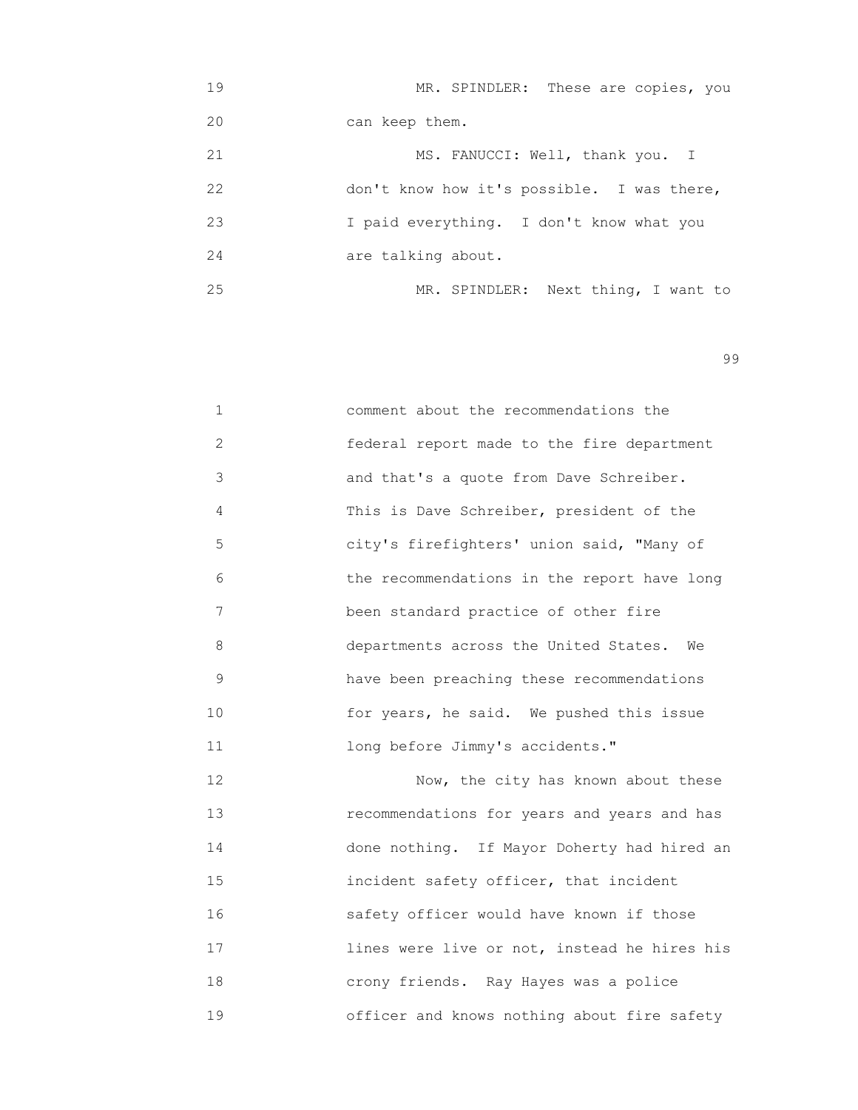| 19 | MR. SPINDLER: These are copies, you        |
|----|--------------------------------------------|
| 20 | can keep them.                             |
| 21 | MS. FANUCCI: Well, thank you. I            |
| 22 | don't know how it's possible. I was there, |
| 23 | I paid everything. I don't know what you   |
| 24 | are talking about.                         |
| 25 | MR. SPINDLER: Next thing, I want to        |

| $\mathbf{1}$  | comment about the recommendations the       |
|---------------|---------------------------------------------|
| $\mathcal{L}$ | federal report made to the fire department  |
| 3             | and that's a quote from Dave Schreiber.     |
| 4             | This is Dave Schreiber, president of the    |
| 5             | city's firefighters' union said, "Many of   |
| 6             | the recommendations in the report have long |
| 7             | been standard practice of other fire        |
| 8             | departments across the United States.<br>We |
| 9             | have been preaching these recommendations   |
| 10            | for years, he said. We pushed this issue    |
| 11            | long before Jimmy's accidents."             |

 12 Now, the city has known about these 13 recommendations for years and years and has 14 done nothing. If Mayor Doherty had hired an 15 incident safety officer, that incident 16 safety officer would have known if those 17 lines were live or not, instead he hires his 18 crony friends. Ray Hayes was a police 19 officer and knows nothing about fire safety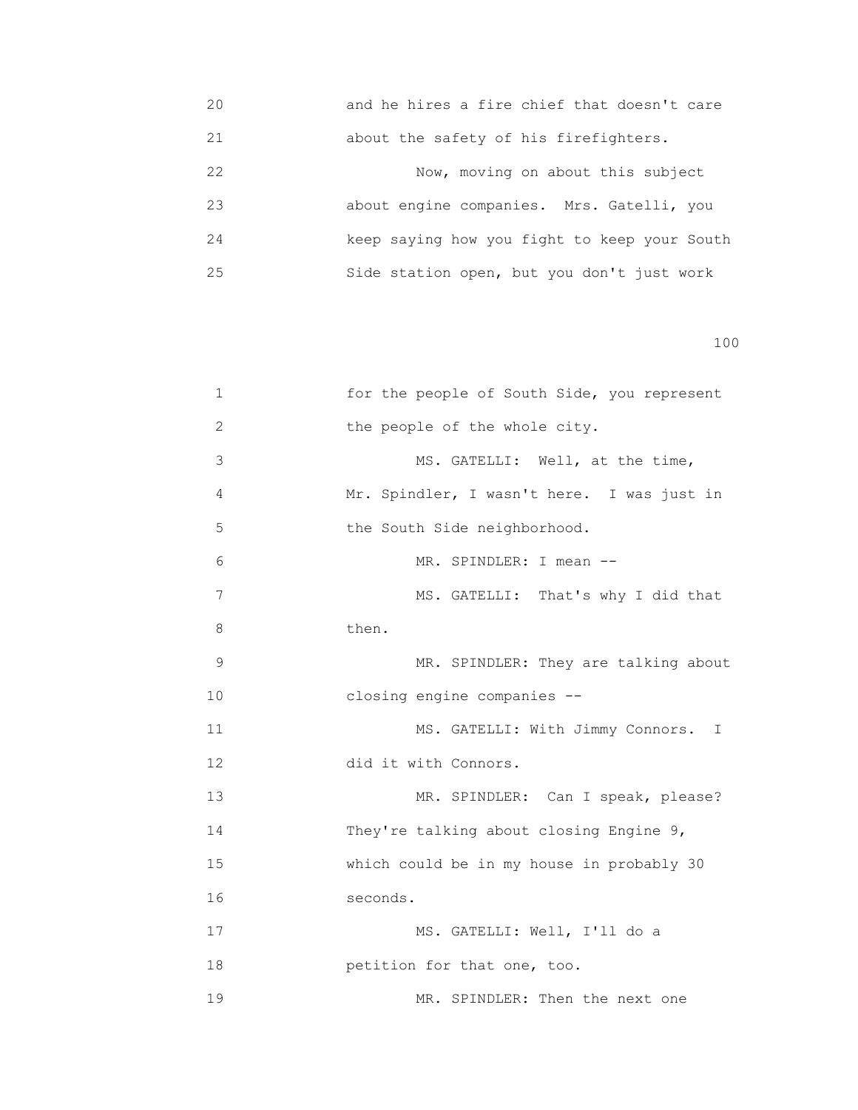20 and he hires a fire chief that doesn't care 21 about the safety of his firefighters.

 22 Now, moving on about this subject 23 about engine companies. Mrs. Gatelli, you 24 keep saying how you fight to keep your South 25 Side station open, but you don't just work

| 1             | for the people of South Side, you represent |
|---------------|---------------------------------------------|
| 2             | the people of the whole city.               |
| 3             | MS. GATELLI: Well, at the time,             |
| 4             | Mr. Spindler, I wasn't here. I was just in  |
| 5             | the South Side neighborhood.                |
| 6             | MR. SPINDLER: I mean --                     |
| 7             | MS. GATELLI: That's why I did that          |
| 8             | then.                                       |
| $\mathcal{G}$ | MR. SPINDLER: They are talking about        |
| 10            | closing engine companies --                 |
| 11            | MS. GATELLI: With Jimmy Connors. I          |
| 12            | did it with Connors.                        |
| 13            | MR. SPINDLER: Can I speak, please?          |
| 14            | They're talking about closing Engine 9,     |
| 15            | which could be in my house in probably 30   |
| 16            | seconds.                                    |
| 17            | MS. GATELLI: Well, I'll do a                |
| 18            | petition for that one, too.                 |
| 19            | MR. SPINDLER: Then the next one             |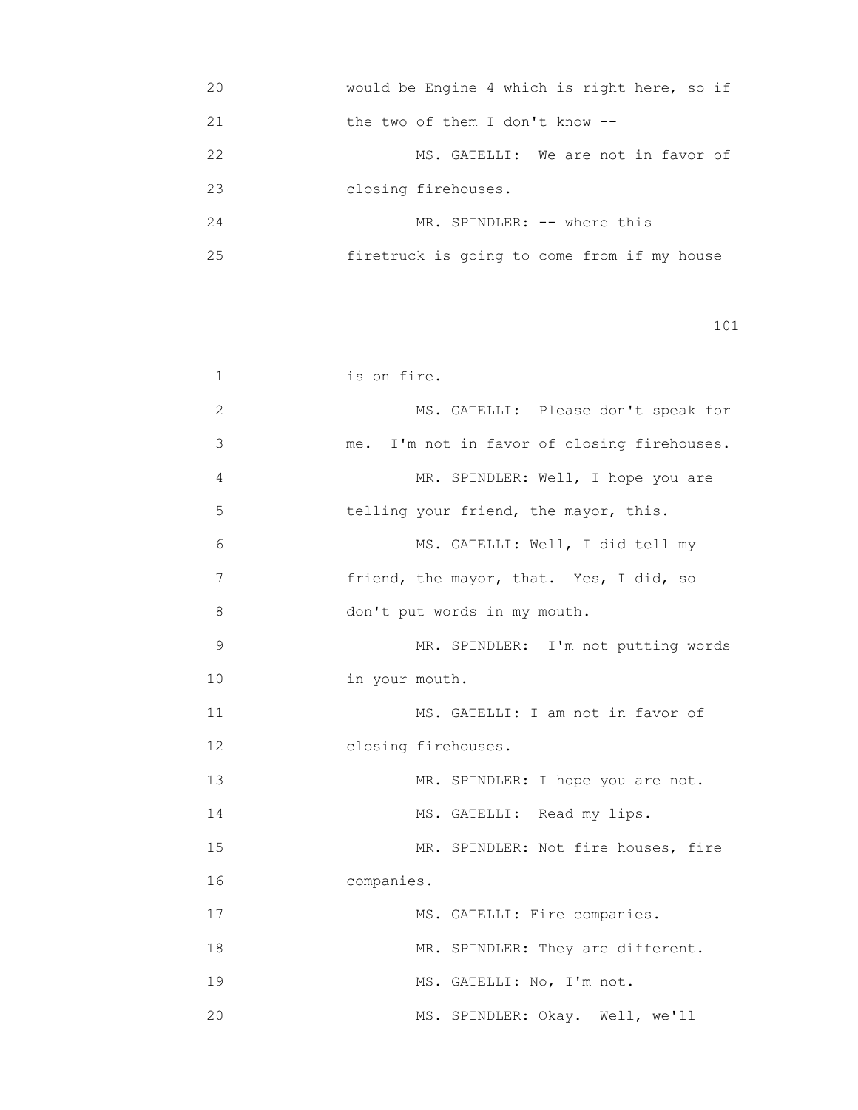| 20 | would be Engine 4 which is right here, so if |
|----|----------------------------------------------|
| 21 | the two of them I don't know $-$ -           |
| 22 | MS. GATELLI: We are not in favor of          |
| 23 | closing firehouses.                          |
| 24 | MR. SPINDLER: -- where this                  |
| 25 | firetruck is going to come from if my house  |

| 1            | is on fire.                                 |
|--------------|---------------------------------------------|
| $\mathbf{2}$ | MS. GATELLI: Please don't speak for         |
| 3            | me. I'm not in favor of closing firehouses. |
| 4            | MR. SPINDLER: Well, I hope you are          |
| 5            | telling your friend, the mayor, this.       |
| 6            | MS. GATELLI: Well, I did tell my            |
| 7            | friend, the mayor, that. Yes, I did, so     |
| 8            | don't put words in my mouth.                |
| 9            | MR. SPINDLER: I'm not putting words         |
| 10           | in your mouth.                              |
| 11           | MS. GATELLI: I am not in favor of           |
| 12           | closing firehouses.                         |
| 13           | MR. SPINDLER: I hope you are not.           |
| 14           | MS. GATELLI: Read my lips.                  |
| 15           | MR. SPINDLER: Not fire houses, fire         |
| 16           | companies.                                  |
| 17           | MS. GATELLI: Fire companies.                |
| 18           | MR. SPINDLER: They are different.           |
| 19           | MS. GATELLI: No, I'm not.                   |
| 20           | MS. SPINDLER: Okay. Well, we'll             |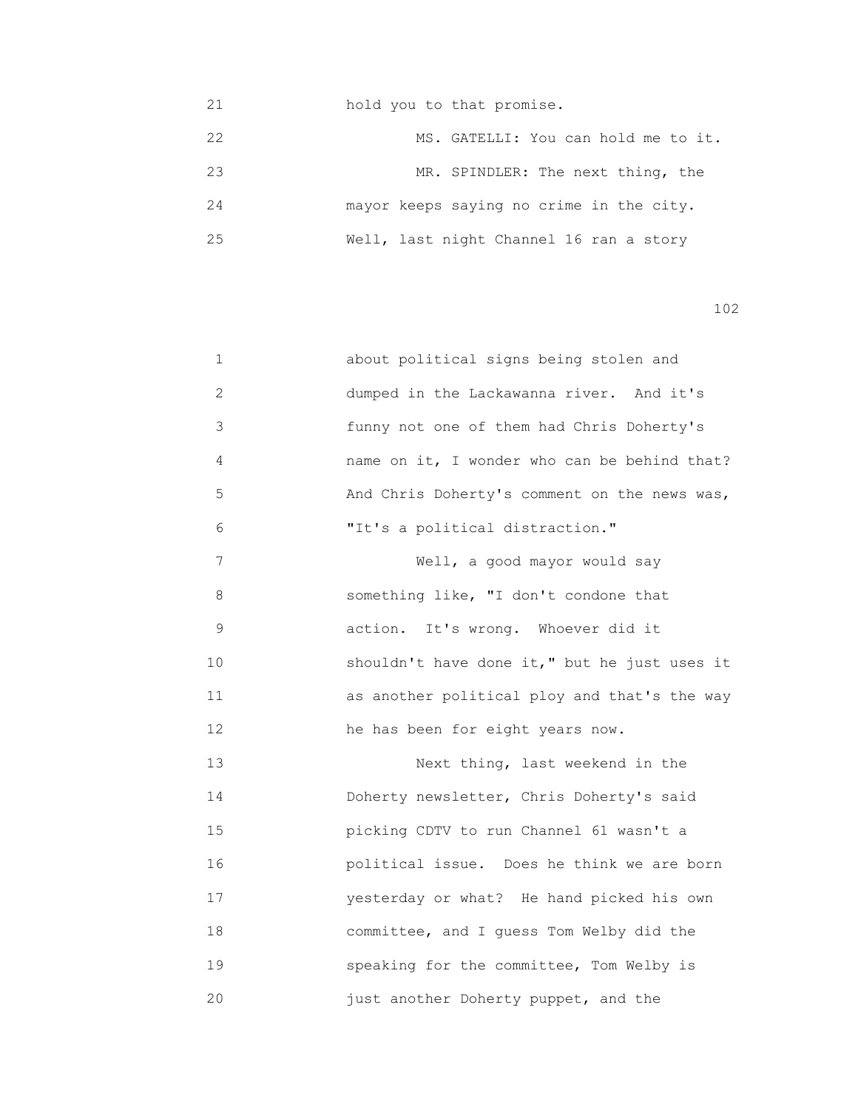| 21 | hold you to that promise.                |  |                                     |  |  |
|----|------------------------------------------|--|-------------------------------------|--|--|
| 22 |                                          |  | MS. GATELLI: You can hold me to it. |  |  |
| 23 |                                          |  | MR. SPINDLER: The next thing, the   |  |  |
| 24 | mayor keeps saying no crime in the city. |  |                                     |  |  |
| 25 | Well, last night Channel 16 ran a story  |  |                                     |  |  |

| $\mathbf 1$ | about political signs being stolen and       |
|-------------|----------------------------------------------|
| 2           | dumped in the Lackawanna river. And it's     |
| 3           | funny not one of them had Chris Doherty's    |
| 4           | name on it, I wonder who can be behind that? |
| 5           | And Chris Doherty's comment on the news was, |
| 6           | "It's a political distraction."              |
| 7           | Well, a good mayor would say                 |
| 8           | something like, "I don't condone that        |
| 9           | action. It's wrong. Whoever did it           |
| 10          | shouldn't have done it," but he just uses it |
| 11          | as another political ploy and that's the way |
| 12          | he has been for eight years now.             |
| 13          | Next thing, last weekend in the              |
| 14          | Doherty newsletter, Chris Doherty's said     |
| 15          | picking CDTV to run Channel 61 wasn't a      |
| 16          | political issue. Does he think we are born   |
| 17          | yesterday or what? He hand picked his own    |
| 18          | committee, and I guess Tom Welby did the     |
| 19          | speaking for the committee, Tom Welby is     |
| 20          | just another Doherty puppet, and the         |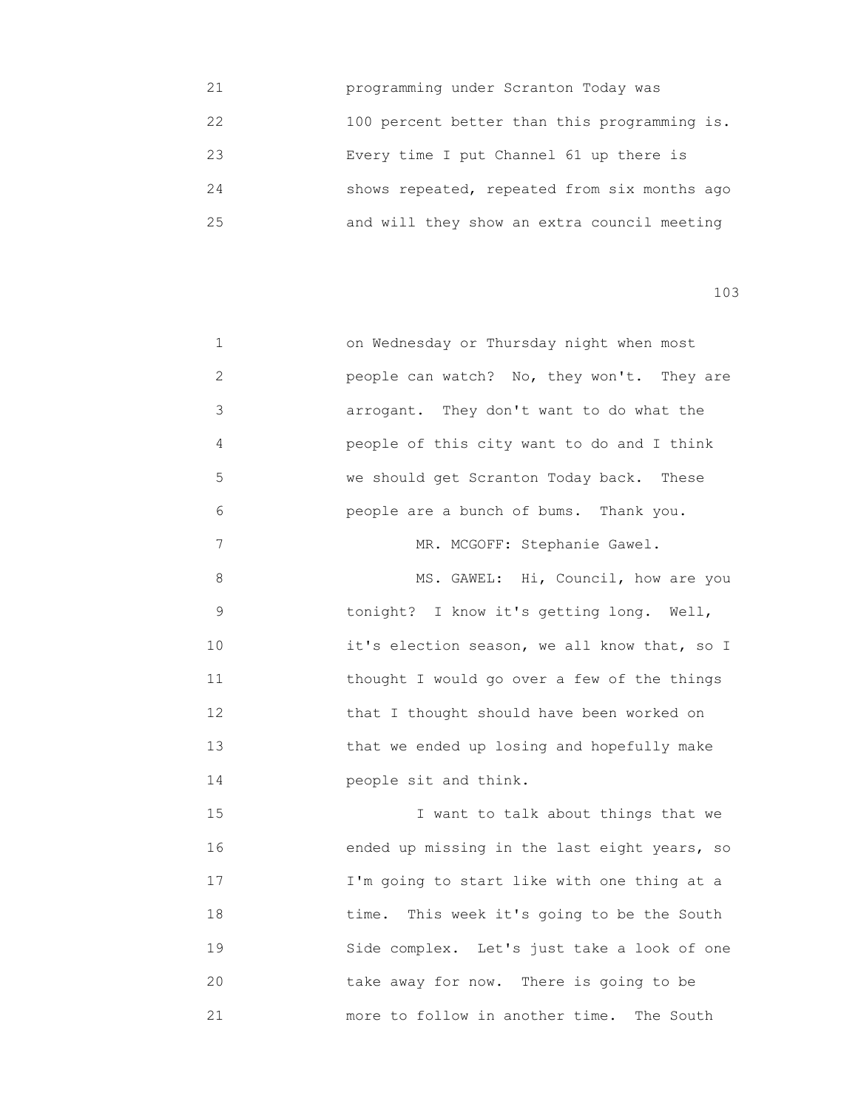| 21 | programming under Scranton Today was         |
|----|----------------------------------------------|
| 22 | 100 percent better than this programming is. |
| 23 | Every time I put Channel 61 up there is      |
| 24 | shows repeated, repeated from six months ago |
| 25 | and will they show an extra council meeting  |

| 1  | on Wednesday or Thursday night when most     |
|----|----------------------------------------------|
| 2  | people can watch? No, they won't. They are   |
| 3  | arrogant. They don't want to do what the     |
| 4  | people of this city want to do and I think   |
| 5  | we should get Scranton Today back. These     |
| 6  | people are a bunch of bums. Thank you.       |
| 7  | MR. MCGOFF: Stephanie Gawel.                 |
| 8  | MS. GAWEL: Hi, Council, how are you          |
| 9  | tonight? I know it's getting long. Well,     |
| 10 | it's election season, we all know that, so I |
| 11 | thought I would go over a few of the things  |
| 12 | that I thought should have been worked on    |
| 13 | that we ended up losing and hopefully make   |
| 14 | people sit and think.                        |
| 15 | I want to talk about things that we          |
| 16 | ended up missing in the last eight years, so |
| 17 | I'm going to start like with one thing at a  |
| 18 | time. This week it's going to be the South   |
| 19 | Side complex. Let's just take a look of one  |
| 20 | take away for now. There is going to be      |
| 21 | more to follow in another time. The South    |
|    |                                              |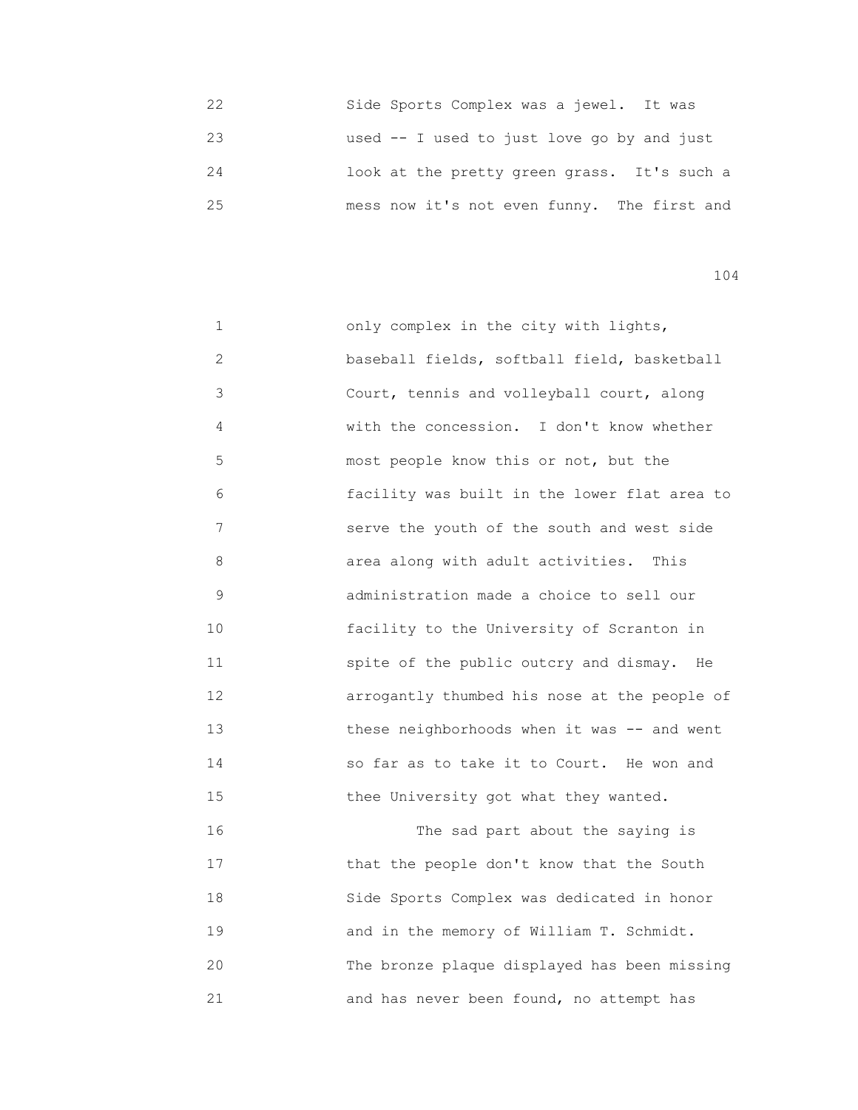| フフ | Side Sports Complex was a jewel. It was     |
|----|---------------------------------------------|
| 23 | used $-$ I used to just love go by and just |
| 24 | look at the pretty green grass. It's such a |
| 25 | mess now it's not even funny. The first and |

 1 only complex in the city with lights, 2 baseball fields, softball field, basketball 3 Court, tennis and volleyball court, along 4 with the concession. I don't know whether 5 most people know this or not, but the 6 facility was built in the lower flat area to 7 serve the youth of the south and west side 8 area along with adult activities. This 9 administration made a choice to sell our 10 facility to the University of Scranton in 11 spite of the public outcry and dismay. He 12 **arrogantly thumbed his nose at the people of** 13 **these neighborhoods when it was -- and went**  14 so far as to take it to Court. He won and 15 **thee University got what they wanted.**  16 The sad part about the saying is 17 **that the people don't know that the South**  18 Side Sports Complex was dedicated in honor 19 and in the memory of William T. Schmidt. 20 The bronze plaque displayed has been missing

21 and has never been found, no attempt has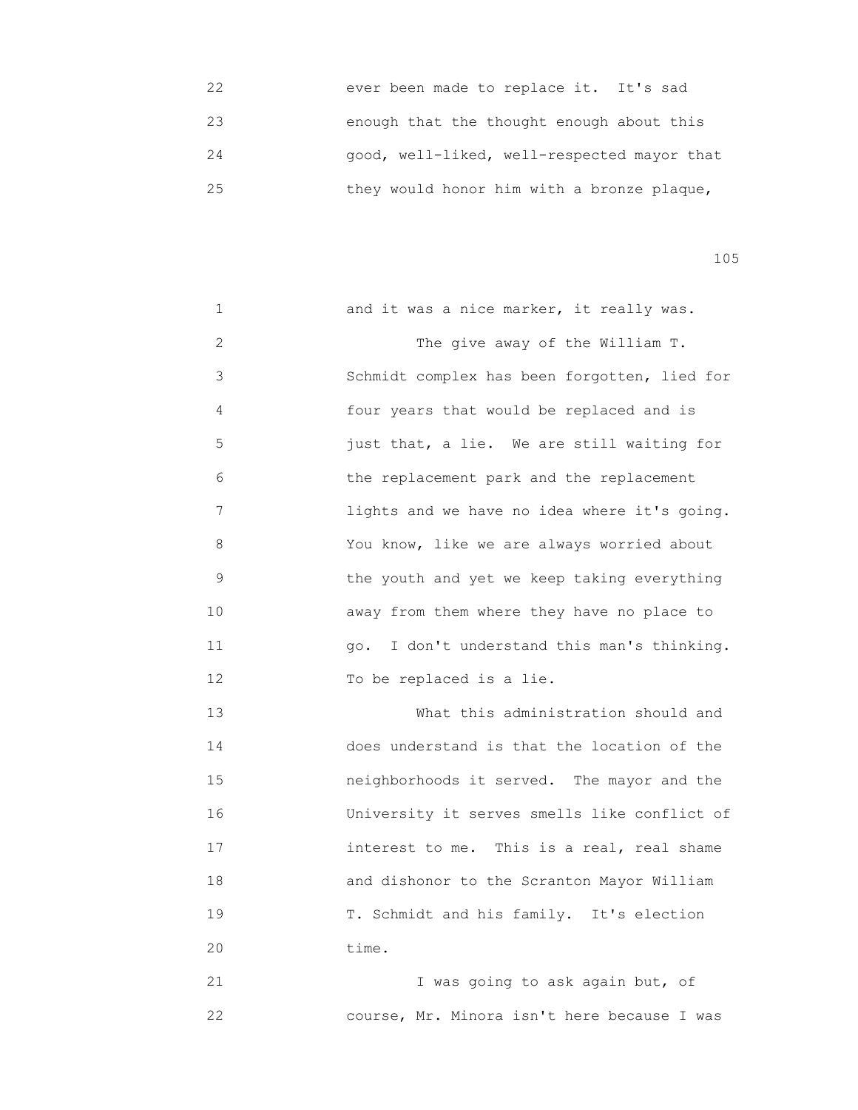| 22 | ever been made to replace it. It's sad      |
|----|---------------------------------------------|
| 23 | enough that the thought enough about this   |
| 24 | good, well-liked, well-respected mayor that |
| 25 | they would honor him with a bronze plaque,  |

| 1              | and it was a nice marker, it really was.     |
|----------------|----------------------------------------------|
| $\overline{2}$ | The give away of the William T.              |
| 3              | Schmidt complex has been forgotten, lied for |
| 4              | four years that would be replaced and is     |
| 5              | just that, a lie. We are still waiting for   |
| 6              | the replacement park and the replacement     |
| 7              | lights and we have no idea where it's going. |
| 8              | You know, like we are always worried about   |
| 9              | the youth and yet we keep taking everything  |
| 10             | away from them where they have no place to   |
| 11             | go. I don't understand this man's thinking.  |
| 12             | To be replaced is a lie.                     |
| 13             | What this administration should and          |
| 14             | does understand is that the location of the  |
| 15             | neighborhoods it served. The mayor and the   |
| 16             | University it serves smells like conflict of |
| 17             | interest to me. This is a real, real shame   |
| 18             | and dishonor to the Scranton Mayor William   |
| 19             | T. Schmidt and his family. It's election     |
| 20             | time.                                        |
| 21             | I was going to ask again but, of             |
| 22             | course, Mr. Minora isn't here because I was  |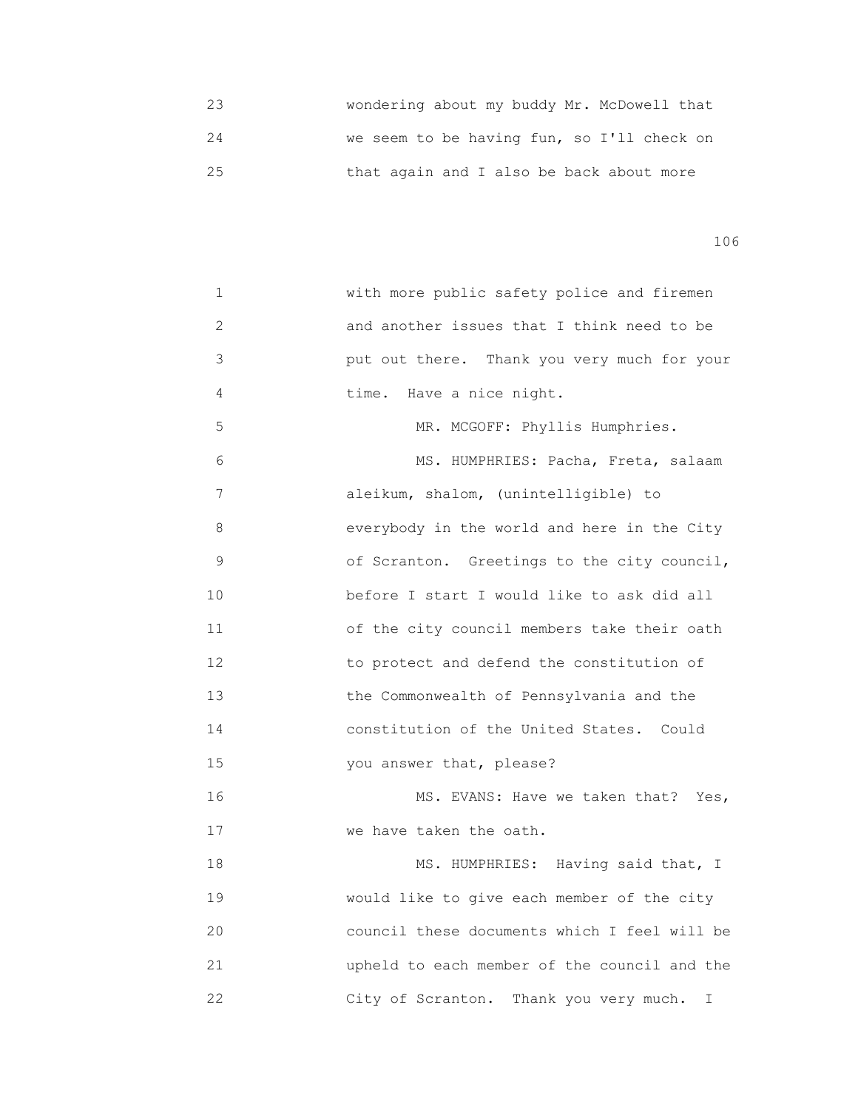23 wondering about my buddy Mr. McDowell that 24 we seem to be having fun, so I'll check on 25 that again and I also be back about more

106

 1 with more public safety police and firemen 2 and another issues that I think need to be 3 put out there. Thank you very much for your 4 **time.** Have a nice night. 5 MR. MCGOFF: Phyllis Humphries. 6 MS. HUMPHRIES: Pacha, Freta, salaam 7 aleikum, shalom, (unintelligible) to 8 everybody in the world and here in the City 9 of Scranton. Greetings to the city council, 10 before I start I would like to ask did all 11 of the city council members take their oath 12 to protect and defend the constitution of 13 the Commonwealth of Pennsylvania and the 14 constitution of the United States. Could 15 you answer that, please? 16 MS. EVANS: Have we taken that? Yes, 17 We have taken the oath. 18 MS. HUMPHRIES: Having said that, I 19 would like to give each member of the city 20 council these documents which I feel will be 21 upheld to each member of the council and the 22 City of Scranton. Thank you very much. I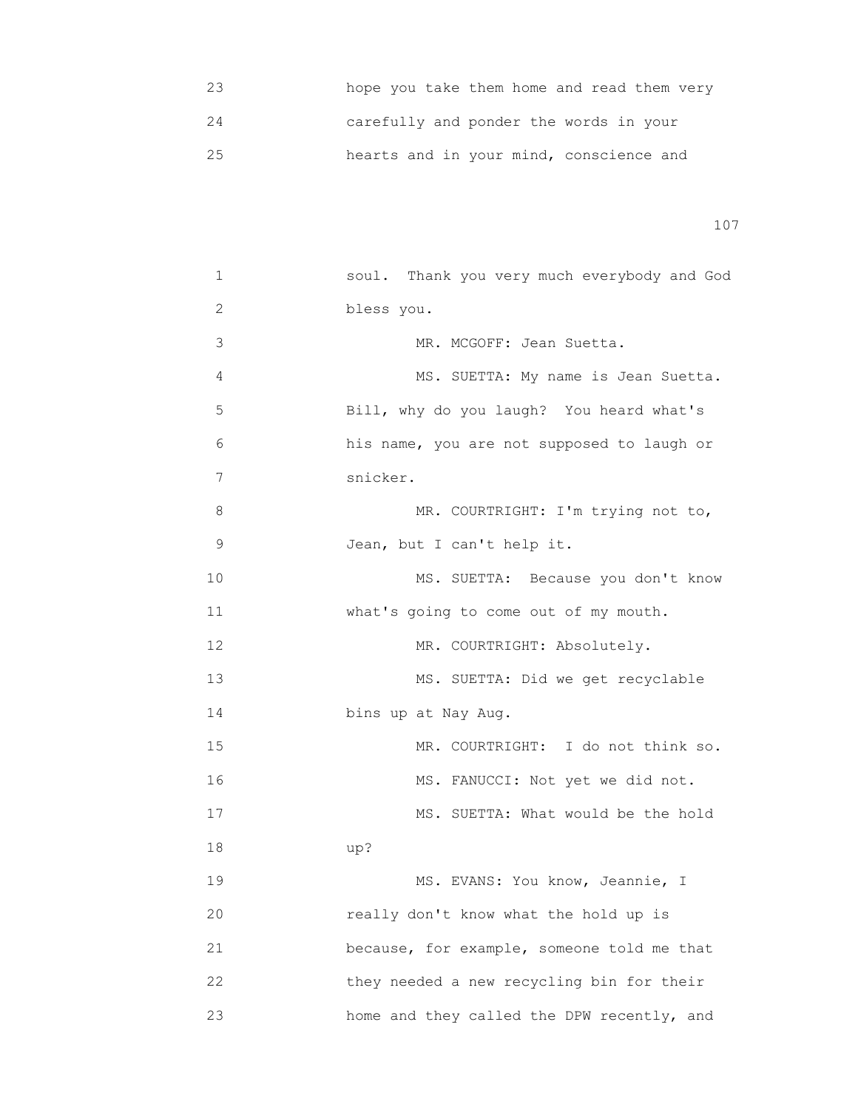|     | hope you take them home and read them very |
|-----|--------------------------------------------|
|     | carefully and ponder the words in your     |
| 2.5 | hearts and in your mind, conscience and    |

| 1            | soul. Thank you very much everybody and God |
|--------------|---------------------------------------------|
| $\mathbf{2}$ | bless you.                                  |
| 3            | MR. MCGOFF: Jean Suetta.                    |
| 4            | MS. SUETTA: My name is Jean Suetta.         |
| 5            | Bill, why do you laugh? You heard what's    |
| 6            | his name, you are not supposed to laugh or  |
| 7            | snicker.                                    |
| 8            | MR. COURTRIGHT: I'm trying not to,          |
| 9            | Jean, but I can't help it.                  |
| 10           | MS. SUETTA: Because you don't know          |
| 11           | what's going to come out of my mouth.       |
| 12           | MR. COURTRIGHT: Absolutely.                 |
| 13           | MS. SUETTA: Did we get recyclable           |
| 14           | bins up at Nay Aug.                         |
| 15           | MR. COURTRIGHT: I do not think so.          |
| 16           | MS. FANUCCI: Not yet we did not.            |
| 17           | MS. SUETTA: What would be the hold          |
| 18           | up?                                         |
| 19           | MS. EVANS: You know, Jeannie, I             |
| 20           | really don't know what the hold up is       |
| 21           | because, for example, someone told me that  |
| 22           | they needed a new recycling bin for their   |
| 23           | home and they called the DPW recently, and  |
|              |                                             |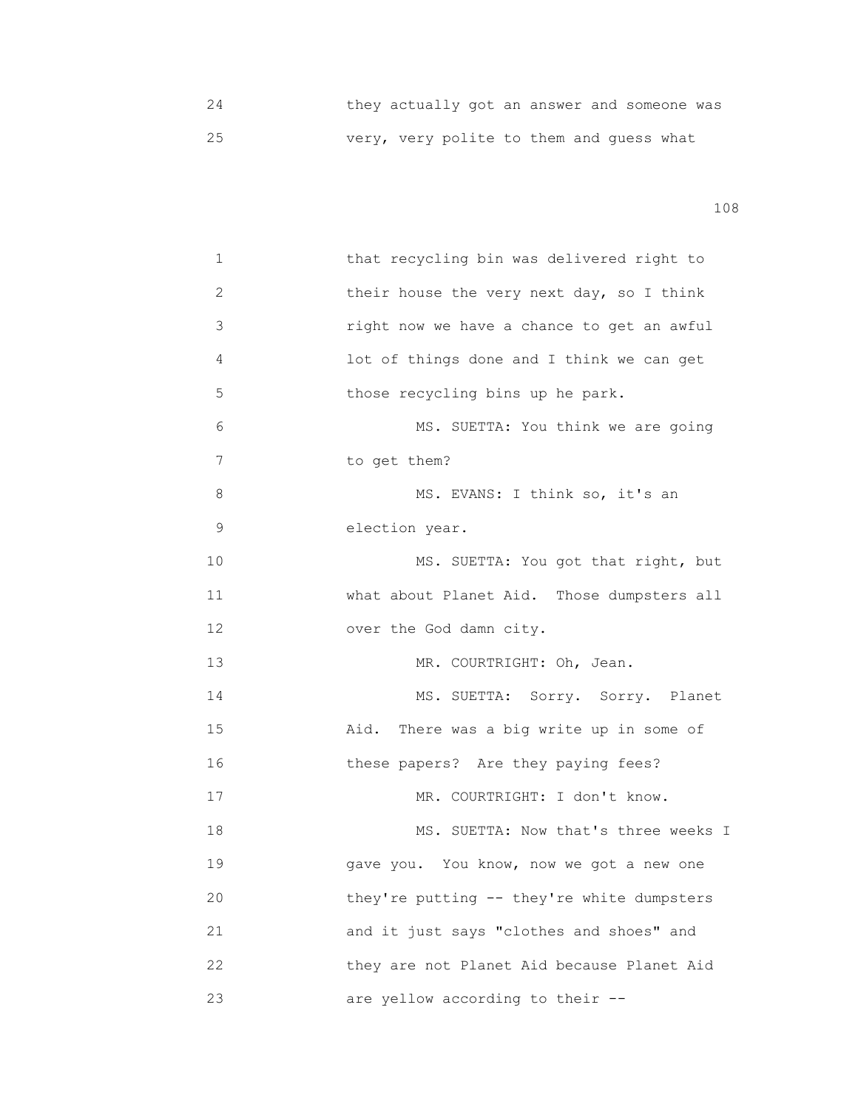24 they actually got an answer and someone was 25 very, very polite to them and guess what

| 1           | that recycling bin was delivered right to  |
|-------------|--------------------------------------------|
| 2           | their house the very next day, so I think  |
| 3           | right now we have a chance to get an awful |
| 4           | lot of things done and I think we can get  |
| 5           | those recycling bins up he park.           |
| 6           | MS. SUETTA: You think we are going         |
| 7           | to get them?                               |
| 8           | MS. EVANS: I think so, it's an             |
| $\mathsf 9$ | election year.                             |
| 10          | MS. SUETTA: You got that right, but        |
| 11          | what about Planet Aid. Those dumpsters all |
| 12          | over the God damn city.                    |
| 13          | MR. COURTRIGHT: Oh, Jean.                  |
| 14          | MS. SUETTA: Sorry. Sorry. Planet           |
| 15          | Aid. There was a big write up in some of   |
| 16          | these papers? Are they paying fees?        |
| 17          | MR. COURTRIGHT: I don't know.              |
| 18          | MS. SUETTA: Now that's three weeks I       |
| 19          | gave you. You know, now we got a new one   |
| 20          | they're putting -- they're white dumpsters |
| 21          | and it just says "clothes and shoes" and   |
| 22          | they are not Planet Aid because Planet Aid |
| 23          | are yellow according to their --           |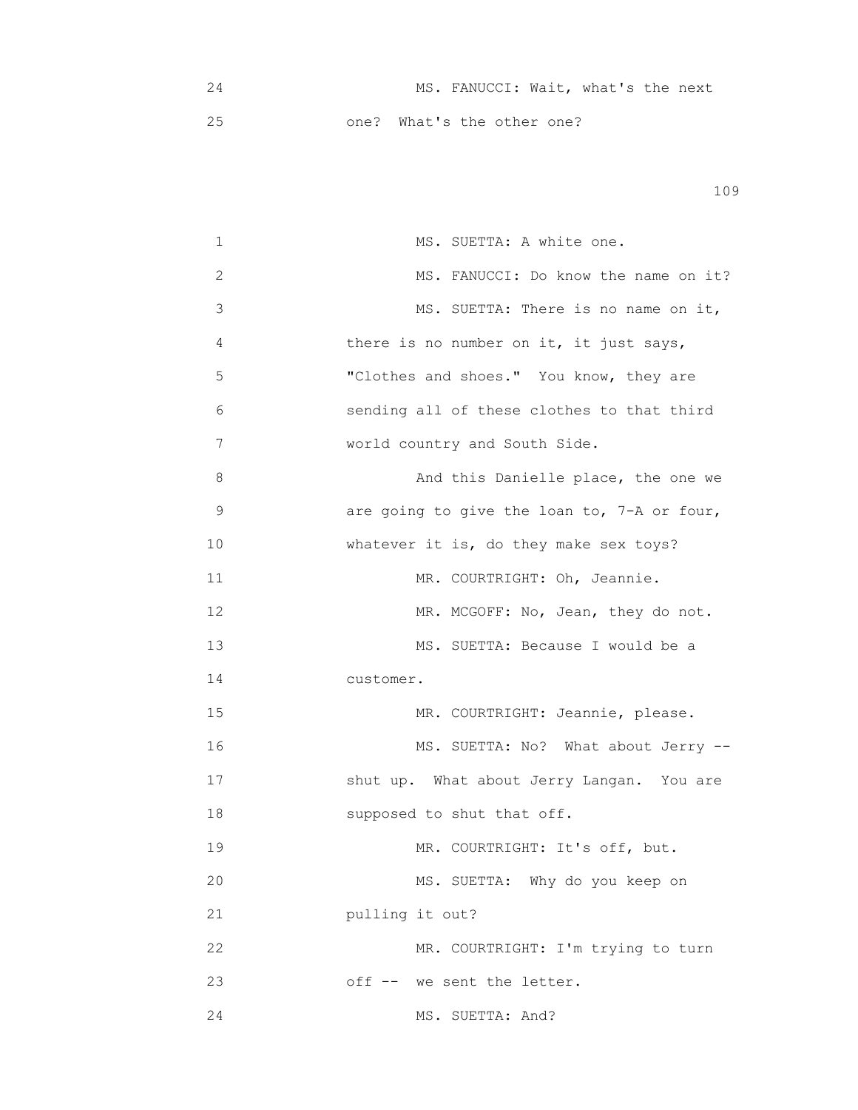|  | MS. FANUCCI: Wait, what's the next |  |  |
|--|------------------------------------|--|--|
|  | one? What's the other one?         |  |  |

| 1           | MS. SUETTA: A white one.                    |
|-------------|---------------------------------------------|
| 2           | MS. FANUCCI: Do know the name on it?        |
| 3           | MS. SUETTA: There is no name on it,         |
| 4           | there is no number on it, it just says,     |
| 5           | "Clothes and shoes." You know, they are     |
| 6           | sending all of these clothes to that third  |
| 7           | world country and South Side.               |
| 8           | And this Danielle place, the one we         |
| $\mathsf 9$ | are going to give the loan to, 7-A or four, |
| 10          | whatever it is, do they make sex toys?      |
| 11          | MR. COURTRIGHT: Oh, Jeannie.                |
| 12          | MR. MCGOFF: No, Jean, they do not.          |
| 13          | MS. SUETTA: Because I would be a            |
| 14          | customer.                                   |
| 15          | MR. COURTRIGHT: Jeannie, please.            |
| 16          | MS. SUETTA: No? What about Jerry --         |
| 17          | shut up. What about Jerry Langan. You are   |
| 18          | supposed to shut that off.                  |
| 19          | MR. COURTRIGHT: It's off, but.              |
| 20          | MS. SUETTA: Why do you keep on              |
| 21          | pulling it out?                             |
| 22          | MR. COURTRIGHT: I'm trying to turn          |
| 23          | off -- we sent the letter.                  |
| 24          | MS. SUETTA: And?                            |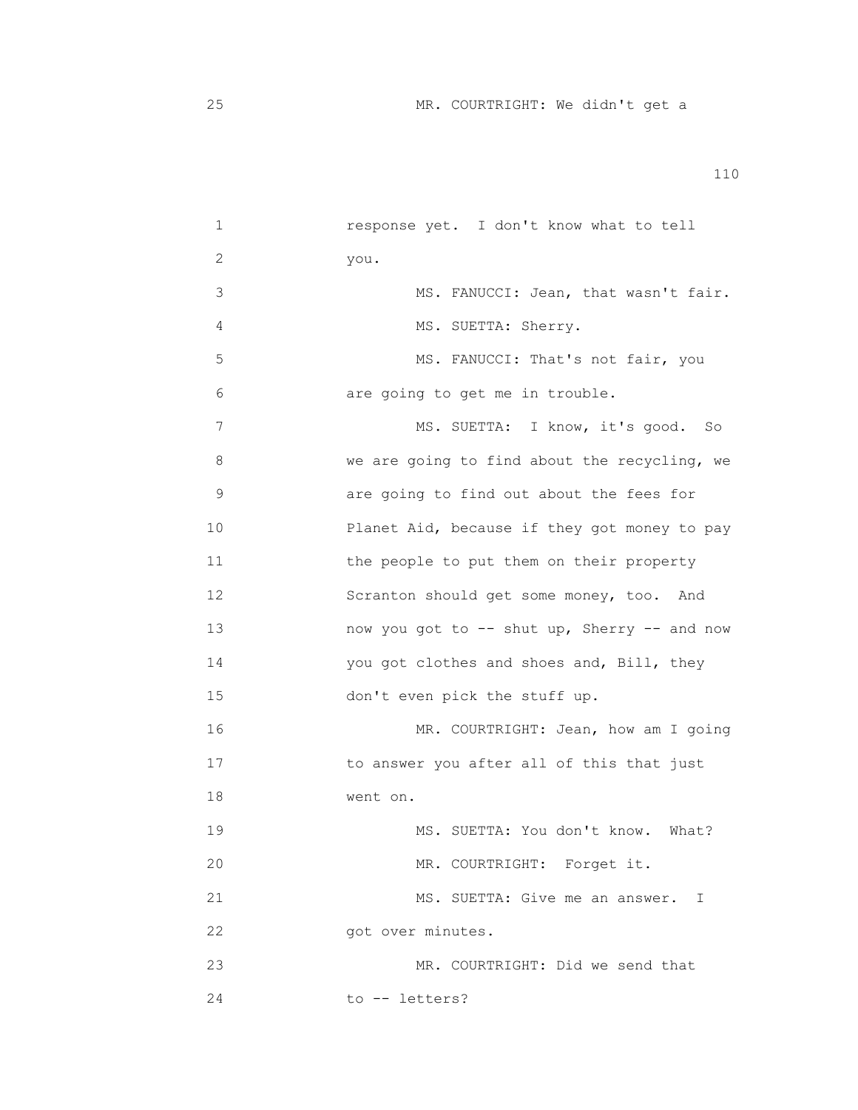| 1  | response yet. I don't know what to tell      |
|----|----------------------------------------------|
| 2  | you.                                         |
| 3  | MS. FANUCCI: Jean, that wasn't fair.         |
| 4  | MS. SUETTA: Sherry.                          |
| 5  | MS. FANUCCI: That's not fair, you            |
| 6  | are going to get me in trouble.              |
| 7  | MS. SUETTA: I know, it's good. So            |
| 8  | we are going to find about the recycling, we |
| 9  | are going to find out about the fees for     |
| 10 | Planet Aid, because if they got money to pay |
| 11 | the people to put them on their property     |
| 12 | Scranton should get some money, too.<br>And  |
| 13 | now you got to -- shut up, Sherry -- and now |
| 14 | you got clothes and shoes and, Bill, they    |
| 15 | don't even pick the stuff up.                |
| 16 | MR. COURTRIGHT: Jean, how am I going         |
| 17 | to answer you after all of this that just    |
| 18 | went on.                                     |
| 19 | MS. SUETTA: You don't know. What?            |
| 20 | MR. COURTRIGHT: Forget it.                   |
| 21 | MS. SUETTA: Give me an answer. I             |
| 22 | got over minutes.                            |
| 23 | MR. COURTRIGHT: Did we send that             |
| 24 | to -- letters?                               |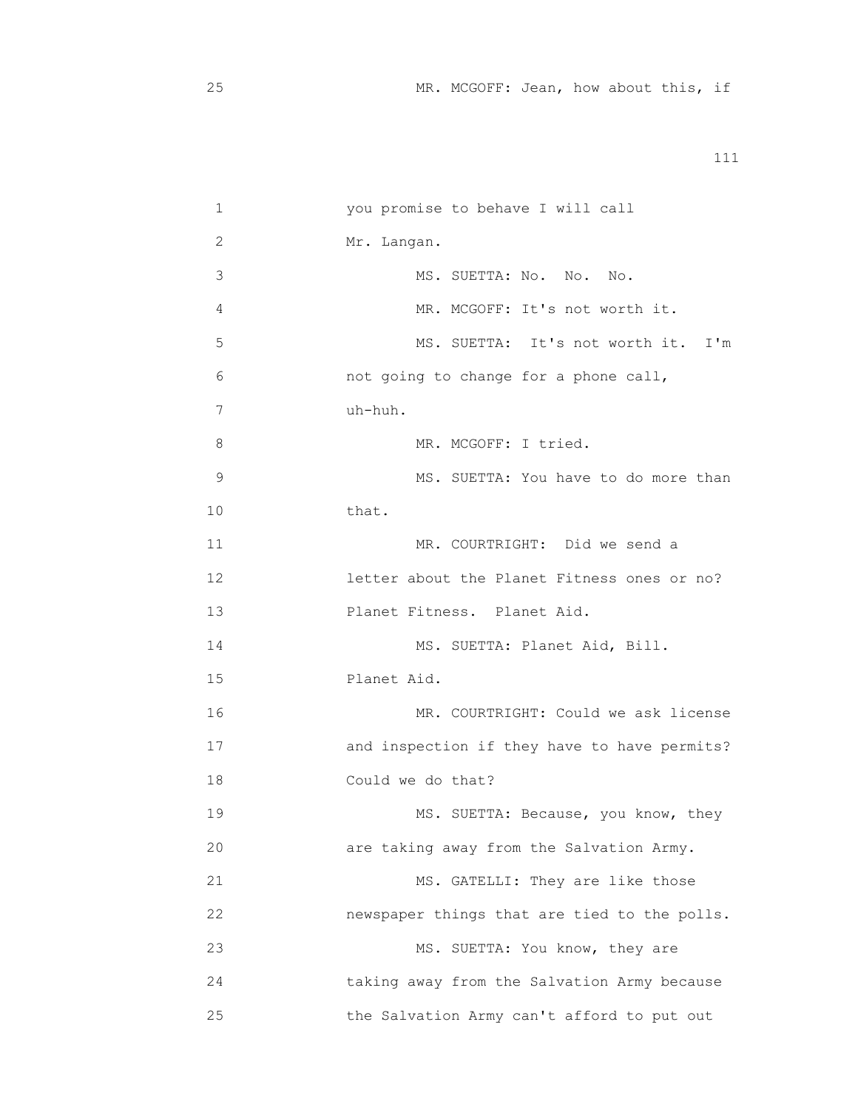|    | you promise to behave I will call            |
|----|----------------------------------------------|
| 2  | Mr. Langan.                                  |
| 3  | MS. SUETTA: No. No. No.                      |
| 4  | MR. MCGOFF: It's not worth it.               |
| 5  | MS. SUETTA: It's not worth it. I'm           |
| 6  | not going to change for a phone call,        |
| 7  | uh-huh.                                      |
| 8  | MR. MCGOFF: I tried.                         |
| 9  | MS. SUETTA: You have to do more than         |
| 10 | that.                                        |
| 11 | MR. COURTRIGHT: Did we send a                |
| 12 | letter about the Planet Fitness ones or no?  |
| 13 | Planet Fitness. Planet Aid.                  |
| 14 | MS. SUETTA: Planet Aid, Bill.                |
| 15 | Planet Aid.                                  |
| 16 | MR. COURTRIGHT: Could we ask license         |
| 17 | and inspection if they have to have permits? |
| 18 | Could we do that?                            |
| 19 | MS. SUETTA: Because, you know, they          |
| 20 | are taking away from the Salvation Army.     |
| 21 | MS. GATELLI: They are like those             |
| 22 | newspaper things that are tied to the polls. |
| 23 | MS. SUETTA: You know, they are               |
| 24 | taking away from the Salvation Army because  |
| 25 | the Salvation Army can't afford to put out   |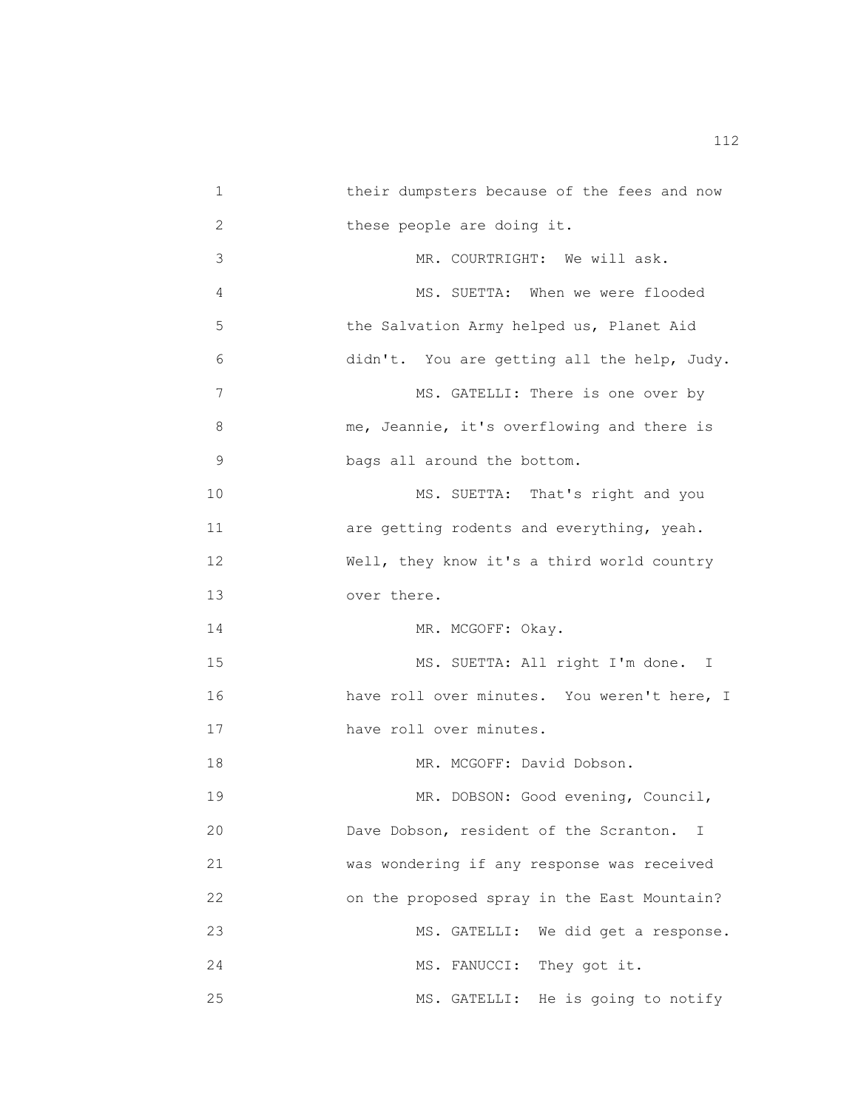1 their dumpsters because of the fees and now 2 these people are doing it. 3 MR. COURTRIGHT: We will ask. 4 MS. SUETTA: When we were flooded 5 the Salvation Army helped us, Planet Aid 6 didn't. You are getting all the help, Judy. 7 MS. GATELLI: There is one over by 8 me, Jeannie, it's overflowing and there is 9 **bags all around the bottom.** 10 MS. SUETTA: That's right and you 11 are getting rodents and everything, yeah. 12 Well, they know it's a third world country 13 over there. 14 MR. MCGOFF: Okay. 15 MS. SUETTA: All right I'm done. I 16 have roll over minutes. You weren't here, I 17 have roll over minutes. 18 MR. MCGOFF: David Dobson. 19 MR. DOBSON: Good evening, Council, 20 Dave Dobson, resident of the Scranton. I 21 was wondering if any response was received 22 on the proposed spray in the East Mountain? 23 MS. GATELLI: We did get a response. 24 MS. FANUCCI: They got it. 25 MS. GATELLI: He is going to notify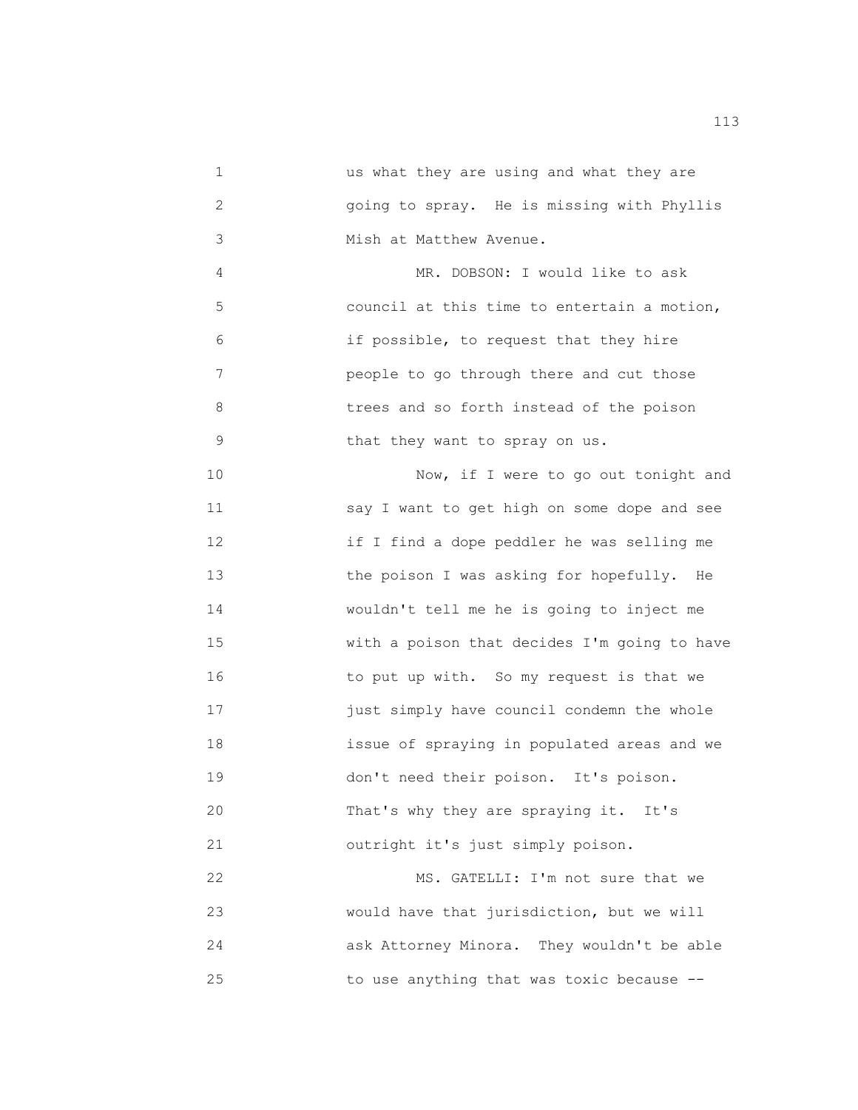1 us what they are using and what they are 2 going to spray. He is missing with Phyllis 3 Mish at Matthew Avenue.

4 MR. DOBSON: I would like to ask 5 council at this time to entertain a motion, 6 if possible, to request that they hire 7 people to go through there and cut those 8 trees and so forth instead of the poison 9 that they want to spray on us.

 10 Now, if I were to go out tonight and 11 say I want to get high on some dope and see 12 if I find a dope peddler he was selling me 13 the poison I was asking for hopefully. He 14 wouldn't tell me he is going to inject me 15 with a poison that decides I'm going to have 16 to put up with. So my request is that we 17 just simply have council condemn the whole 18 issue of spraying in populated areas and we 19 don't need their poison. It's poison. 20 That's why they are spraying it. It's 21 outright it's just simply poison.

22 MS. GATELLI: I'm not sure that we 23 would have that jurisdiction, but we will 24 ask Attorney Minora. They wouldn't be able 25 to use anything that was toxic because --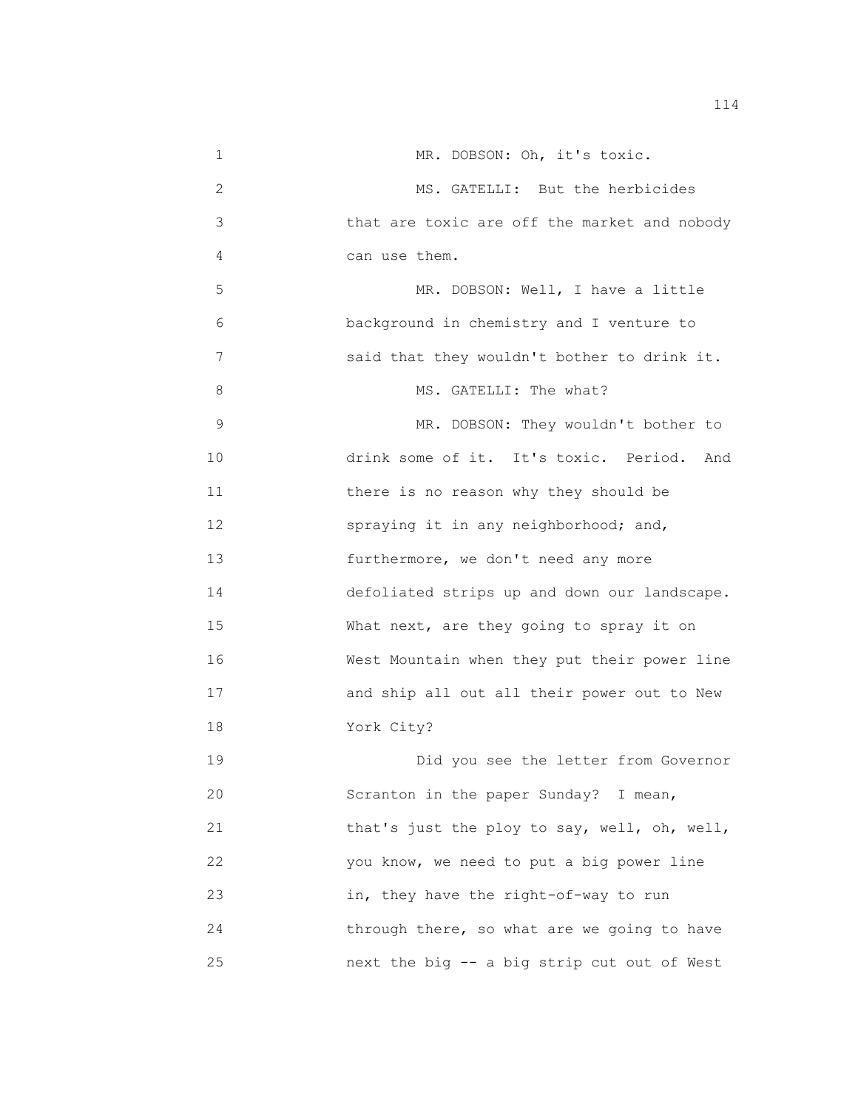1 MR. DOBSON: Oh, it's toxic. 2 MS. GATELLI: But the herbicides 3 that are toxic are off the market and nobody 4 can use them. 5 MR. DOBSON: Well, I have a little 6 background in chemistry and I venture to 7 said that they wouldn't bother to drink it. 8 MS. GATELLI: The what? 9 MR. DOBSON: They wouldn't bother to 10 drink some of it. It's toxic. Period. And 11 there is no reason why they should be 12 spraying it in any neighborhood; and, 13 furthermore, we don't need any more 14 defoliated strips up and down our landscape. 15 What next, are they going to spray it on 16 West Mountain when they put their power line 17 and ship all out all their power out to New 18 York City? 19 Did you see the letter from Governor 20 Scranton in the paper Sunday? I mean, 21 that's just the ploy to say, well, oh, well, 22 you know, we need to put a big power line 23 in, they have the right-of-way to run 24 through there, so what are we going to have 25 next the big -- a big strip cut out of West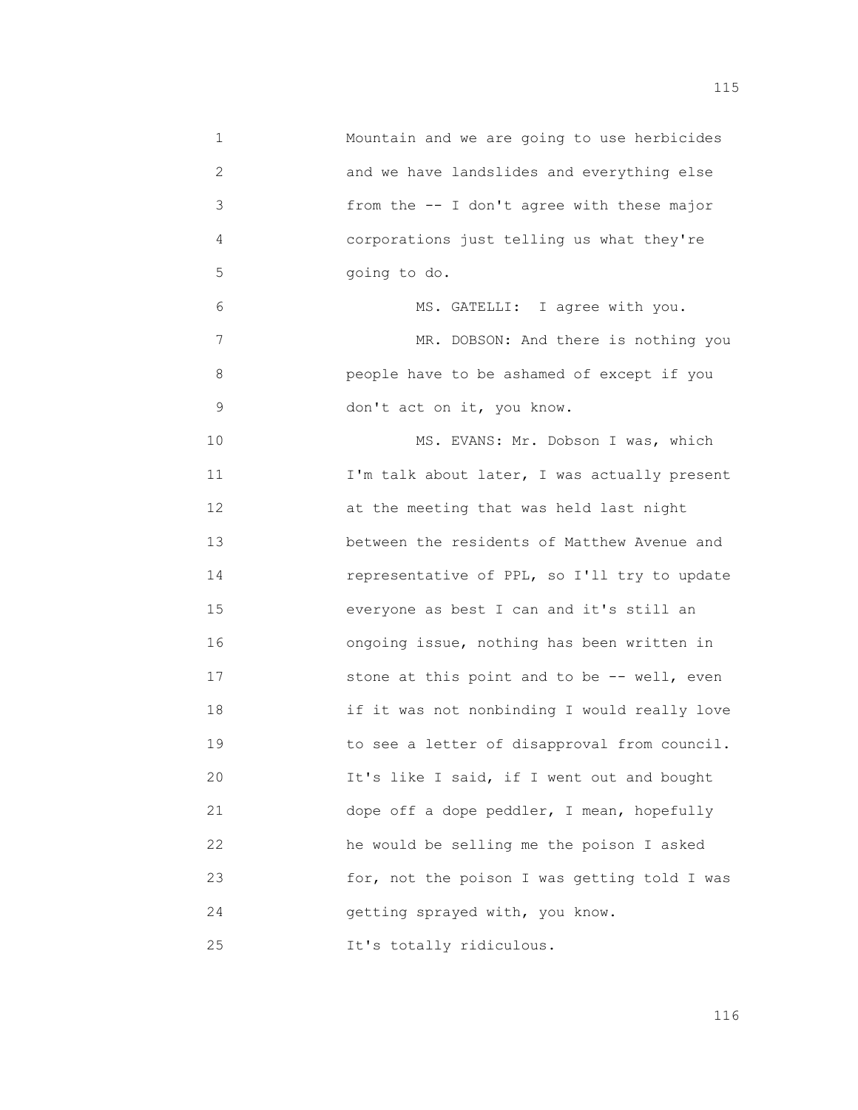1 Mountain and we are going to use herbicides 2 and we have landslides and everything else 3 from the -- I don't agree with these major 4 corporations just telling us what they're 5 going to do. 6 MS. GATELLI: I agree with you. 7 MR. DOBSON: And there is nothing you 8 people have to be ashamed of except if you 9 don't act on it, you know. 10 MS. EVANS: Mr. Dobson I was, which 11 **I'm talk about later, I was actually present** 12 **at the meeting that was held last night**  13 between the residents of Matthew Avenue and 14 representative of PPL, so I'll try to update 15 everyone as best I can and it's still an 16 ongoing issue, nothing has been written in 17 stone at this point and to be -- well, even 18 if it was not nonbinding I would really love 19 to see a letter of disapproval from council. 20 It's like I said, if I went out and bought 21 dope off a dope peddler, I mean, hopefully 22 he would be selling me the poison I asked 23 for, not the poison I was getting told I was 24 getting sprayed with, you know. 25 It's totally ridiculous.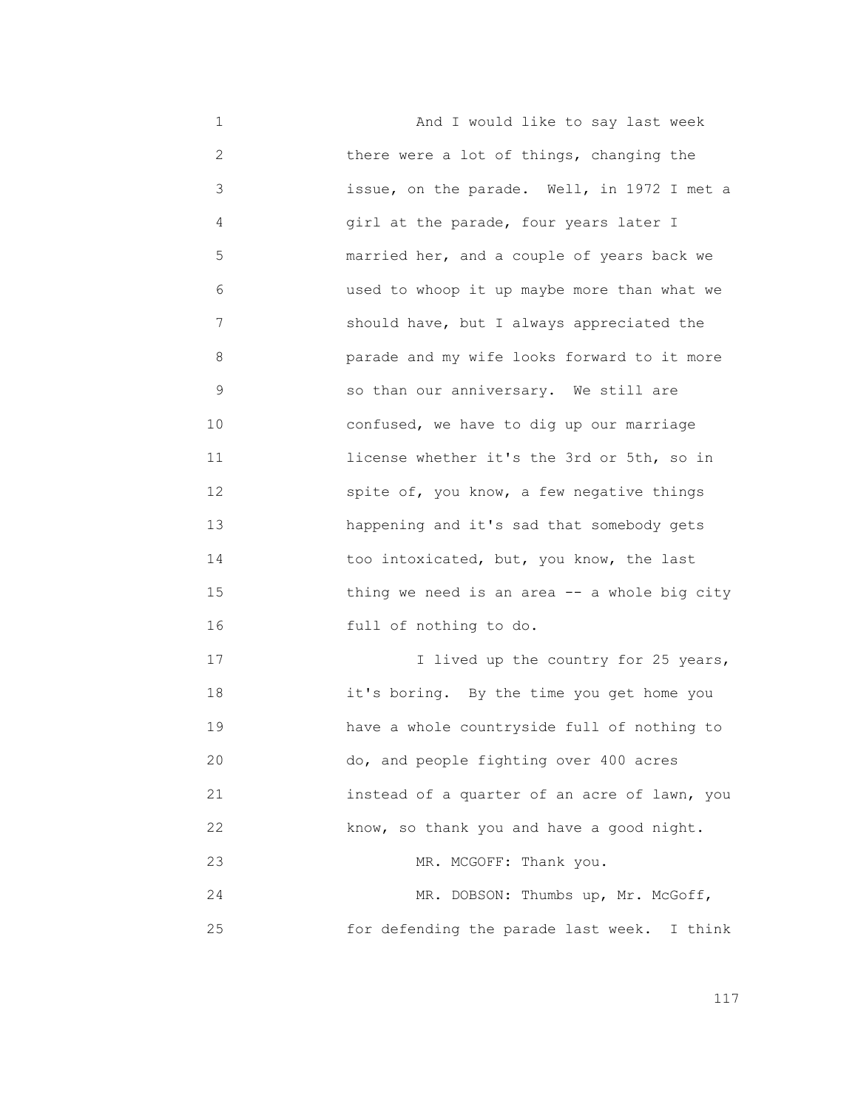1 And I would like to say last week 2 there were a lot of things, changing the 3 issue, on the parade. Well, in 1972 I met a 4 girl at the parade, four years later I 5 married her, and a couple of years back we 6 used to whoop it up maybe more than what we 7 should have, but I always appreciated the 8 parade and my wife looks forward to it more 9 so than our anniversary. We still are 10 confused, we have to dig up our marriage 11 license whether it's the 3rd or 5th, so in 12 spite of, you know, a few negative things 13 happening and it's sad that somebody gets 14 too intoxicated, but, you know, the last 15 thing we need is an area -- a whole big city 16 full of nothing to do. 17 11 Iived up the country for 25 years, 18 it's boring. By the time you get home you 19 have a whole countryside full of nothing to 20 do, and people fighting over 400 acres

 21 instead of a quarter of an acre of lawn, you 22 know, so thank you and have a good night. 23 MR. MCGOFF: Thank you. 24 MR. DOBSON: Thumbs up, Mr. McGoff,

25 for defending the parade last week. I think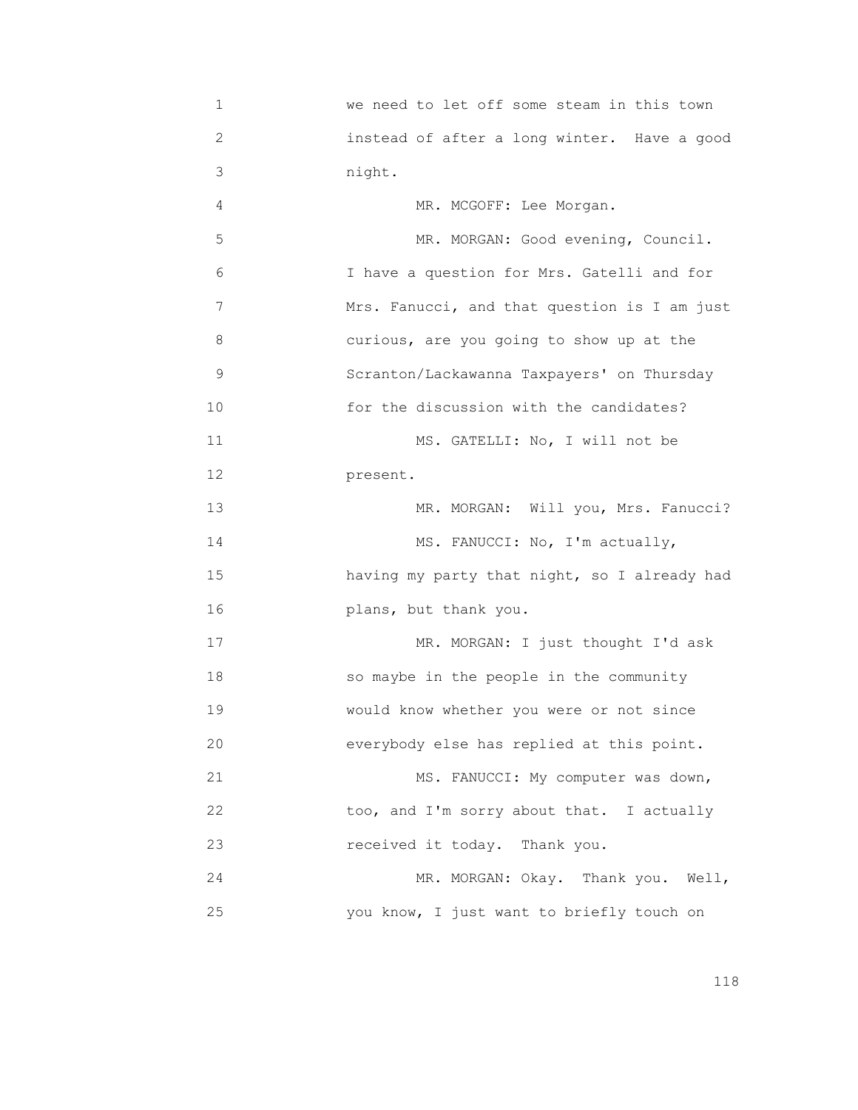| $\mathbf 1$ | we need to let off some steam in this town   |
|-------------|----------------------------------------------|
| 2           | instead of after a long winter. Have a good  |
| 3           | night.                                       |
| 4           | MR. MCGOFF: Lee Morgan.                      |
| 5           | MR. MORGAN: Good evening, Council.           |
| 6           | I have a question for Mrs. Gatelli and for   |
| 7           | Mrs. Fanucci, and that question is I am just |
| 8           | curious, are you going to show up at the     |
| 9           | Scranton/Lackawanna Taxpayers' on Thursday   |
| 10          | for the discussion with the candidates?      |
| 11          | MS. GATELLI: No, I will not be               |
| 12          | present.                                     |
| 13          | MR. MORGAN: Will you, Mrs. Fanucci?          |
| 14          | MS. FANUCCI: No, I'm actually,               |
| 15          | having my party that night, so I already had |
| 16          | plans, but thank you.                        |
| 17          | MR. MORGAN: I just thought I'd ask           |
| 18          | so maybe in the people in the community      |
| 19          | would know whether you were or not since     |
| 20          | everybody else has replied at this point.    |
| 21          | MS. FANUCCI: My computer was down,           |
| 22          | too, and I'm sorry about that. I actually    |
| 23          | received it today. Thank you.                |
| 24          | MR. MORGAN: Okay. Thank you. Well,           |
| 25          | you know, I just want to briefly touch on    |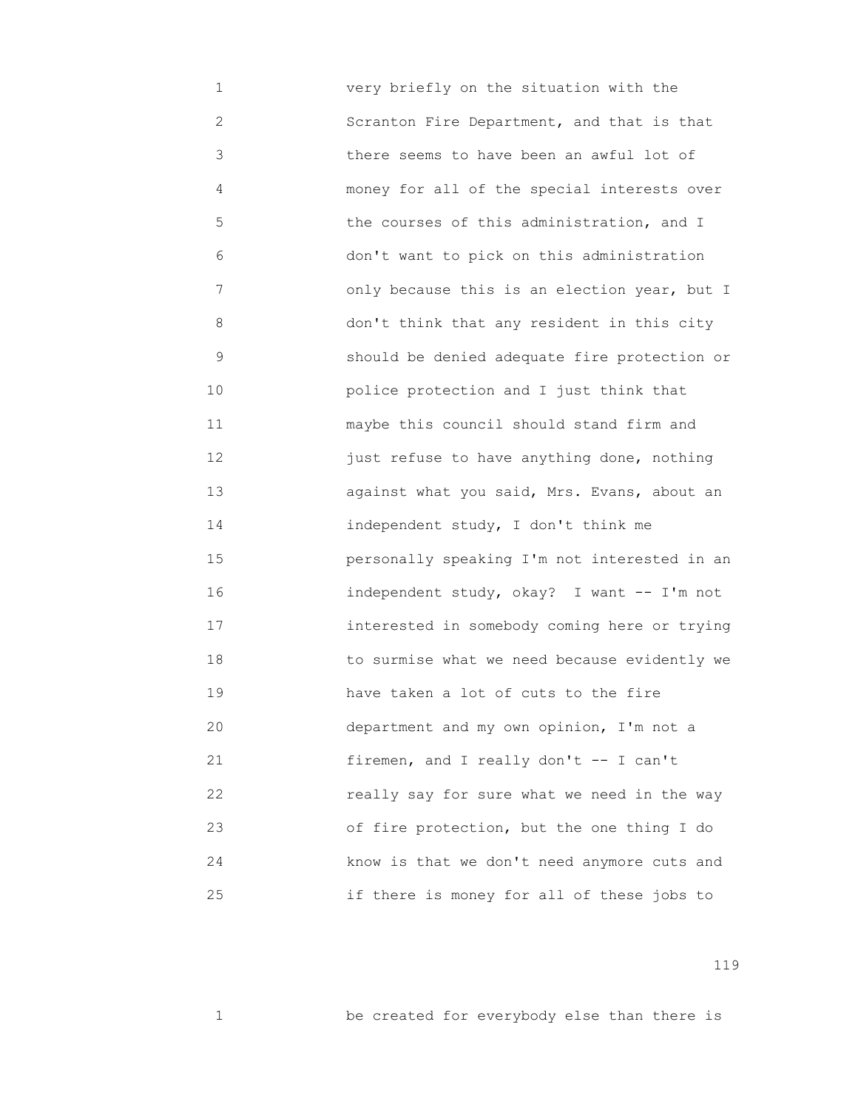1 very briefly on the situation with the 2 Scranton Fire Department, and that is that 3 there seems to have been an awful lot of 4 money for all of the special interests over 5 the courses of this administration, and I 6 don't want to pick on this administration 7 only because this is an election year, but I 8 don't think that any resident in this city 9 should be denied adequate fire protection or 10 police protection and I just think that 11 maybe this council should stand firm and 12 just refuse to have anything done, nothing 13 against what you said, Mrs. Evans, about an 14 independent study, I don't think me 15 personally speaking I'm not interested in an 16 independent study, okay? I want -- I'm not 17 interested in somebody coming here or trying 18 to surmise what we need because evidently we 19 have taken a lot of cuts to the fire 20 department and my own opinion, I'm not a 21 firemen, and I really don't -- I can't 22 really say for sure what we need in the way 23 of fire protection, but the one thing I do 24 know is that we don't need anymore cuts and 25 if there is money for all of these jobs to

119

1 be created for everybody else than there is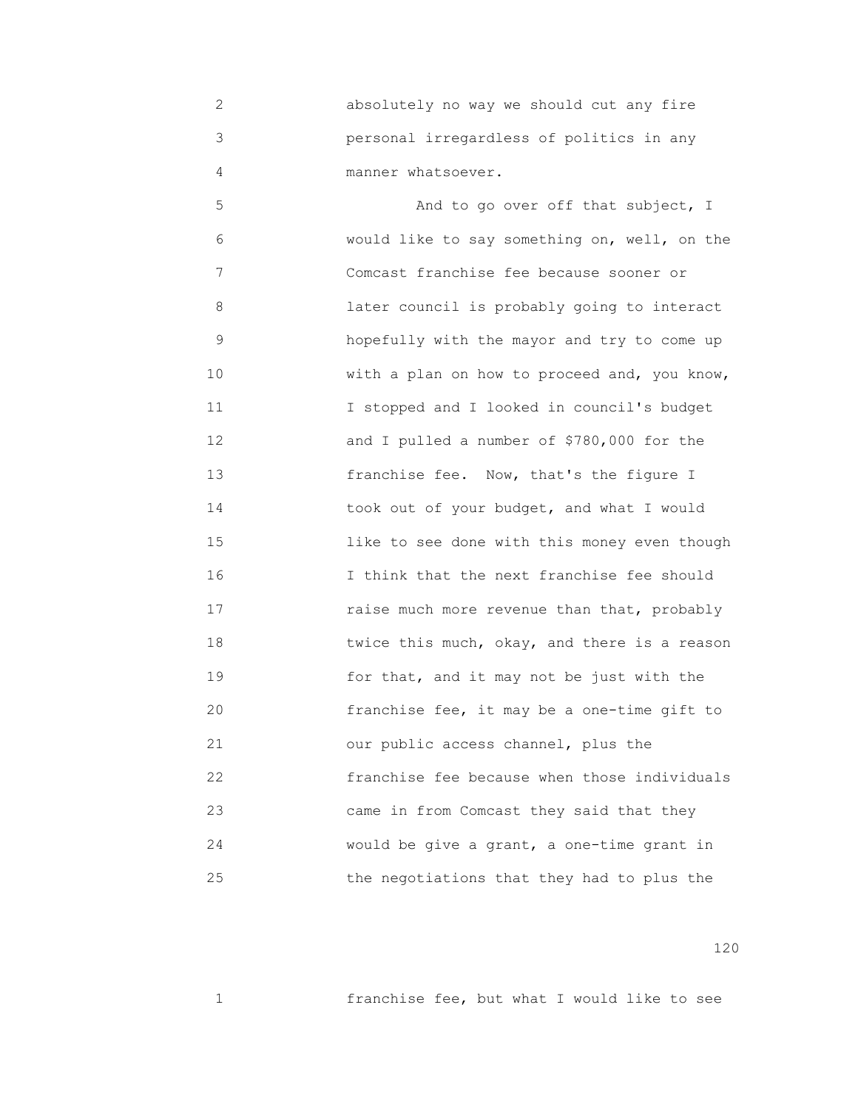2 absolutely no way we should cut any fire 3 personal irregardless of politics in any 4 **manner** whatsoever.

 5 And to go over off that subject, I 6 would like to say something on, well, on the 7 Comcast franchise fee because sooner or 8 later council is probably going to interact 9 hopefully with the mayor and try to come up 10 With a plan on how to proceed and, you know, 11 I stopped and I looked in council's budget 12 and I pulled a number of \$780,000 for the 13 franchise fee. Now, that's the figure I 14 took out of your budget, and what I would 15 like to see done with this money even though 16 I think that the next franchise fee should 17 raise much more revenue than that, probably 18 **18 18** *twice this much, okay, and there is a reason*  19 for that, and it may not be just with the 20 franchise fee, it may be a one-time gift to 21 our public access channel, plus the 22 franchise fee because when those individuals 23 came in from Comcast they said that they 24 would be give a grant, a one-time grant in 25 the negotiations that they had to plus the

120

1 franchise fee, but what I would like to see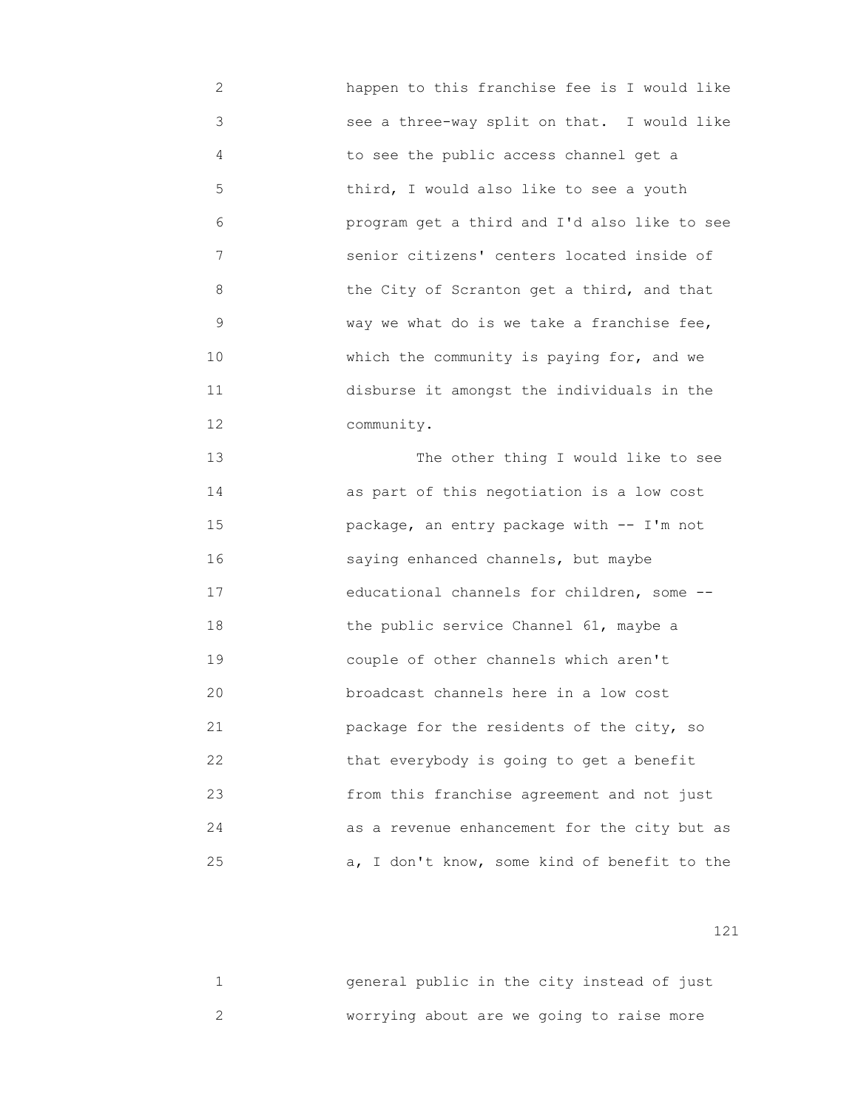- 2 happen to this franchise fee is I would like 3 see a three-way split on that. I would like 4 to see the public access channel get a 5 third, I would also like to see a youth 6 program get a third and I'd also like to see 7 senior citizens' centers located inside of 8 the City of Scranton get a third, and that 9 way we what do is we take a franchise fee, 10 Which the community is paying for, and we 11 disburse it amongst the individuals in the 12 community. 13 The other thing I would like to see
- 14 as part of this negotiation is a low cost 15 package, an entry package with -- I'm not 16 saying enhanced channels, but maybe 17 educational channels for children, some -- 18 the public service Channel 61, maybe a 19 couple of other channels which aren't 20 broadcast channels here in a low cost 21 package for the residents of the city, so 22 that everybody is going to get a benefit 23 from this franchise agreement and not just 24 as a revenue enhancement for the city but as 25 a, I don't know, some kind of benefit to the

| general public in the city instead of just |  |  |  |  |
|--------------------------------------------|--|--|--|--|
| worrying about are we going to raise more  |  |  |  |  |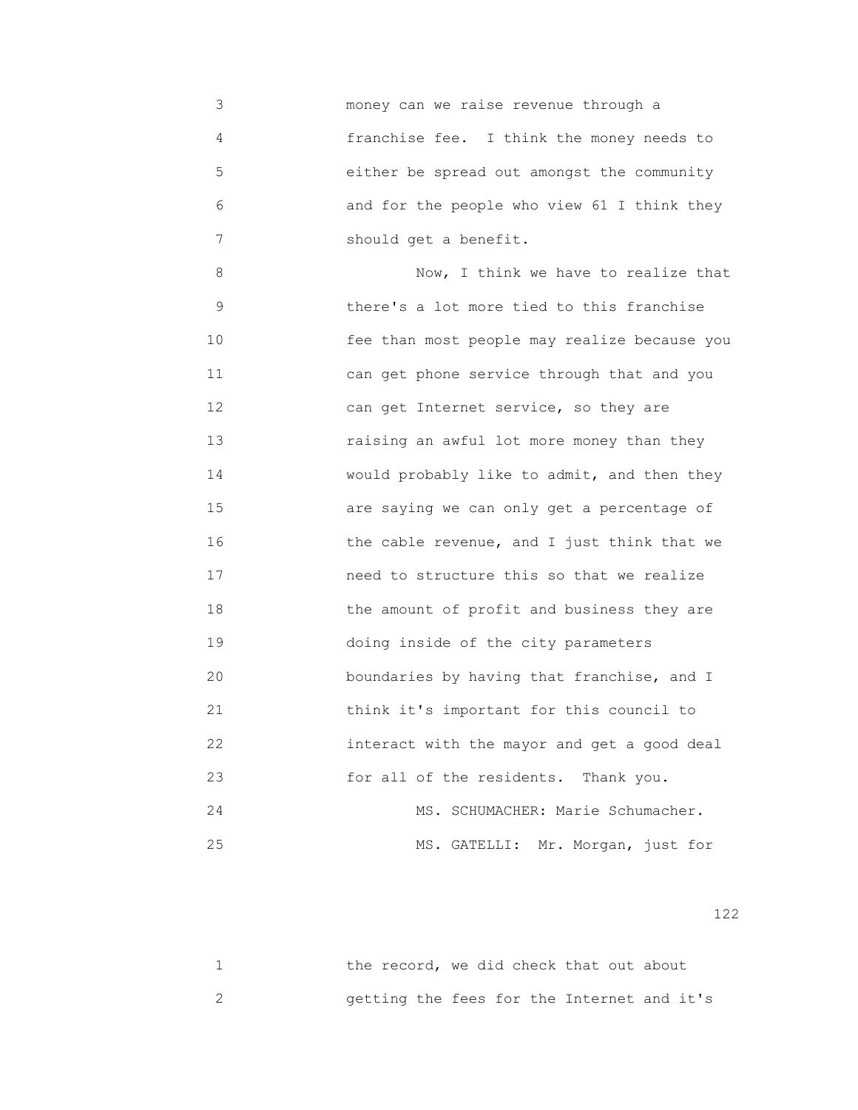3 money can we raise revenue through a 4 franchise fee. I think the money needs to 5 either be spread out amongst the community 6 and for the people who view 61 I think they 7 should get a benefit.

 8 Now, I think we have to realize that 9 there's a lot more tied to this franchise 10 fee than most people may realize because you 11 can get phone service through that and you 12 can get Internet service, so they are 13 raising an awful lot more money than they 14 would probably like to admit, and then they 15 are saying we can only get a percentage of 16 the cable revenue, and I just think that we 17 need to structure this so that we realize 18 the amount of profit and business they are 19 doing inside of the city parameters 20 boundaries by having that franchise, and I 21 think it's important for this council to 22 interact with the mayor and get a good deal 23 for all of the residents. Thank you. 24 MS. SCHUMACHER: Marie Schumacher. 25 MS. GATELLI: Mr. Morgan, just for

| the record, we did check that out about    |  |  |  |  |
|--------------------------------------------|--|--|--|--|
| getting the fees for the Internet and it's |  |  |  |  |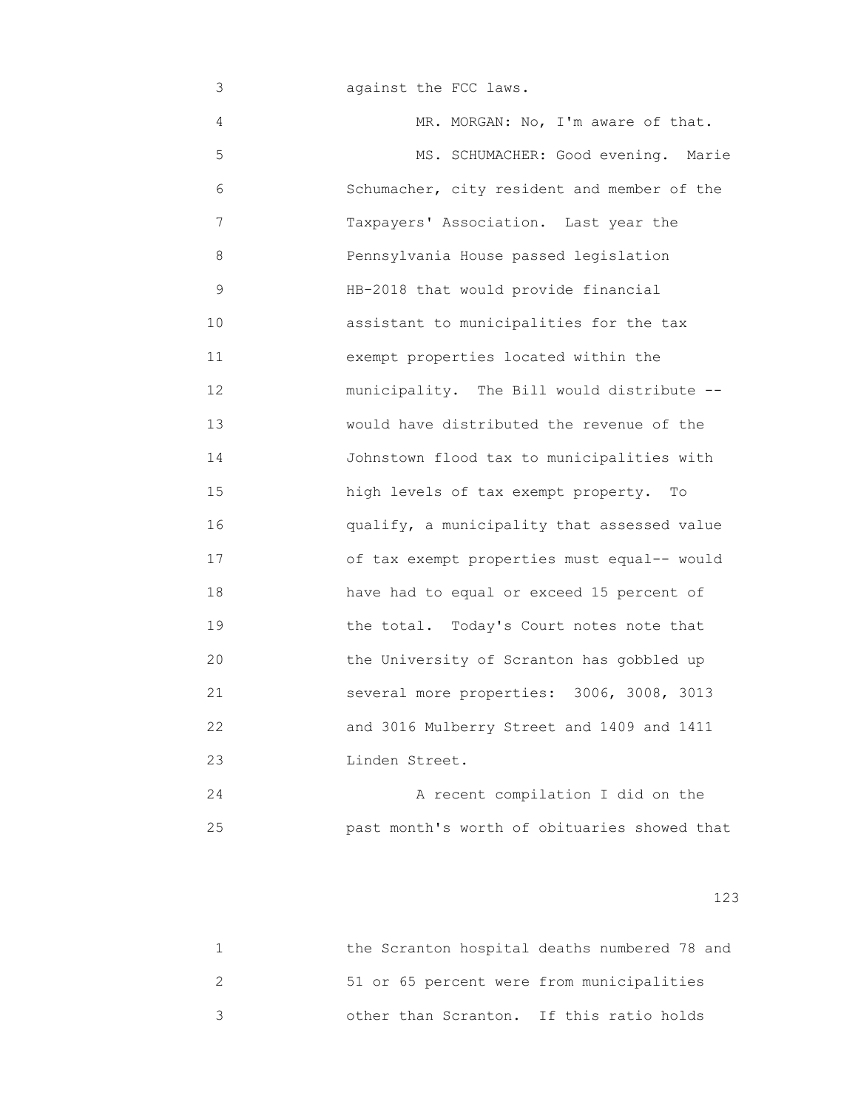3 against the FCC laws.

4 MR. MORGAN: No, I'm aware of that. 5 MS. SCHUMACHER: Good evening. Marie 6 Schumacher, city resident and member of the 7 Taxpayers' Association. Last year the 8 Pennsylvania House passed legislation 9 HB-2018 that would provide financial 10 **assistant to municipalities for the tax**  11 exempt properties located within the 12 municipality. The Bill would distribute -- 13 would have distributed the revenue of the 14 Johnstown flood tax to municipalities with 15 high levels of tax exempt property. To 16 qualify, a municipality that assessed value 17 of tax exempt properties must equal-- would 18 have had to equal or exceed 15 percent of 19 the total. Today's Court notes note that 20 the University of Scranton has gobbled up 21 several more properties: 3006, 3008, 3013 22 and 3016 Mulberry Street and 1409 and 1411 23 Linden Street.

 24 A recent compilation I did on the 25 past month's worth of obituaries showed that

|                                           | the Scranton hospital deaths numbered 78 and |
|-------------------------------------------|----------------------------------------------|
| 51 or 65 percent were from municipalities |                                              |
| other than Scranton. If this ratio holds  |                                              |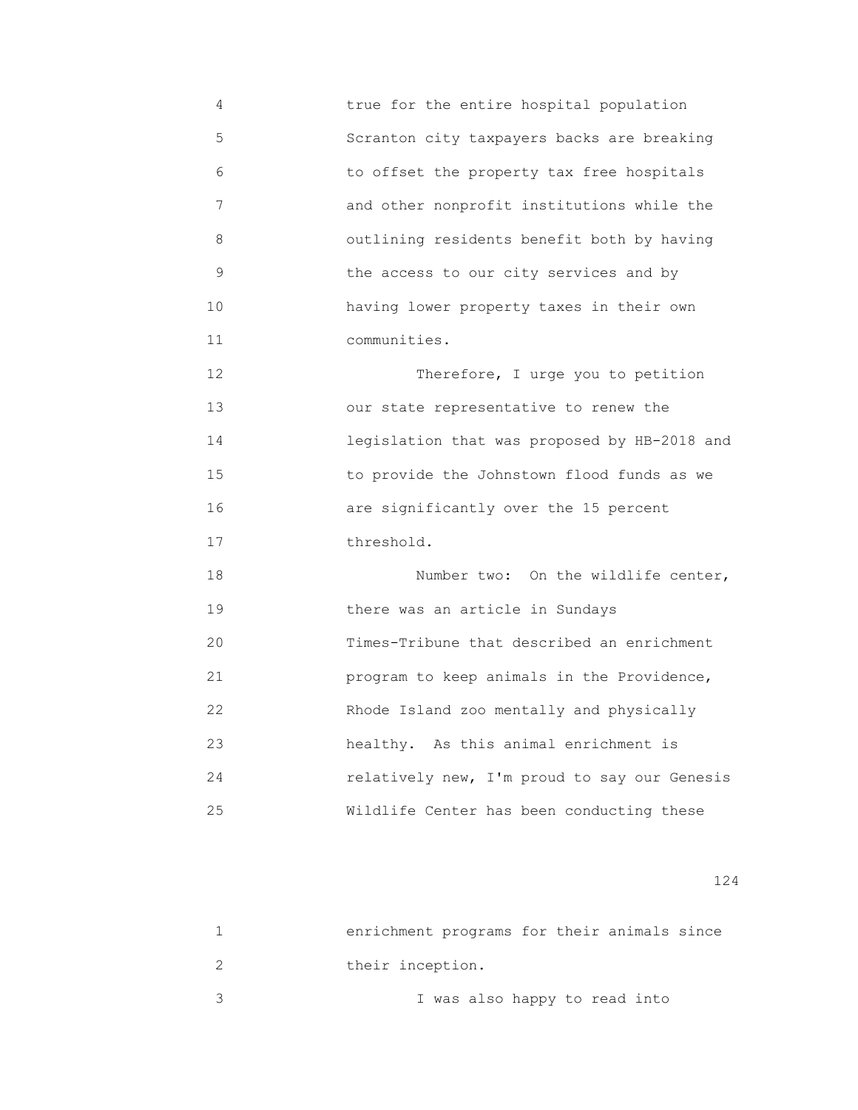4 true for the entire hospital population 5 Scranton city taxpayers backs are breaking 6 to offset the property tax free hospitals 7 and other nonprofit institutions while the 8 outlining residents benefit both by having 9 the access to our city services and by 10 having lower property taxes in their own 11 communities. 12 Therefore, I urge you to petition 13 our state representative to renew the 14 legislation that was proposed by HB-2018 and 15 to provide the Johnstown flood funds as we 16 are significantly over the 15 percent 17 threshold. 18 Number two: On the wildlife center, 19 there was an article in Sundays 20 Times-Tribune that described an enrichment 21 program to keep animals in the Providence, 22 Rhode Island zoo mentally and physically 23 healthy. As this animal enrichment is 24 relatively new, I'm proud to say our Genesis 25 Wildlife Center has been conducting these

| enrichment programs for their animals since |
|---------------------------------------------|
| their inception.                            |
| I was also happy to read into               |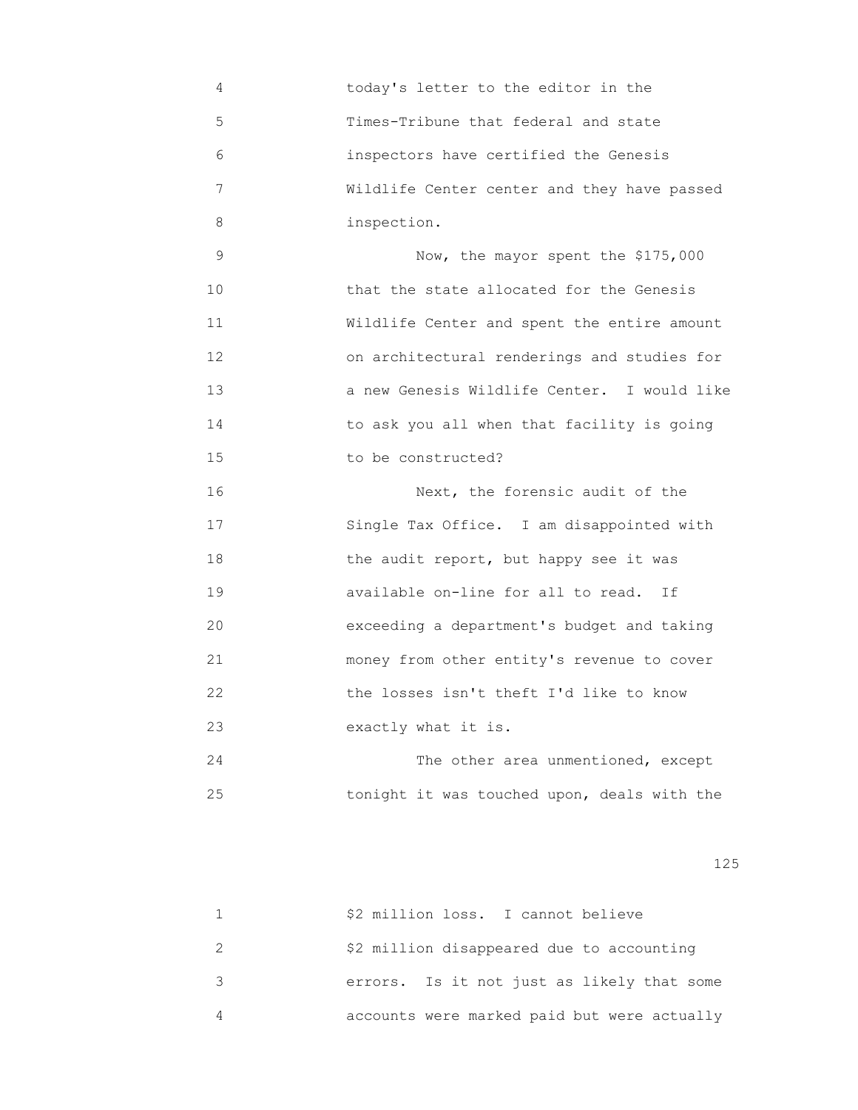| 4  | today's letter to the editor in the         |
|----|---------------------------------------------|
| 5  | Times-Tribune that federal and state        |
| 6  | inspectors have certified the Genesis       |
| 7  | Wildlife Center center and they have passed |
| 8  | inspection.                                 |
| 9  | Now, the mayor spent the \$175,000          |
| 10 | that the state allocated for the Genesis    |
| 11 | Wildlife Center and spent the entire amount |
| 12 | on architectural renderings and studies for |
| 13 | a new Genesis Wildlife Center. I would like |
| 14 | to ask you all when that facility is going  |
| 15 | to be constructed?                          |
| 16 | Next, the forensic audit of the             |
| 17 | Single Tax Office. I am disappointed with   |
| 18 | the audit report, but happy see it was      |
| 19 | available on-line for all to read. If       |
| 20 | exceeding a department's budget and taking  |
| 21 | money from other entity's revenue to cover  |
| 22 | the losses isn't theft I'd like to know     |
| 23 | exactly what it is.                         |
| 24 | The other area unmentioned, except          |
| 25 | tonight it was touched upon, deals with the |

| \$2 million loss. I cannot believe          |
|---------------------------------------------|
| \$2 million disappeared due to accounting   |
| errors. Is it not just as likely that some  |
| accounts were marked paid but were actually |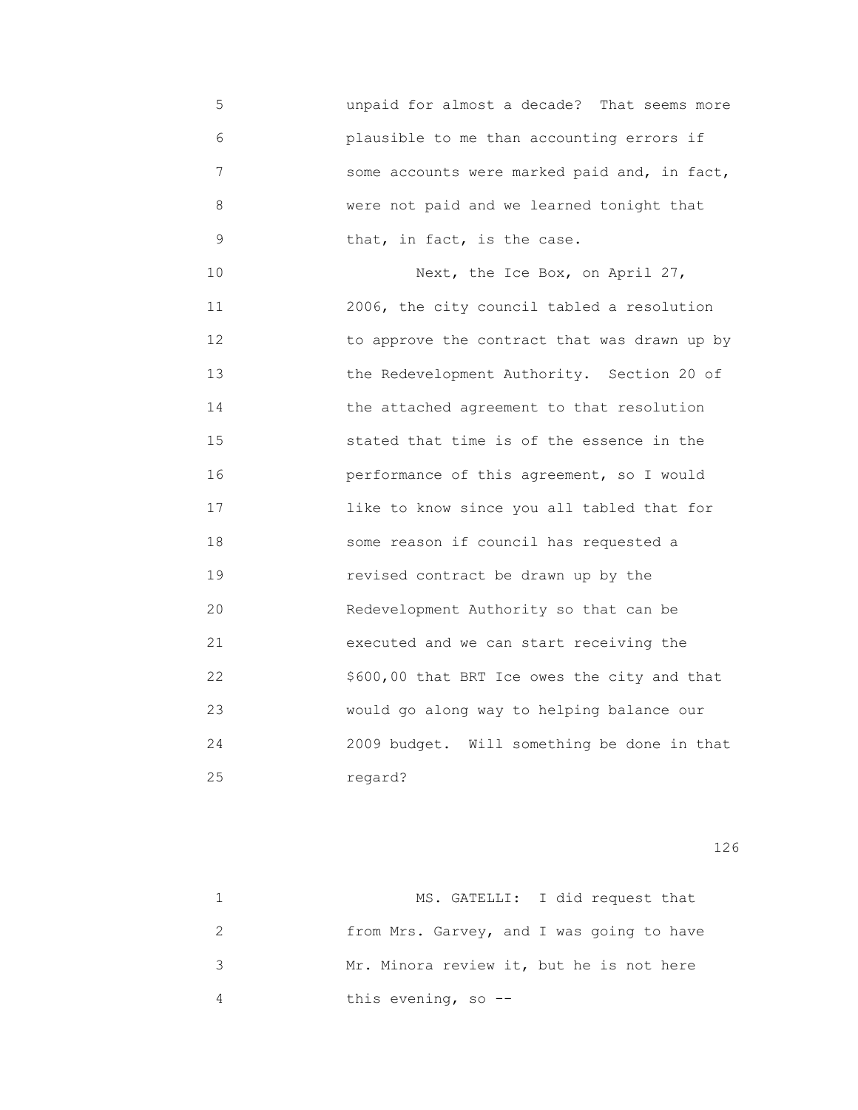5 unpaid for almost a decade? That seems more 6 plausible to me than accounting errors if 7 some accounts were marked paid and, in fact, 8 were not paid and we learned tonight that 9 **that, in fact, is the case.** 

10 Next, the Ice Box, on April 27, 11 2006, the city council tabled a resolution 12 to approve the contract that was drawn up by 13 the Redevelopment Authority. Section 20 of 14 the attached agreement to that resolution 15 stated that time is of the essence in the 16 performance of this agreement, so I would 17 like to know since you all tabled that for 18 some reason if council has requested a 19 revised contract be drawn up by the 20 Redevelopment Authority so that can be 21 executed and we can start receiving the 22 \$600,00 that BRT Ice owes the city and that 23 would go along way to helping balance our 24 2009 budget. Will something be done in that 25 regard?

| MS. GATELLI: I did request that           |
|-------------------------------------------|
| from Mrs. Garvey, and I was going to have |
| Mr. Minora review it, but he is not here  |
| this evening, so --                       |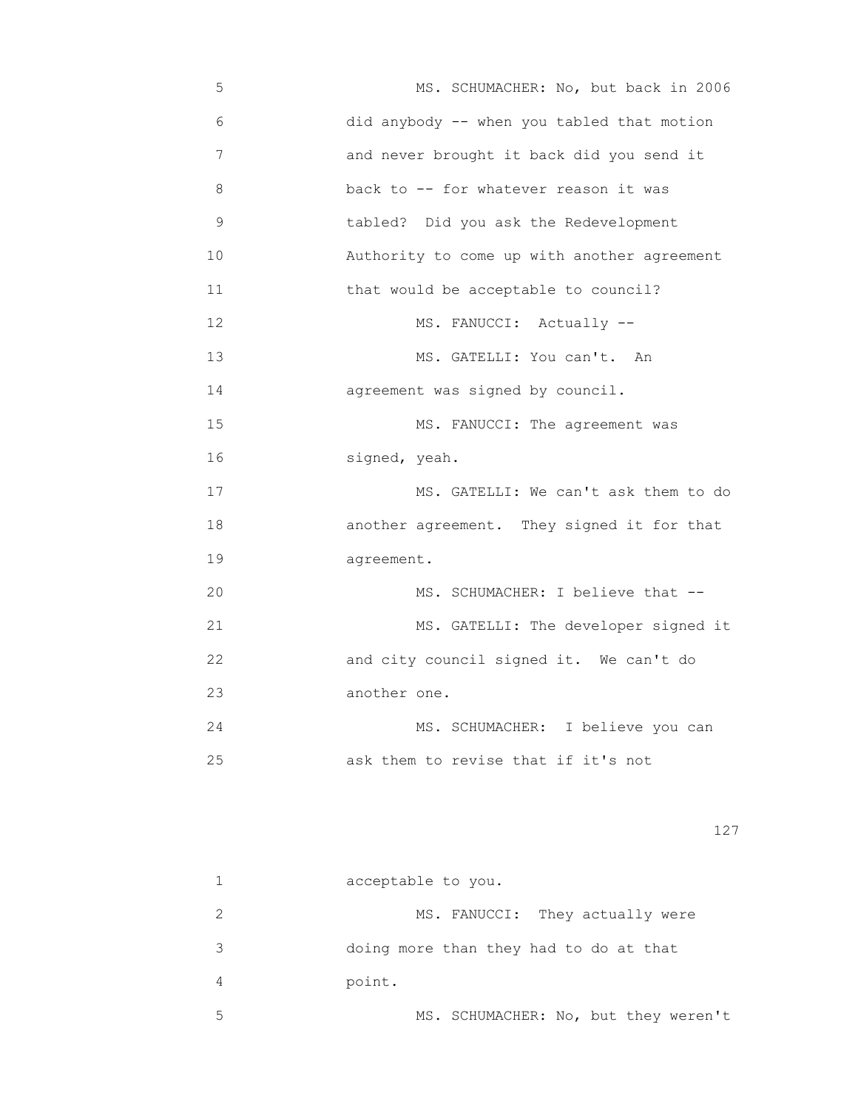5 MS. SCHUMACHER: No, but back in 2006 6 did anybody -- when you tabled that motion 7 and never brought it back did you send it 8 back to -- for whatever reason it was 9 tabled? Did you ask the Redevelopment 10 Authority to come up with another agreement 11 that would be acceptable to council? 12 MS. FANUCCI: Actually --13 MS. GATELLI: You can't. An 14 agreement was signed by council. 15 MS. FANUCCI: The agreement was 16 signed, yeah. 17 MS. GATELLI: We can't ask them to do 18 another agreement. They signed it for that 19 agreement. 20 MS. SCHUMACHER: I believe that -- 21 MS. GATELLI: The developer signed it 22 and city council signed it. We can't do 23 another one. 24 MS. SCHUMACHER: I believe you can 25 ask them to revise that if it's not

|   | acceptable to you.                     |
|---|----------------------------------------|
|   | MS. FANUCCI: They actually were        |
| 3 | doing more than they had to do at that |
| 4 | point.                                 |
| 5 | MS. SCHUMACHER: No, but they weren't   |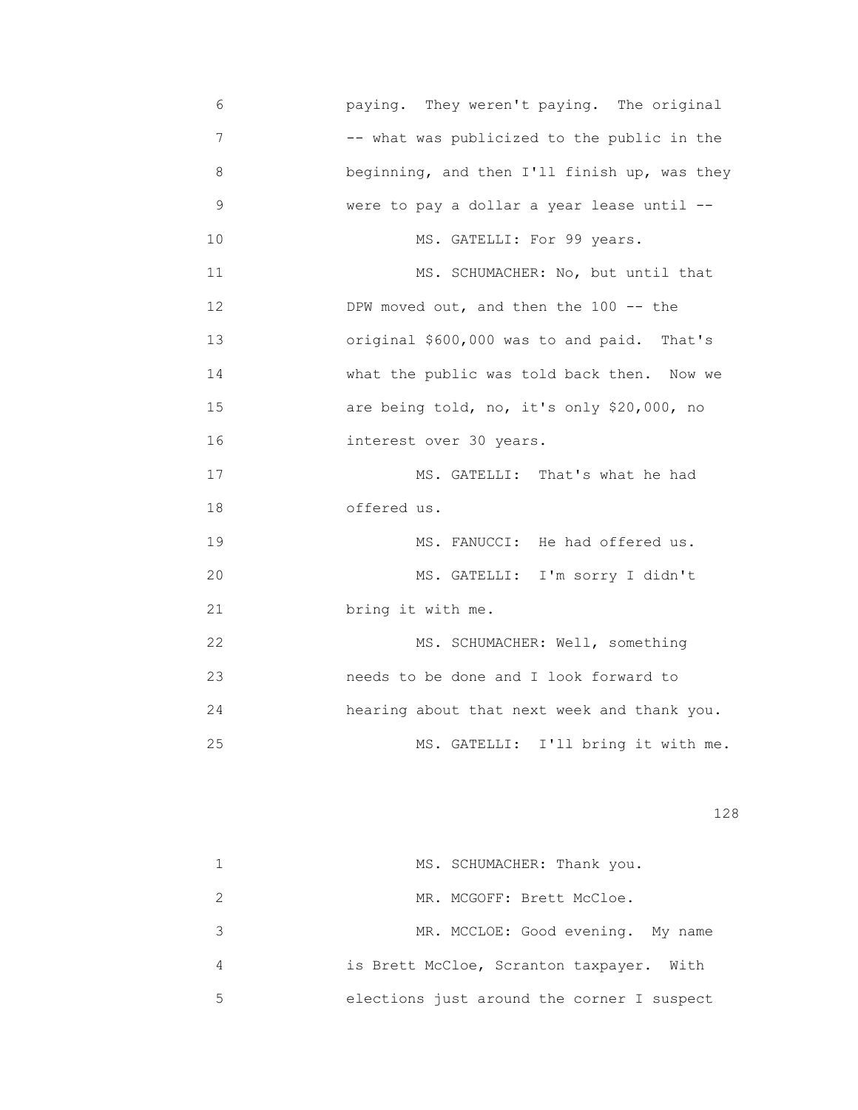6 paying. They weren't paying. The original 7 -- what was publicized to the public in the 8 beginning, and then I'll finish up, was they 9 were to pay a dollar a year lease until -- 10 MS. GATELLI: For 99 years. 11 MS. SCHUMACHER: No, but until that 12 DPW moved out, and then the 100 -- the 13 original \$600,000 was to and paid. That's 14 What the public was told back then. Now we 15 are being told, no, it's only \$20,000, no 16 interest over 30 years. 17 MS. GATELLI: That's what he had 18 offered us. 19 MS. FANUCCI: He had offered us. 20 MS. GATELLI: I'm sorry I didn't 21 bring it with me. 22 MS. SCHUMACHER: Well, something 23 needs to be done and I look forward to 24 hearing about that next week and thank you. 25 MS. GATELLI: I'll bring it with me.

|   | MS. SCHUMACHER: Thank you.                 |
|---|--------------------------------------------|
|   | MR. MCGOFF: Brett McCloe.                  |
|   | MR. MCCLOE: Good evening. My name          |
| 4 | is Brett McCloe, Scranton taxpayer. With   |
| 5 | elections just around the corner I suspect |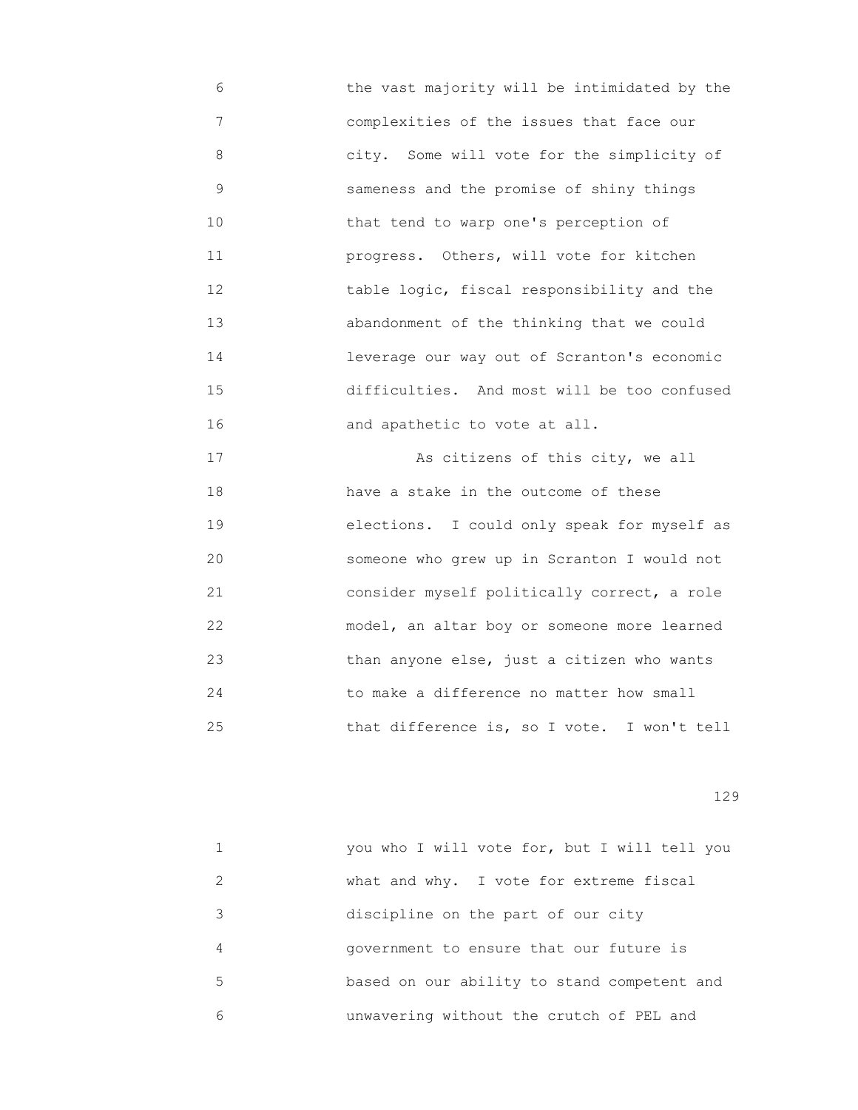6 the vast majority will be intimidated by the 7 complexities of the issues that face our 8 city. Some will vote for the simplicity of 9 sameness and the promise of shiny things 10 that tend to warp one's perception of 11 progress. Others, will vote for kitchen 12 table logic, fiscal responsibility and the 13 abandonment of the thinking that we could 14 leverage our way out of Scranton's economic 15 difficulties. And most will be too confused 16 and apathetic to vote at all.

 17 As citizens of this city, we all 18 have a stake in the outcome of these 19 elections. I could only speak for myself as 20 someone who grew up in Scranton I would not 21 consider myself politically correct, a role 22 model, an altar boy or someone more learned 23 than anyone else, just a citizen who wants 24 to make a difference no matter how small 25 that difference is, so I vote. I won't tell

|               | you who I will vote for, but I will tell you |
|---------------|----------------------------------------------|
| $\mathcal{L}$ | what and why. I vote for extreme fiscal      |
| 3             | discipline on the part of our city           |
| 4             | government to ensure that our future is      |
| 5             | based on our ability to stand competent and  |
| 6             | unwavering without the crutch of PEL and     |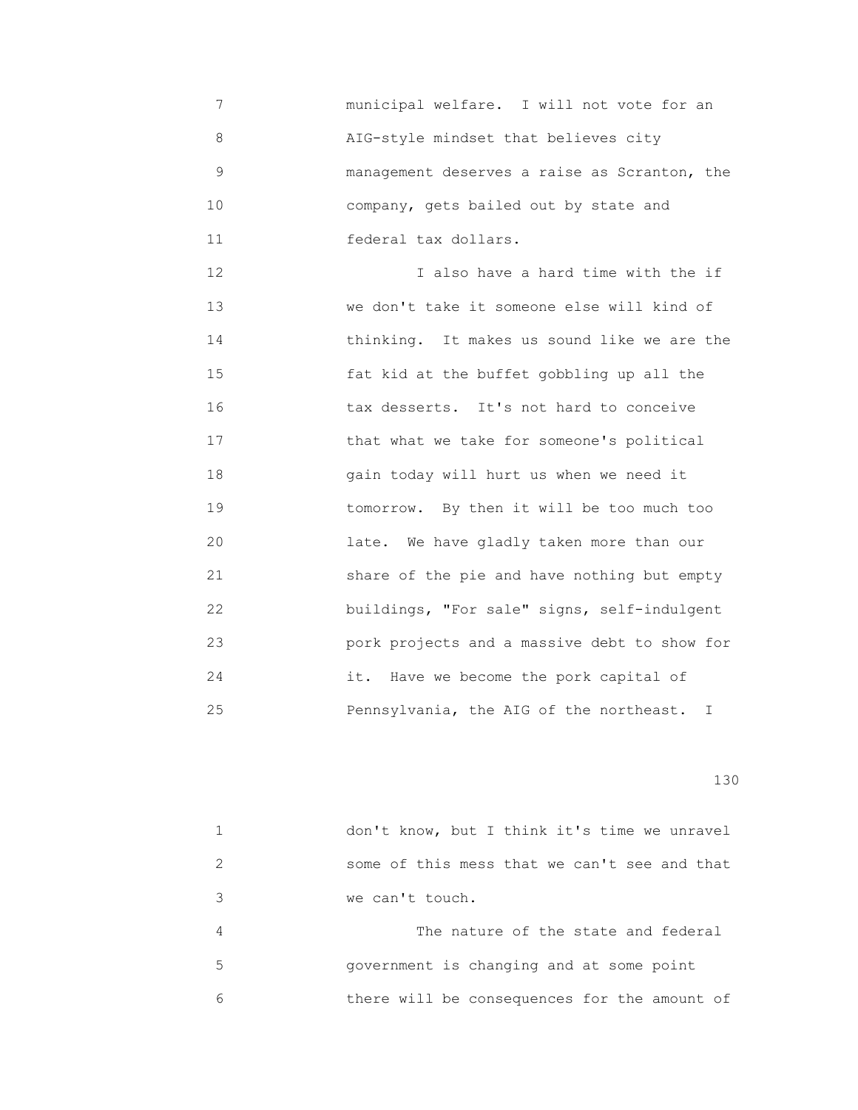7 municipal welfare. I will not vote for an 8 AIG-style mindset that believes city 9 management deserves a raise as Scranton, the 10 company, gets bailed out by state and 11 federal tax dollars.

 12 I also have a hard time with the if 13 we don't take it someone else will kind of 14 thinking. It makes us sound like we are the 15 fat kid at the buffet gobbling up all the 16 tax desserts. It's not hard to conceive 17 that what we take for someone's political 18 gain today will hurt us when we need it 19 tomorrow. By then it will be too much too 20 late. We have gladly taken more than our 21 share of the pie and have nothing but empty 22 buildings, "For sale" signs, self-indulgent 23 pork projects and a massive debt to show for 24 it. Have we become the pork capital of 25 Pennsylvania, the AIG of the northeast. I

|   | don't know, but I think it's time we unravel |
|---|----------------------------------------------|
|   | some of this mess that we can't see and that |
| 3 | we can't touch.                              |
| 4 | The nature of the state and federal          |
| 5 | government is changing and at some point     |
|   | there will be consequences for the amount of |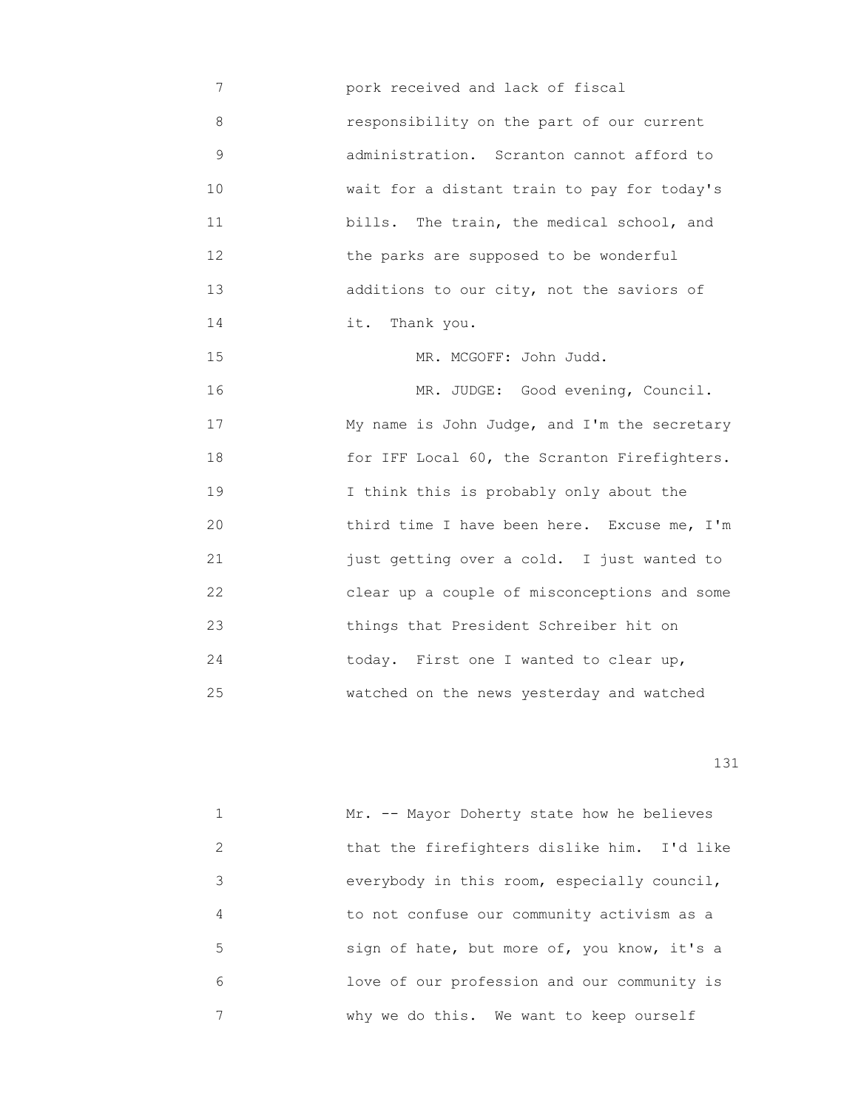7 pork received and lack of fiscal 8 responsibility on the part of our current 9 administration. Scranton cannot afford to 10 wait for a distant train to pay for today's 11 **bills.** The train, the medical school, and 12 the parks are supposed to be wonderful 13 additions to our city, not the saviors of 14 it. Thank you. 15 MR. MCGOFF: John Judd. 16 MR. JUDGE: Good evening, Council. 17 My name is John Judge, and I'm the secretary 18 for IFF Local 60, the Scranton Firefighters. 19 I think this is probably only about the 20 third time I have been here. Excuse me, I'm 21 just getting over a cold. I just wanted to 22 clear up a couple of misconceptions and some 23 things that President Schreiber hit on 24 today. First one I wanted to clear up, 25 watched on the news yesterday and watched

|   | Mr. -- Mayor Doherty state how he believes  |
|---|---------------------------------------------|
| 2 | that the firefighters dislike him. I'd like |
| 3 | everybody in this room, especially council, |
| 4 | to not confuse our community activism as a  |
| 5 | sign of hate, but more of, you know, it's a |
| 6 | love of our profession and our community is |
|   | why we do this. We want to keep ourself     |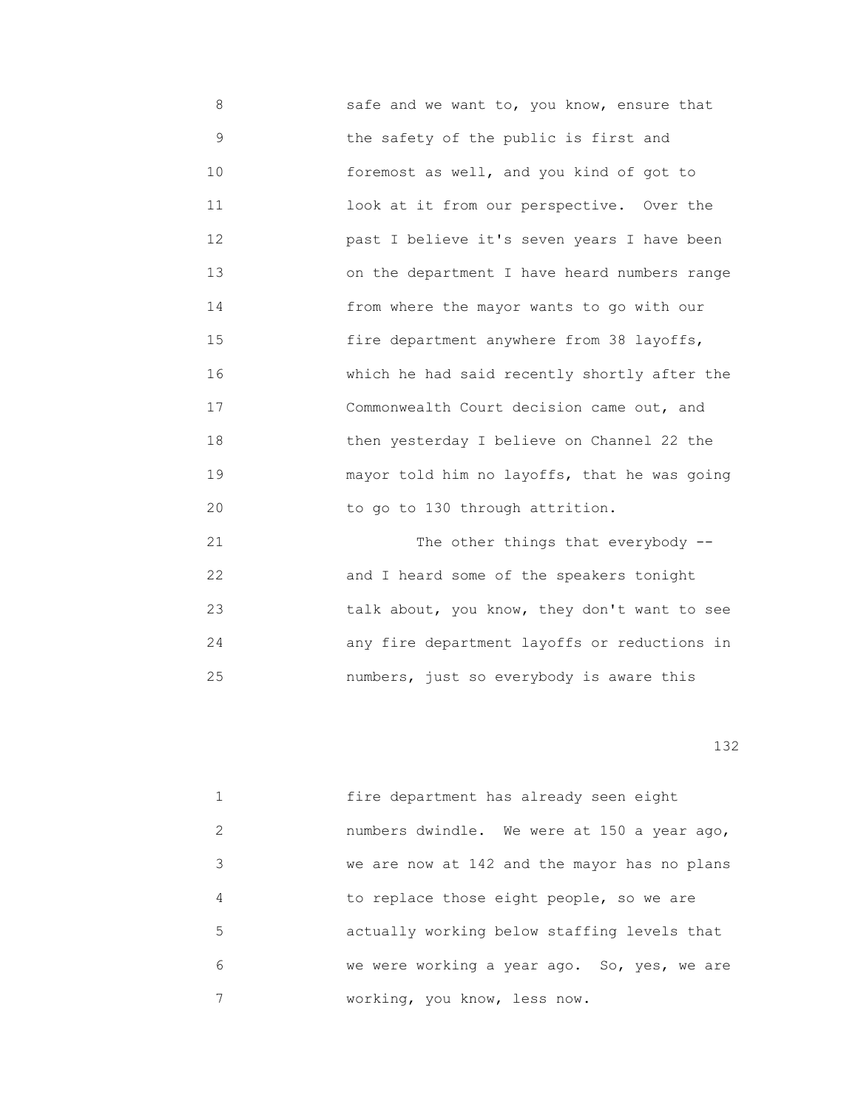8 safe and we want to, you know, ensure that 9 the safety of the public is first and 10 foremost as well, and you kind of got to 11 look at it from our perspective. Over the 12 past I believe it's seven years I have been 13 on the department I have heard numbers range 14 from where the mayor wants to go with our 15 fire department anywhere from 38 layoffs, 16 which he had said recently shortly after the 17 Commonwealth Court decision came out, and 18 then yesterday I believe on Channel 22 the 19 mayor told him no layoffs, that he was going 20 to go to 130 through attrition.

21 The other things that everybody -- 22 and I heard some of the speakers tonight 23 talk about, you know, they don't want to see 24 any fire department layoffs or reductions in 25 numbers, just so everybody is aware this

|               | fire department has already seen eight       |
|---------------|----------------------------------------------|
| $\mathcal{L}$ | numbers dwindle. We were at 150 a year ago,  |
| 3             | we are now at 142 and the mayor has no plans |
| 4             | to replace those eight people, so we are     |
| 5             | actually working below staffing levels that  |
| 6             | we were working a year ago. So, yes, we are  |
|               | working, you know, less now.                 |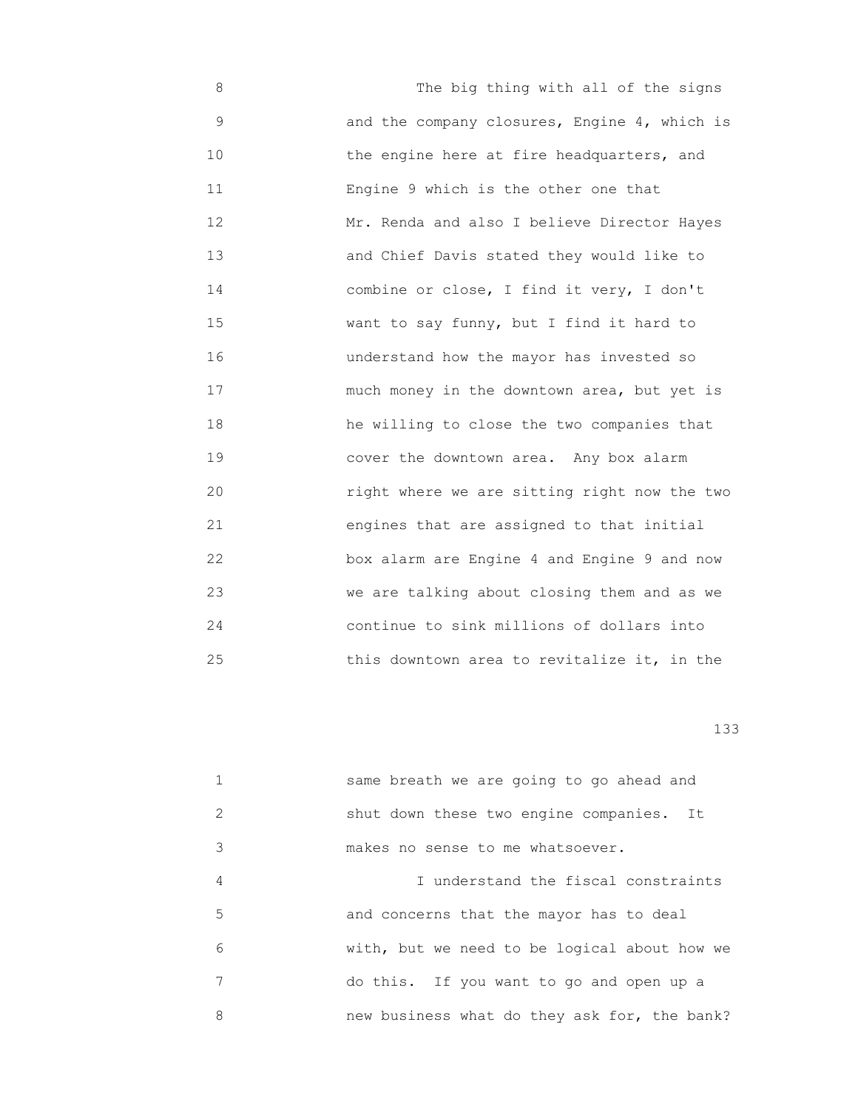8 The big thing with all of the signs 9 and the company closures, Engine 4, which is 10 **10** the engine here at fire headquarters, and 11 Engine 9 which is the other one that 12 Mr. Renda and also I believe Director Hayes 13 and Chief Davis stated they would like to 14 combine or close, I find it very, I don't 15 want to say funny, but I find it hard to 16 understand how the mayor has invested so 17 much money in the downtown area, but yet is 18 he willing to close the two companies that 19 cover the downtown area. Any box alarm 20 right where we are sitting right now the two 21 engines that are assigned to that initial 22 box alarm are Engine 4 and Engine 9 and now 23 we are talking about closing them and as we 24 continue to sink millions of dollars into 25 this downtown area to revitalize it, in the

|               | same breath we are going to go ahead and     |
|---------------|----------------------------------------------|
| $\mathcal{L}$ | shut down these two engine companies. It     |
| 3             | makes no sense to me whatsoever.             |
| 4             | I understand the fiscal constraints          |
| 5             | and concerns that the mayor has to deal      |
| 6             | with, but we need to be logical about how we |
| 7             | do this. If you want to go and open up a     |
| 8             | new business what do they ask for, the bank? |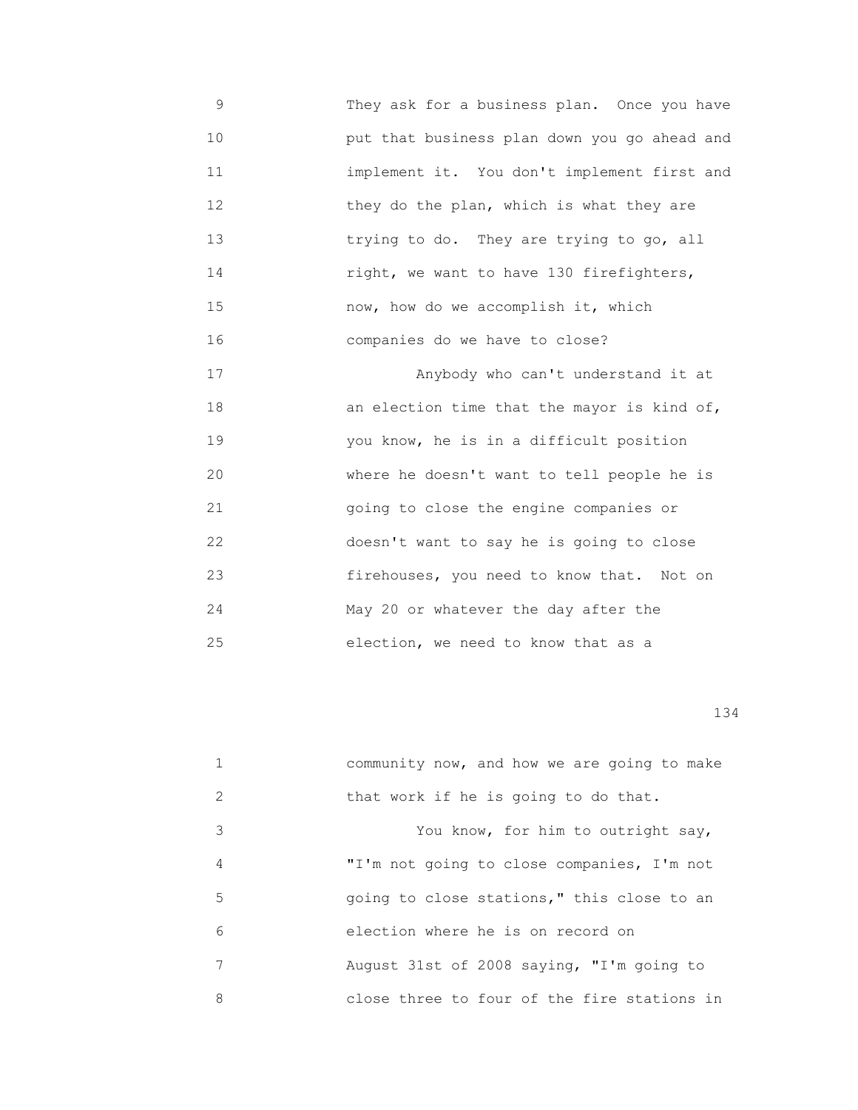- 9 They ask for a business plan. Once you have 10 put that business plan down you go ahead and 11 implement it. You don't implement first and 12 they do the plan, which is what they are 13 trying to do. They are trying to go, all 14 right, we want to have 130 firefighters, 15 now, how do we accomplish it, which 16 companies do we have to close? 17 Anybody who can't understand it at 18 an election time that the mayor is kind of,
- 19 you know, he is in a difficult position 20 where he doesn't want to tell people he is 21 going to close the engine companies or 22 doesn't want to say he is going to close 23 firehouses, you need to know that. Not on 24 May 20 or whatever the day after the 25 election, we need to know that as a

|               | community now, and how we are going to make |
|---------------|---------------------------------------------|
| $\mathcal{L}$ | that work if he is going to do that.        |
| 3             | You know, for him to outright say,          |
| 4             | "I'm not going to close companies, I'm not  |
| 5             | going to close stations," this close to an  |
| 6             | election where he is on record on           |
| 7             | August 31st of 2008 saying, "I'm going to   |
| 8             | close three to four of the fire stations in |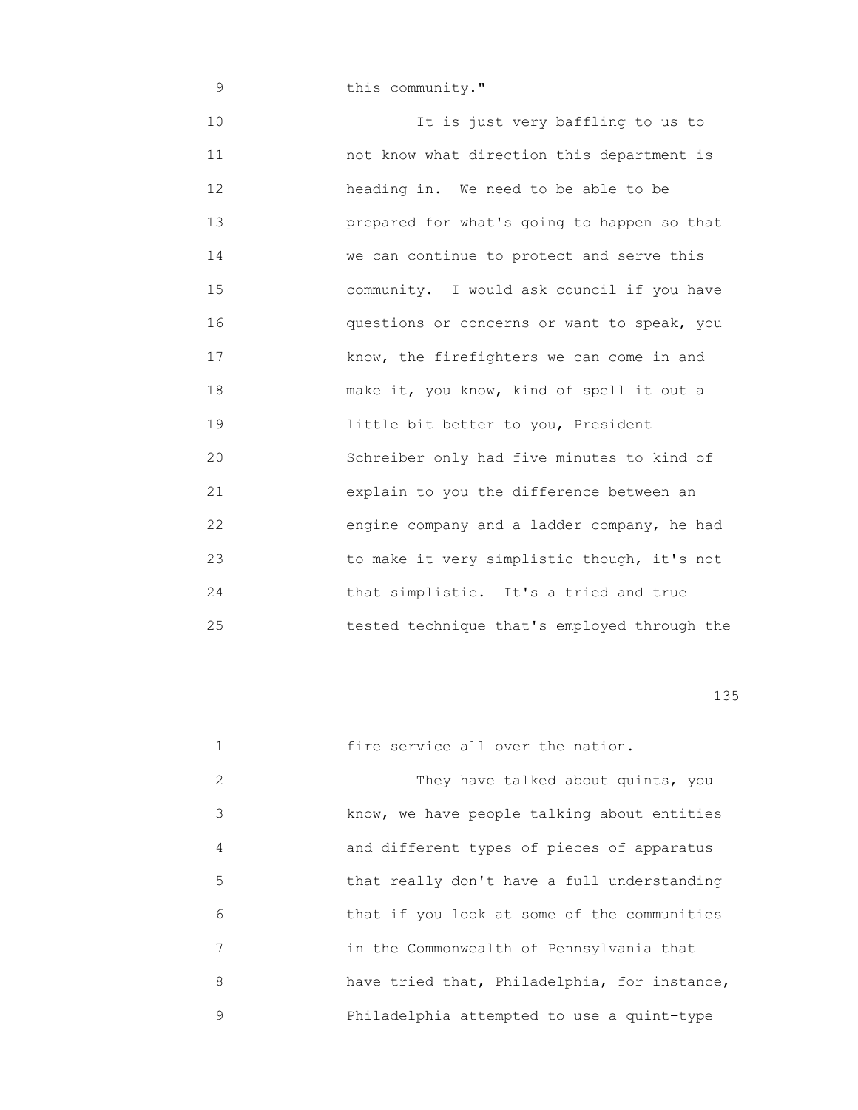9 **this community."** 10 **It is just very baffling to us to**  11 not know what direction this department is 12 heading in. We need to be able to be 13 prepared for what's going to happen so that 14 We can continue to protect and serve this 15 community. I would ask council if you have 16 questions or concerns or want to speak, you 17 **Example 17** know, the firefighters we can come in and 18 make it, you know, kind of spell it out a 19 little bit better to you, President 20 Schreiber only had five minutes to kind of 21 explain to you the difference between an 22 engine company and a ladder company, he had 23 to make it very simplistic though, it's not 24 that simplistic. It's a tried and true 25 tested technique that's employed through the

|   | fire service all over the nation.            |
|---|----------------------------------------------|
| 2 | They have talked about quints, you           |
| 3 | know, we have people talking about entities  |
| 4 | and different types of pieces of apparatus   |
| 5 | that really don't have a full understanding  |
| 6 | that if you look at some of the communities  |
| 7 | in the Commonwealth of Pennsylvania that     |
| 8 | have tried that, Philadelphia, for instance, |
| 9 | Philadelphia attempted to use a quint-type   |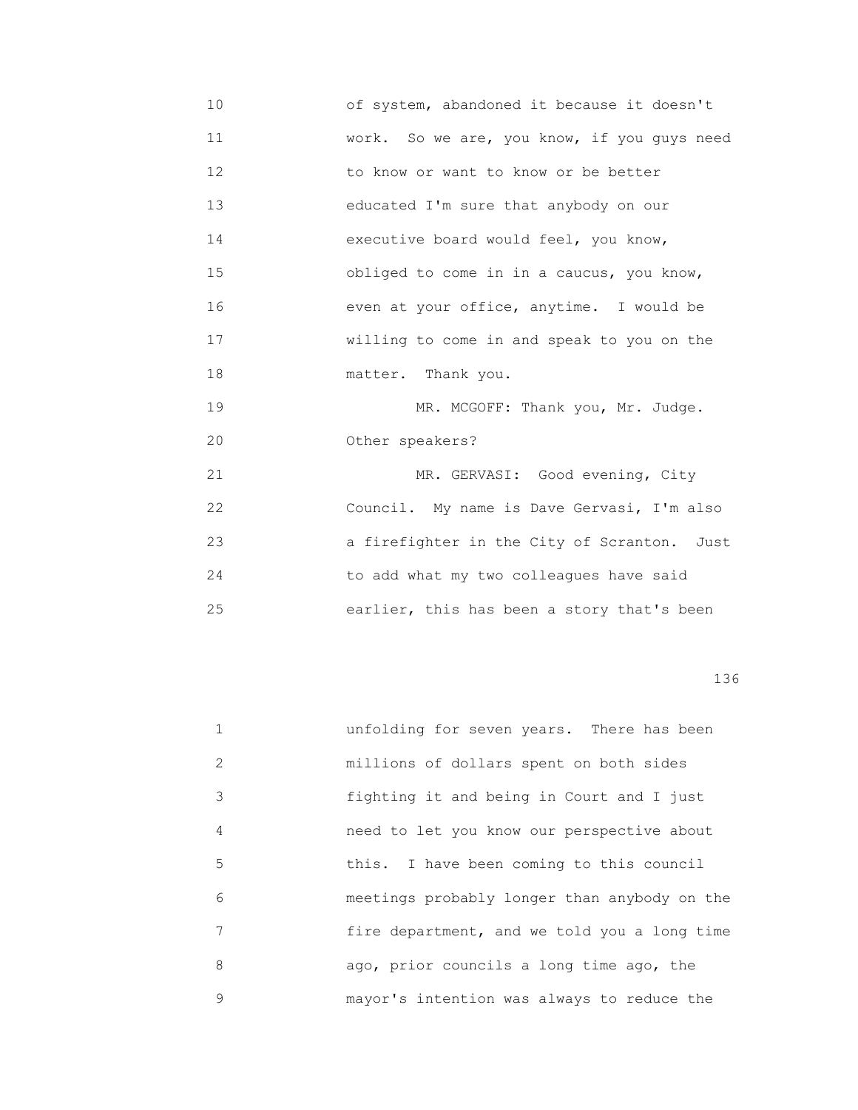10 of system, abandoned it because it doesn't 11 work. So we are, you know, if you guys need 12 **12** to know or want to know or be better 13 educated I'm sure that anybody on our 14 executive board would feel, you know, 15 obliged to come in in a caucus, you know, 16 even at your office, anytime. I would be 17 willing to come in and speak to you on the 18 matter. Thank you.

19 MR. MCGOFF: Thank you, Mr. Judge. 20 Other speakers?

21 MR. GERVASI: Good evening, City 22 Council. My name is Dave Gervasi, I'm also 23 **a** firefighter in the City of Scranton. Just 24 to add what my two colleagues have said 25 earlier, this has been a story that's been

|               | unfolding for seven years. There has been    |
|---------------|----------------------------------------------|
| $\mathcal{L}$ | millions of dollars spent on both sides      |
| 3             | fighting it and being in Court and I just    |
| 4             | need to let you know our perspective about   |
| 5             | this. I have been coming to this council     |
| 6             | meetings probably longer than anybody on the |
| 7             | fire department, and we told you a long time |
| 8             | ago, prior councils a long time ago, the     |
| 9             | mayor's intention was always to reduce the   |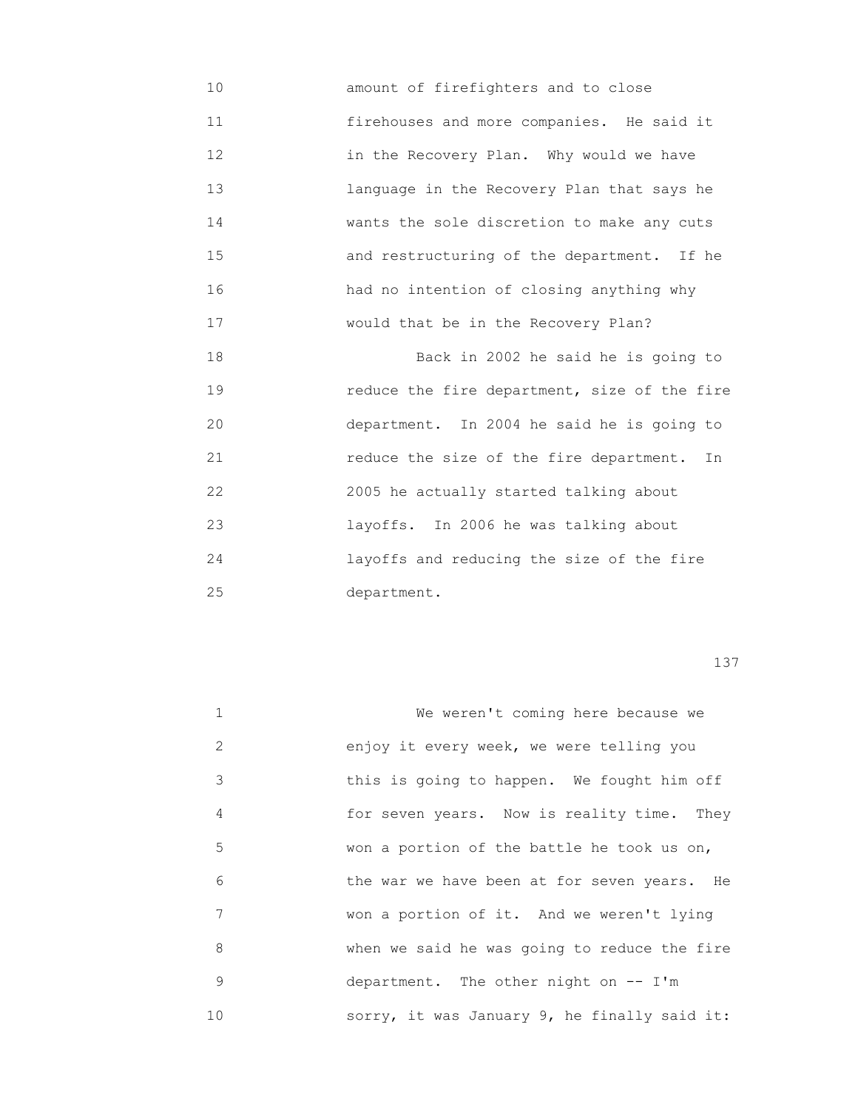10 amount of firefighters and to close 11 firehouses and more companies. He said it 12 in the Recovery Plan. Why would we have 13 language in the Recovery Plan that says he 14 wants the sole discretion to make any cuts 15 and restructuring of the department. If he 16 had no intention of closing anything why 17 would that be in the Recovery Plan?

 18 Back in 2002 he said he is going to 19 reduce the fire department, size of the fire 20 department. In 2004 he said he is going to 21 reduce the size of the fire department. In 22 2005 he actually started talking about 23 layoffs. In 2006 he was talking about 24 layoffs and reducing the size of the fire 25 department.

| $\mathbf{1}$ | We weren't coming here because we            |
|--------------|----------------------------------------------|
| 2            | enjoy it every week, we were telling you     |
| 3            | this is going to happen. We fought him off   |
| 4            | for seven years. Now is reality time. They   |
| 5            | won a portion of the battle he took us on,   |
| 6            | the war we have been at for seven years. He  |
| 7            | won a portion of it. And we weren't lying    |
| 8            | when we said he was going to reduce the fire |
| 9            | department. The other night on $--$ I'm      |
| 10           | sorry, it was January 9, he finally said it: |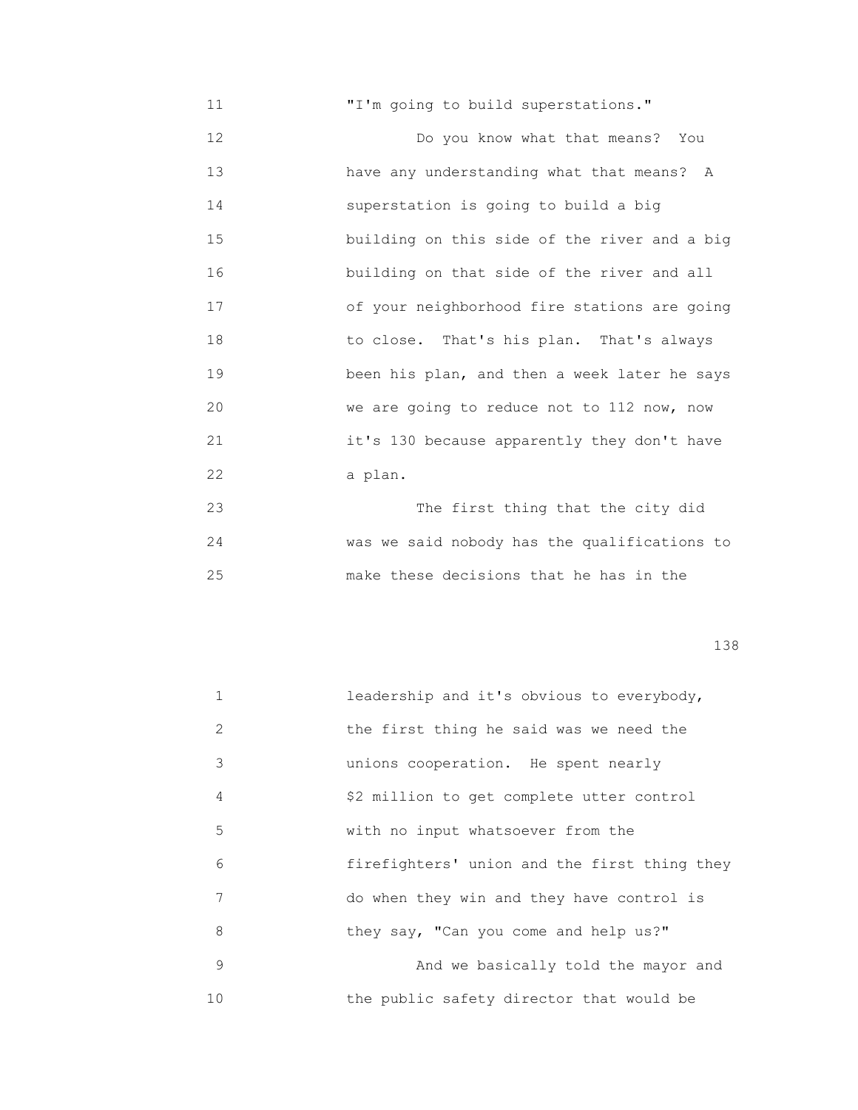11 **T'm** going to build superstations." 12 Do you know what that means? You 13 have any understanding what that means? A 14 superstation is going to build a big 15 building on this side of the river and a big 16 building on that side of the river and all 17 of your neighborhood fire stations are going 18 to close. That's his plan. That's always 19 been his plan, and then a week later he says 20 we are going to reduce not to 112 now, now 21 it's 130 because apparently they don't have 22 a plan.

 23 The first thing that the city did 24 was we said nobody has the qualifications to 25 make these decisions that he has in the

| $\mathbf{1}$ | leadership and it's obvious to everybody,    |
|--------------|----------------------------------------------|
| 2            | the first thing he said was we need the      |
| 3            | unions cooperation. He spent nearly          |
| 4            | \$2 million to get complete utter control    |
| 5            | with no input whatsoever from the            |
| 6            | firefighters' union and the first thing they |
| 7            | do when they win and they have control is    |
| 8            | they say, "Can you come and help us?"        |
| 9            | And we basically told the mayor and          |
| 10           | the public safety director that would be     |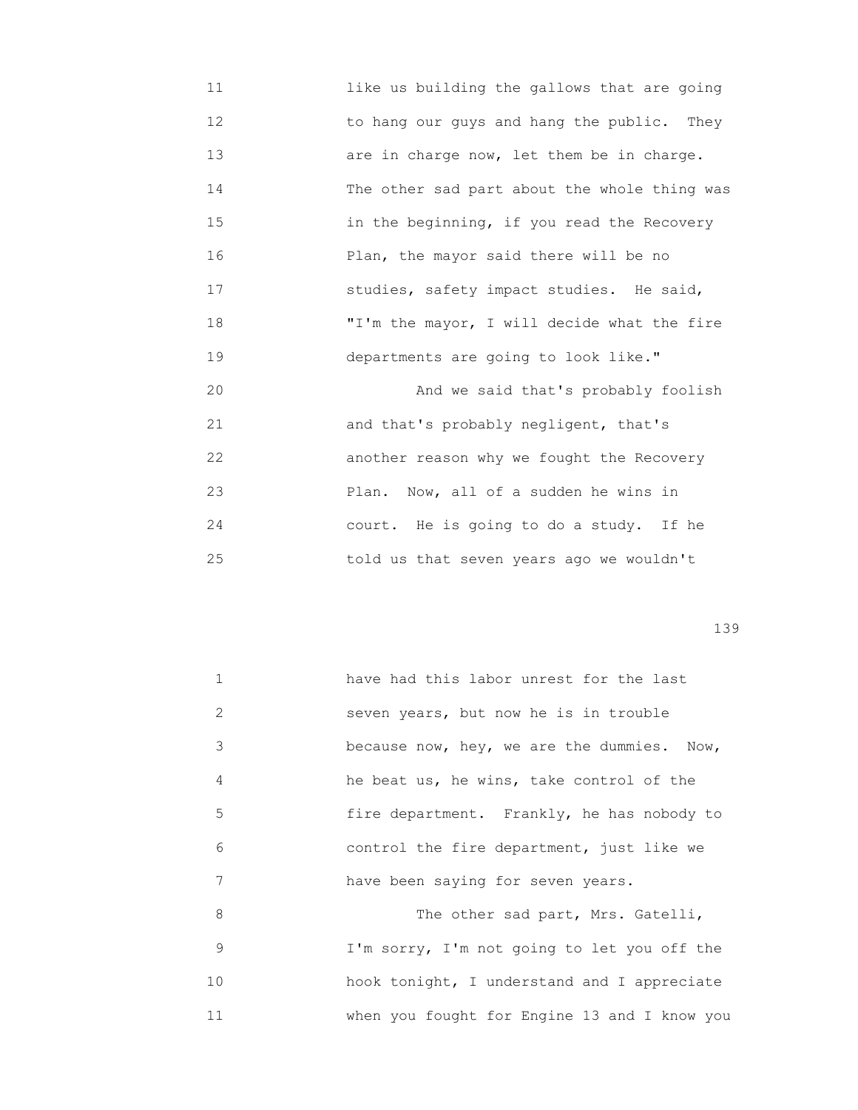11 like us building the gallows that are going 12 to hang our guys and hang the public. They 13 are in charge now, let them be in charge. 14 The other sad part about the whole thing was 15 in the beginning, if you read the Recovery 16 Plan, the mayor said there will be no 17 studies, safety impact studies. He said, 18 "I'm the mayor, I will decide what the fire 19 departments are going to look like." 20 And we said that's probably foolish 21 and that's probably negligent, that's 22 another reason why we fought the Recovery 23 Plan. Now, all of a sudden he wins in 24 court. He is going to do a study. If he 25 told us that seven years ago we wouldn't

|    | have had this labor unrest for the last      |
|----|----------------------------------------------|
| 2  | seven years, but now he is in trouble        |
| 3  | because now, hey, we are the dummies. Now,   |
| 4  | he beat us, he wins, take control of the     |
| 5  | fire department. Frankly, he has nobody to   |
| 6  | control the fire department, just like we    |
| 7  | have been saying for seven years.            |
| 8  | The other sad part, Mrs. Gatelli,            |
| 9  | I'm sorry, I'm not going to let you off the  |
| 10 | hook tonight, I understand and I appreciate  |
| 11 | when you fought for Engine 13 and I know you |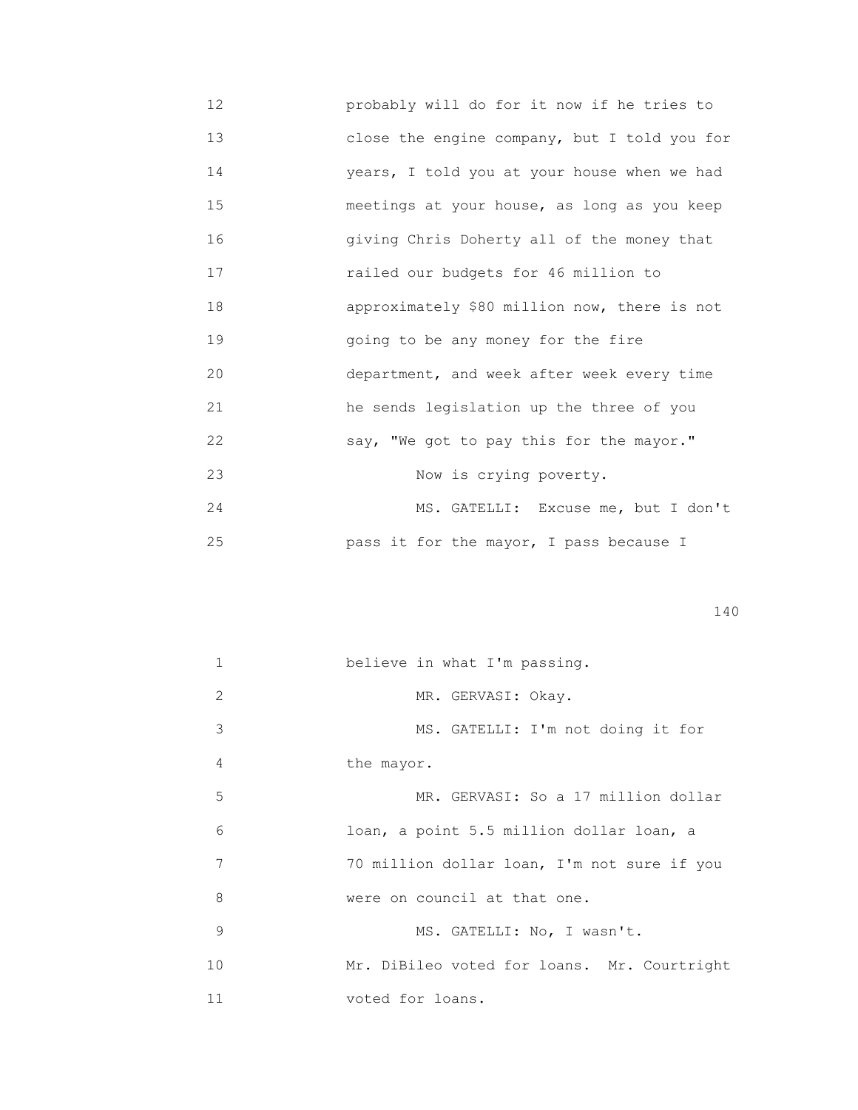12 probably will do for it now if he tries to 13 close the engine company, but I told you for 14 years, I told you at your house when we had 15 meetings at your house, as long as you keep 16 giving Chris Doherty all of the money that 17 railed our budgets for 46 million to 18 approximately \$80 million now, there is not 19 going to be any money for the fire 20 department, and week after week every time 21 he sends legislation up the three of you 22 say, "We got to pay this for the mayor." 23 Now is crying poverty. 24 MS. GATELLI: Excuse me, but I don't 25 pass it for the mayor, I pass because I

|  | 1.10 |
|--|------|
|--|------|

| 1  | believe in what I'm passing.                |
|----|---------------------------------------------|
| 2  | MR. GERVASI: Okay.                          |
| 3  | MS. GATELLI: I'm not doing it for           |
| 4  | the mayor.                                  |
| 5  | MR. GERVASI: So a 17 million dollar         |
| 6  | loan, a point 5.5 million dollar loan, a    |
| 7  | 70 million dollar loan, I'm not sure if you |
| 8  | were on council at that one.                |
| 9  | MS. GATELLI: No, I wasn't.                  |
| 10 | Mr. DiBileo voted for loans. Mr. Courtright |
| 11 | voted for loans.                            |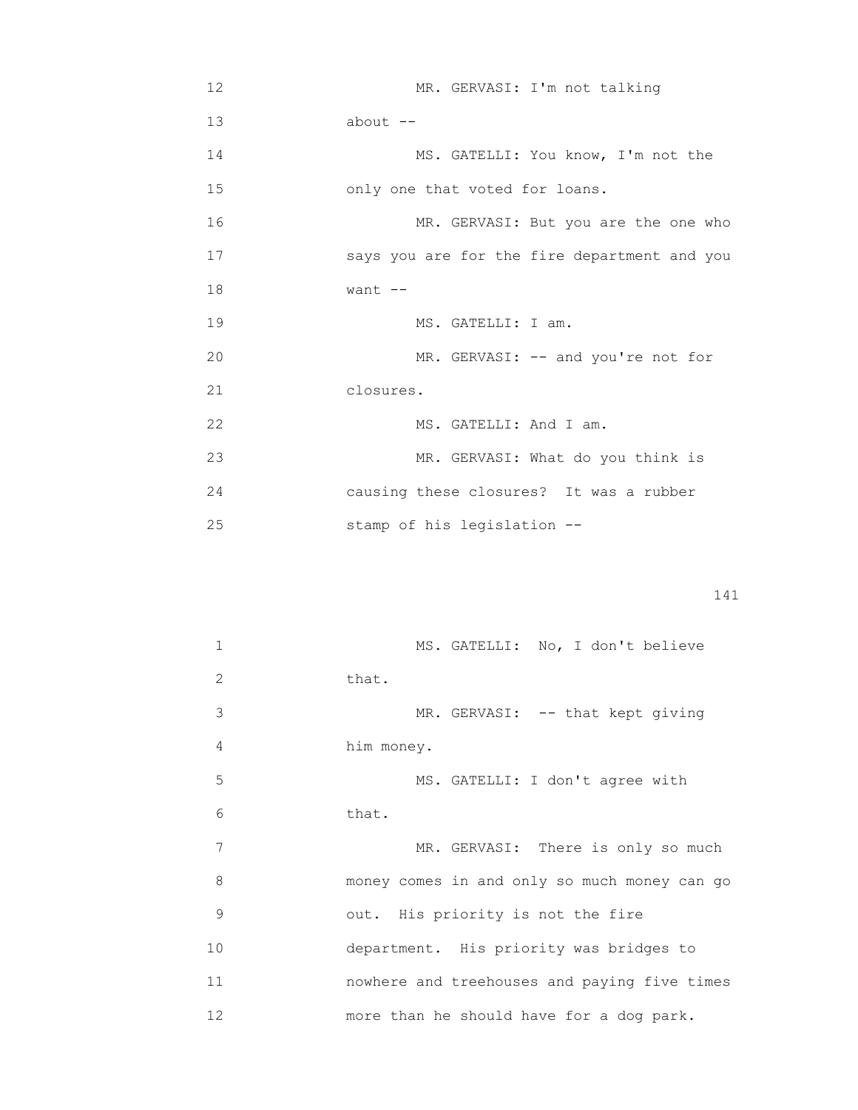12 MR. GERVASI: I'm not talking 13 about -- 14 MS. GATELLI: You know, I'm not the 15 only one that voted for loans. 16 MR. GERVASI: But you are the one who 17 says you are for the fire department and you 18 want -- 19 MS. GATELLI: I am. 20 MR. GERVASI: -- and you're not for 21 closures. 22 MS. GATELLI: And I am. 23 MR. GERVASI: What do you think is 24 causing these closures? It was a rubber 25 stamp of his legislation --

| 1  | MS. GATELLI: No, I don't believe             |
|----|----------------------------------------------|
| 2  | that.                                        |
| 3  | MR. GERVASI: -- that kept giving             |
| 4  | him money.                                   |
| 5  | MS. GATELLI: I don't agree with              |
| 6  | that.                                        |
| 7  | MR. GERVASI: There is only so much           |
| 8  | money comes in and only so much money can go |
| 9  | out. His priority is not the fire            |
| 10 | department. His priority was bridges to      |
| 11 | nowhere and treehouses and paying five times |
| 12 | more than he should have for a dog park.     |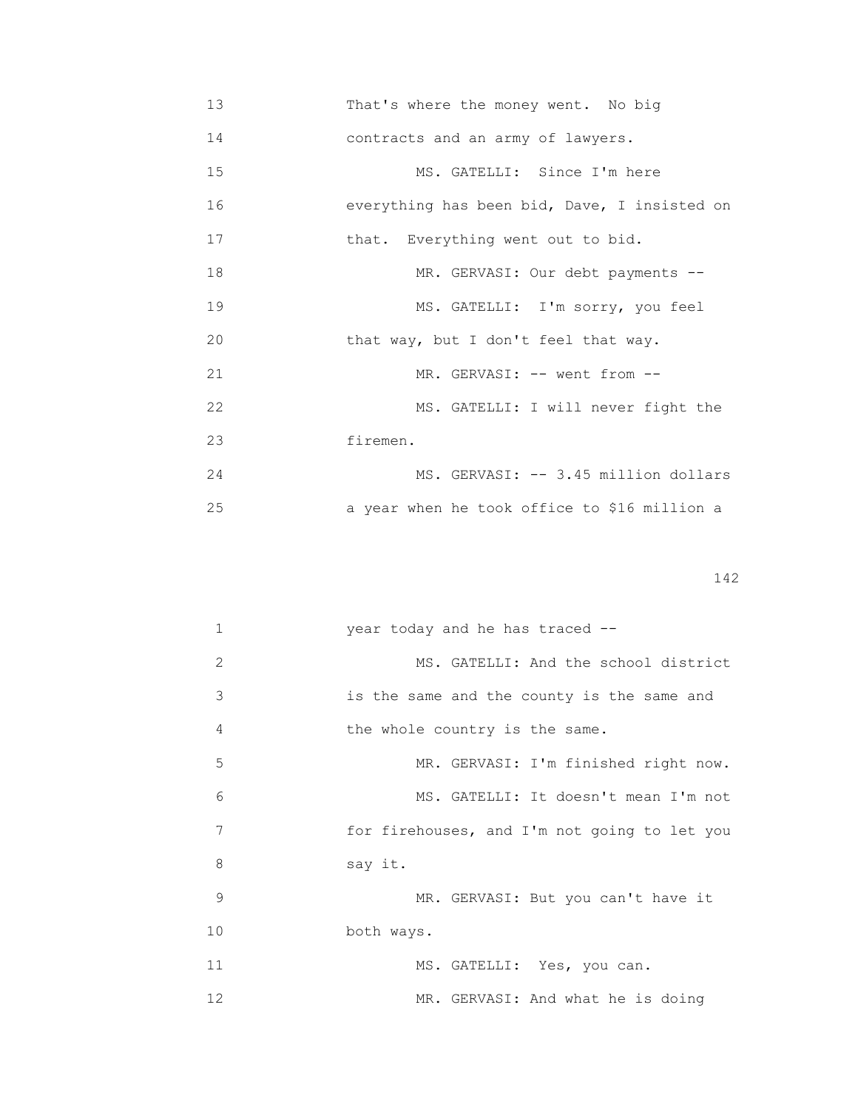13 That's where the money went. No big 14 contracts and an army of lawyers. 15 MS. GATELLI: Since I'm here 16 everything has been bid, Dave, I insisted on 17 **that.** Everything went out to bid. 18 MR. GERVASI: Our debt payments -- 19 MS. GATELLI: I'm sorry, you feel 20 that way, but I don't feel that way. 21 MR. GERVASI: -- went from --22 MS. GATELLI: I will never fight the 23 firemen. 24 MS. GERVASI: -- 3.45 million dollars 25 a year when he took office to \$16 million a

| $\mathbf{1}$ | year today and he has traced --              |
|--------------|----------------------------------------------|
| 2            | MS. GATELLI: And the school district         |
| 3            | is the same and the county is the same and   |
| 4            | the whole country is the same.               |
| 5            | MR. GERVASI: I'm finished right now.         |
| 6            | MS. GATELLI: It doesn't mean I'm not         |
| 7            | for firehouses, and I'm not going to let you |
| 8            | say it.                                      |
| 9            | MR. GERVASI: But you can't have it           |
| 10           | both ways.                                   |
| 11           | MS. GATELLI: Yes, you can.                   |
| 12           | MR. GERVASI: And what he is doing            |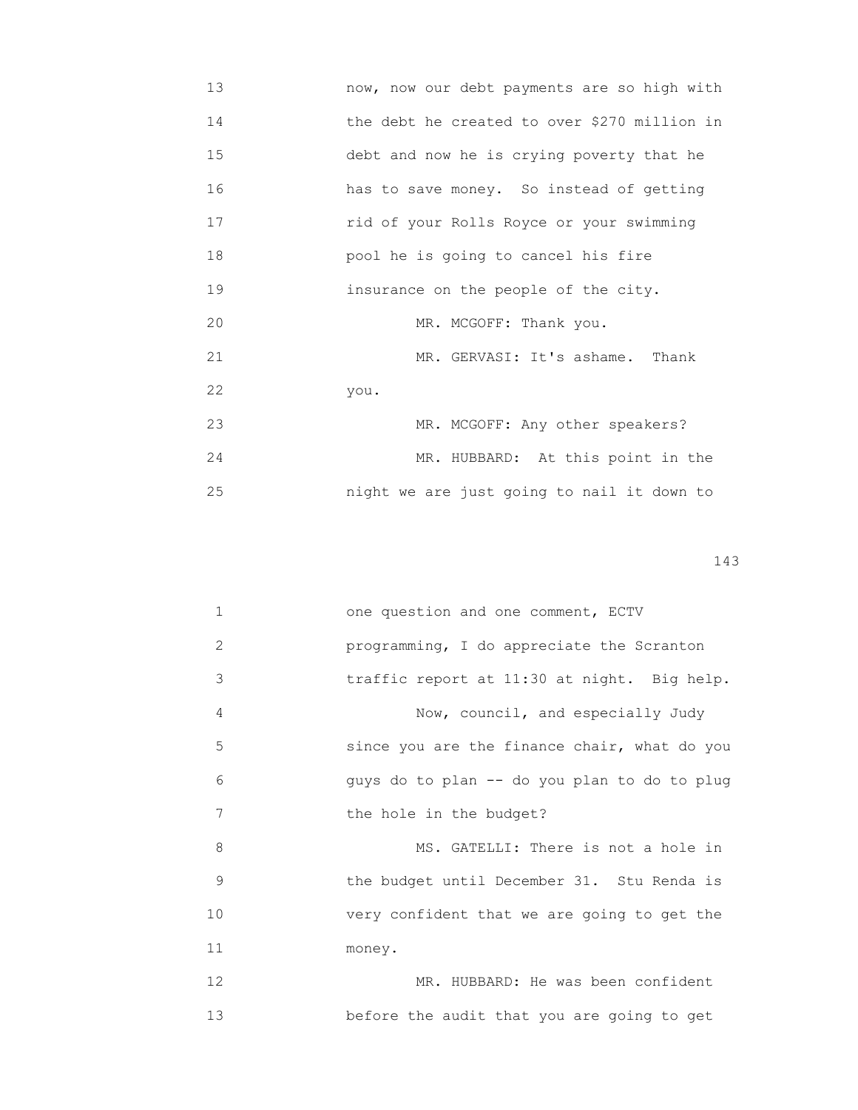13 now, now our debt payments are so high with 14 **the debt he created to over \$270 million in**  15 debt and now he is crying poverty that he 16 has to save money. So instead of getting 17 rid of your Rolls Royce or your swimming 18 pool he is going to cancel his fire 19 insurance on the people of the city. 20 MR. MCGOFF: Thank you. 21 MR. GERVASI: It's ashame. Thank 22 you. 23 MR. MCGOFF: Any other speakers? 24 MR. HUBBARD: At this point in the 25 night we are just going to nail it down to

| $\mathbf{1}$ | one question and one comment, ECTV           |
|--------------|----------------------------------------------|
| 2            | programming, I do appreciate the Scranton    |
| 3            | traffic report at 11:30 at night. Big help.  |
| 4            | Now, council, and especially Judy            |
| 5            | since you are the finance chair, what do you |
| 6            | guys do to plan -- do you plan to do to plug |
| 7            | the hole in the budget?                      |
| 8            | MS. GATELLI: There is not a hole in          |
| 9            | the budget until December 31. Stu Renda is   |
| 10           | very confident that we are going to get the  |
| 11           | money.                                       |
| 12           | MR. HUBBARD: He was been confident           |
| 13           | before the audit that you are going to get   |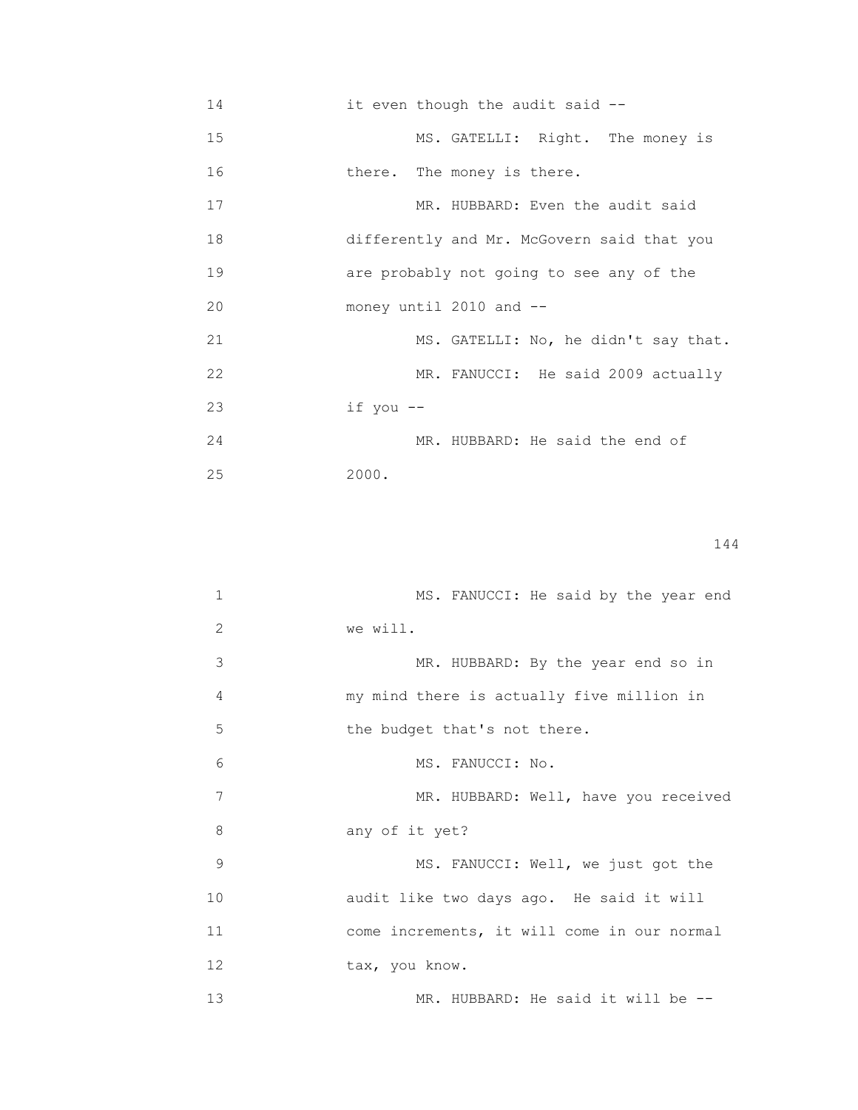| 14 | it even though the audit said --           |
|----|--------------------------------------------|
| 15 | MS. GATELLI: Right. The money is           |
| 16 | there. The money is there.                 |
| 17 | MR. HUBBARD: Even the audit said           |
| 18 | differently and Mr. McGovern said that you |
| 19 | are probably not going to see any of the   |
| 20 | money until 2010 and --                    |
| 21 | MS. GATELLI: No, he didn't say that.       |
| 22 | MR. FANUCCI: He said 2009 actually         |
| 23 | if you --                                  |
| 24 | MR. HUBBARD: He said the end of            |
| 25 | 2000.                                      |

| 1  | MS. FANUCCI: He said by the year end        |
|----|---------------------------------------------|
| 2  | we will.                                    |
| 3  | MR. HUBBARD: By the year end so in          |
| 4  | my mind there is actually five million in   |
| 5  | the budget that's not there.                |
| 6  | MS. FANUCCI: No.                            |
| 7  | MR. HUBBARD: Well, have you received        |
| 8  | any of it yet?                              |
| 9  | MS. FANUCCI: Well, we just got the          |
| 10 | audit like two days ago. He said it will    |
| 11 | come increments, it will come in our normal |
| 12 | tax, you know.                              |
| 13 | MR. HUBBARD: He said it will be --          |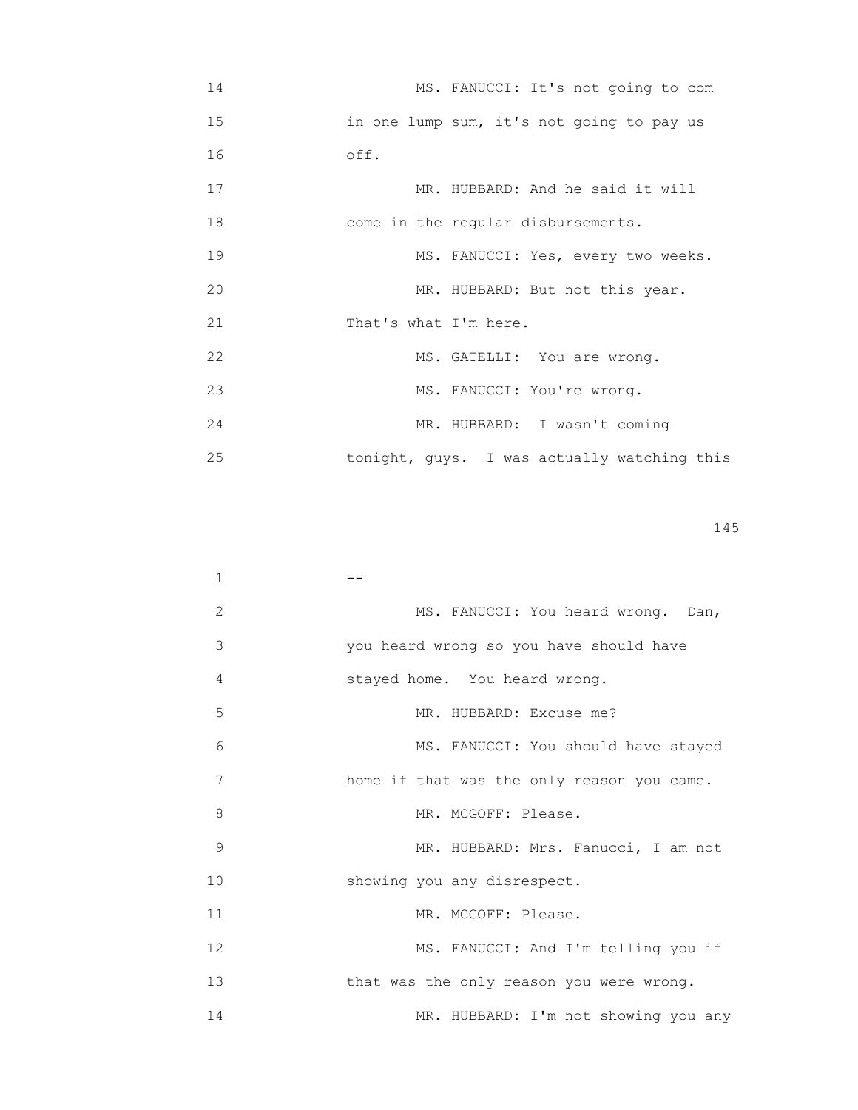| 14 | MS. FANUCCI: It's not going to com          |
|----|---------------------------------------------|
| 15 | in one lump sum, it's not going to pay us   |
| 16 | off.                                        |
| 17 | MR. HUBBARD: And he said it will            |
| 18 | come in the regular disbursements.          |
| 19 | MS. FANUCCI: Yes, every two weeks.          |
| 20 | MR. HUBBARD: But not this year.             |
| 21 | That's what I'm here.                       |
| 22 | MS. GATELLI: You are wrong.                 |
| 23 | MS. FANUCCI: You're wrong.                  |
| 24 | MR. HUBBARD: I wasn't coming                |
| 25 | tonight, guys. I was actually watching this |

| 1  |                                            |
|----|--------------------------------------------|
| 2  | MS. FANUCCI: You heard wrong. Dan,         |
| 3  | you heard wrong so you have should have    |
| 4  | stayed home. You heard wrong.              |
| 5  | MR. HUBBARD: Excuse me?                    |
| 6  | MS. FANUCCI: You should have stayed        |
| 7  | home if that was the only reason you came. |
| 8  | MR. MCGOFF: Please.                        |
| 9  | MR. HUBBARD: Mrs. Fanucci, I am not        |
| 10 | showing you any disrespect.                |
| 11 | MR. MCGOFF: Please.                        |
| 12 | MS. FANUCCI: And I'm telling you if        |
| 13 | that was the only reason you were wrong.   |
| 14 | MR. HUBBARD: I'm not showing you any       |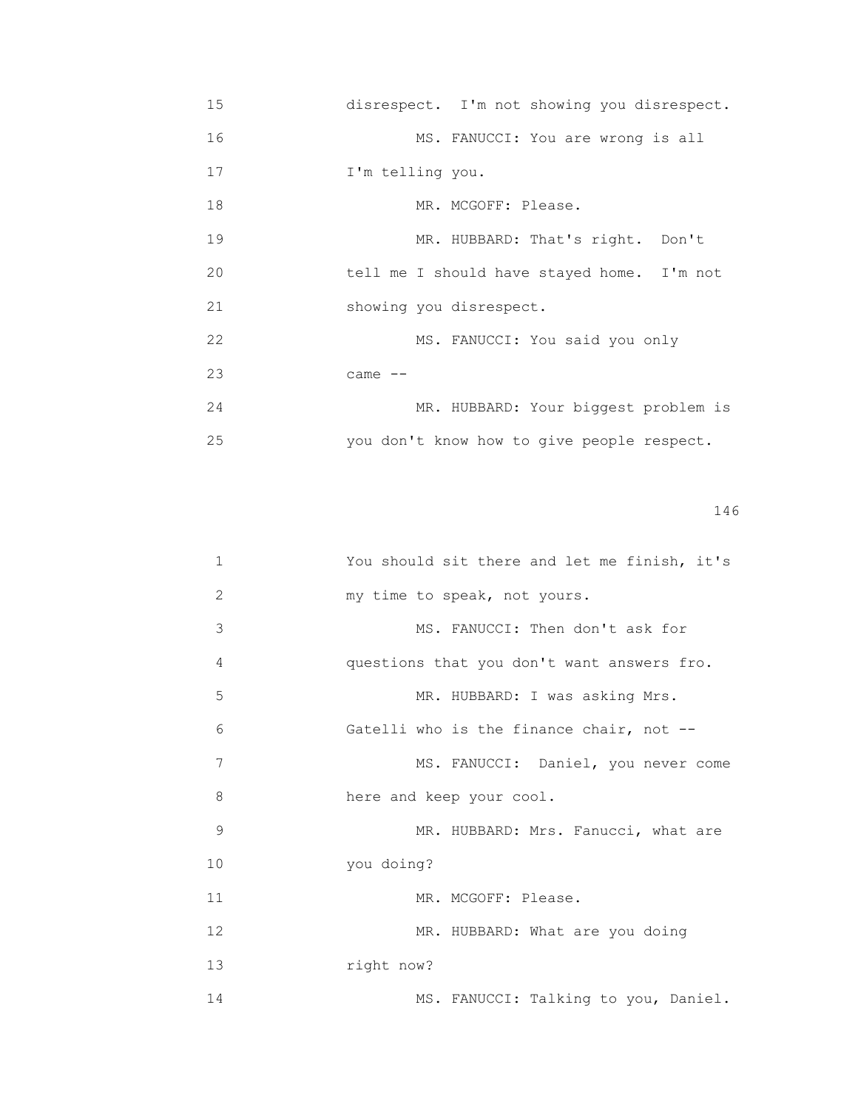| 15 | disrespect. I'm not showing you disrespect. |
|----|---------------------------------------------|
| 16 | MS. FANUCCI: You are wrong is all           |
| 17 | I'm telling you.                            |
| 18 | MR. MCGOFF: Please.                         |
| 19 | MR. HUBBARD: That's right. Don't            |
| 20 | tell me I should have stayed home. I'm not  |
| 21 | showing you disrespect.                     |
| 22 | MS. FANUCCI: You said you only              |
| 23 | came $--$                                   |
| 24 | MR. HUBBARD: Your biggest problem is        |
| 25 | you don't know how to give people respect.  |

| 1  | You should sit there and let me finish, it's |
|----|----------------------------------------------|
| 2  | my time to speak, not yours.                 |
| 3  | MS. FANUCCI: Then don't ask for              |
| 4  | questions that you don't want answers fro.   |
| 5  | MR. HUBBARD: I was asking Mrs.               |
| 6  | Gatelli who is the finance chair, not --     |
| 7  | MS. FANUCCI: Daniel, you never come          |
| 8  | here and keep your cool.                     |
| 9  | MR. HUBBARD: Mrs. Fanucci, what are          |
| 10 | you doing?                                   |
| 11 | MR. MCGOFF: Please.                          |
| 12 | MR. HUBBARD: What are you doing              |
| 13 | right now?                                   |
| 14 | MS. FANUCCI: Talking to you, Daniel.         |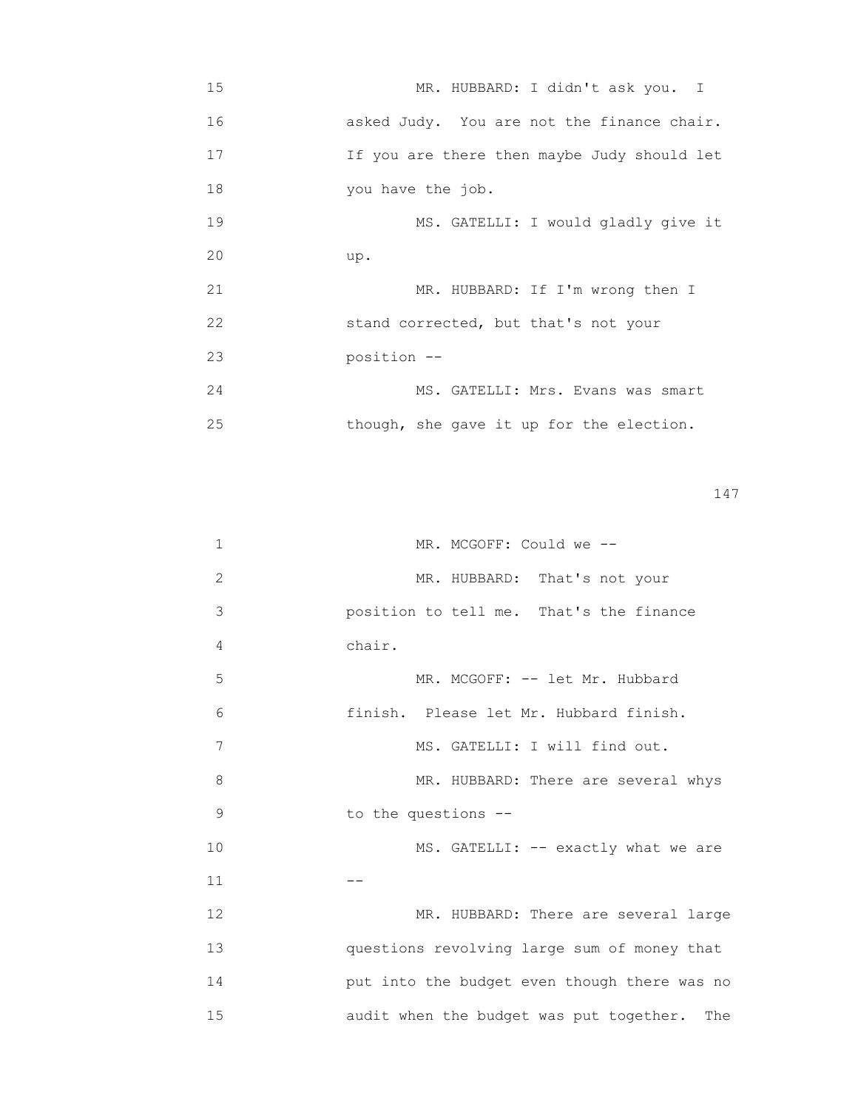| 15 | MR. HUBBARD: I didn't ask you. I            |
|----|---------------------------------------------|
| 16 | asked Judy. You are not the finance chair.  |
| 17 | If you are there then maybe Judy should let |
| 18 | you have the job.                           |
| 19 | MS. GATELLI: I would gladly give it         |
| 20 | up.                                         |
| 21 | MR. HUBBARD: If I'm wrong then I            |
| 22 | stand corrected, but that's not your        |
| 23 | position --                                 |
| 24 | MS. GATELLI: Mrs. Evans was smart           |
| 25 | though, she gave it up for the election.    |

| $\mathbf{1}$ | MR. MCGOFF: Could we --                        |
|--------------|------------------------------------------------|
| $\mathbf{2}$ | MR. HUBBARD: That's not your                   |
| 3            | position to tell me. That's the finance        |
| 4            | chair.                                         |
| 5            | MR. MCGOFF: -- let Mr. Hubbard                 |
| 6            | finish. Please let Mr. Hubbard finish.         |
| 7            | MS. GATELLI: I will find out.                  |
| 8            | MR. HUBBARD: There are several whys            |
| 9            | to the questions --                            |
| 10           | MS. GATELLI: -- exactly what we are            |
| 11           |                                                |
| 12           | MR. HUBBARD: There are several large           |
| 13           | questions revolving large sum of money that    |
| 14           | put into the budget even though there was no   |
| 15           | audit when the budget was put together.<br>The |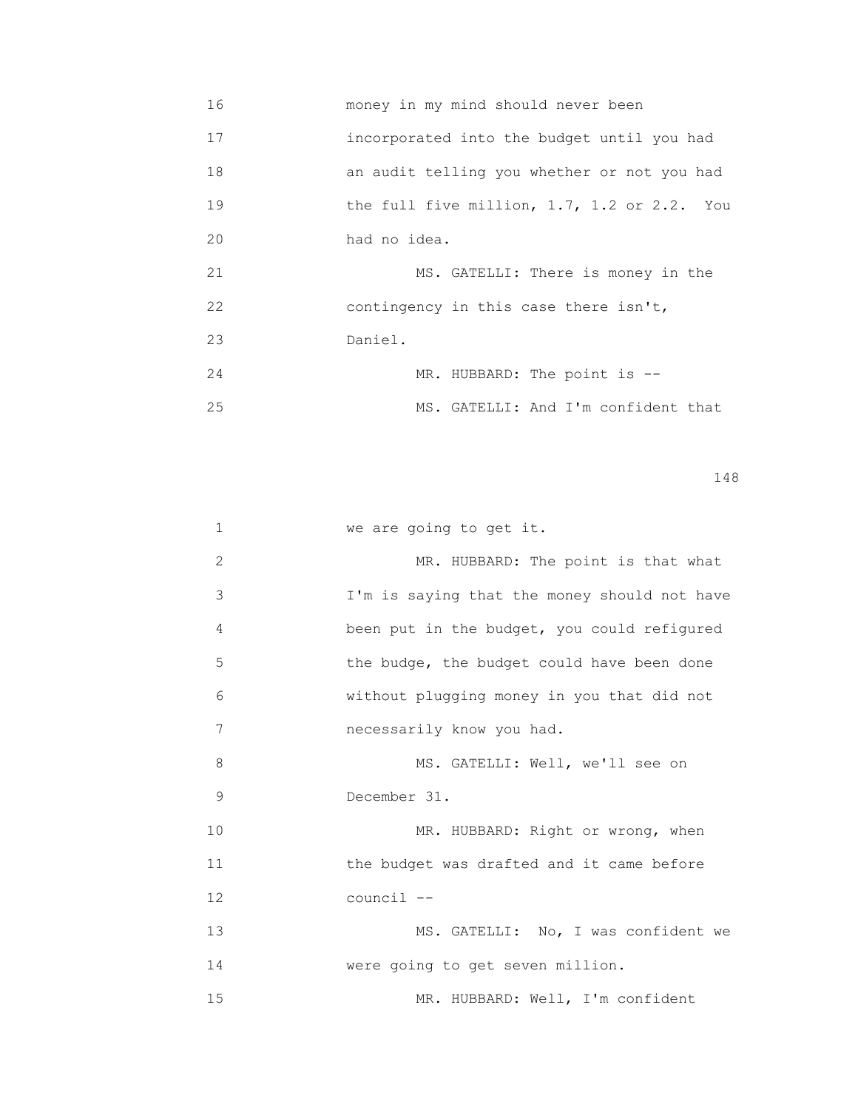16 money in my mind should never been 17 incorporated into the budget until you had 18 an audit telling you whether or not you had 19 **the full five million, 1.7, 1.2 or 2.2.** You 20 had no idea. 21 MS. GATELLI: There is money in the 22 contingency in this case there isn't, 23 Daniel. 24 MR. HUBBARD: The point is --25 MS. GATELLI: And I'm confident that

| 1  | we are going to get it.                      |
|----|----------------------------------------------|
| 2  | MR. HUBBARD: The point is that what          |
| 3  | I'm is saying that the money should not have |
| 4  | been put in the budget, you could refigured  |
| 5  | the budge, the budget could have been done   |
| 6  | without plugging money in you that did not   |
| 7  | necessarily know you had.                    |
| 8  | MS. GATELLI: Well, we'll see on              |
| 9  | December 31.                                 |
| 10 | MR. HUBBARD: Right or wrong, when            |
| 11 | the budget was drafted and it came before    |
| 12 | council --                                   |
| 13 | MS. GATELLI: No, I was confident we          |
| 14 | were going to get seven million.             |
| 15 | MR. HUBBARD: Well, I'm confident             |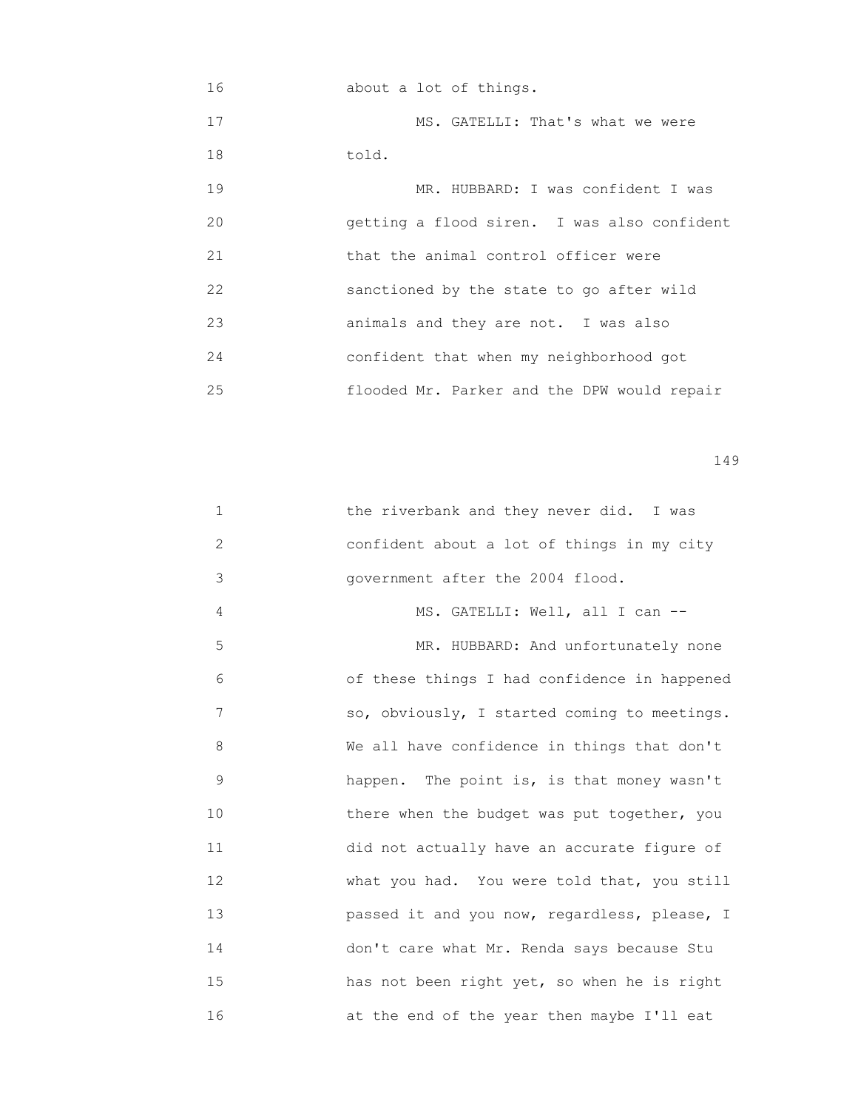16 about a lot of things. 17 MS. GATELLI: That's what we were 18 told. 19 MR. HUBBARD: I was confident I was 20 getting a flood siren. I was also confident 21 that the animal control officer were 22 sanctioned by the state to go after wild 23 animals and they are not. I was also 24 confident that when my neighborhood got 25 flooded Mr. Parker and the DPW would repair

| $\mathbf 1$ | the riverbank and they never did. I was      |
|-------------|----------------------------------------------|
| 2           | confident about a lot of things in my city   |
| 3           | government after the 2004 flood.             |
| 4           | MS. GATELLI: Well, all I can --              |
| 5           | MR. HUBBARD: And unfortunately none          |
| 6           | of these things I had confidence in happened |
| 7           | so, obviously, I started coming to meetings. |
| 8           | We all have confidence in things that don't  |
| 9           | happen. The point is, is that money wasn't   |
| 10          | there when the budget was put together, you  |
| 11          | did not actually have an accurate figure of  |
| 12          | what you had. You were told that, you still  |
| 13          | passed it and you now, regardless, please, I |
| 14          | don't care what Mr. Renda says because Stu   |
| 15          | has not been right yet, so when he is right  |
| 16          | at the end of the year then maybe I'll eat   |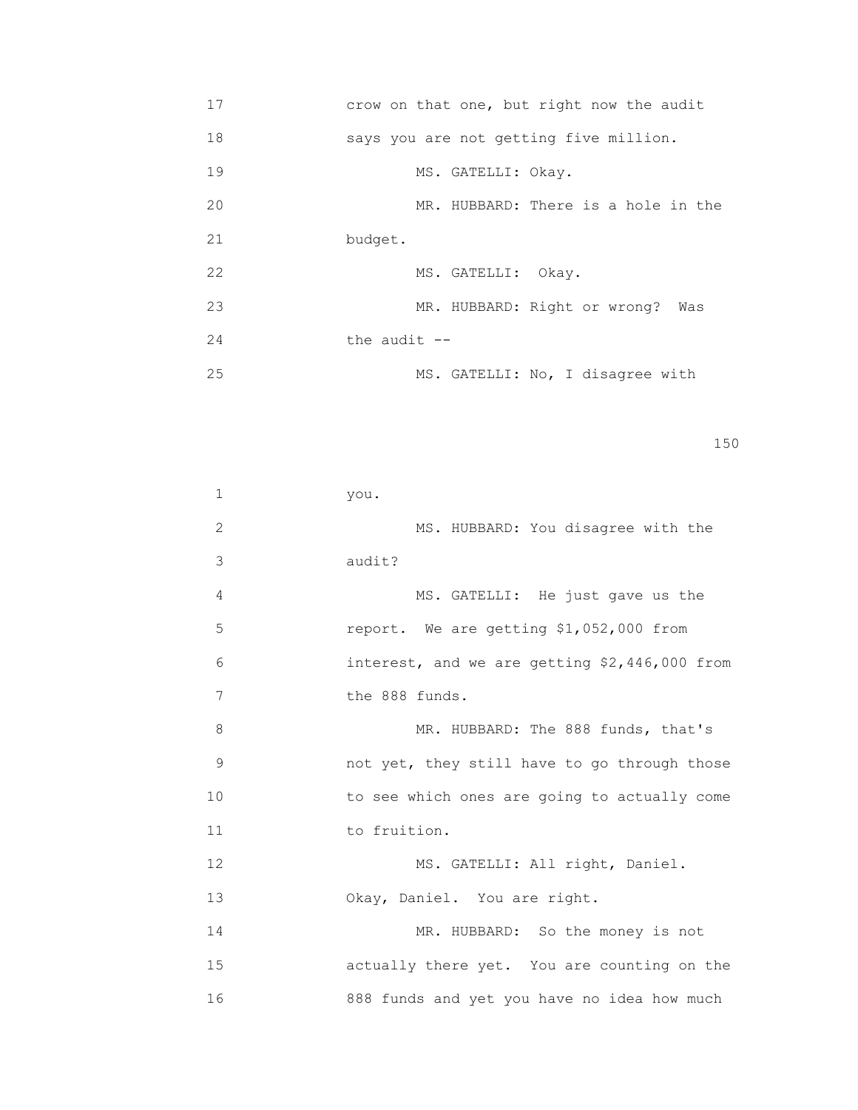17 crow on that one, but right now the audit 18 says you are not getting five million. 19 MS. GATELLI: Okay. 20 MR. HUBBARD: There is a hole in the 21 budget. 22 MS. GATELLI: Okay. 23 MR. HUBBARD: Right or wrong? Was  $24$  the audit  $-$ 25 MS. GATELLI: No, I disagree with

```
                                                                    150
```

| $\mathbf 1$ | you.                                          |
|-------------|-----------------------------------------------|
| 2           | MS. HUBBARD: You disagree with the            |
| 3           | audit?                                        |
| 4           | MS. GATELLI: He just gave us the              |
| 5           | report. We are getting \$1,052,000 from       |
| 6           | interest, and we are getting \$2,446,000 from |
| 7           | the 888 funds.                                |
| 8           | MR. HUBBARD: The 888 funds, that's            |
| 9           | not yet, they still have to go through those  |
| 10          | to see which ones are going to actually come  |
| 11          | to fruition.                                  |
| 12          | MS. GATELLI: All right, Daniel.               |
| 13          | Okay, Daniel. You are right.                  |
| 14          | MR. HUBBARD: So the money is not              |
| 15          | actually there yet. You are counting on the   |
| 16          | 888 funds and yet you have no idea how much   |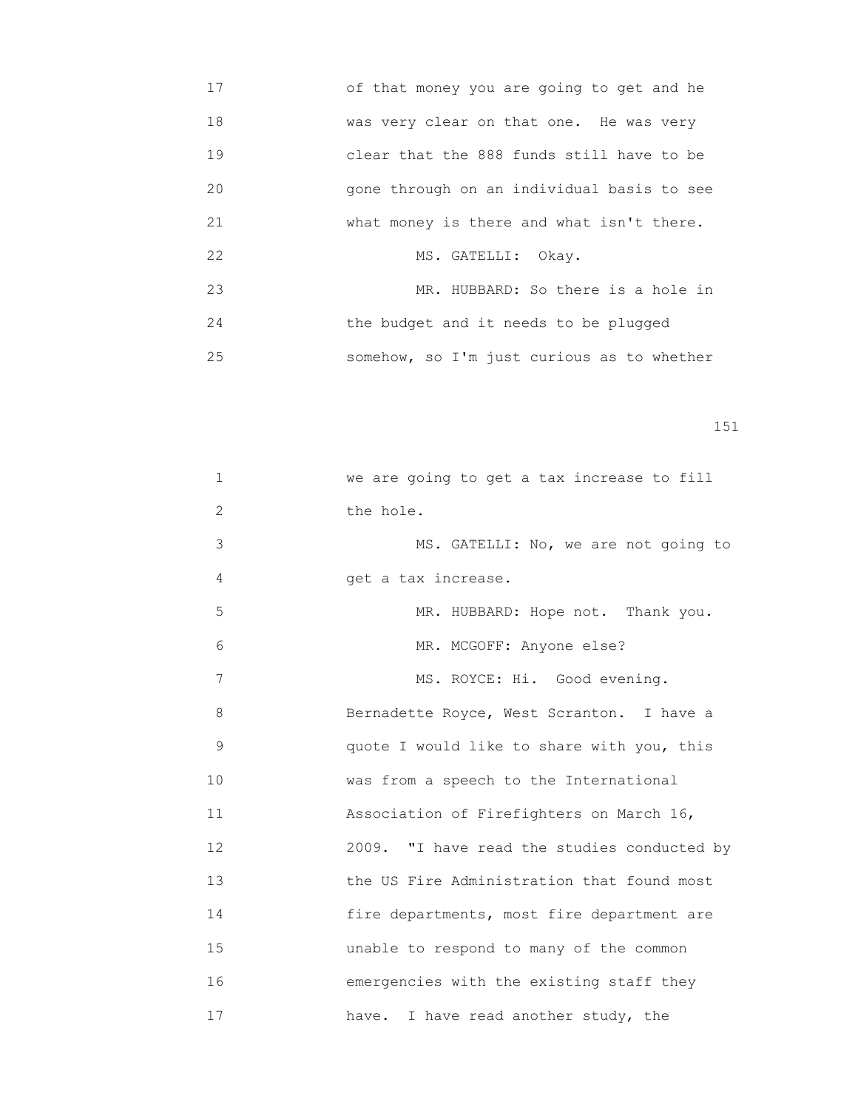17 of that money you are going to get and he 18 was very clear on that one. He was very 19 clear that the 888 funds still have to be 20 gone through on an individual basis to see 21 what money is there and what isn't there. 22 MS. GATELLI: Okay. 23 MR. HUBBARD: So there is a hole in 24 the budget and it needs to be plugged 25 somehow, so I'm just curious as to whether

| $\mathbf 1$    | we are going to get a tax increase to fill  |
|----------------|---------------------------------------------|
| $\overline{c}$ | the hole.                                   |
| 3              | MS. GATELLI: No, we are not going to        |
| 4              | get a tax increase.                         |
| 5              | MR. HUBBARD: Hope not. Thank you.           |
| 6              | MR. MCGOFF: Anyone else?                    |
| 7              | MS. ROYCE: Hi. Good evening.                |
| 8              | Bernadette Royce, West Scranton. I have a   |
| $\mathsf 9$    | quote I would like to share with you, this  |
| 10             | was from a speech to the International      |
| 11             | Association of Firefighters on March 16,    |
| 12             | 2009. "I have read the studies conducted by |
| 13             | the US Fire Administration that found most  |
| 14             | fire departments, most fire department are  |
| 15             | unable to respond to many of the common     |
| 16             | emergencies with the existing staff they    |
| 17             | have. I have read another study, the        |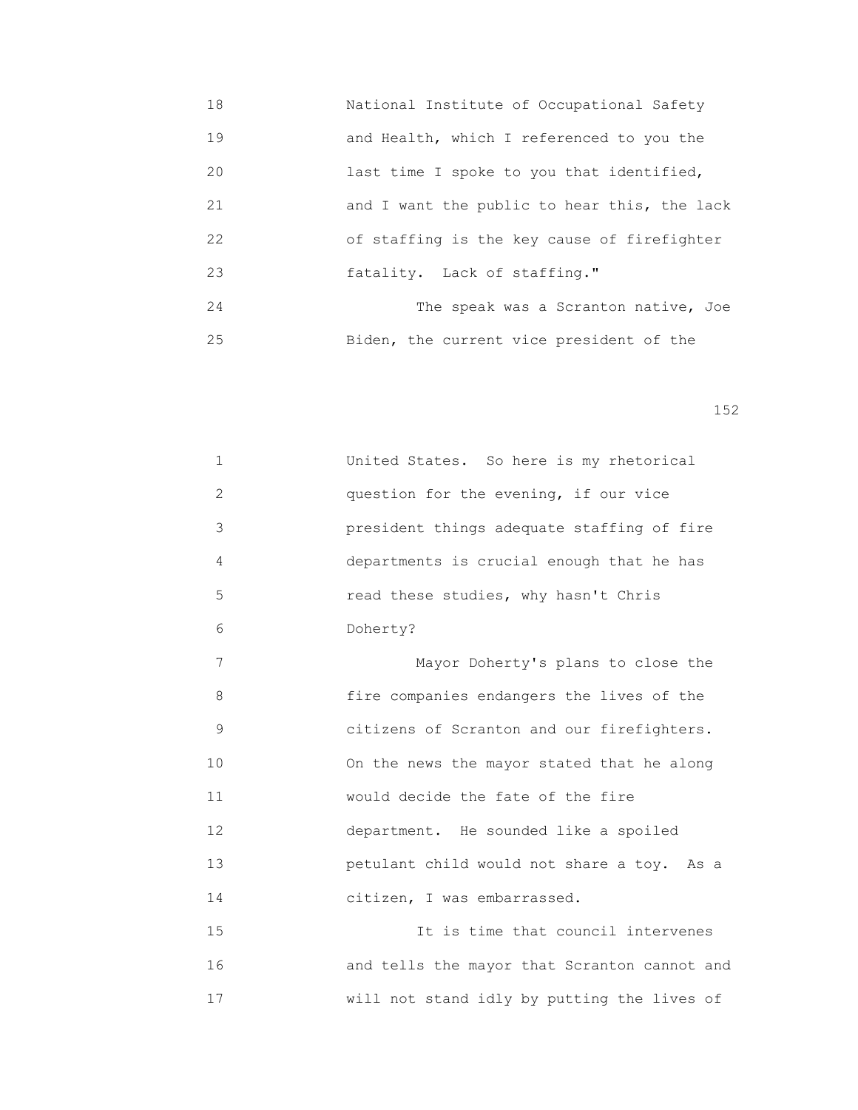18 National Institute of Occupational Safety 19 and Health, which I referenced to you the 20 **120** last time I spoke to you that identified, 21 and I want the public to hear this, the lack 22 of staffing is the key cause of firefighter 23 fatality. Lack of staffing." 24 The speak was a Scranton native, Joe 25 Biden, the current vice president of the

152

|               | United States. So here is my rhetorical                  |
|---------------|----------------------------------------------------------|
| $\mathcal{L}$ | question for the evening, if our vice                    |
| 3             | president things adequate staffing of fire               |
| 4             | departments is crucial enough that he has                |
| 5             | read these studies, why hasn't Chris                     |
| 6             | Doherty?                                                 |
| 7             | Mayor Doherty's plans to close the                       |
| $\circ$       | $f_{\text{max}}$ companies and propose the living of the |

 8 fire companies endangers the lives of the 9 citizens of Scranton and our firefighters. 10 On the news the mayor stated that he along 11 would decide the fate of the fire 12 department. He sounded like a spoiled 13 petulant child would not share a toy. As a 14 citizen, I was embarrassed.

 15 It is time that council intervenes 16 and tells the mayor that Scranton cannot and 17 will not stand idly by putting the lives of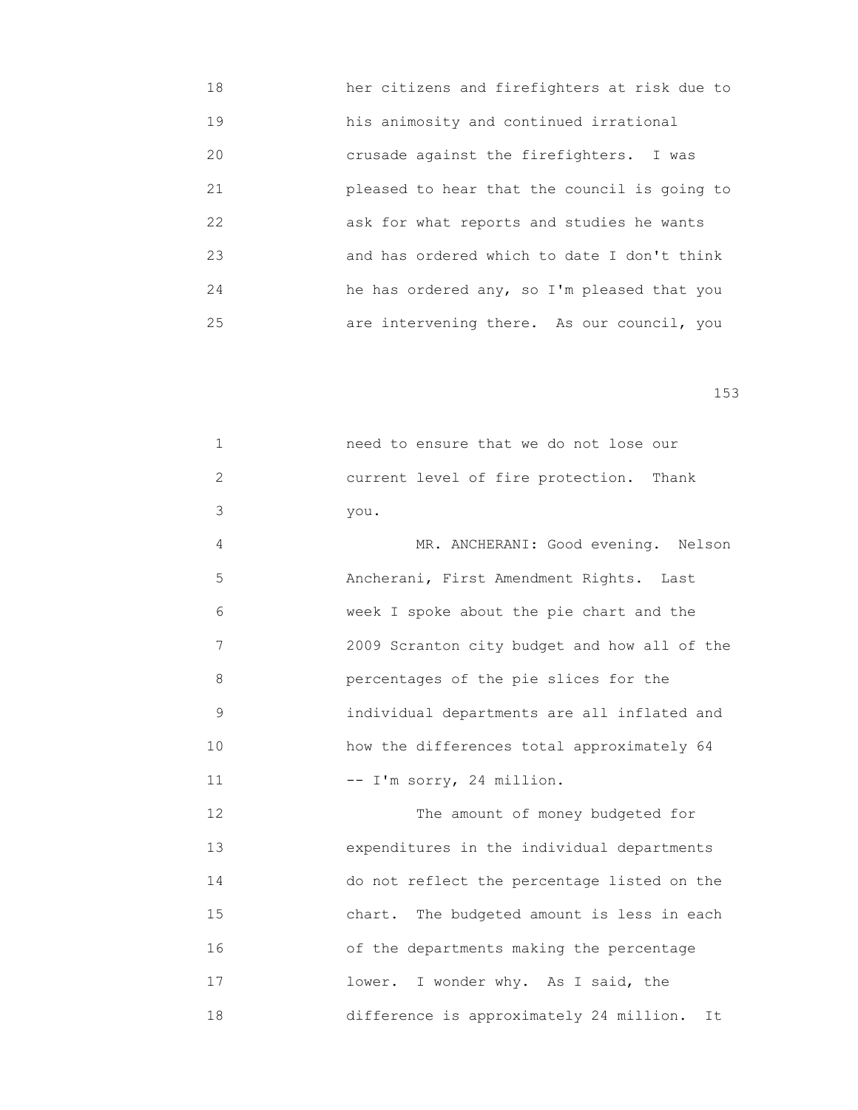18 her citizens and firefighters at risk due to 19 his animosity and continued irrational 20 crusade against the firefighters. I was 21 pleased to hear that the council is going to 22 ask for what reports and studies he wants 23 and has ordered which to date I don't think 24 he has ordered any, so I'm pleased that you 25 are intervening there. As our council, you

153

 1 need to ensure that we do not lose our 2 current level of fire protection. Thank 3 you.

 4 MR. ANCHERANI: Good evening. Nelson 5 Ancherani, First Amendment Rights. Last 6 week I spoke about the pie chart and the 7 2009 Scranton city budget and how all of the 8 percentages of the pie slices for the 9 individual departments are all inflated and 10 how the differences total approximately 64 11  $-- I'm$  sorry, 24 million.

12 The amount of money budgeted for 13 expenditures in the individual departments 14 do not reflect the percentage listed on the 15 chart. The budgeted amount is less in each 16 of the departments making the percentage 17 lower. I wonder why. As I said, the 18 difference is approximately 24 million. It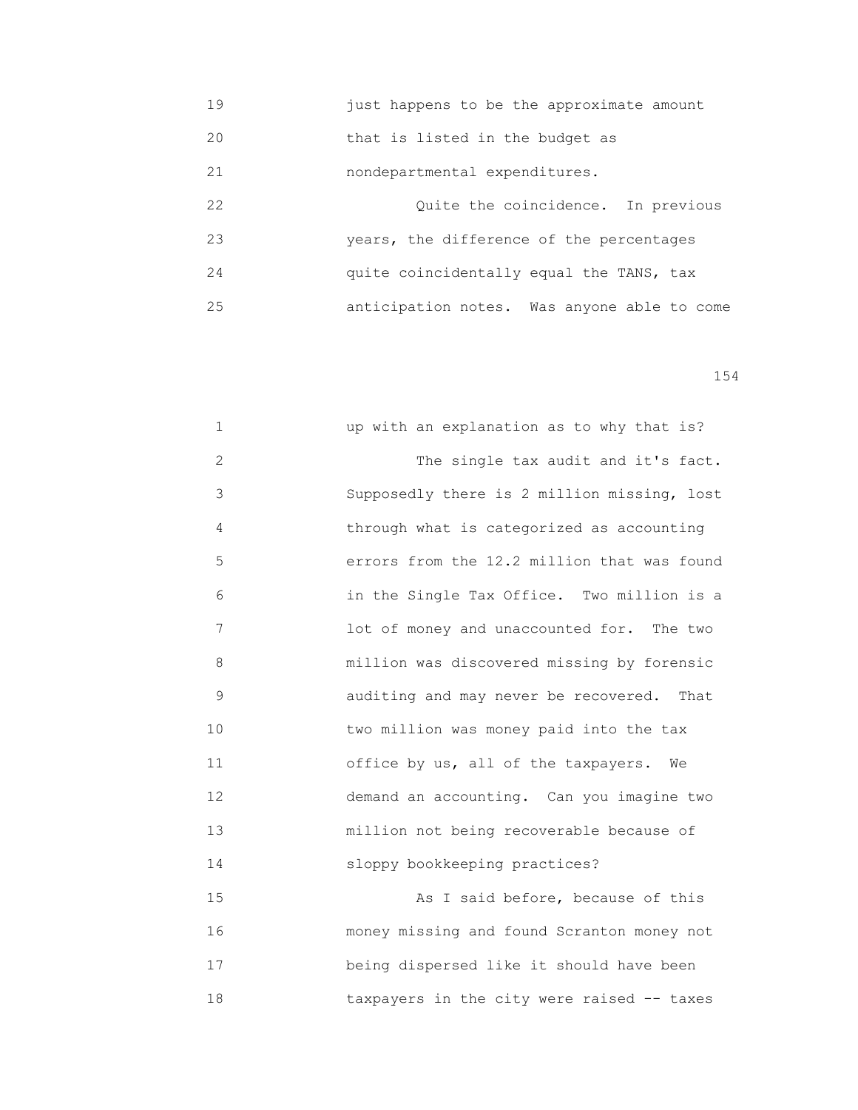19 just happens to be the approximate amount 20 that is listed in the budget as

21 nondepartmental expenditures.

 22 Quite the coincidence. In previous 23 years, the difference of the percentages 24 quite coincidentally equal the TANS, tax 25 anticipation notes. Was anyone able to come

154

| $\mathbf 1$   | up with an explanation as to why that is?   |
|---------------|---------------------------------------------|
| $\mathbf{2}$  | The single tax audit and it's fact.         |
| 3             | Supposedly there is 2 million missing, lost |
| 4             | through what is categorized as accounting   |
| 5             | errors from the 12.2 million that was found |
| 6             | in the Single Tax Office. Two million is a  |
| 7             | lot of money and unaccounted for. The two   |
| 8             | million was discovered missing by forensic  |
| $\mathcal{G}$ | auditing and may never be recovered. That   |
| 10            | two million was money paid into the tax     |
| 11            | office by us, all of the taxpayers. We      |
| 12            | demand an accounting. Can you imagine two   |
| 13            | million not being recoverable because of    |
| 14            | sloppy bookkeeping practices?               |
| 15            | As I said before, because of this           |
| 16            | money missing and found Scranton money not  |
| 17            | being dispersed like it should have been    |

18 taxpayers in the city were raised -- taxes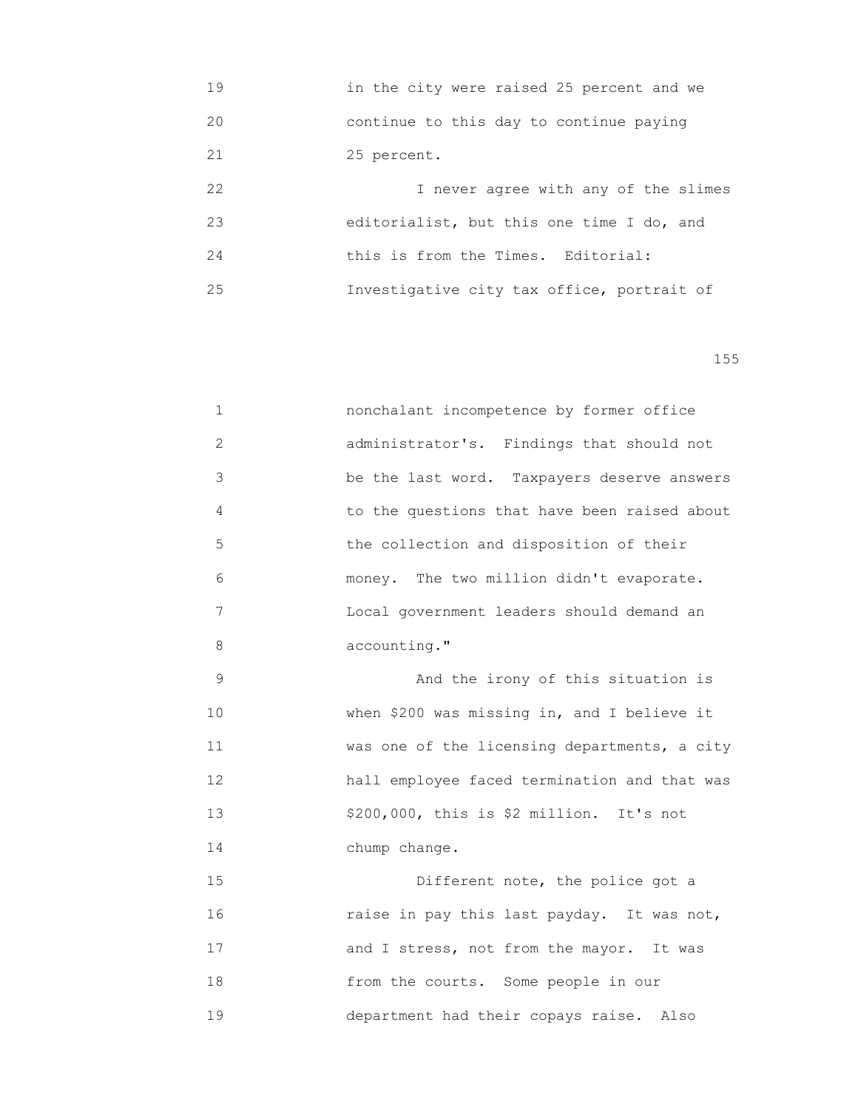19 in the city were raised 25 percent and we 20 continue to this day to continue paying 21 25 percent. 22 I never agree with any of the slimes 23 editorialist, but this one time I do, and 24 this is from the Times. Editorial: 25 Investigative city tax office, portrait of

| $\mathbf 1$    | nonchalant incompetence by former office     |
|----------------|----------------------------------------------|
| $\overline{2}$ | administrator's. Findings that should not    |
| 3              | be the last word. Taxpayers deserve answers  |
| 4              | to the questions that have been raised about |
| 5              | the collection and disposition of their      |
| 6              | money. The two million didn't evaporate.     |
| 7              | Local government leaders should demand an    |
| 8              | accounting."                                 |
| $\mathcal{G}$  | And the irony of this situation is           |
| 10             | when \$200 was missing in, and I believe it  |
| 11             | was one of the licensing departments, a city |
| 12             | hall employee faced termination and that was |
| 13             | \$200,000, this is \$2 million. It's not     |
| 14             | chump change.                                |
| 15             | Different note, the police got a             |
| 16             | raise in pay this last payday. It was not,   |
| 17             | and I stress, not from the mayor. It was     |
| 18             | from the courts. Some people in our          |
| 19             | department had their copays raise. Also      |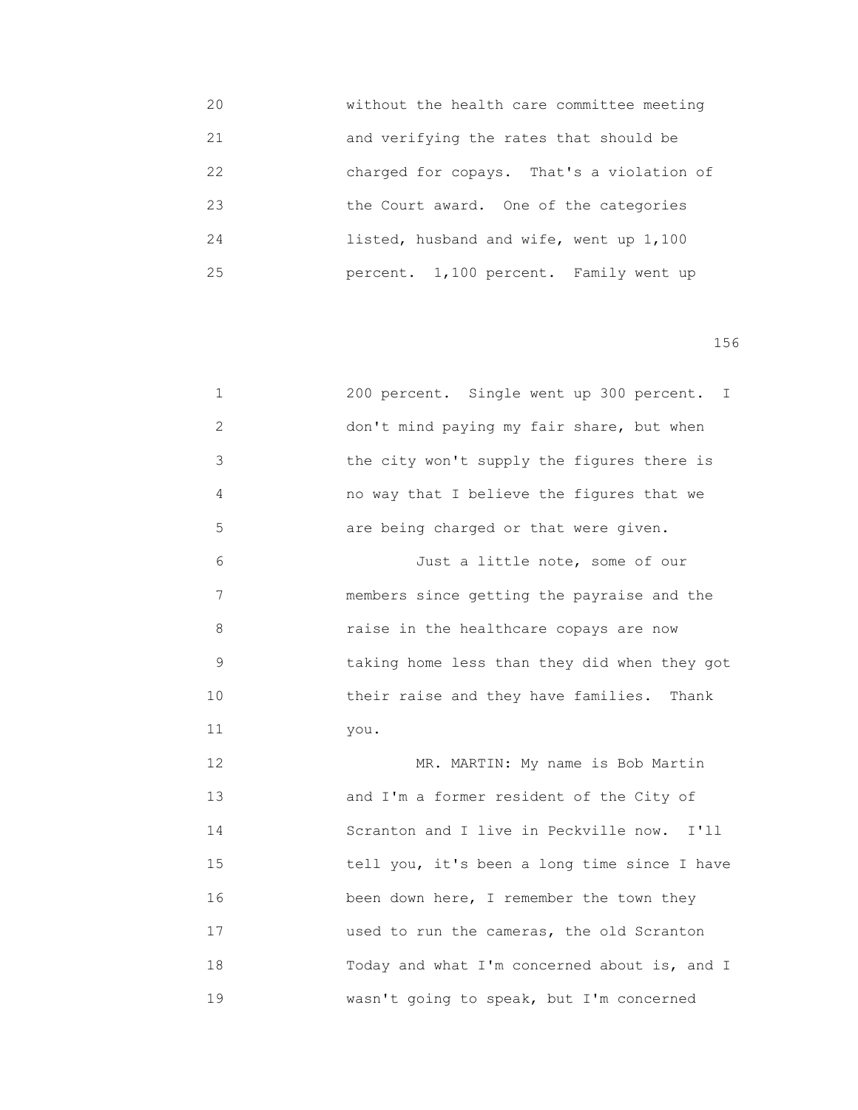20 without the health care committee meeting 21 and verifying the rates that should be 22 charged for copays. That's a violation of 23 the Court award. One of the categories 24 listed, husband and wife, went up 1,100 25 percent. 1,100 percent. Family went up

| $\mathbf 1$    | 200 percent. Single went up 300 percent. I    |
|----------------|-----------------------------------------------|
| $\overline{c}$ | don't mind paying my fair share, but when     |
| 3              | the city won't supply the figures there is    |
| 4              | no way that I believe the figures that we     |
| 5              | are being charged or that were given.         |
| 6              | Just a little note, some of our               |
| 7              | members since getting the payraise and the    |
| 8              | raise in the healthcare copays are now        |
| 9              | taking home less than they did when they got  |
| 10             | their raise and they have families.<br>Thank  |
| 11             | you.                                          |
| 12             | MR. MARTIN: My name is Bob Martin             |
| 13             | and I'm a former resident of the City of      |
| 14             | Scranton and I live in Peckville now.<br>I'll |
| 15             | tell you, it's been a long time since I have  |
| 16             | been down here, I remember the town they      |
| 17             | used to run the cameras, the old Scranton     |
| 18             | Today and what I'm concerned about is, and I  |
| 19             | wasn't going to speak, but I'm concerned      |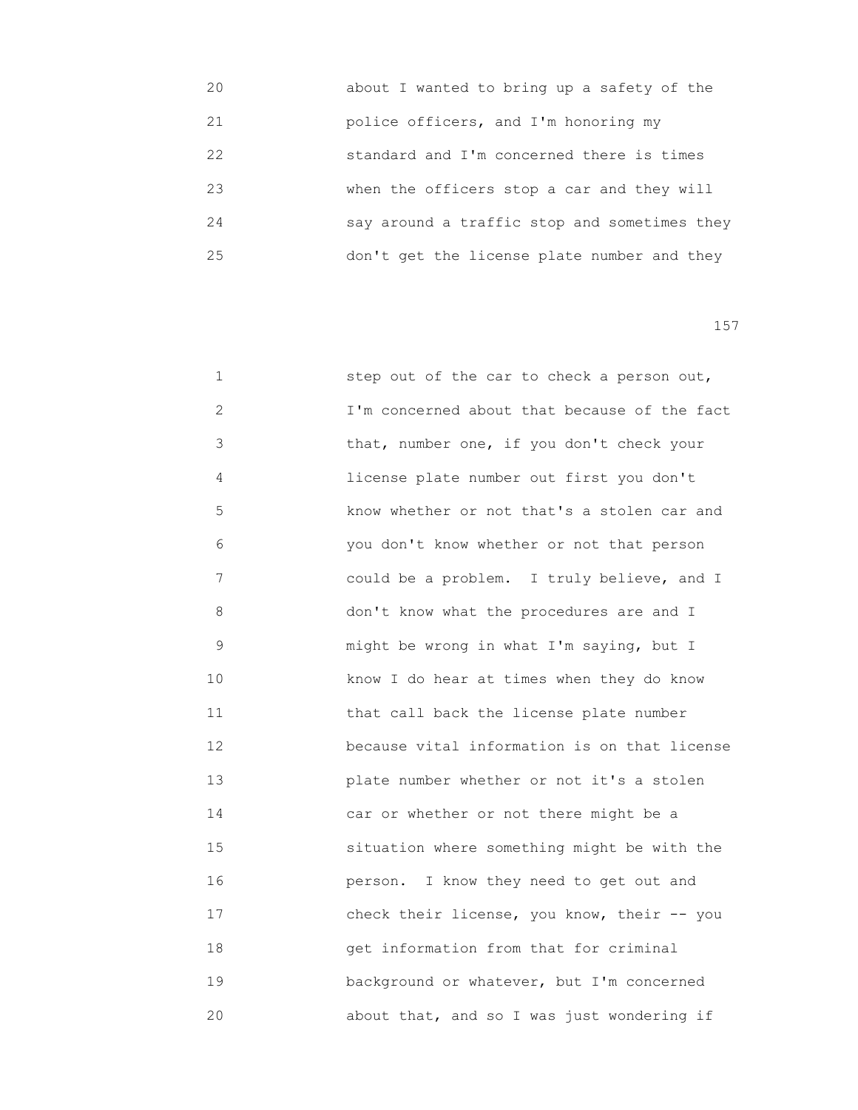| 20 | about I wanted to bring up a safety of the   |
|----|----------------------------------------------|
| 21 | police officers, and I'm honoring my         |
| 22 | standard and I'm concerned there is times    |
| 23 | when the officers stop a car and they will   |
| 24 | say around a traffic stop and sometimes they |
| 25 | don't get the license plate number and they  |

| 1           | step out of the car to check a person out,   |
|-------------|----------------------------------------------|
| 2           | I'm concerned about that because of the fact |
| 3           | that, number one, if you don't check your    |
| 4           | license plate number out first you don't     |
| 5           | know whether or not that's a stolen car and  |
| 6           | you don't know whether or not that person    |
| 7           | could be a problem. I truly believe, and I   |
| 8           | don't know what the procedures are and I     |
| $\mathsf 9$ | might be wrong in what I'm saying, but I     |
| 10          | know I do hear at times when they do know    |
| 11          | that call back the license plate number      |
| 12          | because vital information is on that license |
| 13          | plate number whether or not it's a stolen    |
| 14          | car or whether or not there might be a       |
| 15          | situation where something might be with the  |
| 16          | person. I know they need to get out and      |
| 17          | check their license, you know, their -- you  |
| 18          | get information from that for criminal       |
| 19          | background or whatever, but I'm concerned    |
| 20          | about that, and so I was just wondering if   |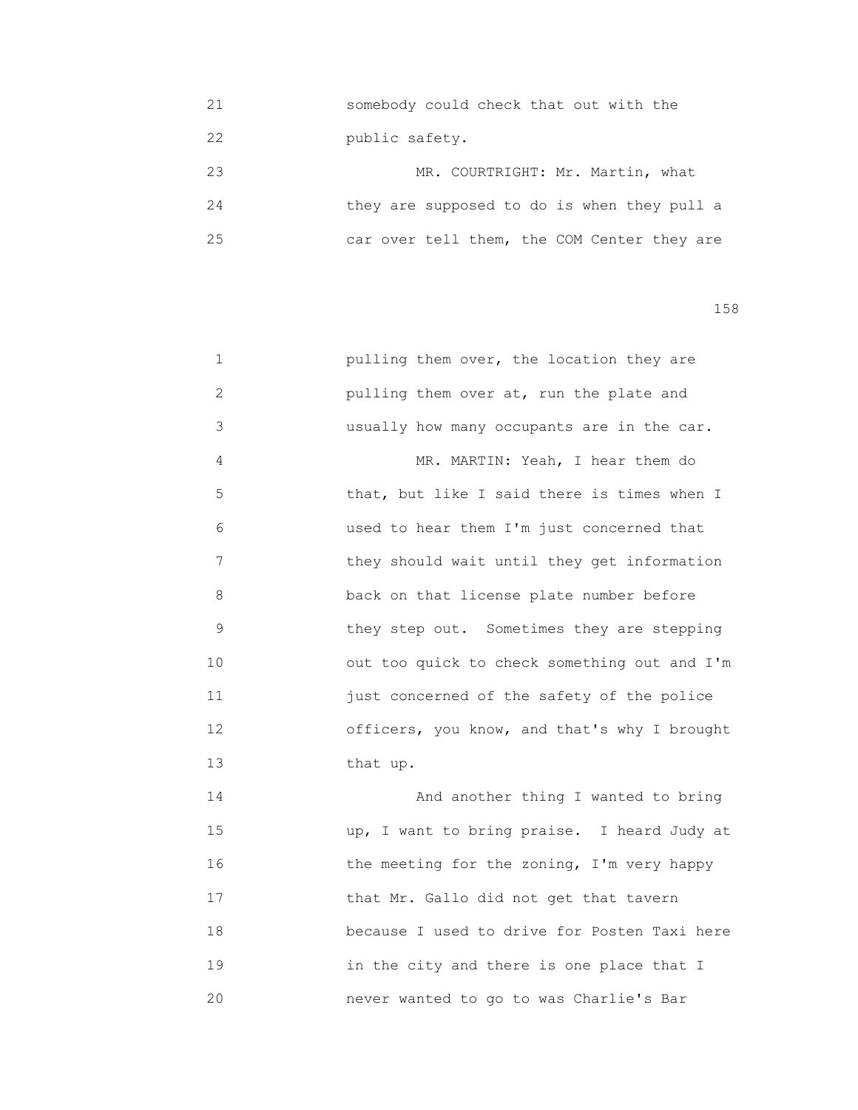21 somebody could check that out with the 22 public safety.

|    | MR. COURTRIGHT: Mr. Martin, what            |
|----|---------------------------------------------|
| 24 | they are supposed to do is when they pull a |
| 25 | car over tell them, the COM Center they are |

158

| $\mathbf 1$  | pulling them over, the location they are     |
|--------------|----------------------------------------------|
| $\mathbf{2}$ | pulling them over at, run the plate and      |
| 3            | usually how many occupants are in the car.   |
| 4            | MR. MARTIN: Yeah, I hear them do             |
| 5            | that, but like I said there is times when I  |
| 6            | used to hear them I'm just concerned that    |
| 7            | they should wait until they get information  |
| 8            | back on that license plate number before     |
| 9            | they step out. Sometimes they are stepping   |
| 10           | out too quick to check something out and I'm |
| 11           | just concerned of the safety of the police   |
| 12           | officers, you know, and that's why I brought |
| 13           | that up.                                     |
| 14           | And another thing I wanted to bring          |
| 15           | up, I want to bring praise. I heard Judy at  |
| 16           | the meeting for the zoning, I'm very happy   |
| 17           | that Mr. Gallo did not get that tavern       |
|              |                                              |

 18 because I used to drive for Posten Taxi here 19 in the city and there is one place that I 20 never wanted to go to was Charlie's Bar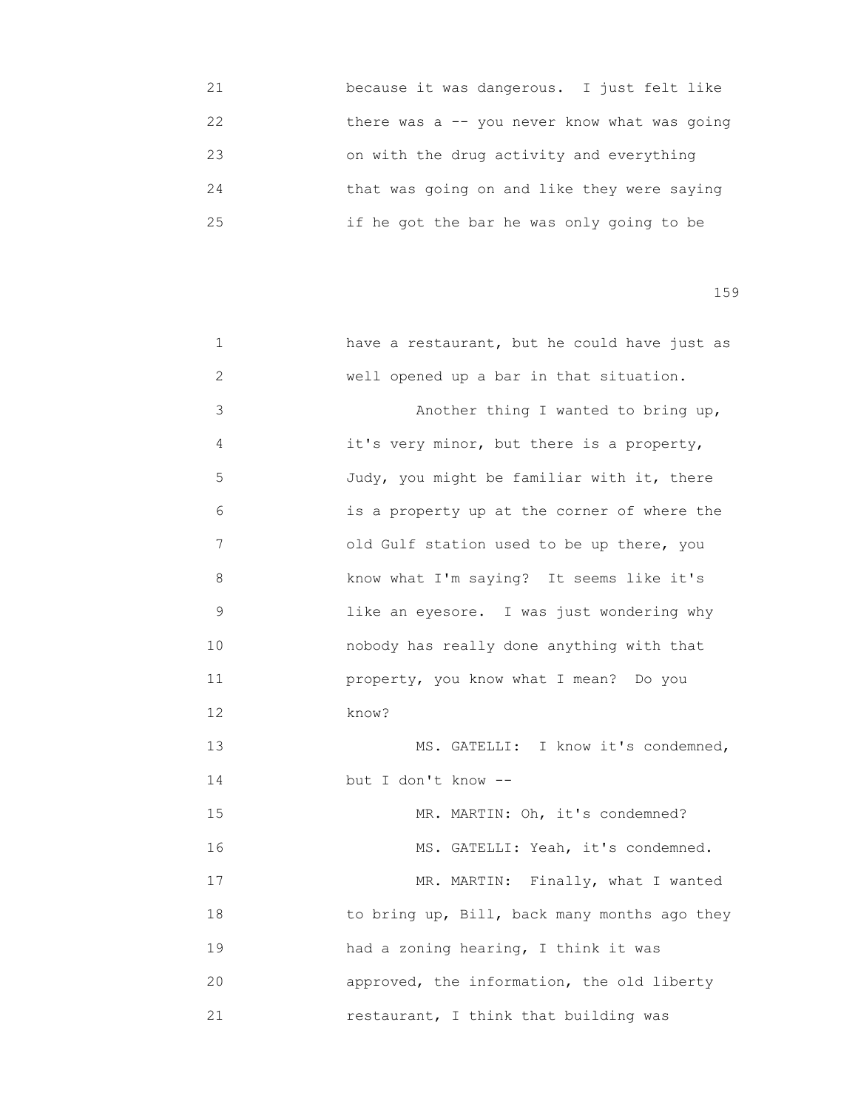| 21 | because it was dangerous. I just felt like    |  |  |
|----|-----------------------------------------------|--|--|
| 22 | there was a $-$ you never know what was going |  |  |
| 23 | on with the drug activity and everything      |  |  |
| 24 | that was going on and like they were saying   |  |  |
| 25 | if he got the bar he was only going to be     |  |  |

| 1  | have a restaurant, but he could have just as |
|----|----------------------------------------------|
| 2  | well opened up a bar in that situation.      |
| 3  | Another thing I wanted to bring up,          |
| 4  | it's very minor, but there is a property,    |
| 5  | Judy, you might be familiar with it, there   |
| 6  | is a property up at the corner of where the  |
| 7  | old Gulf station used to be up there, you    |
| 8  | know what I'm saying? It seems like it's     |
| 9  | like an eyesore. I was just wondering why    |
| 10 | nobody has really done anything with that    |
| 11 | property, you know what I mean? Do you       |
| 12 | know?                                        |
| 13 | MS. GATELLI: I know it's condemned,          |
| 14 | but I don't know --                          |
| 15 | MR. MARTIN: Oh, it's condemned?              |
| 16 | MS. GATELLI: Yeah, it's condemned.           |
| 17 | MR. MARTIN: Finally, what I wanted           |
| 18 | to bring up, Bill, back many months ago they |
| 19 | had a zoning hearing, I think it was         |
| 20 | approved, the information, the old liberty   |
| 21 | restaurant, I think that building was        |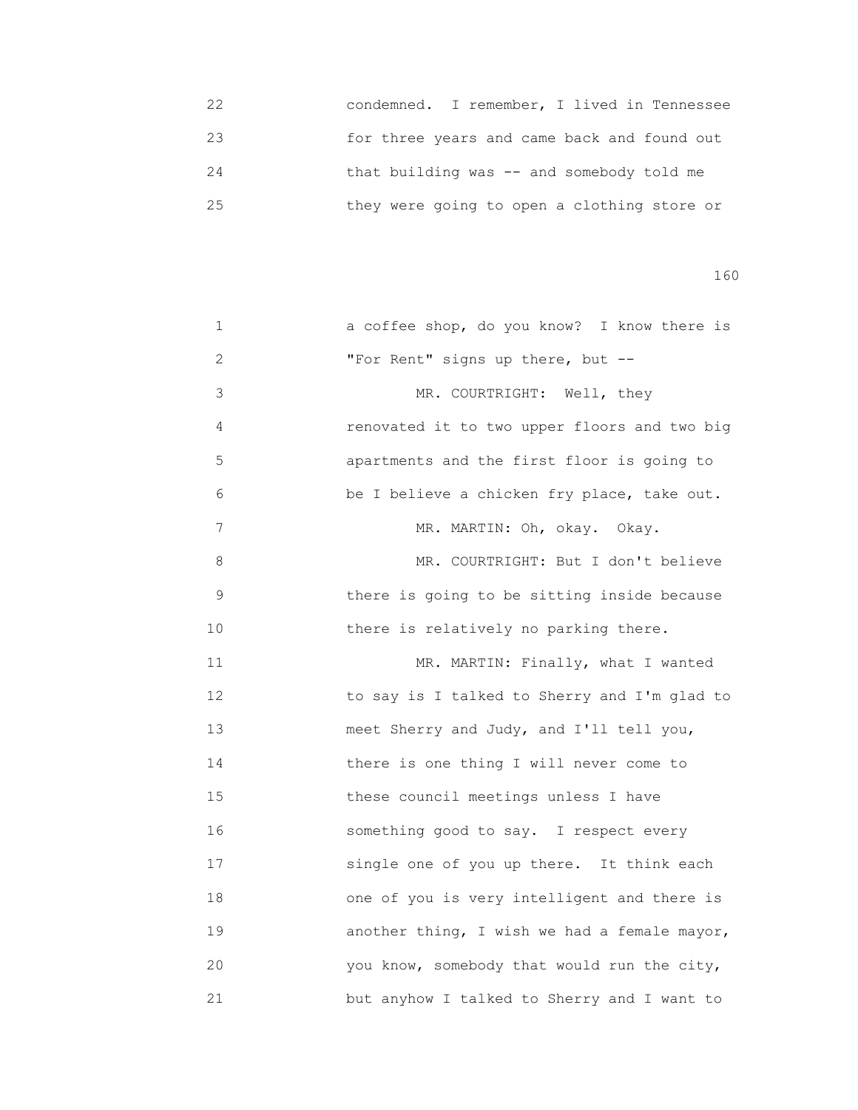22 condemned. I remember, I lived in Tennessee 23 for three years and came back and found out 24 that building was -- and somebody told me 25 they were going to open a clothing store or

| 1           | a coffee shop, do you know? I know there is  |
|-------------|----------------------------------------------|
| 2           | "For Rent" signs up there, but --            |
| 3           | MR. COURTRIGHT: Well, they                   |
| 4           | renovated it to two upper floors and two big |
| 5           | apartments and the first floor is going to   |
| 6           | be I believe a chicken fry place, take out.  |
| 7           | MR. MARTIN: Oh, okay. Okay.                  |
| 8           | MR. COURTRIGHT: But I don't believe          |
| $\mathsf 9$ | there is going to be sitting inside because  |
| 10          | there is relatively no parking there.        |
| 11          | MR. MARTIN: Finally, what I wanted           |
| 12          | to say is I talked to Sherry and I'm glad to |
| 13          | meet Sherry and Judy, and I'll tell you,     |
| 14          | there is one thing I will never come to      |
| 15          | these council meetings unless I have         |
| 16          | something good to say. I respect every       |
| 17          | single one of you up there. It think each    |
| 18          | one of you is very intelligent and there is  |
| 19          | another thing, I wish we had a female mayor, |
| 20          | you know, somebody that would run the city,  |
| 21          | but anyhow I talked to Sherry and I want to  |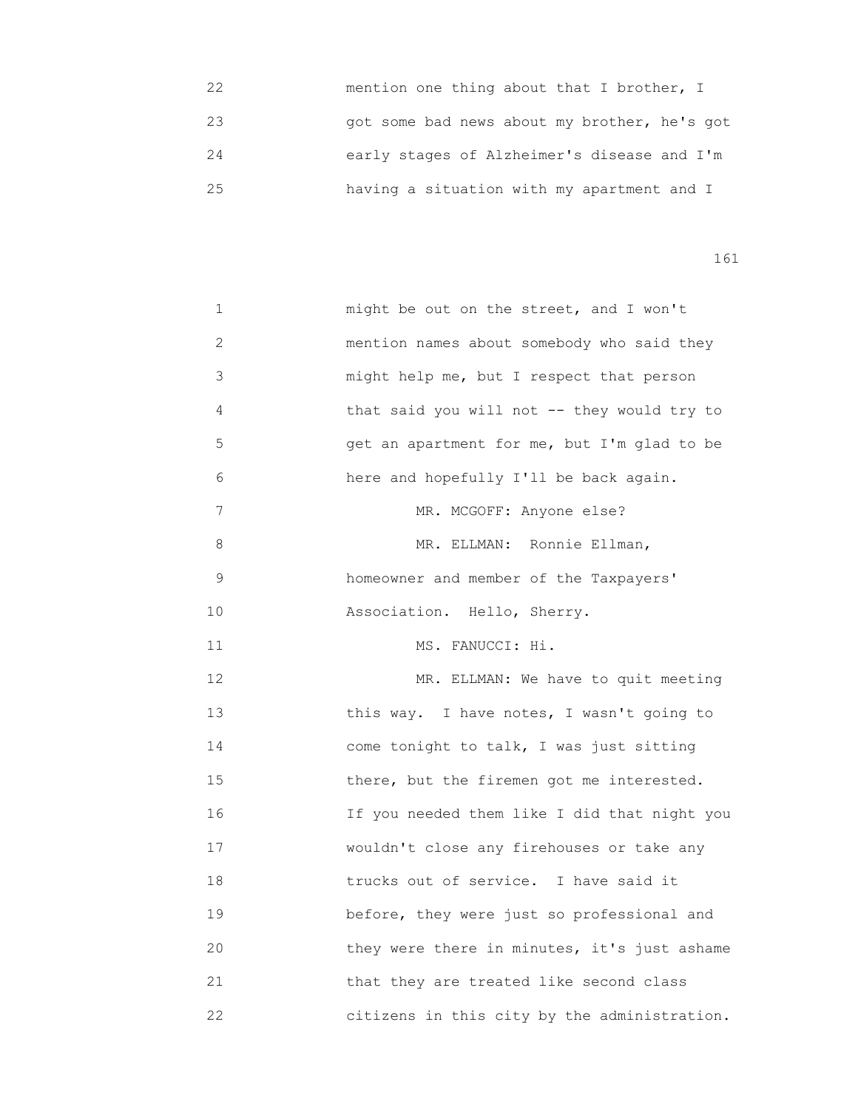| フフ | mention one thing about that I brother, I    |
|----|----------------------------------------------|
| 23 | got some bad news about my brother, he's got |
| 24 | early stages of Alzheimer's disease and I'm  |
| クら | having a situation with my apartment and I   |

| 1            | might be out on the street, and I won't      |
|--------------|----------------------------------------------|
| $\mathbf{2}$ | mention names about somebody who said they   |
| 3            | might help me, but I respect that person     |
| 4            | that said you will not -- they would try to  |
| 5            | get an apartment for me, but I'm glad to be  |
| 6            | here and hopefully I'll be back again.       |
| 7            | MR. MCGOFF: Anyone else?                     |
| 8            | MR. ELLMAN: Ronnie Ellman,                   |
| 9            | homeowner and member of the Taxpayers'       |
| 10           | Association. Hello, Sherry.                  |
| 11           | MS. FANUCCI: Hi.                             |
| 12           | MR. ELLMAN: We have to quit meeting          |
| 13           | this way. I have notes, I wasn't going to    |
| 14           | come tonight to talk, I was just sitting     |
| 15           | there, but the firemen got me interested.    |
| 16           | If you needed them like I did that night you |
| 17           | wouldn't close any firehouses or take any    |
| 18           | trucks out of service. I have said it        |
| 19           | before, they were just so professional and   |
| 20           | they were there in minutes, it's just ashame |
| 21           | that they are treated like second class      |
| 22           | citizens in this city by the administration. |
|              |                                              |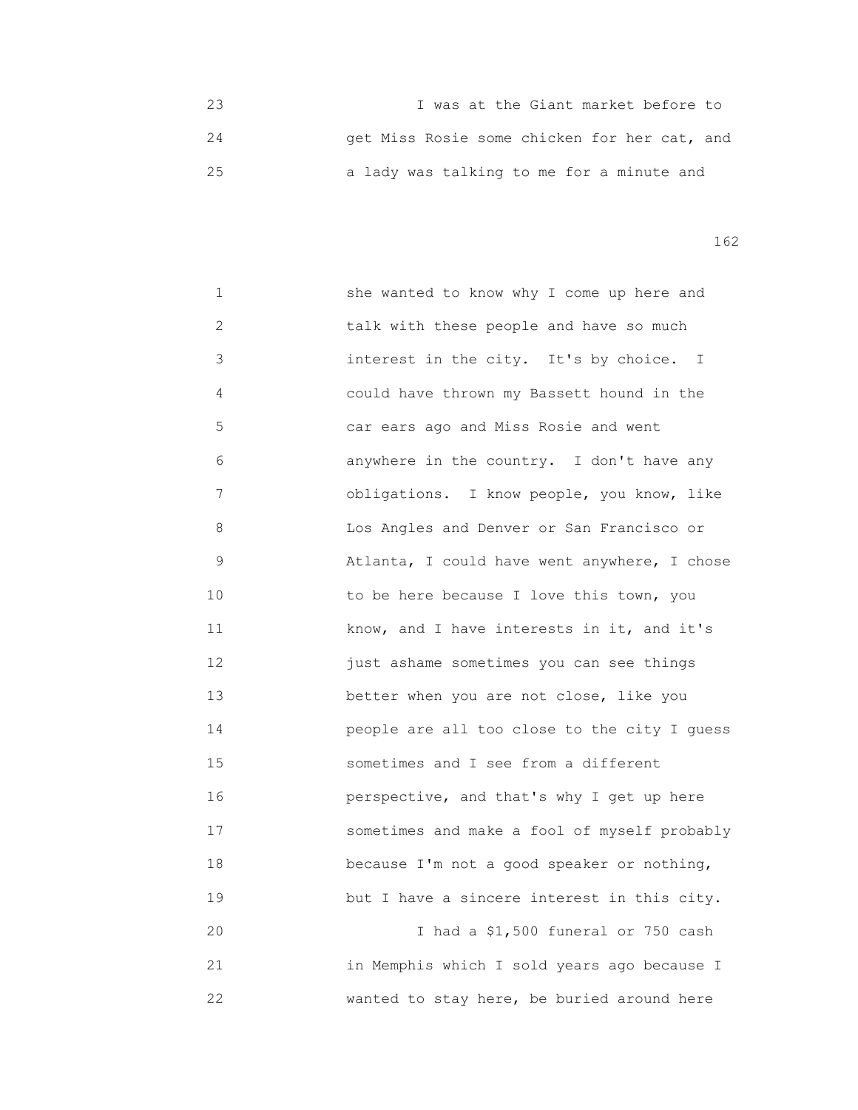23 I was at the Giant market before to 24 get Miss Rosie some chicken for her cat, and 25 a lady was talking to me for a minute and

162

 1 she wanted to know why I come up here and 2 talk with these people and have so much 3 interest in the city. It's by choice. I 4 could have thrown my Bassett hound in the 5 car ears ago and Miss Rosie and went 6 anywhere in the country. I don't have any 7 obligations. I know people, you know, like 8 Los Angles and Denver or San Francisco or 9 Atlanta, I could have went anywhere, I chose 10 **10** to be here because I love this town, you 11 know, and I have interests in it, and it's 12 just ashame sometimes you can see things 13 better when you are not close, like you 14 people are all too close to the city I guess 15 sometimes and I see from a different 16 perspective, and that's why I get up here 17 sometimes and make a fool of myself probably 18 because I'm not a good speaker or nothing, 19 but I have a sincere interest in this city. 20 I had a \$1,500 funeral or 750 cash 21 in Memphis which I sold years ago because I 22 wanted to stay here, be buried around here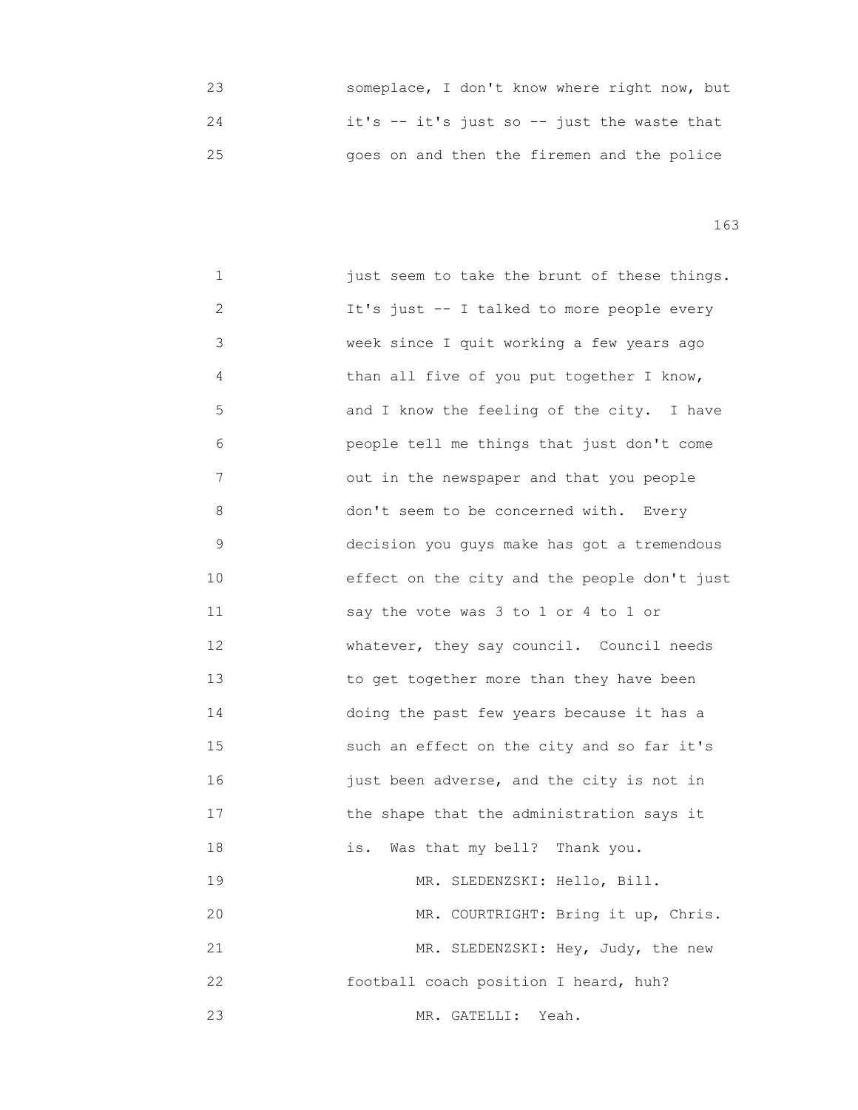|    | someplace, I don't know where right now, but |
|----|----------------------------------------------|
| 24 | it's -- it's just so -- just the waste that  |
| 25 | goes on and then the firemen and the police  |

| 1  | just seem to take the brunt of these things. |
|----|----------------------------------------------|
| 2  | It's just -- I talked to more people every   |
| 3  | week since I quit working a few years ago    |
| 4  | than all five of you put together I know,    |
| 5  | and I know the feeling of the city. I have   |
| 6  | people tell me things that just don't come   |
| 7  | out in the newspaper and that you people     |
| 8  | don't seem to be concerned with. Every       |
| 9  | decision you guys make has got a tremendous  |
| 10 | effect on the city and the people don't just |
| 11 | say the vote was 3 to 1 or 4 to 1 or         |
| 12 | whatever, they say council. Council needs    |
| 13 | to get together more than they have been     |
| 14 | doing the past few years because it has a    |
| 15 | such an effect on the city and so far it's   |
| 16 | just been adverse, and the city is not in    |
| 17 | the shape that the administration says it    |
| 18 | Was that my bell? Thank you.<br>is.          |
| 19 | MR. SLEDENZSKI: Hello, Bill.                 |
| 20 | MR. COURTRIGHT: Bring it up, Chris.          |
| 21 | MR. SLEDENZSKI: Hey, Judy, the new           |
| 22 | football coach position I heard, huh?        |
| 23 | Yeah.<br>MR. GATELLI:                        |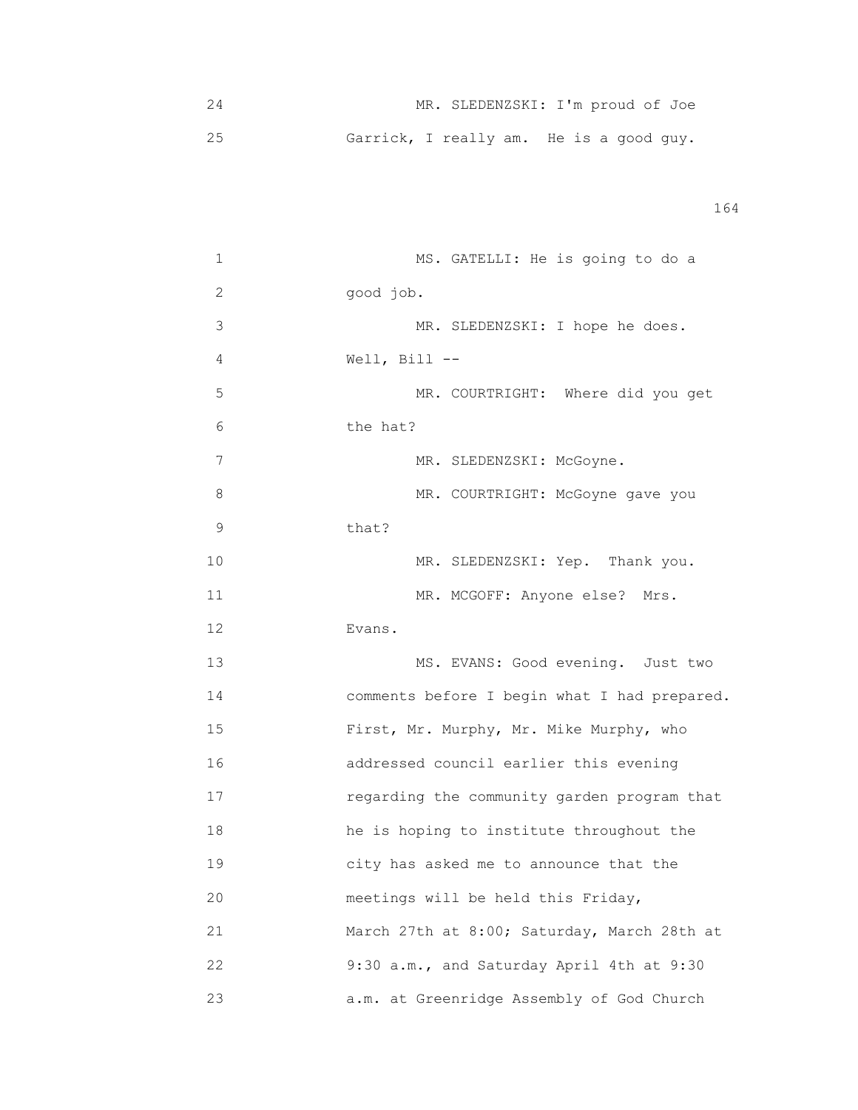| MR. SLEDENZSKI: I'm proud of Joe        |  |
|-----------------------------------------|--|
| Garrick, I really am. He is a good guy. |  |

| 1  | MS. GATELLI: He is going to do a             |
|----|----------------------------------------------|
| 2  | good job.                                    |
| 3  | MR. SLEDENZSKI: I hope he does.              |
| 4  | Well, Bill $--$                              |
| 5  | MR. COURTRIGHT: Where did you get            |
| 6  | the hat?                                     |
| 7  | MR. SLEDENZSKI: McGoyne.                     |
| 8  | MR. COURTRIGHT: McGoyne gave you             |
| 9  | that?                                        |
| 10 | MR. SLEDENZSKI: Yep. Thank you.              |
| 11 | MR. MCGOFF: Anyone else? Mrs.                |
| 12 | Evans.                                       |
| 13 | MS. EVANS: Good evening. Just two            |
| 14 | comments before I begin what I had prepared. |
| 15 | First, Mr. Murphy, Mr. Mike Murphy, who      |
| 16 | addressed council earlier this evening       |
| 17 | regarding the community garden program that  |
| 18 | he is hoping to institute throughout the     |
| 19 | city has asked me to announce that the       |
| 20 | meetings will be held this Friday,           |
| 21 | March 27th at 8:00; Saturday, March 28th at  |
| 22 | 9:30 a.m., and Saturday April 4th at 9:30    |
| 23 | a.m. at Greenridge Assembly of God Church    |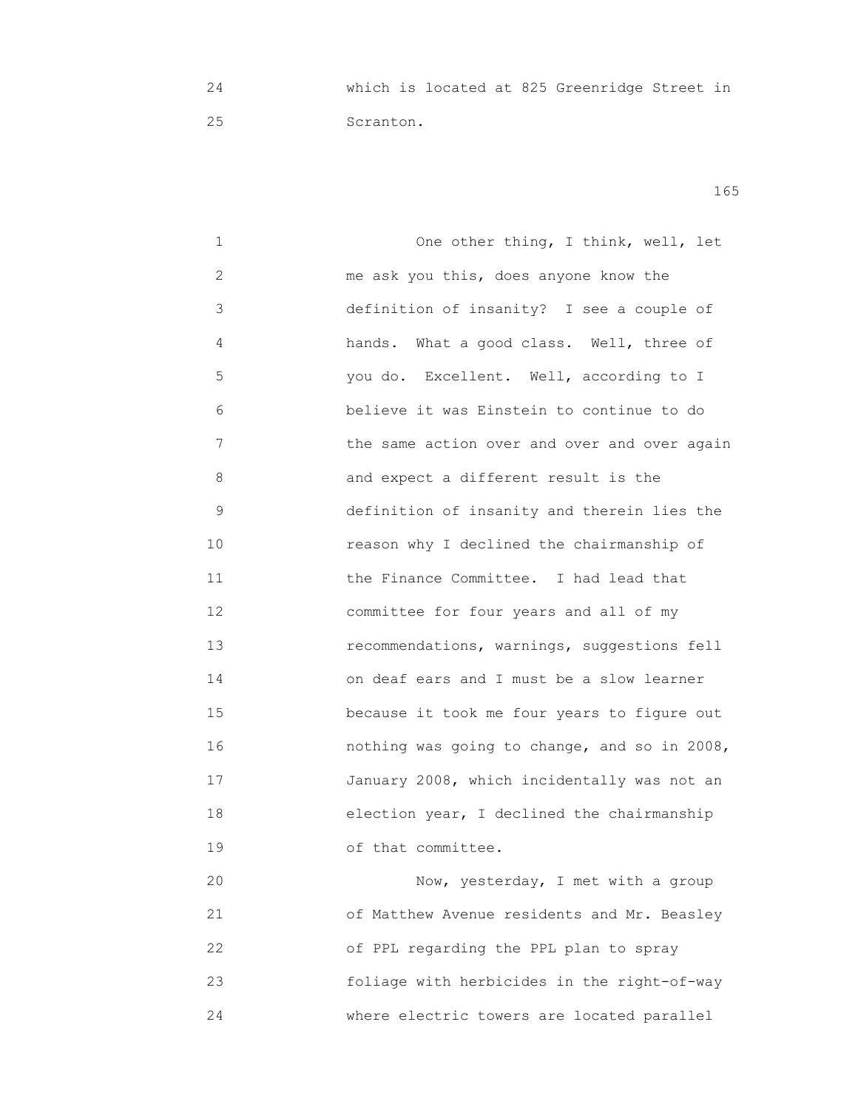24 which is located at 825 Greenridge Street in 25 Scranton.

165

 1 One other thing, I think, well, let 2 me ask you this, does anyone know the 3 definition of insanity? I see a couple of 4 hands. What a good class. Well, three of 5 you do. Excellent. Well, according to I 6 believe it was Einstein to continue to do 7 **1 1** the same action over and over and over again 8 and expect a different result is the 9 definition of insanity and therein lies the 10 reason why I declined the chairmanship of 11 the Finance Committee. I had lead that 12 committee for four years and all of my 13 recommendations, warnings, suggestions fell 14 on deaf ears and I must be a slow learner 15 because it took me four years to figure out 16 nothing was going to change, and so in 2008, 17 January 2008, which incidentally was not an 18 election year, I declined the chairmanship 19 of that committee. 20 Now, yesterday, I met with a group

 21 of Matthew Avenue residents and Mr. Beasley 22 of PPL regarding the PPL plan to spray 23 foliage with herbicides in the right-of-way 24 where electric towers are located parallel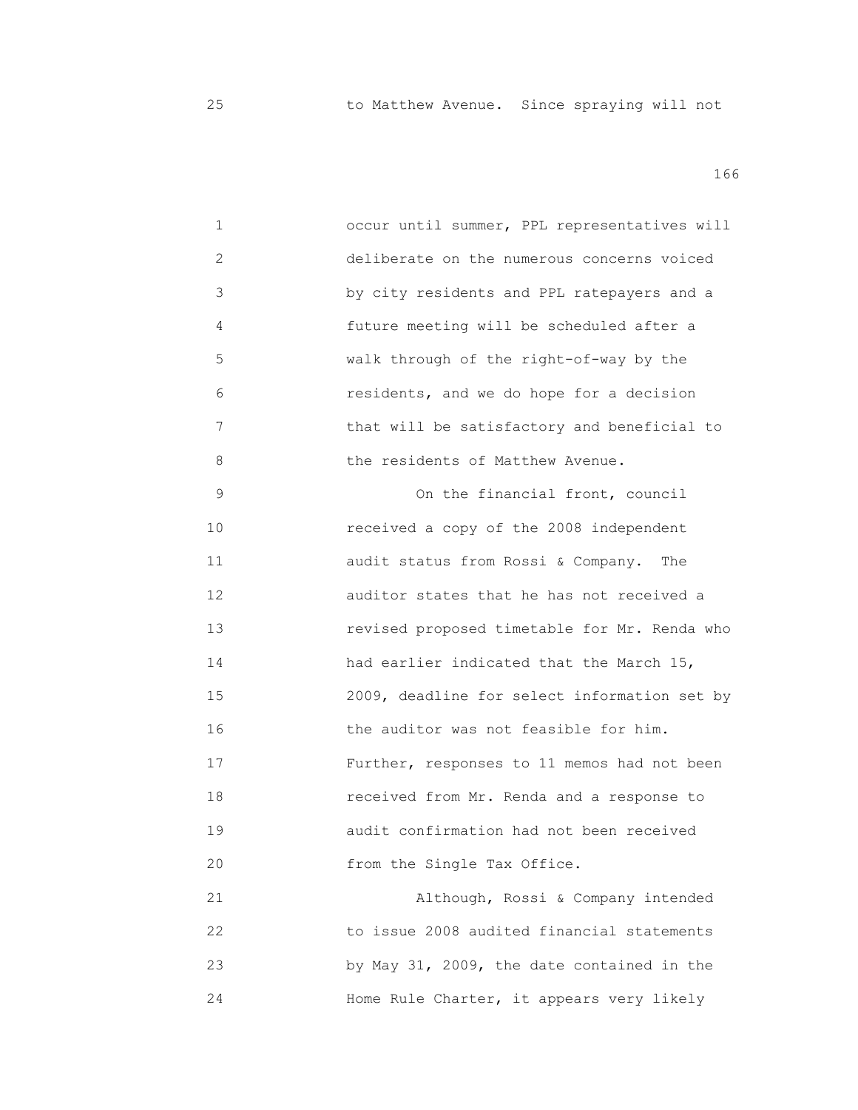25 to Matthew Avenue. Since spraying will not

| 1  | occur until summer, PPL representatives will |
|----|----------------------------------------------|
| 2  | deliberate on the numerous concerns voiced   |
| 3  | by city residents and PPL ratepayers and a   |
| 4  | future meeting will be scheduled after a     |
| 5  | walk through of the right-of-way by the      |
| 6  | residents, and we do hope for a decision     |
| 7  | that will be satisfactory and beneficial to  |
| 8  | the residents of Matthew Avenue.             |
| 9  | On the financial front, council              |
| 10 | received a copy of the 2008 independent      |
| 11 | audit status from Rossi & Company.<br>The    |
| 12 | auditor states that he has not received a    |
| 13 | revised proposed timetable for Mr. Renda who |
| 14 | had earlier indicated that the March 15,     |
| 15 | 2009, deadline for select information set by |
| 16 | the auditor was not feasible for him.        |
| 17 | Further, responses to 11 memos had not been  |
| 18 | received from Mr. Renda and a response to    |
| 19 | audit confirmation had not been received     |
| 20 | from the Single Tax Office.                  |
| 21 | Although, Rossi & Company intended           |
| 22 | to issue 2008 audited financial statements   |
| 23 | by May 31, 2009, the date contained in the   |
| 24 | Home Rule Charter, it appears very likely    |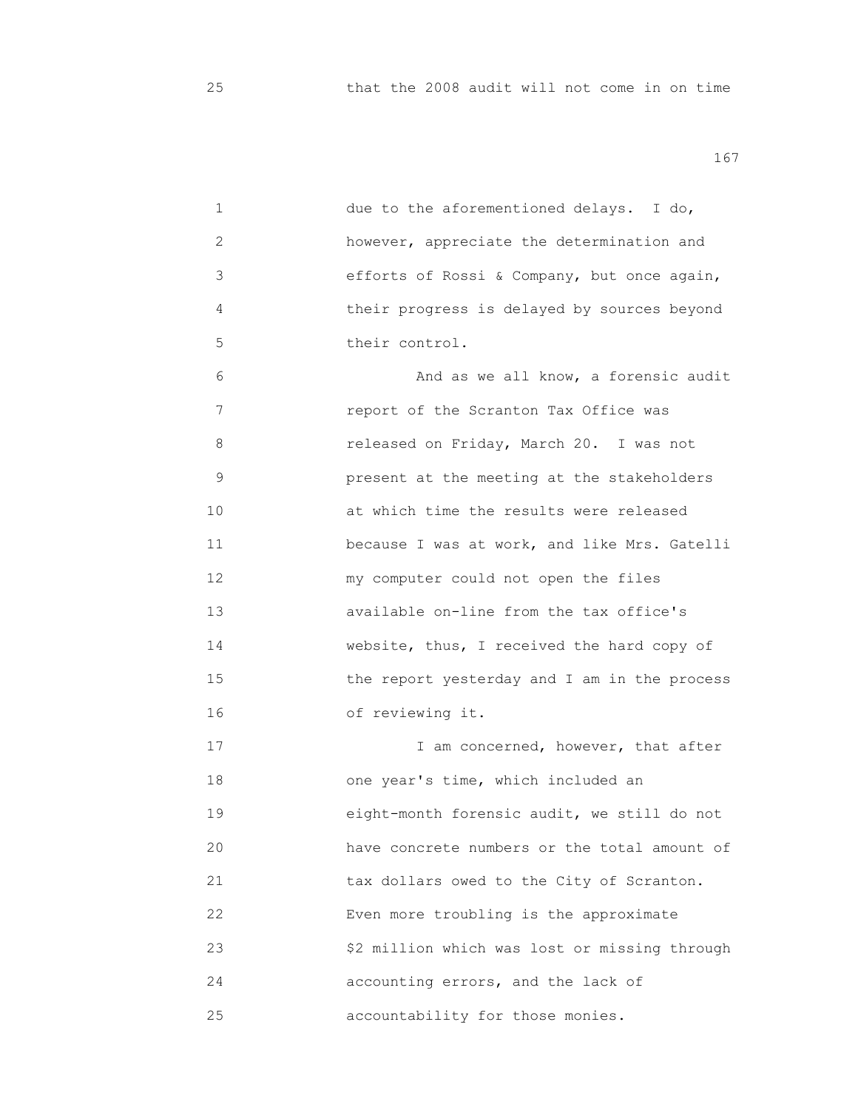| 1  | due to the aforementioned delays. I do,       |
|----|-----------------------------------------------|
| 2  | however, appreciate the determination and     |
| 3  | efforts of Rossi & Company, but once again,   |
| 4  | their progress is delayed by sources beyond   |
| 5  | their control.                                |
| 6  | And as we all know, a forensic audit          |
| 7  | report of the Scranton Tax Office was         |
| 8  | released on Friday, March 20. I was not       |
| 9  | present at the meeting at the stakeholders    |
| 10 | at which time the results were released       |
| 11 | because I was at work, and like Mrs. Gatelli  |
| 12 | my computer could not open the files          |
| 13 | available on-line from the tax office's       |
| 14 | website, thus, I received the hard copy of    |
| 15 | the report yesterday and I am in the process  |
| 16 | of reviewing it.                              |
| 17 | I am concerned, however, that after           |
| 18 | one year's time, which included an            |
| 19 | eight-month forensic audit, we still do not   |
| 20 | have concrete numbers or the total amount of  |
| 21 | tax dollars owed to the City of Scranton.     |
| 22 | Even more troubling is the approximate        |
| 23 | \$2 million which was lost or missing through |
| 24 | accounting errors, and the lack of            |
| 25 | accountability for those monies.              |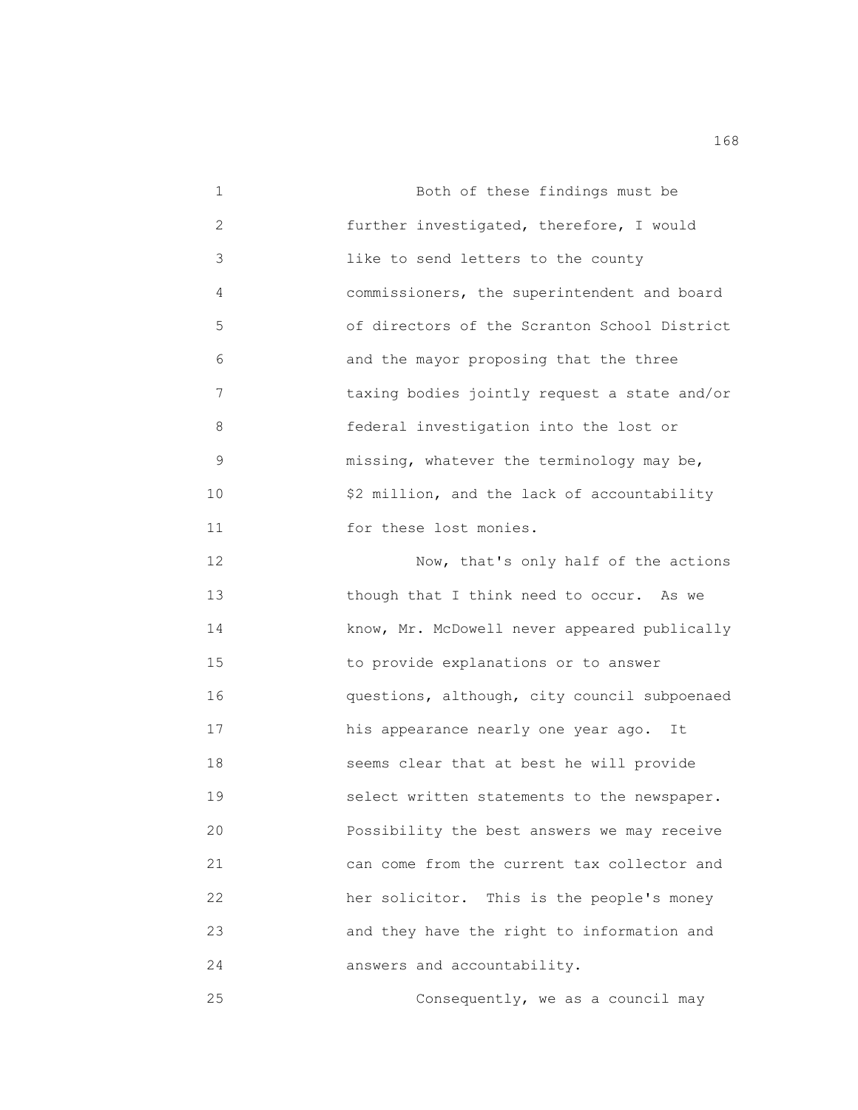1 Both of these findings must be 2 further investigated, therefore, I would 3 like to send letters to the county 4 commissioners, the superintendent and board 5 of directors of the Scranton School District 6 and the mayor proposing that the three 7 taxing bodies jointly request a state and/or 8 federal investigation into the lost or 9 missing, whatever the terminology may be, 10 \$2 million, and the lack of accountability 11 **1** for these lost monies. 12 Now, that's only half of the actions 13 though that I think need to occur. As we 14 know, Mr. McDowell never appeared publically

 15 to provide explanations or to answer 16 questions, although, city council subpoenaed 17 his appearance nearly one year ago. It 18 seems clear that at best he will provide 19 select written statements to the newspaper. 20 Possibility the best answers we may receive 21 can come from the current tax collector and 22 her solicitor. This is the people's money 23 and they have the right to information and 24 answers and accountability.

25 Consequently, we as a council may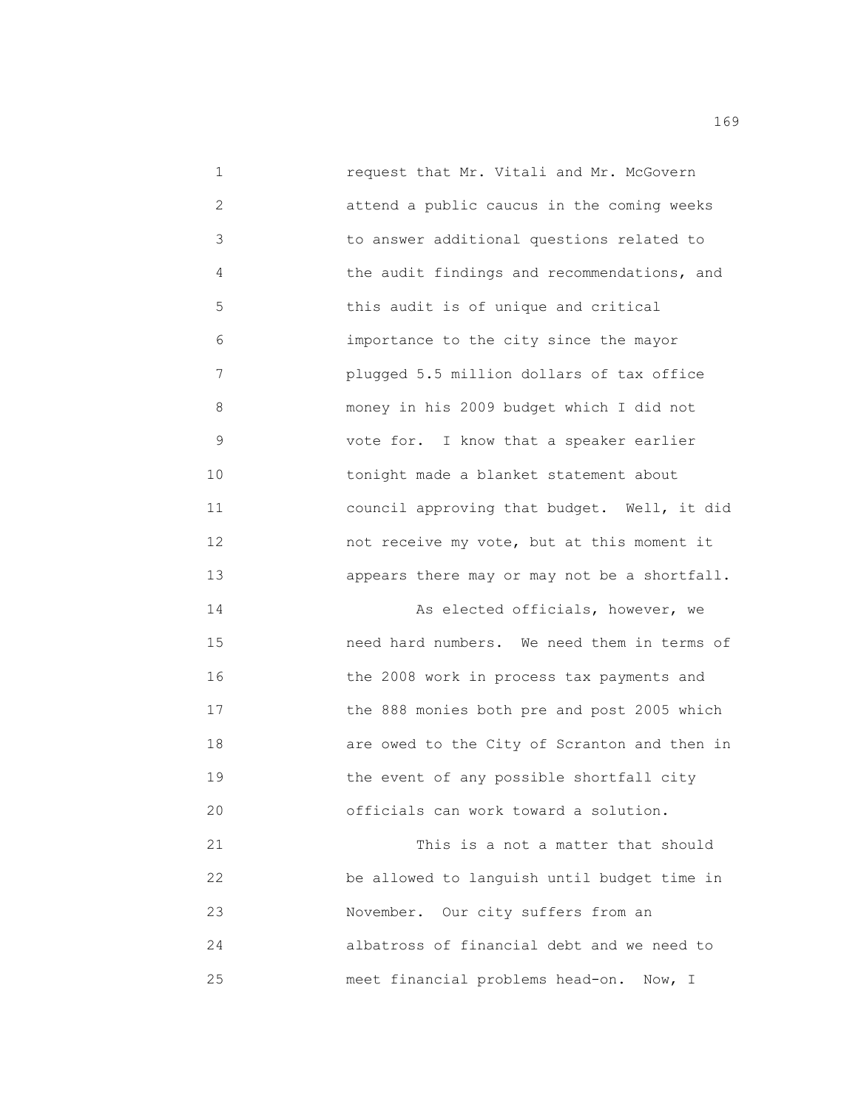1 request that Mr. Vitali and Mr. McGovern 2 attend a public caucus in the coming weeks 3 to answer additional questions related to 4 the audit findings and recommendations, and 5 this audit is of unique and critical 6 importance to the city since the mayor 7 plugged 5.5 million dollars of tax office 8 money in his 2009 budget which I did not 9 vote for. I know that a speaker earlier 10 tonight made a blanket statement about 11 council approving that budget. Well, it did 12 not receive my vote, but at this moment it 13 appears there may or may not be a shortfall. 14 As elected officials, however, we 15 need hard numbers. We need them in terms of 16 the 2008 work in process tax payments and 17 the 888 monies both pre and post 2005 which 18 are owed to the City of Scranton and then in 19 the event of any possible shortfall city 20 officials can work toward a solution. 21 This is a not a matter that should 22 be allowed to languish until budget time in 23 November. Our city suffers from an 24 albatross of financial debt and we need to

25 meet financial problems head-on. Now, I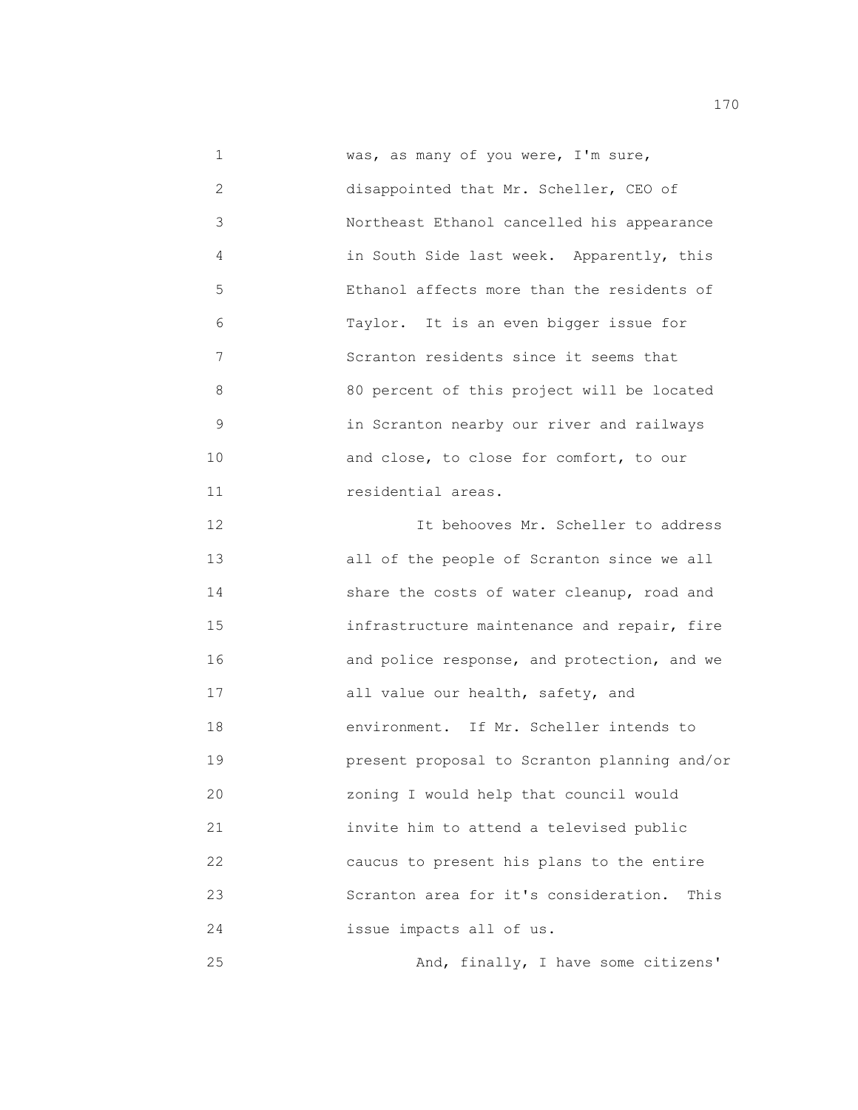1 was, as many of you were, I'm sure, 2 disappointed that Mr. Scheller, CEO of 3 Northeast Ethanol cancelled his appearance 4 in South Side last week. Apparently, this 5 Ethanol affects more than the residents of 6 Taylor. It is an even bigger issue for 7 Scranton residents since it seems that 8 80 percent of this project will be located 9 in Scranton nearby our river and railways 10 and close, to close for comfort, to our 11 *residential areas.*  12 It behooves Mr. Scheller to address 13 all of the people of Scranton since we all 14 share the costs of water cleanup, road and 15 infrastructure maintenance and repair, fire 16 and police response, and protection, and we 17 all value our health, safety, and 18 environment. If Mr. Scheller intends to 19 present proposal to Scranton planning and/or 20 zoning I would help that council would 21 invite him to attend a televised public 22 caucus to present his plans to the entire 23 Scranton area for it's consideration. This 24 issue impacts all of us. 25 And, finally, I have some citizens'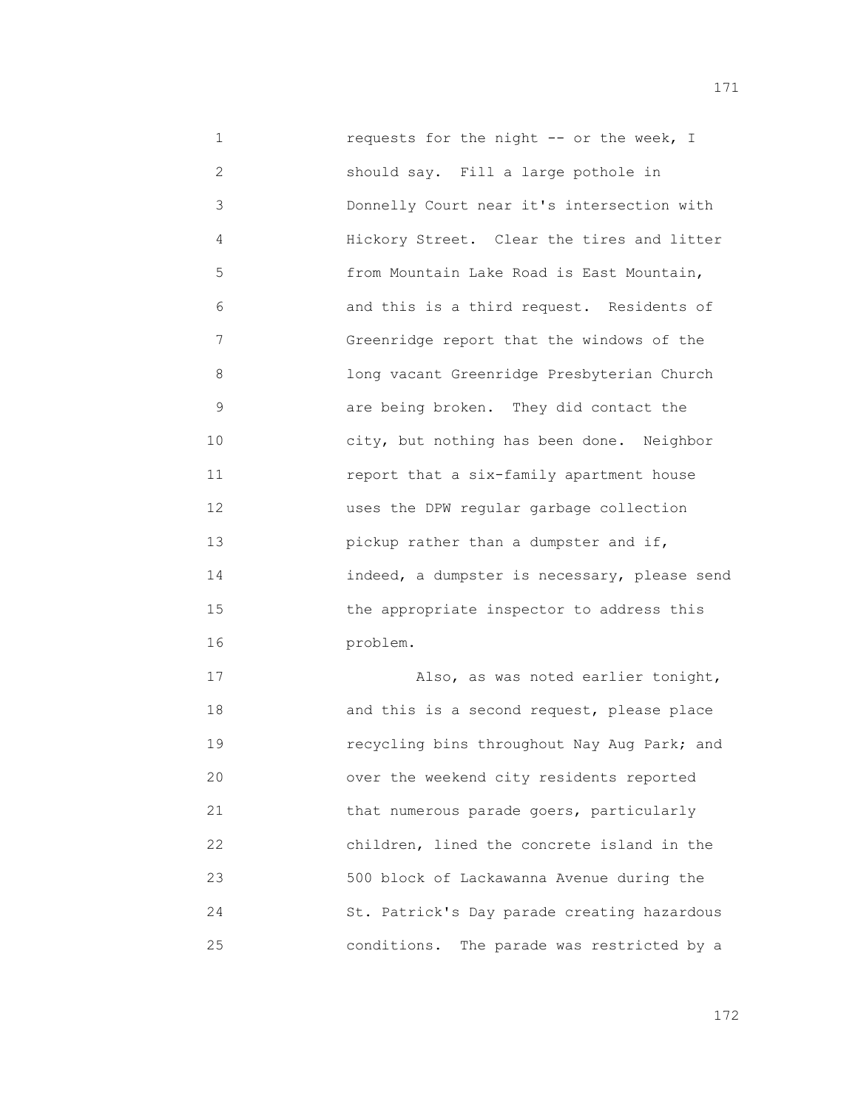1 requests for the night -- or the week, I 2 should say. Fill a large pothole in 3 Donnelly Court near it's intersection with 4 Hickory Street. Clear the tires and litter 5 from Mountain Lake Road is East Mountain, 6 and this is a third request. Residents of 7 Greenridge report that the windows of the 8 long vacant Greenridge Presbyterian Church 9 are being broken. They did contact the 10 city, but nothing has been done. Neighbor 11 report that a six-family apartment house 12 uses the DPW regular garbage collection 13 pickup rather than a dumpster and if, 14 indeed, a dumpster is necessary, please send 15 the appropriate inspector to address this 16 problem.

 17 Also, as was noted earlier tonight, 18 and this is a second request, please place 19 recycling bins throughout Nay Aug Park; and 20 over the weekend city residents reported 21 that numerous parade goers, particularly 22 children, lined the concrete island in the 23 500 block of Lackawanna Avenue during the 24 St. Patrick's Day parade creating hazardous 25 conditions. The parade was restricted by a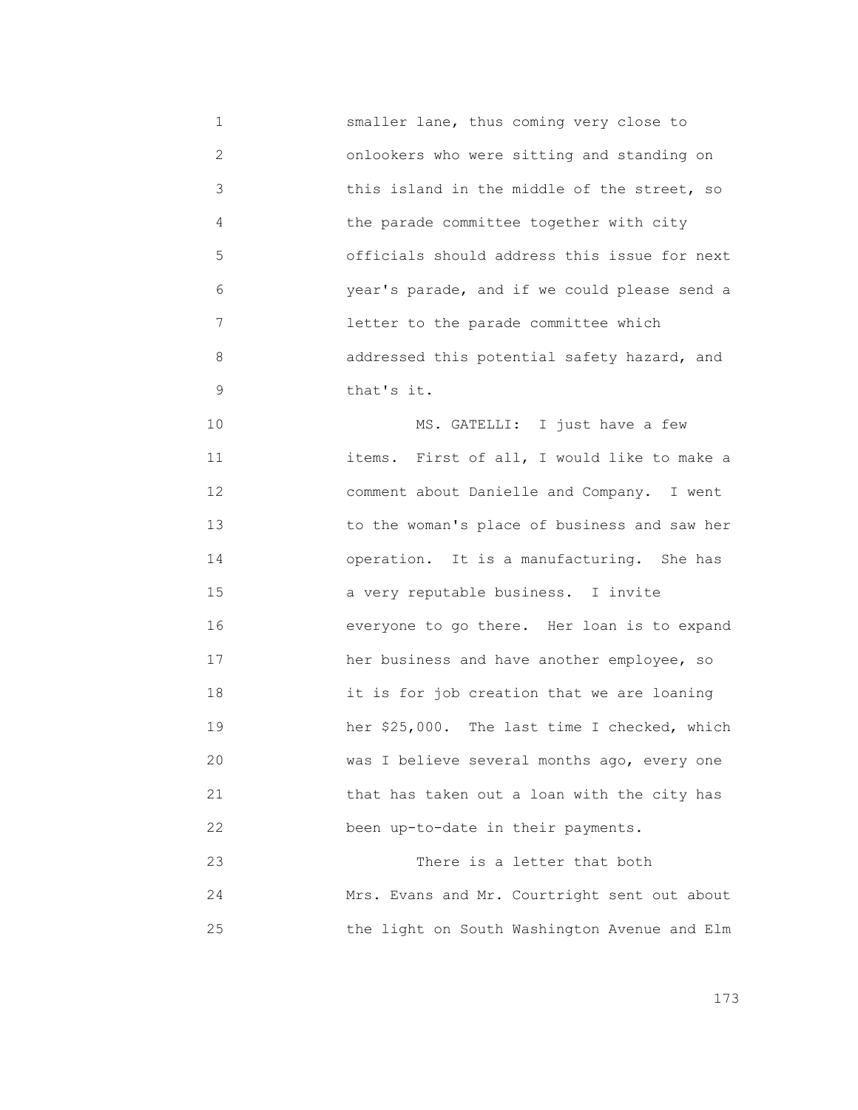1 smaller lane, thus coming very close to 2 onlookers who were sitting and standing on 3 this island in the middle of the street, so 4 the parade committee together with city 5 officials should address this issue for next 6 year's parade, and if we could please send a 7 letter to the parade committee which 8 addressed this potential safety hazard, and 9 that's it. 10 MS. GATELLI: I just have a few 11 items. First of all, I would like to make a 12 comment about Danielle and Company. I went 13 to the woman's place of business and saw her 14 operation. It is a manufacturing. She has 15 a very reputable business. I invite 16 everyone to go there. Her loan is to expand 17 her business and have another employee, so 18 it is for job creation that we are loaning 19 her \$25,000. The last time I checked, which 20 was I believe several months ago, every one 21 that has taken out a loan with the city has 22 been up-to-date in their payments. 23 There is a letter that both 24 Mrs. Evans and Mr. Courtright sent out about 25 the light on South Washington Avenue and Elm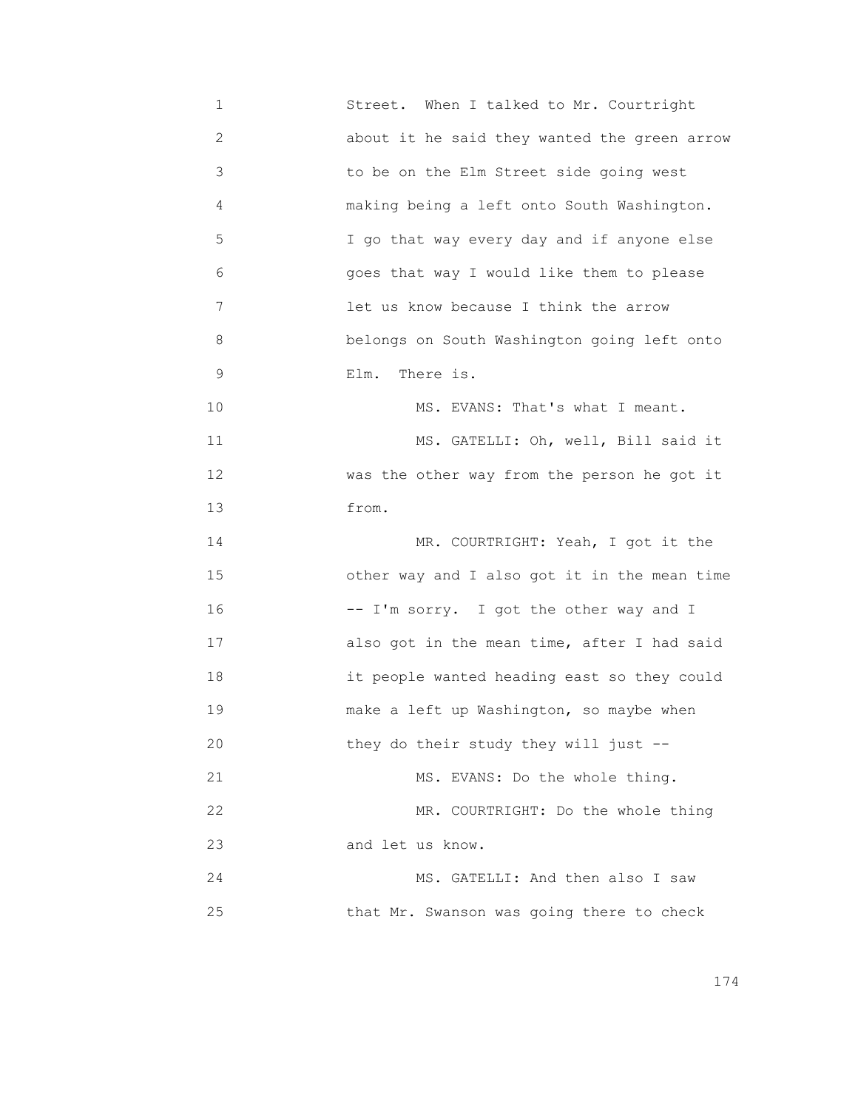1 Street. When I talked to Mr. Courtright 2 about it he said they wanted the green arrow 3 to be on the Elm Street side going west 4 making being a left onto South Washington. 5 I go that way every day and if anyone else 6 goes that way I would like them to please 7 **19 Islams** let us know because I think the arrow 8 belongs on South Washington going left onto 9 Elm. There is. 10 MS. EVANS: That's what I meant. 11 MS. GATELLI: Oh, well, Bill said it 12 **was the other way from the person he got it** 13 from. 14 MR. COURTRIGHT: Yeah, I got it the 15 other way and I also got it in the mean time 16 -- I'm sorry. I got the other way and I 17 also got in the mean time, after I had said 18 it people wanted heading east so they could 19 make a left up Washington, so maybe when 20 they do their study they will just -- 21 MS. EVANS: Do the whole thing. 22 MR. COURTRIGHT: Do the whole thing 23 and let us know. 24 MS. GATELLI: And then also I saw 25 that Mr. Swanson was going there to check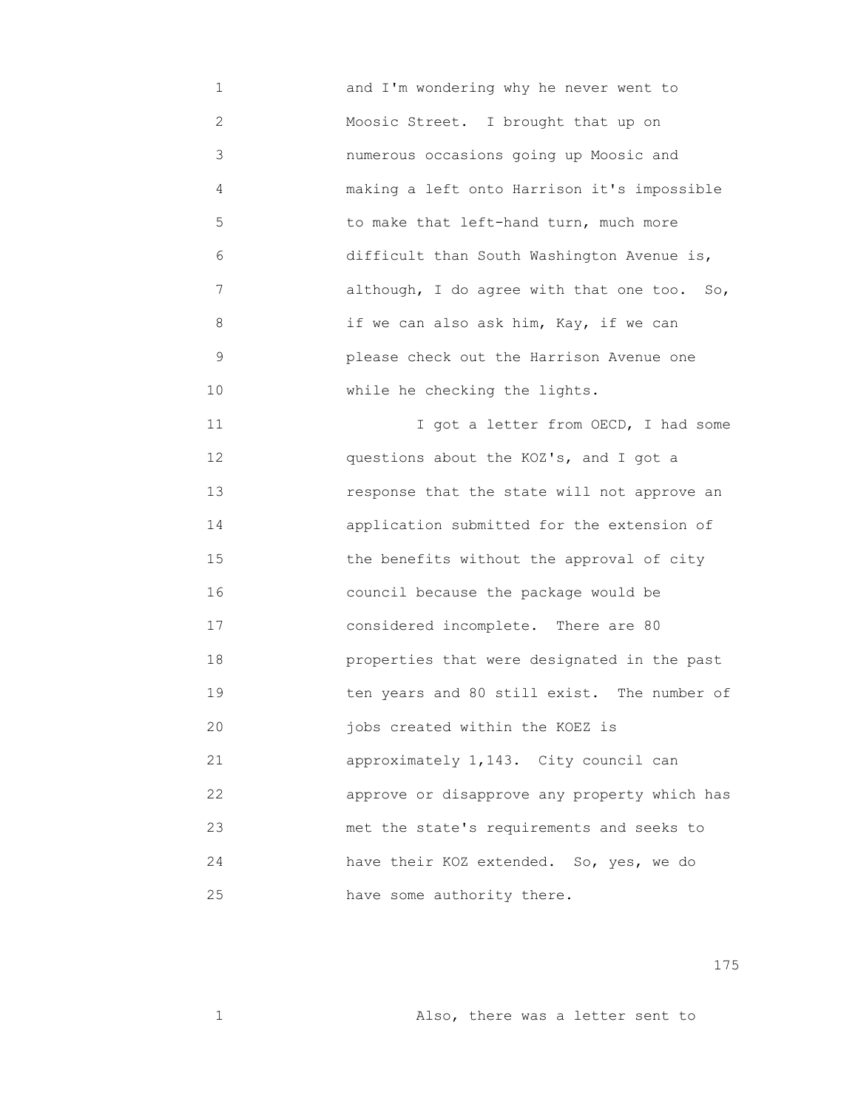1 and I'm wondering why he never went to 2 Moosic Street. I brought that up on 3 numerous occasions going up Moosic and 4 making a left onto Harrison it's impossible 5 to make that left-hand turn, much more 6 difficult than South Washington Avenue is, 7 although, I do agree with that one too. So, 8 if we can also ask him, Kay, if we can 9 please check out the Harrison Avenue one 10 While he checking the lights.

11 11 T got a letter from OECD, I had some 12 questions about the KOZ's, and I got a 13 response that the state will not approve an 14 application submitted for the extension of 15 the benefits without the approval of city 16 council because the package would be 17 considered incomplete. There are 80 18 properties that were designated in the past 19 ten years and 80 still exist. The number of 20 jobs created within the KOEZ is 21 approximately 1,143. City council can 22 approve or disapprove any property which has 23 met the state's requirements and seeks to 24 have their KOZ extended. So, yes, we do 25 have some authority there.

175

1 Also, there was a letter sent to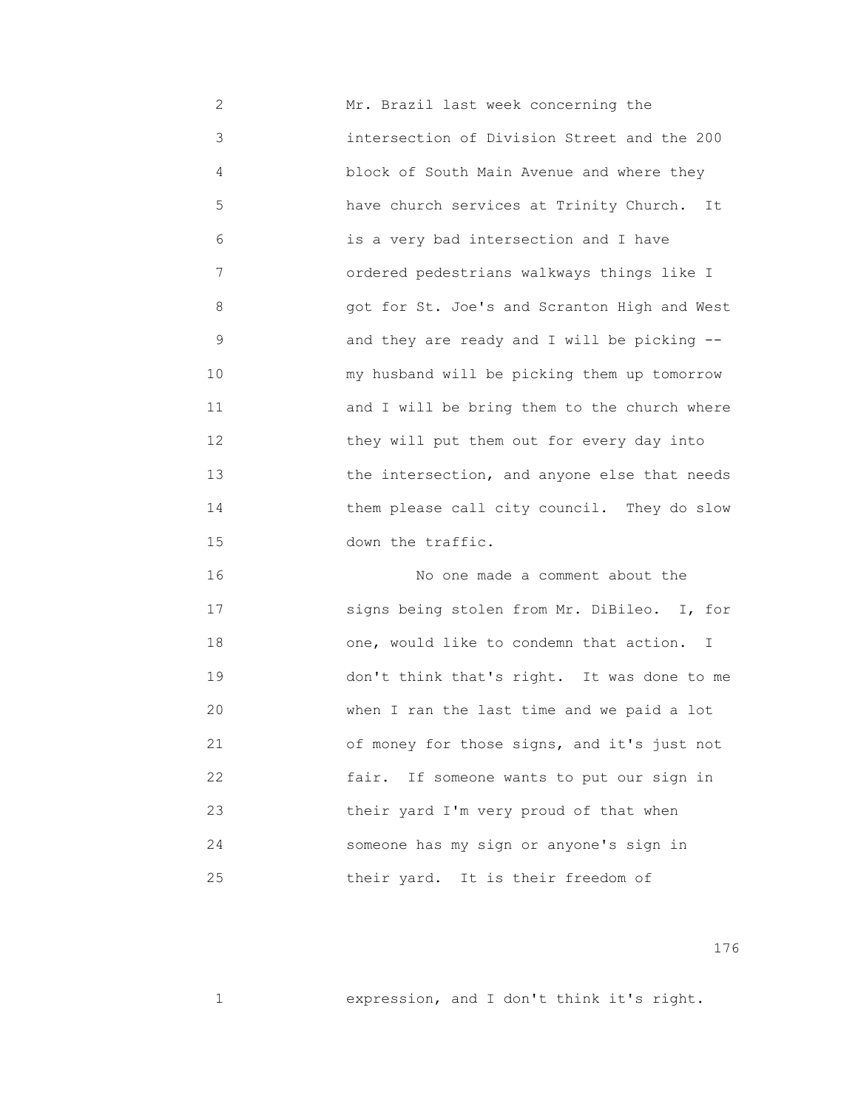2 Mr. Brazil last week concerning the 3 intersection of Division Street and the 200 4 block of South Main Avenue and where they 5 have church services at Trinity Church. It 6 is a very bad intersection and I have 7 ordered pedestrians walkways things like I 8 got for St. Joe's and Scranton High and West 9 and they are ready and I will be picking -- 10 my husband will be picking them up tomorrow 11 and I will be bring them to the church where 12 they will put them out for every day into 13 the intersection, and anyone else that needs 14 them please call city council. They do slow 15 down the traffic.

 16 No one made a comment about the 17 signs being stolen from Mr. DiBileo. I, for 18 one, would like to condemn that action. I 19 don't think that's right. It was done to me 20 when I ran the last time and we paid a lot 21 of money for those signs, and it's just not 22 fair. If someone wants to put our sign in 23 their yard I'm very proud of that when 24 someone has my sign or anyone's sign in 25 their yard. It is their freedom of

176

1 **1** expression, and I don't think it's right.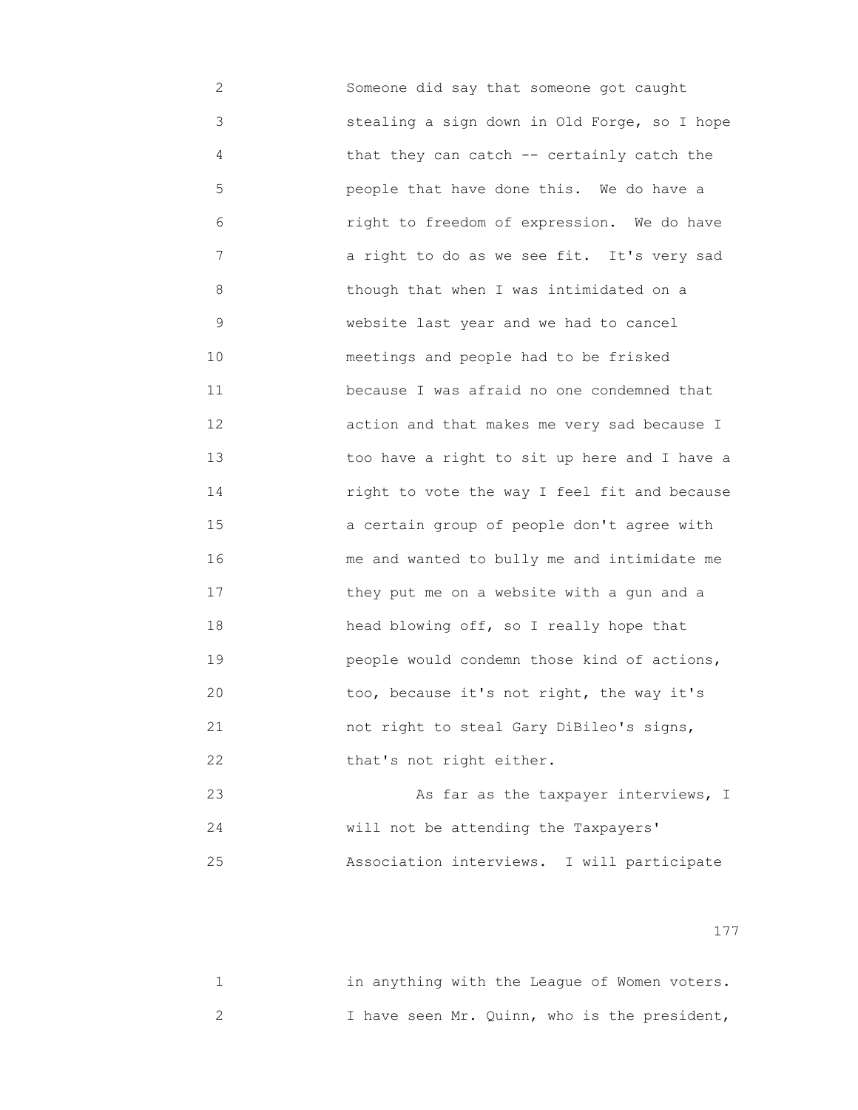2 Someone did say that someone got caught 3 stealing a sign down in Old Forge, so I hope 4 that they can catch -- certainly catch the 5 people that have done this. We do have a 6 right to freedom of expression. We do have 7 a right to do as we see fit. It's very sad 8 though that when I was intimidated on a 9 website last year and we had to cancel 10 meetings and people had to be frisked 11 because I was afraid no one condemned that 12 action and that makes me very sad because I 13 too have a right to sit up here and I have a 14 right to vote the way I feel fit and because 15 a certain group of people don't agree with 16 me and wanted to bully me and intimidate me 17 they put me on a website with a gun and a 18 head blowing off, so I really hope that 19 people would condemn those kind of actions, 20 too, because it's not right, the way it's 21 not right to steal Gary DiBileo's signs, 22 that's not right either. 23 As far as the taxpayer interviews, I

 24 will not be attending the Taxpayers' 25 Association interviews. I will participate

|  |  |  |  |  | in anything with the League of Women voters. |
|--|--|--|--|--|----------------------------------------------|
|  |  |  |  |  | I have seen Mr. Quinn, who is the president, |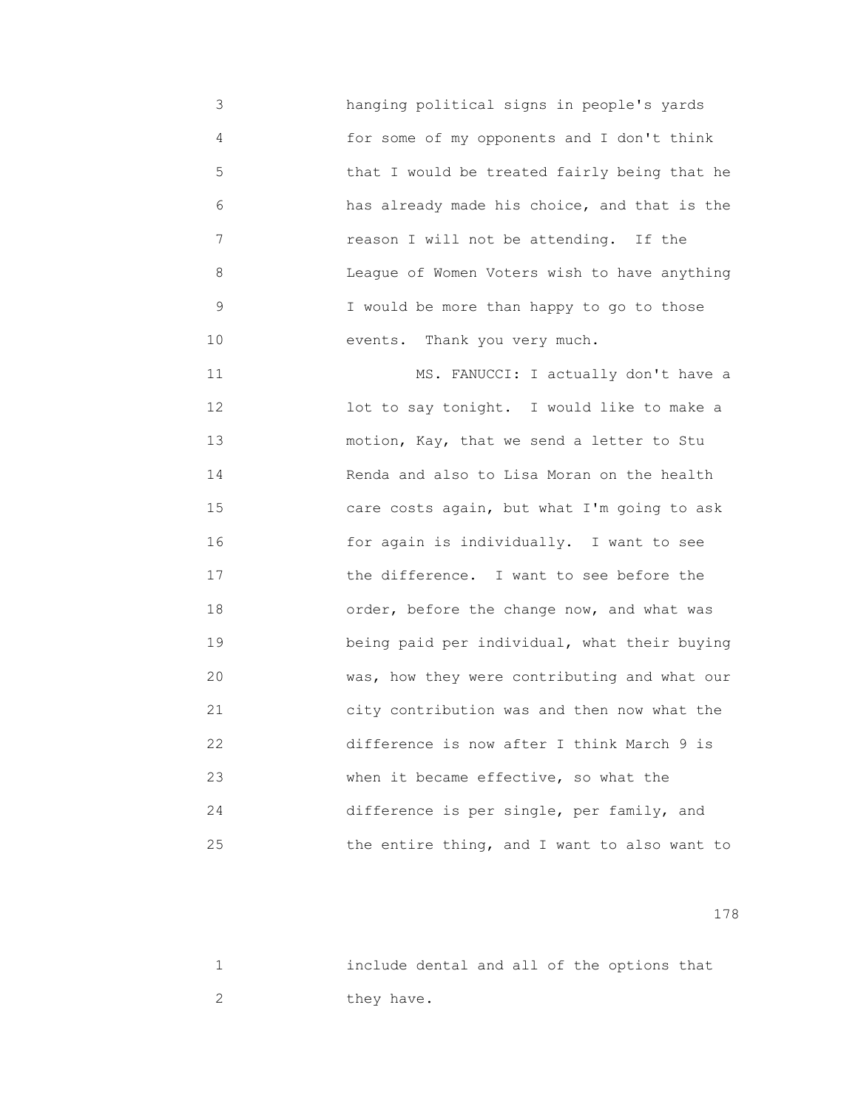3 hanging political signs in people's yards 4 for some of my opponents and I don't think 5 that I would be treated fairly being that he 6 has already made his choice, and that is the 7 reason I will not be attending. If the 8 League of Women Voters wish to have anything 9 I would be more than happy to go to those 10 events. Thank you very much.

11 MS. FANUCCI: I actually don't have a 12 lot to say tonight. I would like to make a 13 motion, Kay, that we send a letter to Stu 14 Renda and also to Lisa Moran on the health 15 care costs again, but what I'm going to ask 16 for again is individually. I want to see 17 the difference. I want to see before the 18 order, before the change now, and what was 19 being paid per individual, what their buying 20 was, how they were contributing and what our 21 city contribution was and then now what the 22 difference is now after I think March 9 is 23 when it became effective, so what the 24 difference is per single, per family, and 25 the entire thing, and I want to also want to

|  |            |  |  | include dental and all of the options that |  |
|--|------------|--|--|--------------------------------------------|--|
|  | they have. |  |  |                                            |  |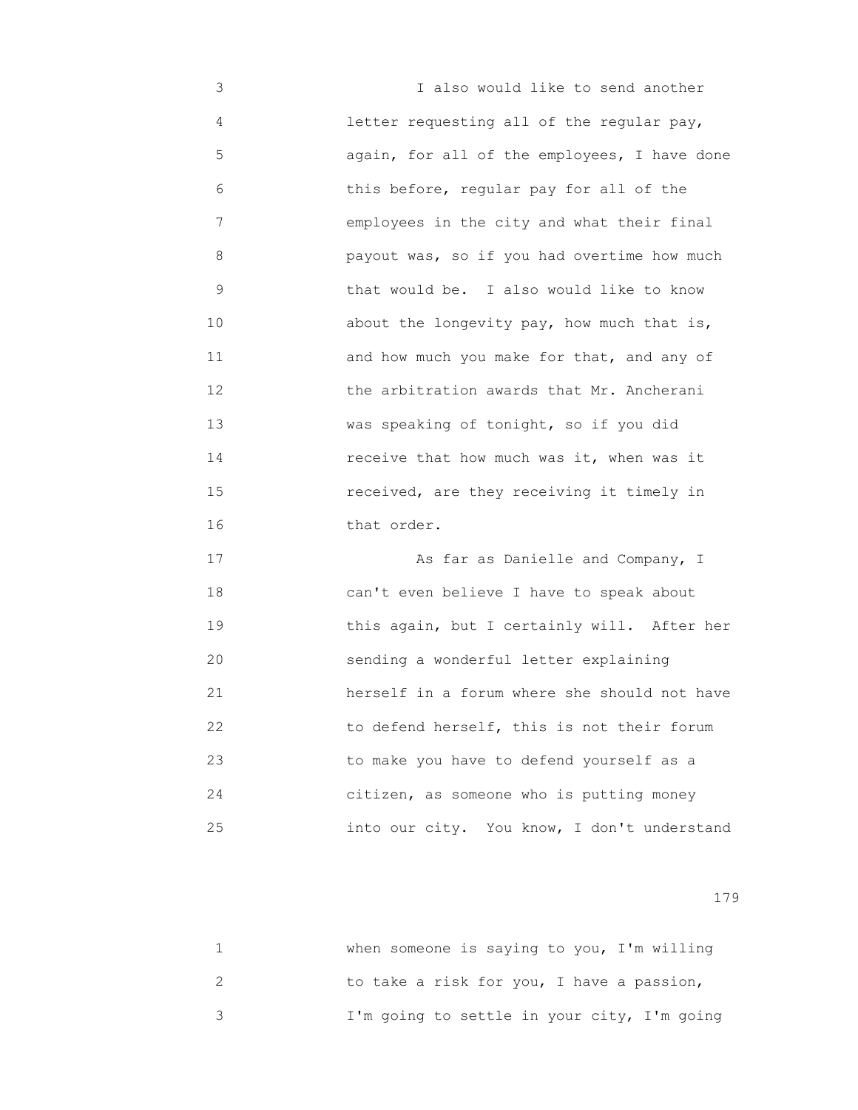3 I also would like to send another 4 letter requesting all of the regular pay, 5 again, for all of the employees, I have done 6 this before, regular pay for all of the 7 employees in the city and what their final 8 payout was, so if you had overtime how much 9 that would be. I also would like to know 10 about the longevity pay, how much that is, 11 and how much you make for that, and any of 12 the arbitration awards that Mr. Ancherani 13 was speaking of tonight, so if you did 14 receive that how much was it, when was it 15 received, are they receiving it timely in 16 that order.

17 **17** As far as Danielle and Company, I 18 can't even believe I have to speak about 19 **19** this again, but I certainly will. After her 20 sending a wonderful letter explaining 21 herself in a forum where she should not have 22 to defend herself, this is not their forum 23 to make you have to defend yourself as a 24 citizen, as someone who is putting money 25 into our city. You know, I don't understand

| when someone is saying to you, I'm willing  |
|---------------------------------------------|
| to take a risk for you, I have a passion,   |
| I'm going to settle in your city, I'm going |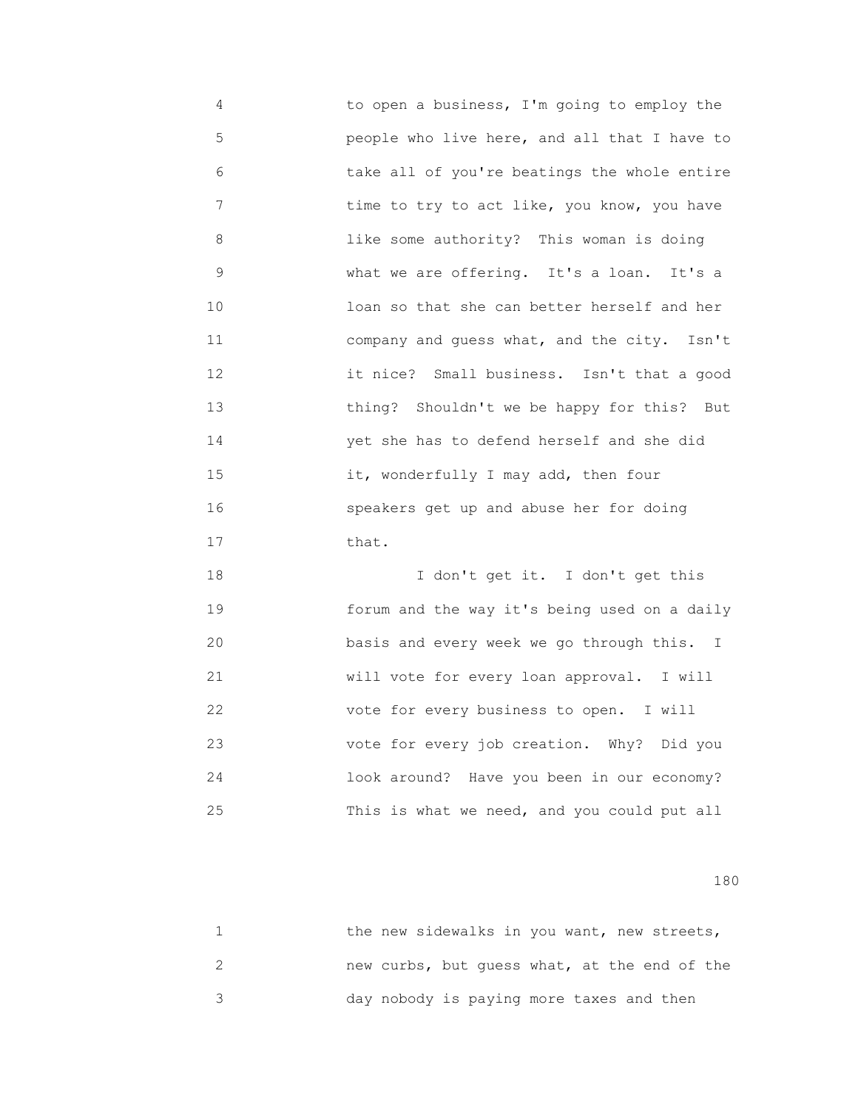4 to open a business, I'm going to employ the 5 people who live here, and all that I have to 6 take all of you're beatings the whole entire 7 time to try to act like, you know, you have 8 like some authority? This woman is doing 9 what we are offering. It's a loan. It's a 10 loan so that she can better herself and her 11 company and guess what, and the city. Isn't 12 it nice? Small business. Isn't that a good 13 thing? Shouldn't we be happy for this? But 14 yet she has to defend herself and she did 15 it, wonderfully I may add, then four 16 speakers get up and abuse her for doing 17 that.

 18 I don't get it. I don't get this 19 forum and the way it's being used on a daily 20 basis and every week we go through this. I 21 will vote for every loan approval. I will 22 vote for every business to open. I will 23 vote for every job creation. Why? Did you 24 look around? Have you been in our economy? 25 This is what we need, and you could put all

|  | the new sidewalks in you want, new streets,  |  |
|--|----------------------------------------------|--|
|  | new curbs, but quess what, at the end of the |  |
|  | day nobody is paying more taxes and then     |  |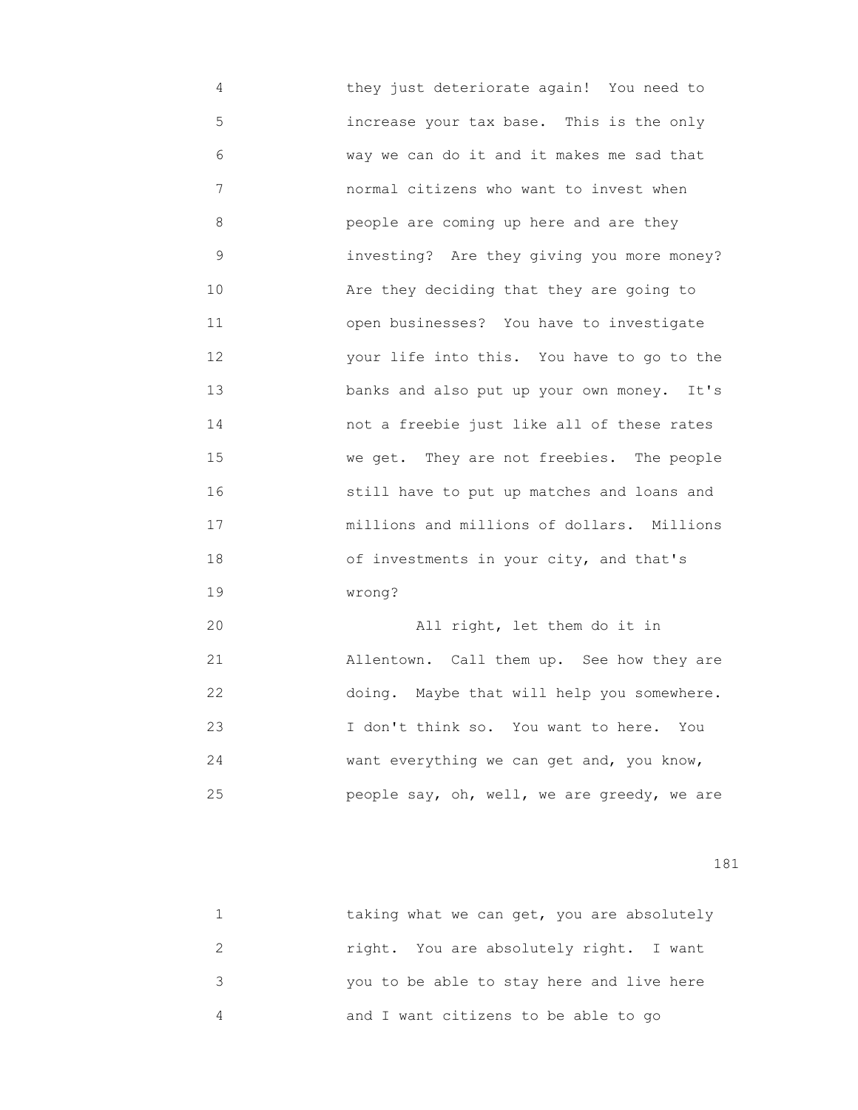4 they just deteriorate again! You need to 5 increase your tax base. This is the only 6 way we can do it and it makes me sad that 7 normal citizens who want to invest when 8 people are coming up here and are they 9 investing? Are they giving you more money? 10 **Are they deciding that they are going to**  11 open businesses? You have to investigate 12 your life into this. You have to go to the 13 banks and also put up your own money. It's 14 not a freebie just like all of these rates 15 we get. They are not freebies. The people 16 still have to put up matches and loans and 17 millions and millions of dollars. Millions 18 of investments in your city, and that's 19 wrong?

 20 All right, let them do it in 21 Allentown. Call them up. See how they are 22 doing. Maybe that will help you somewhere. 23 I don't think so. You want to here. You 24 want everything we can get and, you know, 25 people say, oh, well, we are greedy, we are

| taking what we can get, you are absolutely |
|--------------------------------------------|
| right. You are absolutely right. I want    |
| you to be able to stay here and live here  |
| and I want citizens to be able to go       |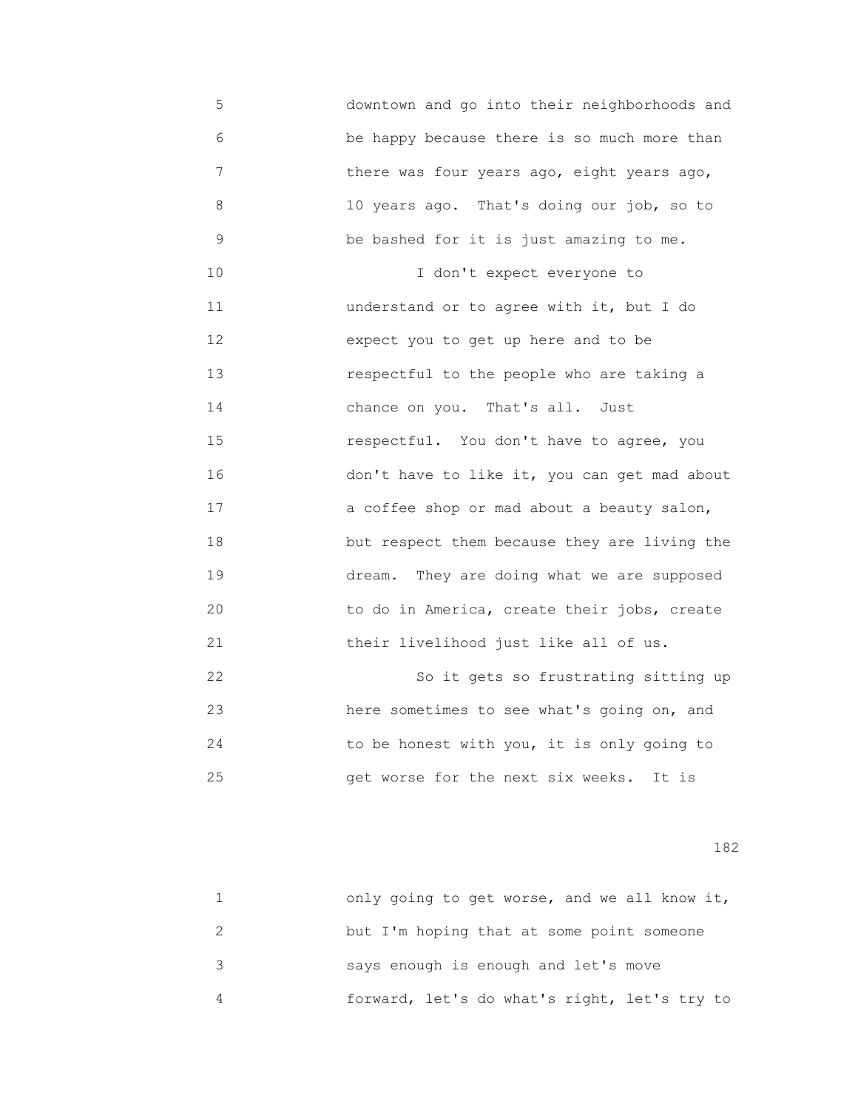5 downtown and go into their neighborhoods and 6 be happy because there is so much more than 7 there was four years ago, eight years ago, 8 10 years ago. That's doing our job, so to 9 be bashed for it is just amazing to me. 10 I don't expect everyone to 11 understand or to agree with it, but I do 12 expect you to get up here and to be 13 respectful to the people who are taking a 14 chance on you. That's all. Just 15 respectful. You don't have to agree, you 16 don't have to like it, you can get mad about 17 a coffee shop or mad about a beauty salon, 18 but respect them because they are living the 19 dream. They are doing what we are supposed 20 to do in America, create their jobs, create 21 their livelihood just like all of us.

 22 So it gets so frustrating sitting up 23 here sometimes to see what's going on, and 24 to be honest with you, it is only going to 25 get worse for the next six weeks. It is

| only going to get worse, and we all know it, |
|----------------------------------------------|
| but I'm hoping that at some point someone    |
| says enough is enough and let's move         |
| forward, let's do what's right, let's try to |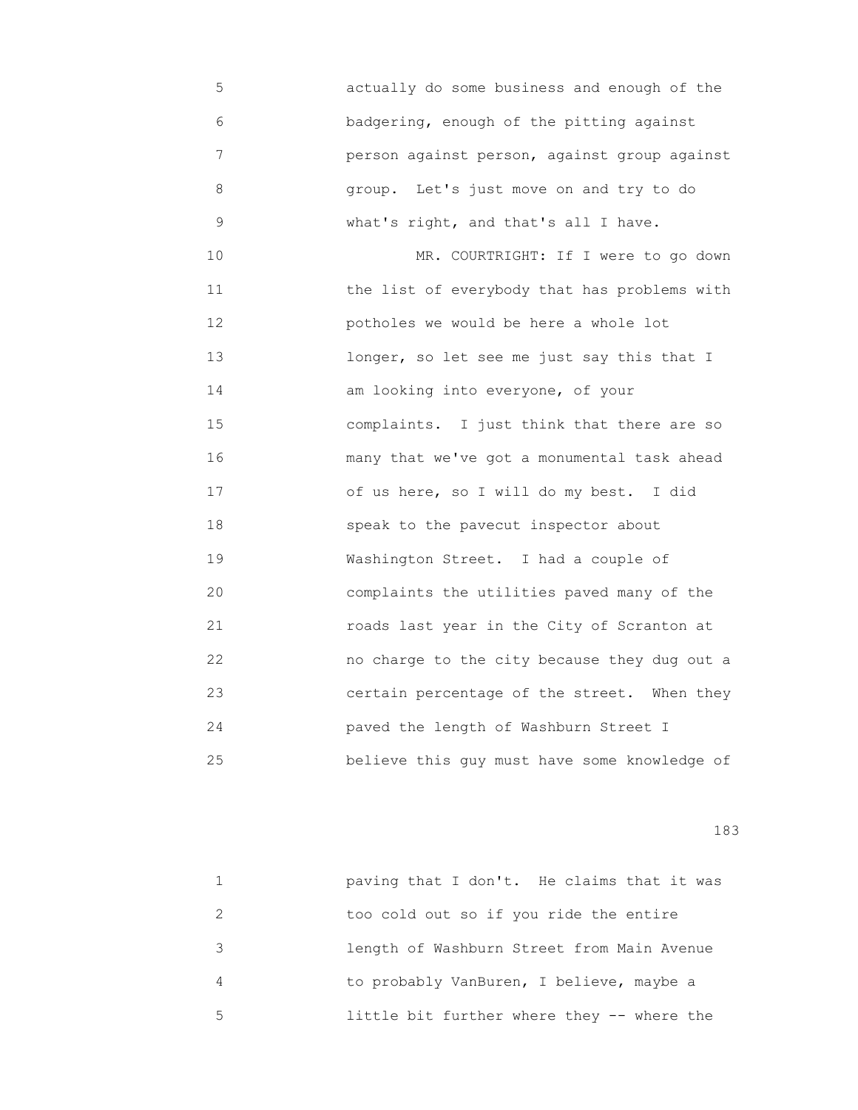5 actually do some business and enough of the 6 badgering, enough of the pitting against 7 person against person, against group against 8 group. Let's just move on and try to do 9 what's right, and that's all I have.

10 MR. COURTRIGHT: If I were to go down 11 the list of everybody that has problems with 12 potholes we would be here a whole lot 13 longer, so let see me just say this that I 14 am looking into everyone, of your 15 complaints. I just think that there are so 16 many that we've got a monumental task ahead 17 of us here, so I will do my best. I did 18 speak to the pavecut inspector about 19 Washington Street. I had a couple of 20 complaints the utilities paved many of the 21 roads last year in the City of Scranton at 22 no charge to the city because they dug out a 23 certain percentage of the street. When they 24 paved the length of Washburn Street I 25 believe this guy must have some knowledge of

|               | paving that I don't. He claims that it was |
|---------------|--------------------------------------------|
| $\mathcal{P}$ | too cold out so if you ride the entire     |
| $\mathcal{S}$ | length of Washburn Street from Main Avenue |
| 4             | to probably VanBuren, I believe, maybe a   |
| 5             | little bit further where they -- where the |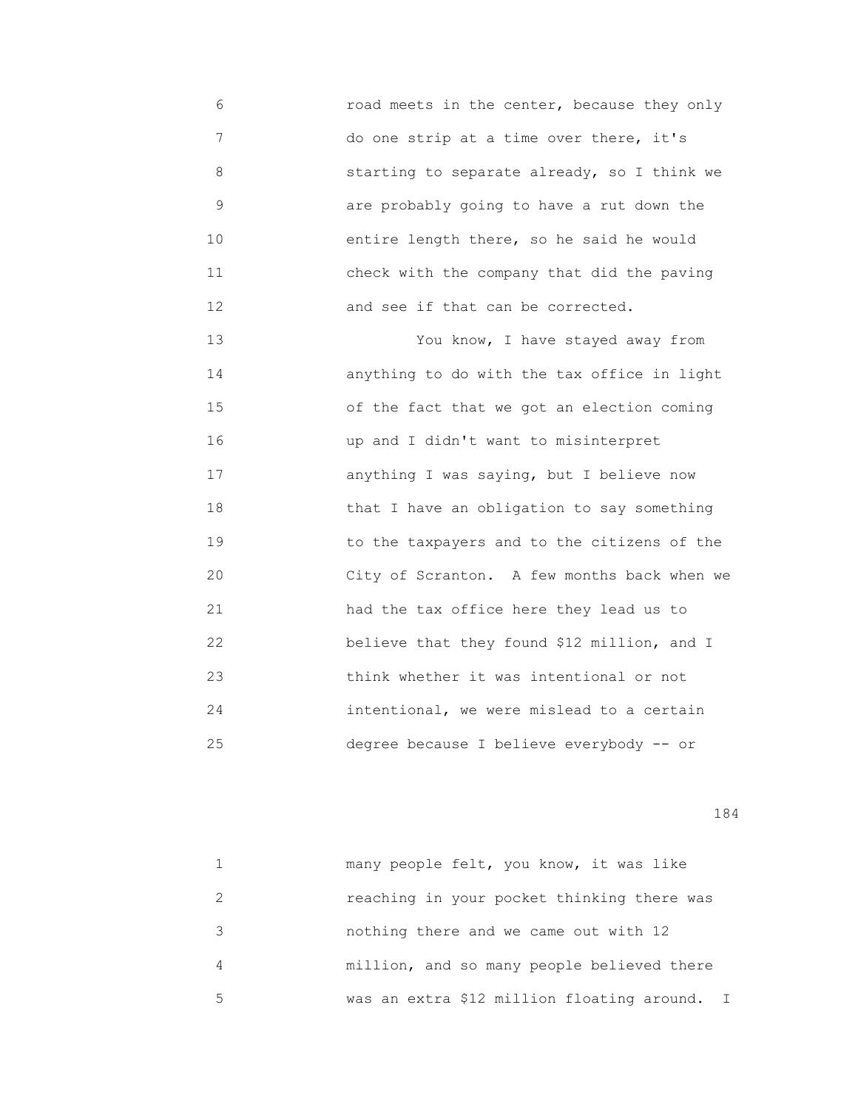6 road meets in the center, because they only 7 do one strip at a time over there, it's 8 starting to separate already, so I think we 9 are probably going to have a rut down the 10 entire length there, so he said he would 11 check with the company that did the paving 12 **and see if that can be corrected.** 

 13 You know, I have stayed away from 14 anything to do with the tax office in light 15 of the fact that we got an election coming 16 up and I didn't want to misinterpret 17 anything I was saying, but I believe now 18 that I have an obligation to say something 19 to the taxpayers and to the citizens of the 20 City of Scranton. A few months back when we 21 had the tax office here they lead us to 22 believe that they found \$12 million, and I 23 think whether it was intentional or not 24 intentional, we were mislead to a certain 25 degree because I believe everybody -- or

|   | many people felt, you know, it was like      |
|---|----------------------------------------------|
|   | reaching in your pocket thinking there was   |
| 3 | nothing there and we came out with 12        |
|   | million, and so many people believed there   |
| 5 | was an extra \$12 million floating around. I |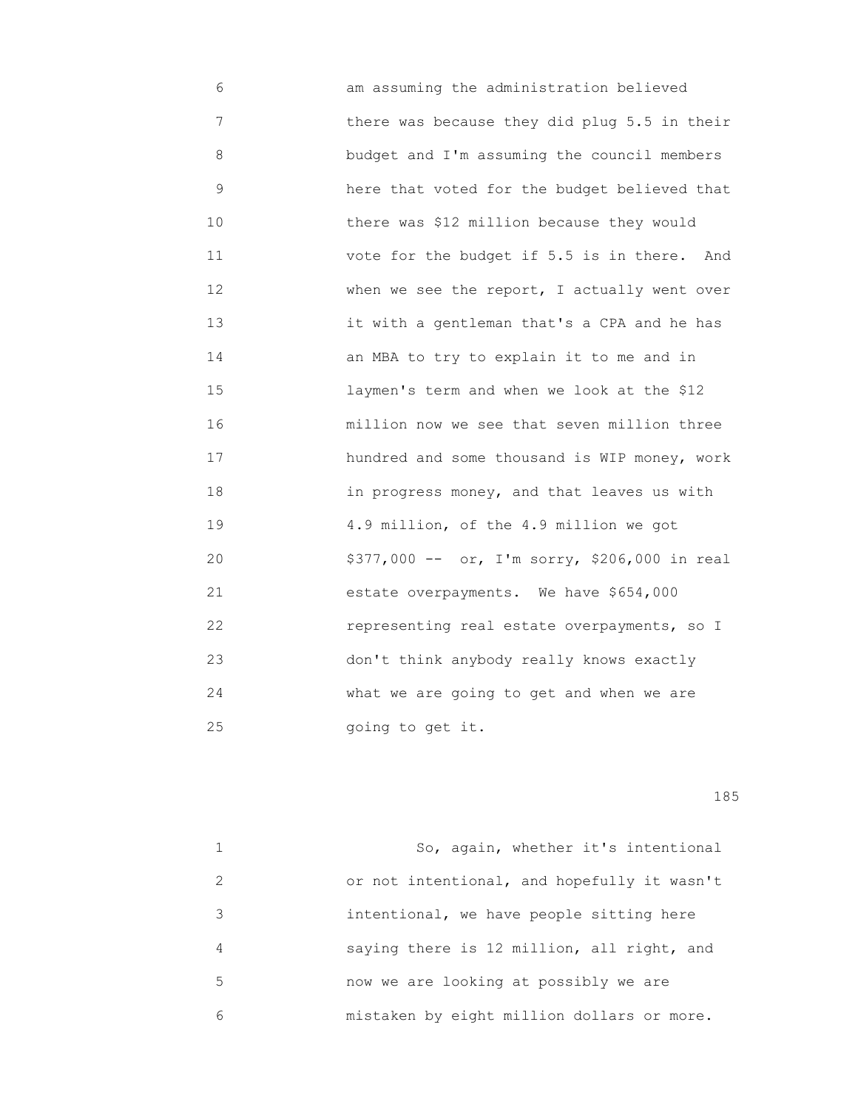6 am assuming the administration believed 7 there was because they did plug 5.5 in their 8 budget and I'm assuming the council members 9 here that voted for the budget believed that 10 there was \$12 million because they would 11 vote for the budget if 5.5 is in there. And 12 **6 Tan When we see the report, I actually went over**  13 it with a gentleman that's a CPA and he has 14 an MBA to try to explain it to me and in 15 laymen's term and when we look at the \$12 16 million now we see that seven million three 17 hundred and some thousand is WIP money, work 18 in progress money, and that leaves us with 19 4.9 million, of the 4.9 million we got 20 \$377,000 -- or, I'm sorry, \$206,000 in real 21 estate overpayments. We have \$654,000 22 representing real estate overpayments, so I 23 don't think anybody really knows exactly 24 what we are going to get and when we are 25 going to get it.

n 185<sup>1</sup> and 185<sup>1</sup>

 1 So, again, whether it's intentional 2 or not intentional, and hopefully it wasn't 3 intentional, we have people sitting here 4 saying there is 12 million, all right, and 5 now we are looking at possibly we are 6 mistaken by eight million dollars or more.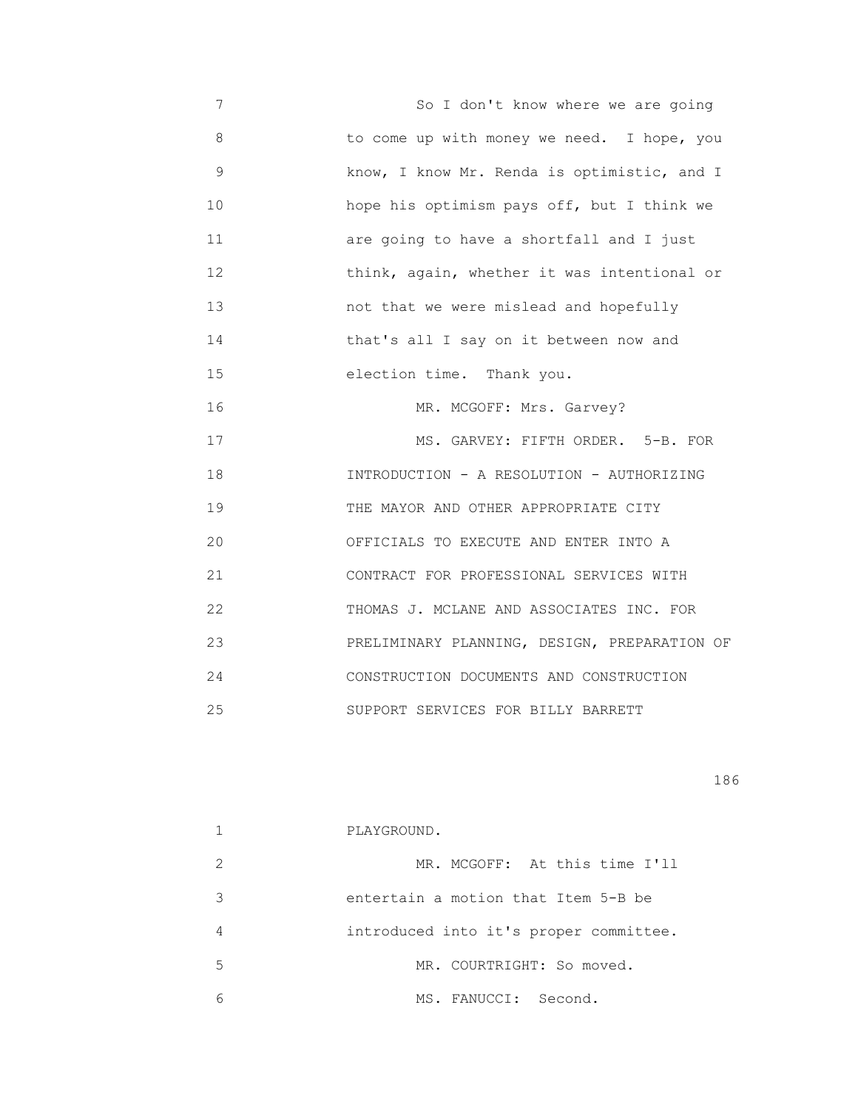7 So I don't know where we are going 8 to come up with money we need. I hope, you 9 know, I know Mr. Renda is optimistic, and I 10 hope his optimism pays off, but I think we 11 are going to have a shortfall and I just 12 **think, again, whether it was intentional or**  13 not that we were mislead and hopefully 14 that's all I say on it between now and 15 election time. Thank you. 16 MR. MCGOFF: Mrs. Garvey? 17 MS. GARVEY: FIFTH ORDER. 5-B. FOR 18 INTRODUCTION - A RESOLUTION - AUTHORIZING 19 THE MAYOR AND OTHER APPROPRIATE CITY 20 OFFICIALS TO EXECUTE AND ENTER INTO A 21 CONTRACT FOR PROFESSIONAL SERVICES WITH 22 THOMAS J. MCLANE AND ASSOCIATES INC. FOR 23 PRELIMINARY PLANNING, DESIGN, PREPARATION OF 24 CONSTRUCTION DOCUMENTS AND CONSTRUCTION 25 SUPPORT SERVICES FOR BILLY BARRETT

|               | PLAYGROUND.                            |
|---------------|----------------------------------------|
| $\mathcal{L}$ | MR. MCGOFF: At this time I'll          |
| 3             | entertain a motion that Item 5-B be    |
| 4             | introduced into it's proper committee. |
| .5            | MR. COURTRIGHT: So moved.              |
| 6             | MS. FANUCCI: Second.                   |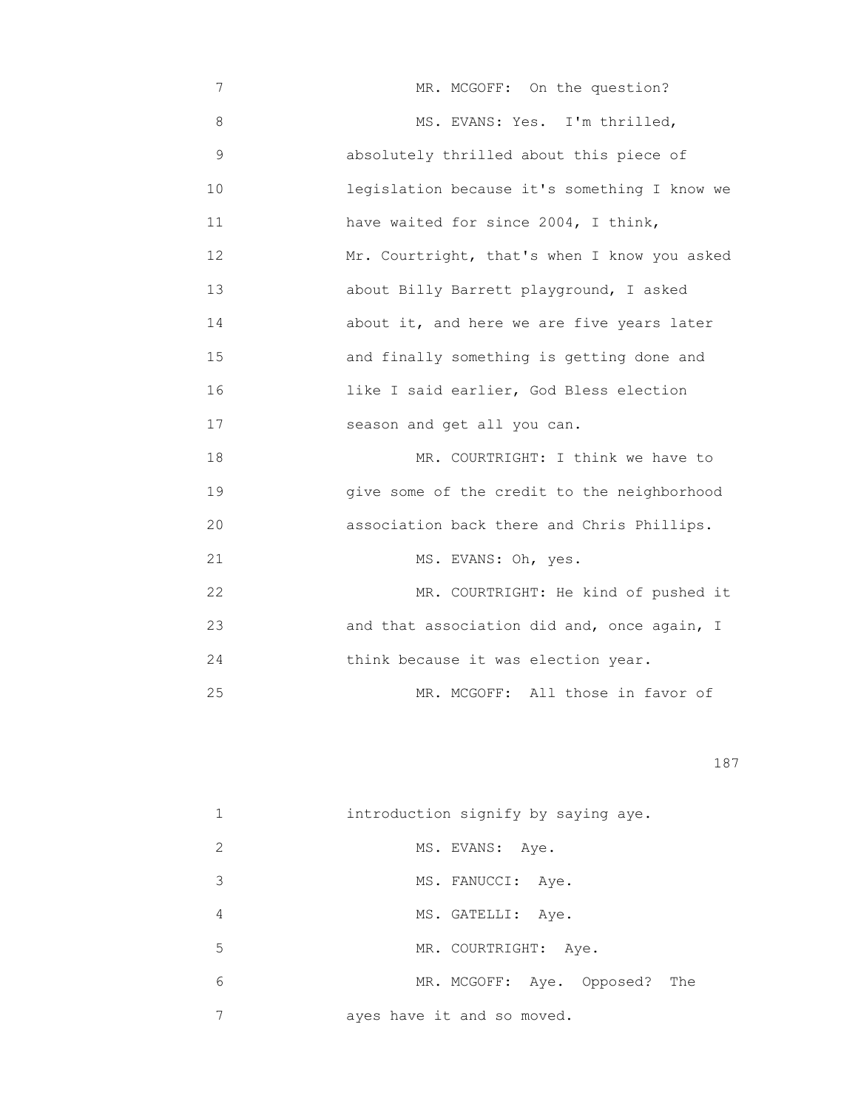7 MR. MCGOFF: On the question? 8 MS. EVANS: Yes. I'm thrilled, 9 absolutely thrilled about this piece of 10 legislation because it's something I know we 11 have waited for since 2004, I think, 12 Mr. Courtright, that's when I know you asked 13 about Billy Barrett playground, I asked 14 about it, and here we are five years later 15 and finally something is getting done and 16 like I said earlier, God Bless election 17 season and get all you can. 18 MR. COURTRIGHT: I think we have to 19 give some of the credit to the neighborhood 20 association back there and Chris Phillips. 21 MS. EVANS: Oh, yes. 22 MR. COURTRIGHT: He kind of pushed it 23 and that association did and, once again, I

24 think because it was election year.

25 MR. MCGOFF: All those in favor of

<u>187</u>

|               | introduction signify by saying aye. |
|---------------|-------------------------------------|
| $\mathcal{L}$ | MS. EVANS: Aye.                     |
| 3             | MS. FANUCCI: Aye.                   |
| 4             | MS. GATELLI:<br>Aye.                |
| 5             | MR. COURTRIGHT: Aye.                |
| 6             | MR. MCGOFF: Aye. Opposed?<br>The    |
|               | ayes have it and so moved.          |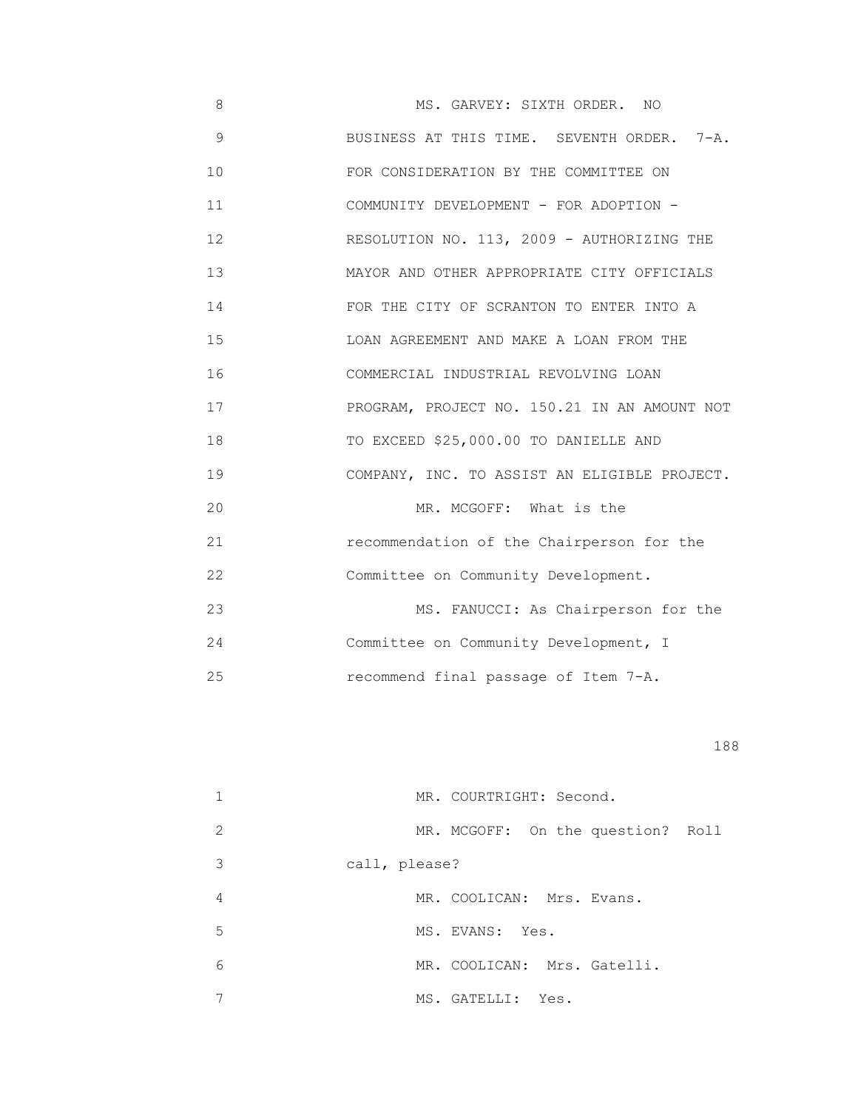8 MS. GARVEY: SIXTH ORDER. NO 9 BUSINESS AT THIS TIME. SEVENTH ORDER. 7-A. 10 FOR CONSIDERATION BY THE COMMITTEE ON 11 COMMUNITY DEVELOPMENT - FOR ADOPTION - 12 RESOLUTION NO. 113, 2009 - AUTHORIZING THE 13 MAYOR AND OTHER APPROPRIATE CITY OFFICIALS 14 FOR THE CITY OF SCRANTON TO ENTER INTO A 15 LOAN AGREEMENT AND MAKE A LOAN FROM THE 16 COMMERCIAL INDUSTRIAL REVOLVING LOAN 17 PROGRAM, PROJECT NO. 150.21 IN AN AMOUNT NOT 18 TO EXCEED \$25,000.00 TO DANIELLE AND 19 COMPANY, INC. TO ASSIST AN ELIGIBLE PROJECT. 20 MR. MCGOFF: What is the 21 recommendation of the Chairperson for the 22 Committee on Community Development. 23 MS. FANUCCI: As Chairperson for the 24 Committee on Community Development, I 25 recommend final passage of Item 7-A.

|   | MR. COURTRIGHT: Second.           |
|---|-----------------------------------|
| 2 | MR. MCGOFF: On the question? Roll |
| 3 | call, please?                     |
| 4 | MR. COOLICAN: Mrs. Evans.         |
| 5 | MS. EVANS: Yes.                   |
| 6 | MR. COOLICAN: Mrs. Gatelli.       |
|   | MS. GATELLI: Yes.                 |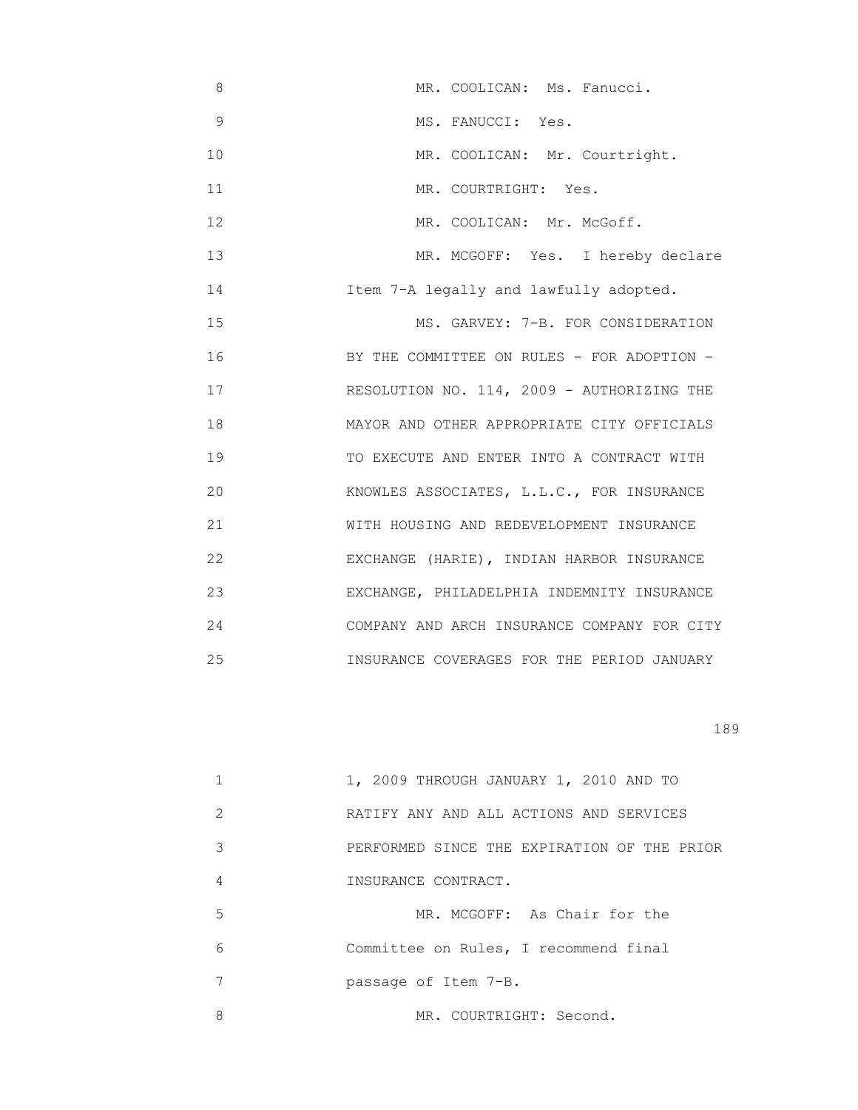8 MR. COOLICAN: Ms. Fanucci. 9 MS. FANUCCI: Yes. 10 MR. COOLICAN: Mr. Courtright. 11 MR. COURTRIGHT: Yes. 12 MR. COOLICAN: Mr. McGoff. 13 MR. MCGOFF: Yes. I hereby declare 14 Item 7-A legally and lawfully adopted. 15 MS. GARVEY: 7-B. FOR CONSIDERATION 16 BY THE COMMITTEE ON RULES - FOR ADOPTION -17 RESOLUTION NO. 114, 2009 - AUTHORIZING THE 18 MAYOR AND OTHER APPROPRIATE CITY OFFICIALS 19 TO EXECUTE AND ENTER INTO A CONTRACT WITH 20 KNOWLES ASSOCIATES, L.L.C., FOR INSURANCE 21 WITH HOUSING AND REDEVELOPMENT INSURANCE 22 EXCHANGE (HARIE), INDIAN HARBOR INSURANCE 23 EXCHANGE, PHILADELPHIA INDEMNITY INSURANCE 24 COMPANY AND ARCH INSURANCE COMPANY FOR CITY 25 INSURANCE COVERAGES FOR THE PERIOD JANUARY

|               | 1, 2009 THROUGH JANUARY 1, 2010 AND TO      |
|---------------|---------------------------------------------|
| $\mathcal{L}$ | RATIFY ANY AND ALL ACTIONS AND SERVICES     |
| 3             | PERFORMED SINCE THE EXPIRATION OF THE PRIOR |
| 4             | INSURANCE CONTRACT.                         |
| 5             | MR. MCGOFF: As Chair for the                |
| 6             | Committee on Rules, I recommend final       |
| 7             | passage of Item 7-B.                        |
| 8             | MR. COURTRIGHT: Second.                     |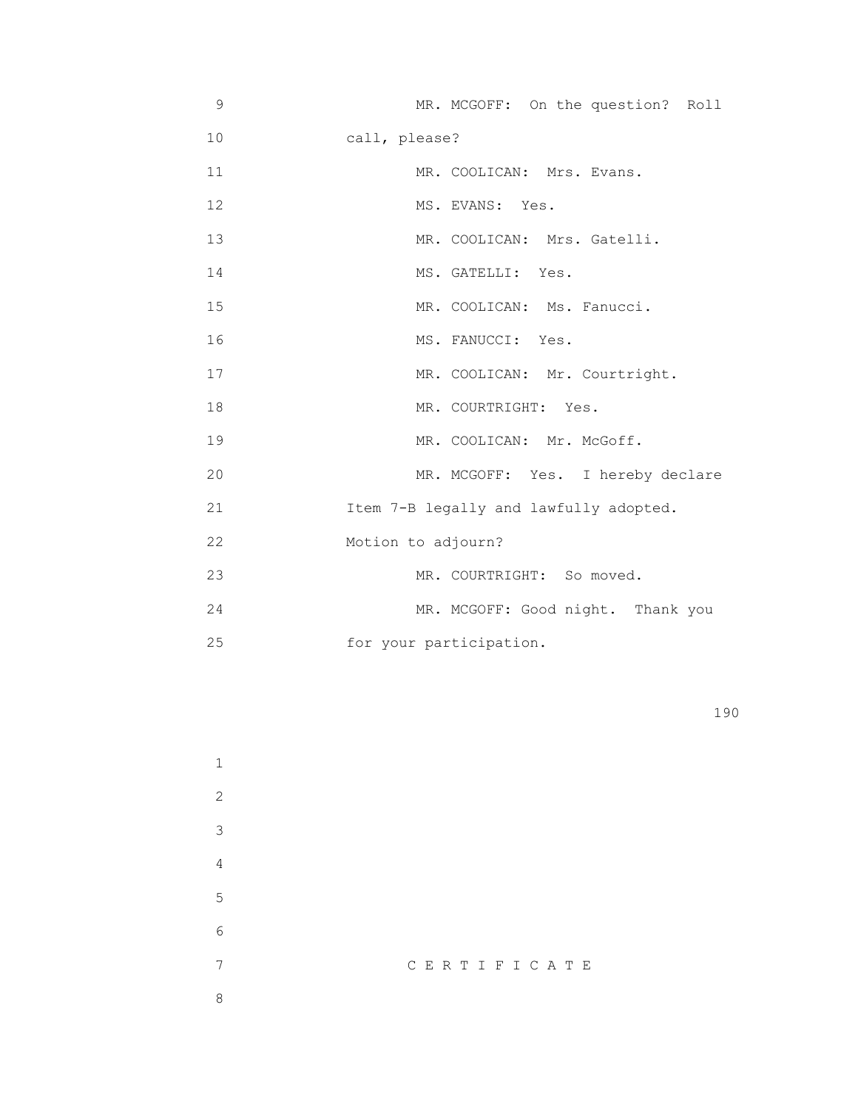| 9  | MR. MCGOFF: On the question? Roll      |
|----|----------------------------------------|
| 10 | call, please?                          |
| 11 | MR. COOLICAN: Mrs. Evans.              |
| 12 | MS. EVANS: Yes.                        |
| 13 | MR. COOLICAN: Mrs. Gatelli.            |
| 14 | MS. GATELLI: Yes.                      |
| 15 | MR. COOLICAN: Ms. Fanucci.             |
| 16 | MS. FANUCCI: Yes.                      |
| 17 | MR. COOLICAN: Mr. Courtright.          |
| 18 | MR. COURTRIGHT: Yes.                   |
| 19 | MR. COOLICAN: Mr. McGoff.              |
| 20 | MR. MCGOFF: Yes. I hereby declare      |
| 21 | Item 7-B legally and lawfully adopted. |
| 22 | Motion to adjourn?                     |
| 23 | MR. COURTRIGHT: So moved.              |
| 24 | MR. MCGOFF: Good night. Thank you      |
| 25 | for your participation.                |